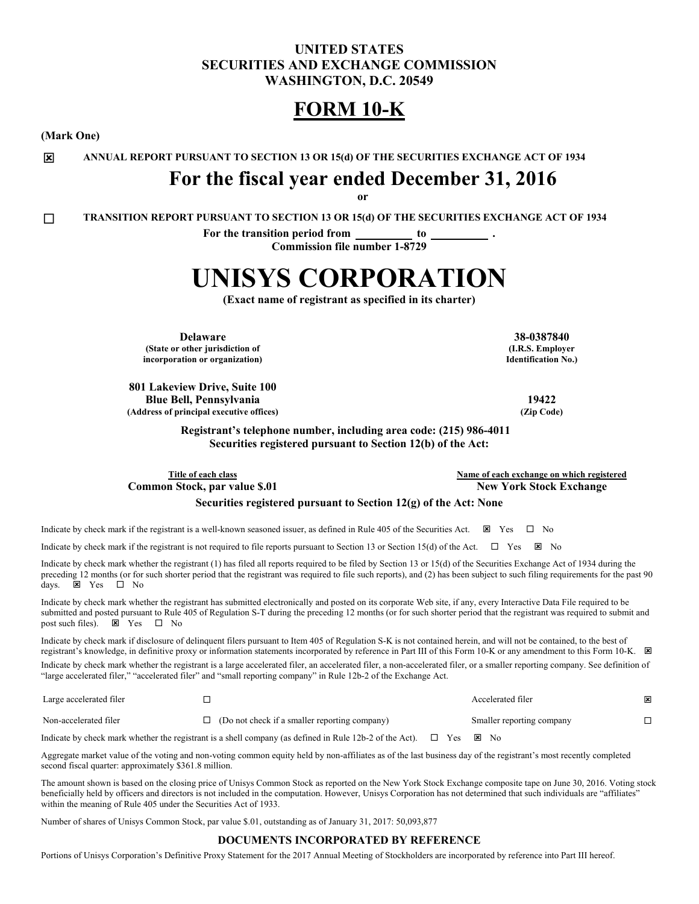#### **UNITED STATES SECURITIES AND EXCHANGE COMMISSION WASHINGTON, D.C. 20549**

# **FORM 10-K**

**(Mark One)**

**ANNUAL REPORT PURSUANT TO SECTION 13 OR 15(d) OF THE SECURITIES EXCHANGE ACT OF 1934**

# **For the fiscal year ended December 31, 2016**

**or**

**TRANSITION REPORT PURSUANT TO SECTION 13 OR 15(d) OF THE SECURITIES EXCHANGE ACT OF 1934**

For the transition period from **the same of the set of the set of the set of the set of the set of the set of the set of the set of the set of the set of the set of the set of the set of the set of the set of the set of th Commission file number 1-8729**

# **UNISYS CORPORATION**

**(Exact name of registrant as specified in its charter)**

**Delaware 38-0387840 (State or other jurisdiction of incorporation or organization)**

**801 Lakeview Drive, Suite 100 Blue Bell, Pennsylvania 19422 (Address of principal executive offices) (Zip Code)**

**(I.R.S. Employer Identification No.)**

**Registrant's telephone number, including area code: (215) 986-4011 Securities registered pursuant to Section 12(b) of the Act:**

**Common Stock, par value \$.01 New York Stock Exchange**

**Title of each class Name of each exchange on which registered**

#### **Securities registered pursuant to Section 12(g) of the Act: None**

Indicate by check mark if the registrant is a well-known seasoned issuer, as defined in Rule 405 of the Securities Act.  $\boxtimes$  Yes  $\Box$  No

Indicate by check mark if the registrant is not required to file reports pursuant to Section 13 or Section 15(d) of the Act.  $\Box$  Yes  $\boxtimes$  No

Indicate by check mark whether the registrant (1) has filed all reports required to be filed by Section 13 or 15(d) of the Securities Exchange Act of 1934 during the preceding 12 months (or for such shorter period that the registrant was required to file such reports), and (2) has been subject to such filing requirements for the past 90 days.  $\boxtimes$  Yes  $\Box$  No

Indicate by check mark whether the registrant has submitted electronically and posted on its corporate Web site, if any, every Interactive Data File required to be submitted and posted pursuant to Rule 405 of Regulation S-T during the preceding 12 months (or for such shorter period that the registrant was required to submit and post such files).  $\boxtimes$  Yes  $\Box$  No

Indicate by check mark if disclosure of delinquent filers pursuant to Item 405 of Regulation S-K is not contained herein, and will not be contained, to the best of registrant's knowledge, in definitive proxy or information statements incorporated by reference in Part III of this Form 10-K or any amendment to this Form 10-K. Indicate by check mark whether the registrant is a large accelerated filer, an accelerated filer, a non-accelerated filer, or a smaller reporting company. See definition of "large accelerated filer," "accelerated filer" and "small reporting company" in Rule 12b-2 of the Exchange Act.

| Large accelerated filer |                                                                                                                    | Accelerated filer         | 図 |
|-------------------------|--------------------------------------------------------------------------------------------------------------------|---------------------------|---|
| Non-accelerated filer   | (Do not check if a smaller reporting company)<br>$\Box$                                                            | Smaller reporting company |   |
|                         | Indicate by check mark whether the registrant is a shell company (as defined in Rule 12b-2 of the Act). $\Box$ Yes | ΣRI N∩                    |   |

Aggregate market value of the voting and non-voting common equity held by non-affiliates as of the last business day of the registrant's most recently completed second fiscal quarter: approximately \$361.8 million.

The amount shown is based on the closing price of Unisys Common Stock as reported on the New York Stock Exchange composite tape on June 30, 2016. Voting stock beneficially held by officers and directors is not included in the computation. However, Unisys Corporation has not determined that such individuals are "affiliates" within the meaning of Rule 405 under the Securities Act of 1933.

Number of shares of Unisys Common Stock, par value \$.01, outstanding as of January 31, 2017: 50,093,877

#### **DOCUMENTS INCORPORATED BY REFERENCE**

Portions of Unisys Corporation's Definitive Proxy Statement for the 2017 Annual Meeting of Stockholders are incorporated by reference into Part III hereof.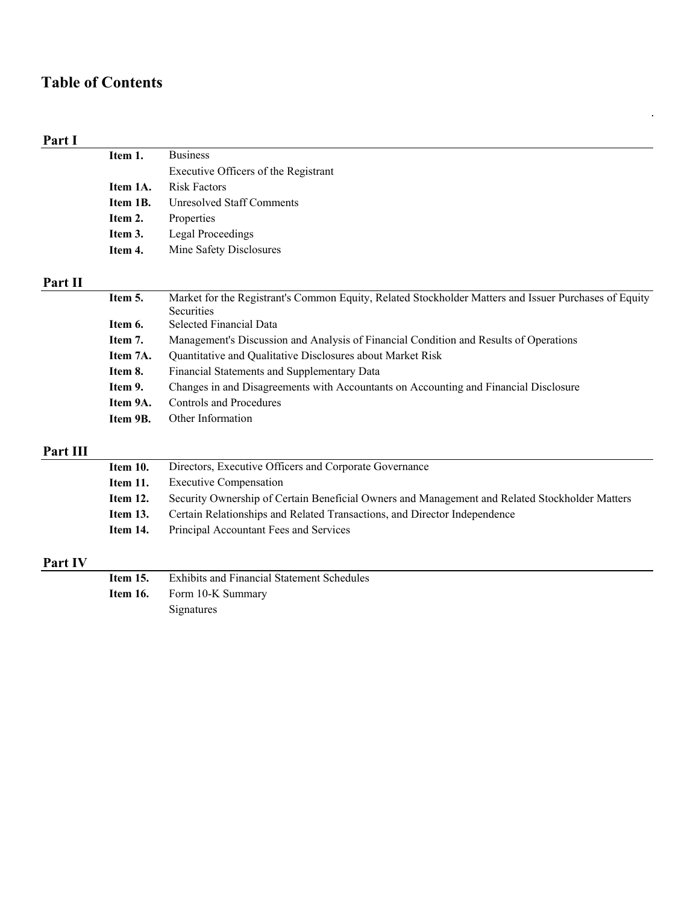# **Table of Contents**

# **Part I**

| 1 ai c 1 |          |                                                                                                                            |
|----------|----------|----------------------------------------------------------------------------------------------------------------------------|
|          | Item 1.  | <b>Business</b>                                                                                                            |
|          |          | Executive Officers of the Registrant                                                                                       |
|          | Item 1A. | <b>Risk Factors</b>                                                                                                        |
|          | Item 1B. | <b>Unresolved Staff Comments</b>                                                                                           |
|          | Item 2.  | Properties                                                                                                                 |
|          | Item 3.  | <b>Legal Proceedings</b>                                                                                                   |
|          | Item 4.  | Mine Safety Disclosures                                                                                                    |
| Part II  |          |                                                                                                                            |
|          | Item 5.  | Market for the Registrant's Common Equity, Related Stockholder Matters and Issuer Purchases of Equity<br><b>Securities</b> |
|          | Item 6.  | Selected Financial Data                                                                                                    |
|          | Item 7.  | Management's Discussion and Analysis of Financial Condition and Results of Operations                                      |
|          | Item 7A. | Quantitative and Qualitative Disclosures about Market Risk                                                                 |
|          | Item 8.  | Financial Statements and Supplementary Data                                                                                |
|          | Item 9.  | Changes in and Disagreements with Accountants on Accounting and Financial Disclosure                                       |
|          | Item 9A. | <b>Controls and Procedures</b>                                                                                             |
|          | Item 9B. | Other Information                                                                                                          |
| Part III |          |                                                                                                                            |
|          | Item 10. | Directors, Executive Officers and Corporate Governance                                                                     |
|          | Item 11. | <b>Executive Compensation</b>                                                                                              |
|          | Item 12. | Security Ownership of Certain Beneficial Owners and Management and Related Stockholder Matters                             |
|          | Item 13. | Certain Relationships and Related Transactions, and Director Independence                                                  |
|          | Item 14. | Principal Accountant Fees and Services                                                                                     |
| Part IV  |          |                                                                                                                            |
|          | Item 15. | <b>Exhibits and Financial Statement Schedules</b>                                                                          |
|          | Item 16. | Form 10-K Summary                                                                                                          |
|          |          | Signatures                                                                                                                 |
|          |          |                                                                                                                            |

 $\hat{\mathbf{r}}$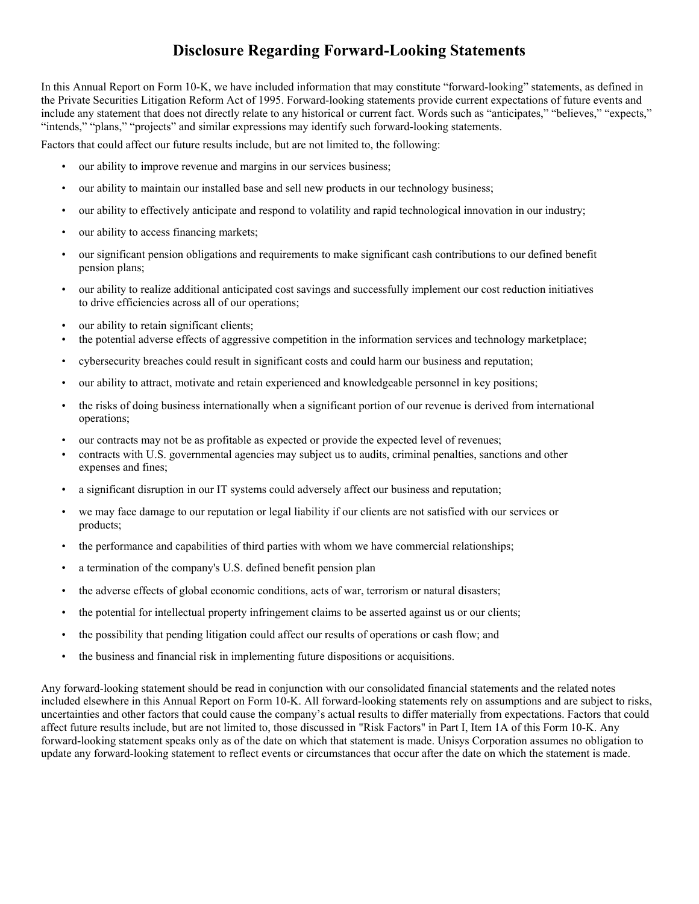#### **Disclosure Regarding Forward-Looking Statements**

In this Annual Report on Form 10-K, we have included information that may constitute "forward-looking" statements, as defined in the Private Securities Litigation Reform Act of 1995. Forward-looking statements provide current expectations of future events and include any statement that does not directly relate to any historical or current fact. Words such as "anticipates," "believes," "expects," "intends," "plans," "projects" and similar expressions may identify such forward-looking statements.

Factors that could affect our future results include, but are not limited to, the following:

- our ability to improve revenue and margins in our services business;
- our ability to maintain our installed base and sell new products in our technology business;
- our ability to effectively anticipate and respond to volatility and rapid technological innovation in our industry;
- our ability to access financing markets;
- our significant pension obligations and requirements to make significant cash contributions to our defined benefit pension plans;
- our ability to realize additional anticipated cost savings and successfully implement our cost reduction initiatives to drive efficiencies across all of our operations;
- 
- our ability to retain significant clients; the potential adverse effects of aggressive competition in the information services and technology marketplace;
- cybersecurity breaches could result in significant costs and could harm our business and reputation;
- our ability to attract, motivate and retain experienced and knowledgeable personnel in key positions;
- the risks of doing business internationally when a significant portion of our revenue is derived from international operations;
- our contracts may not be as profitable as expected or provide the expected level of revenues; contracts with U.S. governmental agencies may subject us to audits, criminal penalties, sanctions and other
- expenses and fines;
- a significant disruption in our IT systems could adversely affect our business and reputation;
- we may face damage to our reputation or legal liability if our clients are not satisfied with our services or products;
- the performance and capabilities of third parties with whom we have commercial relationships;
- a termination of the company's U.S. defined benefit pension plan
- the adverse effects of global economic conditions, acts of war, terrorism or natural disasters;
- the potential for intellectual property infringement claims to be asserted against us or our clients;
- the possibility that pending litigation could affect our results of operations or cash flow; and
- the business and financial risk in implementing future dispositions or acquisitions.

Any forward-looking statement should be read in conjunction with our consolidated financial statements and the related notes included elsewhere in this Annual Report on Form 10-K. All forward-looking statements rely on assumptions and are subject to risks, uncertainties and other factors that could cause the company's actual results to differ materially from expectations. Factors that could affect future results include, but are not limited to, those discussed in "Risk Factors" in Part I, Item 1A of this Form 10-K. Any forward-looking statement speaks only as of the date on which that statement is made. Unisys Corporation assumes no obligation to update any forward-looking statement to reflect events or circumstances that occur after the date on which the statement is made.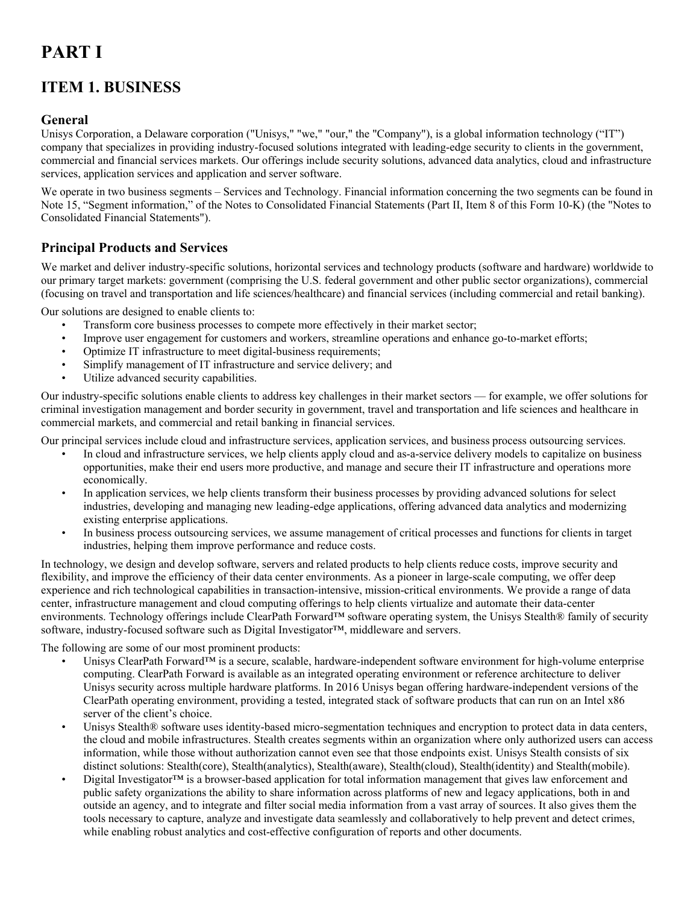# **PART I**

# **ITEM 1. BUSINESS**

#### **General**

Unisys Corporation, a Delaware corporation ("Unisys," "we," "our," the "Company"), is a global information technology ("IT") company that specializes in providing industry-focused solutions integrated with leading-edge security to clients in the government, commercial and financial services markets. Our offerings include security solutions, advanced data analytics, cloud and infrastructure services, application services and application and server software.

We operate in two business segments – Services and Technology. Financial information concerning the two segments can be found in Note 15, "Segment information," of the Notes to Consolidated Financial Statements (Part II, Item 8 of this Form 10-K) (the "Notes to Consolidated Financial Statements").

#### **Principal Products and Services**

We market and deliver industry-specific solutions, horizontal services and technology products (software and hardware) worldwide to our primary target markets: government (comprising the U.S. federal government and other public sector organizations), commercial (focusing on travel and transportation and life sciences/healthcare) and financial services (including commercial and retail banking).

Our solutions are designed to enable clients to:

- Transform core business processes to compete more effectively in their market sector;
- Improve user engagement for customers and workers, streamline operations and enhance go-to-market efforts;
- Optimize IT infrastructure to meet digital-business requirements;
- Simplify management of IT infrastructure and service delivery; and
- Utilize advanced security capabilities.

Our industry-specific solutions enable clients to address key challenges in their market sectors — for example, we offer solutions for criminal investigation management and border security in government, travel and transportation and life sciences and healthcare in commercial markets, and commercial and retail banking in financial services.

Our principal services include cloud and infrastructure services, application services, and business process outsourcing services.

- In cloud and infrastructure services, we help clients apply cloud and as-a-service delivery models to capitalize on business opportunities, make their end users more productive, and manage and secure their IT infrastructure and operations more economically.
- In application services, we help clients transform their business processes by providing advanced solutions for select industries, developing and managing new leading-edge applications, offering advanced data analytics and modernizing existing enterprise applications.
- In business process outsourcing services, we assume management of critical processes and functions for clients in target industries, helping them improve performance and reduce costs.

In technology, we design and develop software, servers and related products to help clients reduce costs, improve security and flexibility, and improve the efficiency of their data center environments. As a pioneer in large-scale computing, we offer deep experience and rich technological capabilities in transaction-intensive, mission-critical environments. We provide a range of data center, infrastructure management and cloud computing offerings to help clients virtualize and automate their data-center environments. Technology offerings include ClearPath Forward™ software operating system, the Unisys Stealth® family of security software, industry-focused software such as Digital Investigator™, middleware and servers.

The following are some of our most prominent products:

- Unisys ClearPath Forward™ is a secure, scalable, hardware-independent software environment for high-volume enterprise computing. ClearPath Forward is available as an integrated operating environment or reference architecture to deliver Unisys security across multiple hardware platforms. In 2016 Unisys began offering hardware-independent versions of the ClearPath operating environment, providing a tested, integrated stack of software products that can run on an Intel x86 server of the client's choice.
- Unisys Stealth® software uses identity-based micro-segmentation techniques and encryption to protect data in data centers, the cloud and mobile infrastructures. Stealth creates segments within an organization where only authorized users can access information, while those without authorization cannot even see that those endpoints exist. Unisys Stealth consists of six distinct solutions: Stealth(core), Stealth(analytics), Stealth(aware), Stealth(cloud), Stealth(identity) and Stealth(mobile).
- Digital Investigator™ is a browser-based application for total information management that gives law enforcement and public safety organizations the ability to share information across platforms of new and legacy applications, both in and outside an agency, and to integrate and filter social media information from a vast array of sources. It also gives them the tools necessary to capture, analyze and investigate data seamlessly and collaboratively to help prevent and detect crimes, while enabling robust analytics and cost-effective configuration of reports and other documents.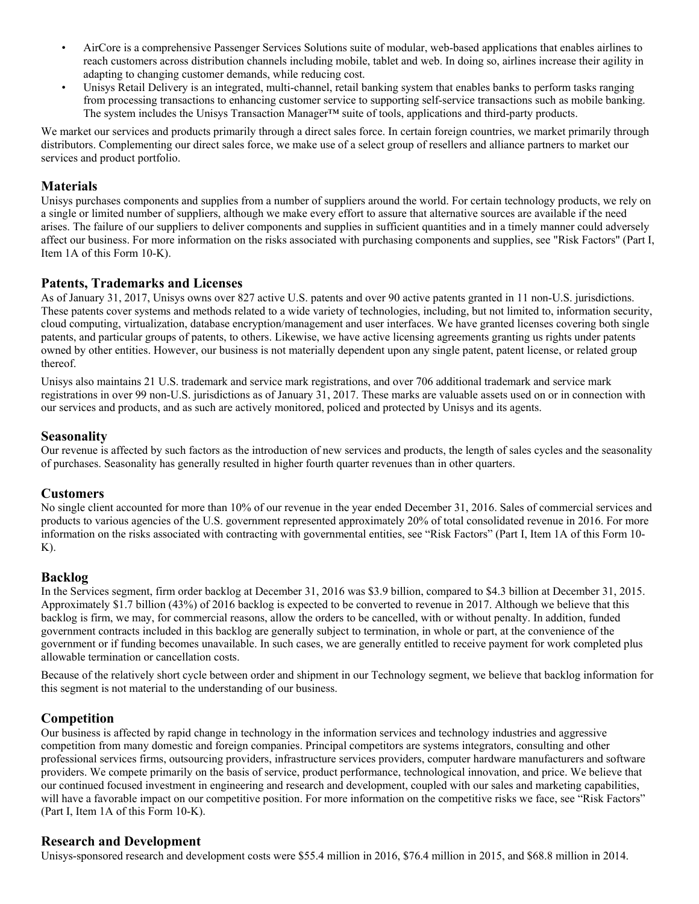- AirCore is a comprehensive Passenger Services Solutions suite of modular, web-based applications that enables airlines to reach customers across distribution channels including mobile, tablet and web. In doing so, airlines increase their agility in adapting to changing customer demands, while reducing cost.<br>Unisys Retail Delivery is an integrated, multi-channel, retail banking system that enables banks to perform tasks ranging
- from processing transactions to enhancing customer service to supporting self-service transactions such as mobile banking. The system includes the Unisys Transaction Manager™ suite of tools, applications and third-party products.

We market our services and products primarily through a direct sales force. In certain foreign countries, we market primarily through distributors. Complementing our direct sales force, we make use of a select group of resellers and alliance partners to market our services and product portfolio.

#### **Materials**

Unisys purchases components and supplies from a number of suppliers around the world. For certain technology products, we rely on a single or limited number of suppliers, although we make every effort to assure that alternative sources are available if the need arises. The failure of our suppliers to deliver components and supplies in sufficient quantities and in a timely manner could adversely affect our business. For more information on the risks associated with purchasing components and supplies, see "Risk Factors" (Part I, Item 1A of this Form 10-K).

#### **Patents, Trademarks and Licenses**

As of January 31, 2017, Unisys owns over 827 active U.S. patents and over 90 active patents granted in 11 non-U.S. jurisdictions. These patents cover systems and methods related to a wide variety of technologies, including, but not limited to, information security, cloud computing, virtualization, database encryption/management and user interfaces. We have granted licenses covering both single patents, and particular groups of patents, to others. Likewise, we have active licensing agreements granting us rights under patents owned by other entities. However, our business is not materially dependent upon any single patent, patent license, or related group thereof.

Unisys also maintains 21 U.S. trademark and service mark registrations, and over 706 additional trademark and service mark registrations in over 99 non-U.S. jurisdictions as of January 31, 2017. These marks are valuable assets used on or in connection with our services and products, and as such are actively monitored, policed and protected by Unisys and its agents.

#### **Seasonality**

Our revenue is affected by such factors as the introduction of new services and products, the length of sales cycles and the seasonality of purchases. Seasonality has generally resulted in higher fourth quarter revenues than in other quarters.

#### **Customers**

No single client accounted for more than 10% of our revenue in the year ended December 31, 2016. Sales of commercial services and products to various agencies of the U.S. government represented approximately 20% of total consolidated revenue in 2016. For more information on the risks associated with contracting with governmental entities, see "Risk Factors" (Part I, Item 1A of this Form 10- K).

#### **Backlog**

In the Services segment, firm order backlog at December 31, 2016 was \$3.9 billion, compared to \$4.3 billion at December 31, 2015. Approximately \$1.7 billion (43%) of 2016 backlog is expected to be converted to revenue in 2017. Although we believe that this backlog is firm, we may, for commercial reasons, allow the orders to be cancelled, with or without penalty. In addition, funded government contracts included in this backlog are generally subject to termination, in whole or part, at the convenience of the government or if funding becomes unavailable. In such cases, we are generally entitled to receive payment for work completed plus allowable termination or cancellation costs.

Because of the relatively short cycle between order and shipment in our Technology segment, we believe that backlog information for this segment is not material to the understanding of our business.

#### **Competition**

Our business is affected by rapid change in technology in the information services and technology industries and aggressive competition from many domestic and foreign companies. Principal competitors are systems integrators, consulting and other professional services firms, outsourcing providers, infrastructure services providers, computer hardware manufacturers and software providers. We compete primarily on the basis of service, product performance, technological innovation, and price. We believe that our continued focused investment in engineering and research and development, coupled with our sales and marketing capabilities, will have a favorable impact on our competitive position. For more information on the competitive risks we face, see "Risk Factors" (Part I, Item 1A of this Form 10-K).

#### **Research and Development**

Unisys-sponsored research and development costs were \$55.4 million in 2016, \$76.4 million in 2015, and \$68.8 million in 2014.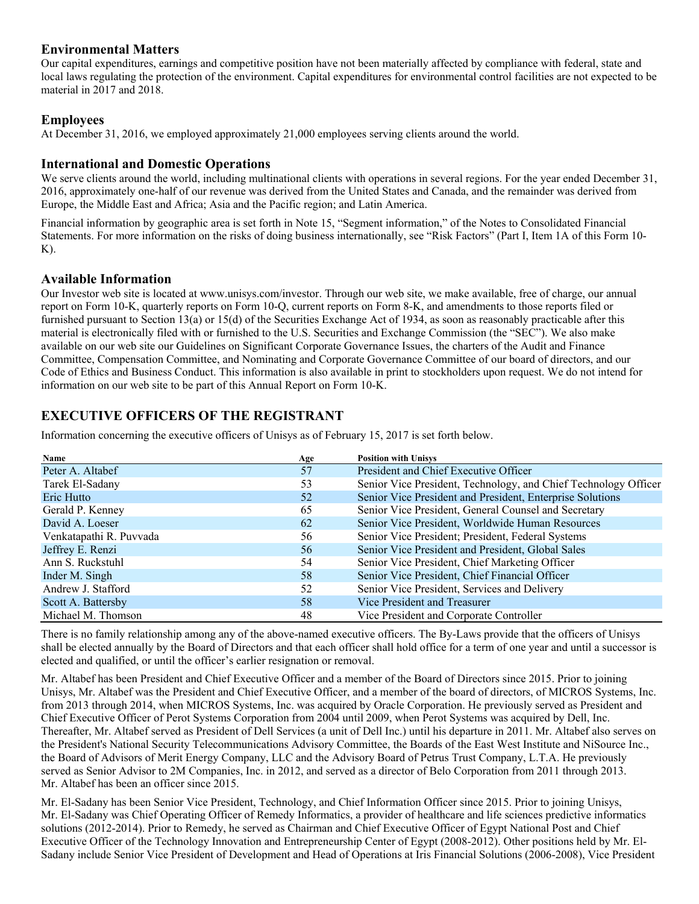#### **Environmental Matters**

Our capital expenditures, earnings and competitive position have not been materially affected by compliance with federal, state and local laws regulating the protection of the environment. Capital expenditures for environmental control facilities are not expected to be material in 2017 and 2018.

#### **Employees**

At December 31, 2016, we employed approximately 21,000 employees serving clients around the world.

#### **International and Domestic Operations**

We serve clients around the world, including multinational clients with operations in several regions. For the year ended December 31, 2016, approximately one-half of our revenue was derived from the United States and Canada, and the remainder was derived from Europe, the Middle East and Africa; Asia and the Pacific region; and Latin America.

Financial information by geographic area is set forth in Note 15, "Segment information," of the Notes to Consolidated Financial Statements. For more information on the risks of doing business internationally, see "Risk Factors" (Part I, Item 1A of this Form 10-  $K$ ).

#### **Available Information**

Our Investor web site is located at www.unisys.com/investor. Through our web site, we make available, free of charge, our annual report on Form 10-K, quarterly reports on Form 10-Q, current reports on Form 8-K, and amendments to those reports filed or furnished pursuant to Section 13(a) or 15(d) of the Securities Exchange Act of 1934, as soon as reasonably practicable after this material is electronically filed with or furnished to the U.S. Securities and Exchange Commission (the "SEC"). We also make available on our web site our Guidelines on Significant Corporate Governance Issues, the charters of the Audit and Finance Committee, Compensation Committee, and Nominating and Corporate Governance Committee of our board of directors, and our Code of Ethics and Business Conduct. This information is also available in print to stockholders upon request. We do not intend for information on our web site to be part of this Annual Report on Form 10-K.

#### **EXECUTIVE OFFICERS OF THE REGISTRANT**

Information concerning the executive officers of Unisys as of February 15, 2017 is set forth below.

| Name                    | Age | <b>Position with Unisys</b>                                     |
|-------------------------|-----|-----------------------------------------------------------------|
| Peter A. Altabef        | 57  | President and Chief Executive Officer                           |
| Tarek El-Sadany         | 53  | Senior Vice President, Technology, and Chief Technology Officer |
| Eric Hutto              | 52  | Senior Vice President and President, Enterprise Solutions       |
| Gerald P. Kenney        | 65  | Senior Vice President, General Counsel and Secretary            |
| David A. Loeser         | 62  | Senior Vice President, Worldwide Human Resources                |
| Venkatapathi R. Puvvada | 56  | Senior Vice President; President, Federal Systems               |
| Jeffrey E. Renzi        | 56  | Senior Vice President and President, Global Sales               |
| Ann S. Ruckstuhl        | 54  | Senior Vice President, Chief Marketing Officer                  |
| Inder M. Singh          | 58  | Senior Vice President, Chief Financial Officer                  |
| Andrew J. Stafford      | 52  | Senior Vice President, Services and Delivery                    |
| Scott A. Battersby      | 58  | Vice President and Treasurer                                    |
| Michael M. Thomson      | 48  | Vice President and Corporate Controller                         |

There is no family relationship among any of the above-named executive officers. The By-Laws provide that the officers of Unisys shall be elected annually by the Board of Directors and that each officer shall hold office for a term of one year and until a successor is elected and qualified, or until the officer's earlier resignation or removal.

Mr. Altabef has been President and Chief Executive Officer and a member of the Board of Directors since 2015. Prior to joining Unisys, Mr. Altabef was the President and Chief Executive Officer, and a member of the board of directors, of MICROS Systems, Inc. from 2013 through 2014, when MICROS Systems, Inc. was acquired by Oracle Corporation. He previously served as President and Chief Executive Officer of Perot Systems Corporation from 2004 until 2009, when Perot Systems was acquired by Dell, Inc. Thereafter, Mr. Altabef served as President of Dell Services (a unit of Dell Inc.) until his departure in 2011. Mr. Altabef also serves on the President's National Security Telecommunications Advisory Committee, the Boards of the East West Institute and NiSource Inc., the Board of Advisors of Merit Energy Company, LLC and the Advisory Board of Petrus Trust Company, L.T.A. He previously served as Senior Advisor to 2M Companies, Inc. in 2012, and served as a director of Belo Corporation from 2011 through 2013. Mr. Altabef has been an officer since 2015.

Mr. El-Sadany has been Senior Vice President, Technology, and Chief Information Officer since 2015. Prior to joining Unisys, Mr. El-Sadany was Chief Operating Officer of Remedy Informatics, a provider of healthcare and life sciences predictive informatics solutions (2012-2014). Prior to Remedy, he served as Chairman and Chief Executive Officer of Egypt National Post and Chief Executive Officer of the Technology Innovation and Entrepreneurship Center of Egypt (2008-2012). Other positions held by Mr. El-Sadany include Senior Vice President of Development and Head of Operations at Iris Financial Solutions (2006-2008), Vice President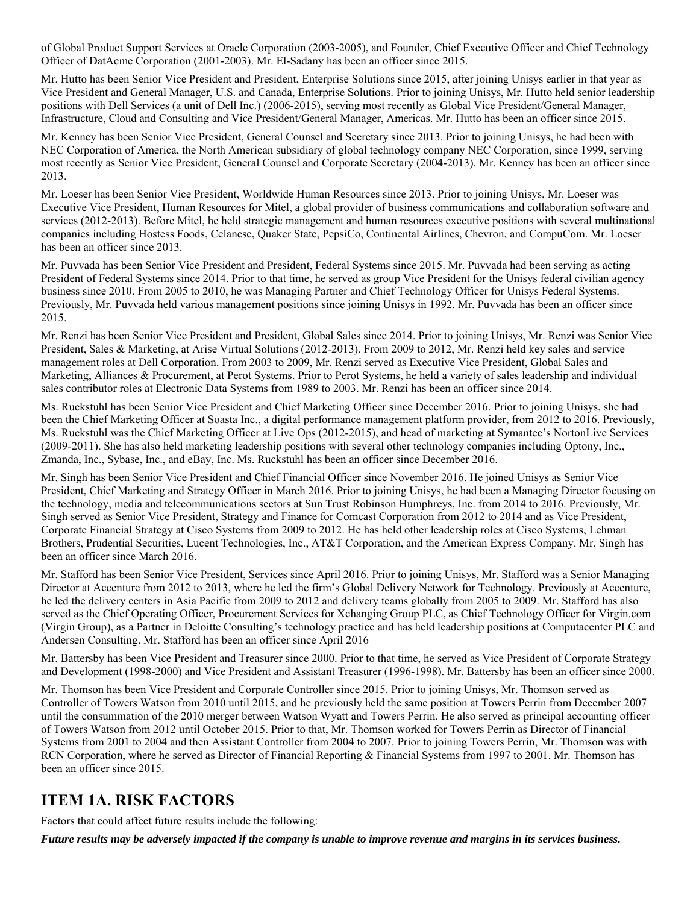of Global Product Support Services at Oracle Corporation (2003-2005), and Founder, Chief Executive Officer and Chief Technology Officer of DatAcme Corporation (2001-2003). Mr. El-Sadany has been an officer since 2015.

Mr. Hutto has been Senior Vice President and President, Enterprise Solutions since 2015, after joining Unisys earlier in that year as Vice President and General Manager, U.S. and Canada, Enterprise Solutions. Prior to joining Unisys, Mr. Hutto held senior leadership positions with Dell Services (a unit of Dell Inc.) (2006-2015), serving most recently as Global Vice President/General Manager, Infrastructure, Cloud and Consulting and Vice President/General Manager, Americas. Mr. Hutto has been an officer since 2015.

Mr. Kenney has been Senior Vice President, General Counsel and Secretary since 2013. Prior to joining Unisys, he had been with NEC Corporation of America, the North American subsidiary of global technology company NEC Corporation, since 1999, serving most recently as Senior Vice President, General Counsel and Corporate Secretary (2004-2013). Mr. Kenney has been an officer since 2013.

Mr. Loeser has been Senior Vice President, Worldwide Human Resources since 2013. Prior to joining Unisys, Mr. Loeser was Executive Vice President, Human Resources for Mitel, a global provider of business communications and collaboration software and services (2012-2013). Before Mitel, he held strategic management and human resources executive positions with several multinational companies including Hostess Foods, Celanese, Quaker State, PepsiCo, Continental Airlines, Chevron, and CompuCom. Mr. Loeser has been an officer since 2013.

Mr. Puvvada has been Senior Vice President and President, Federal Systems since 2015. Mr. Puvvada had been serving as acting President of Federal Systems since 2014. Prior to that time, he served as group Vice President for the Unisys federal civilian agency business since 2010. From 2005 to 2010, he was Managing Partner and Chief Technology Officer for Unisys Federal Systems. Previously, Mr. Puvvada held various management positions since joining Unisys in 1992. Mr. Puvvada has been an officer since 2015.

Mr. Renzi has been Senior Vice President and President, Global Sales since 2014. Prior to joining Unisys, Mr. Renzi was Senior Vice President, Sales & Marketing, at Arise Virtual Solutions (2012-2013). From 2009 to 2012, Mr. Renzi held key sales and service management roles at Dell Corporation. From 2003 to 2009, Mr. Renzi served as Executive Vice President, Global Sales and Marketing, Alliances & Procurement, at Perot Systems. Prior to Perot Systems, he held a variety of sales leadership and individual sales contributor roles at Electronic Data Systems from 1989 to 2003. Mr. Renzi has been an officer since 2014.

Ms. Ruckstuhl has been Senior Vice President and Chief Marketing Officer since December 2016. Prior to joining Unisys, she had been the Chief Marketing Officer at Soasta Inc., a digital performance management platform provider, from 2012 to 2016. Previously, Ms. Ruckstuhl was the Chief Marketing Officer at Live Ops (2012-2015), and head of marketing at Symantec's NortonLive Services (2009-2011). She has also held marketing leadership positions with several other technology companies including Optony, Inc., Zmanda, Inc., Sybase, Inc., and eBay, Inc. Ms. Ruckstuhl has been an officer since December 2016.

Mr. Singh has been Senior Vice President and Chief Financial Officer since November 2016. He joined Unisys as Senior Vice President, Chief Marketing and Strategy Officer in March 2016. Prior to joining Unisys, he had been a Managing Director focusing on the technology, media and telecommunications sectors at Sun Trust Robinson Humphreys, Inc. from 2014 to 2016. Previously, Mr. Singh served as Senior Vice President, Strategy and Finance for Comcast Corporation from 2012 to 2014 and as Vice President, Corporate Financial Strategy at Cisco Systems from 2009 to 2012. He has held other leadership roles at Cisco Systems, Lehman Brothers, Prudential Securities, Lucent Technologies, Inc., AT&T Corporation, and the American Express Company. Mr. Singh has been an officer since March 2016.

Mr. Stafford has been Senior Vice President, Services since April 2016. Prior to joining Unisys, Mr. Stafford was a Senior Managing Director at Accenture from 2012 to 2013, where he led the firm's Global Delivery Network for Technology. Previously at Accenture, he led the delivery centers in Asia Pacific from 2009 to 2012 and delivery teams globally from 2005 to 2009. Mr. Stafford has also served as the Chief Operating Officer, Procurement Services for Xchanging Group PLC, as Chief Technology Officer for Virgin.com (Virgin Group), as a Partner in Deloitte Consulting's technology practice and has held leadership positions at Computacenter PLC and Andersen Consulting. Mr. Stafford has been an officer since April 2016

Mr. Battersby has been Vice President and Treasurer since 2000. Prior to that time, he served as Vice President of Corporate Strategy and Development (1998-2000) and Vice President and Assistant Treasurer (1996-1998). Mr. Battersby has been an officer since 2000.

Mr. Thomson has been Vice President and Corporate Controller since 2015. Prior to joining Unisys, Mr. Thomson served as Controller of Towers Watson from 2010 until 2015, and he previously held the same position at Towers Perrin from December 2007 until the consummation of the 2010 merger between Watson Wyatt and Towers Perrin. He also served as principal accounting officer of Towers Watson from 2012 until October 2015. Prior to that, Mr. Thomson worked for Towers Perrin as Director of Financial Systems from 2001 to 2004 and then Assistant Controller from 2004 to 2007. Prior to joining Towers Perrin, Mr. Thomson was with RCN Corporation, where he served as Director of Financial Reporting & Financial Systems from 1997 to 2001. Mr. Thomson has been an officer since 2015.

### **ITEM 1A. RISK FACTORS**

Factors that could affect future results include the following:

*Future results may be adversely impacted if the company is unable to improve revenue and margins in its services business.*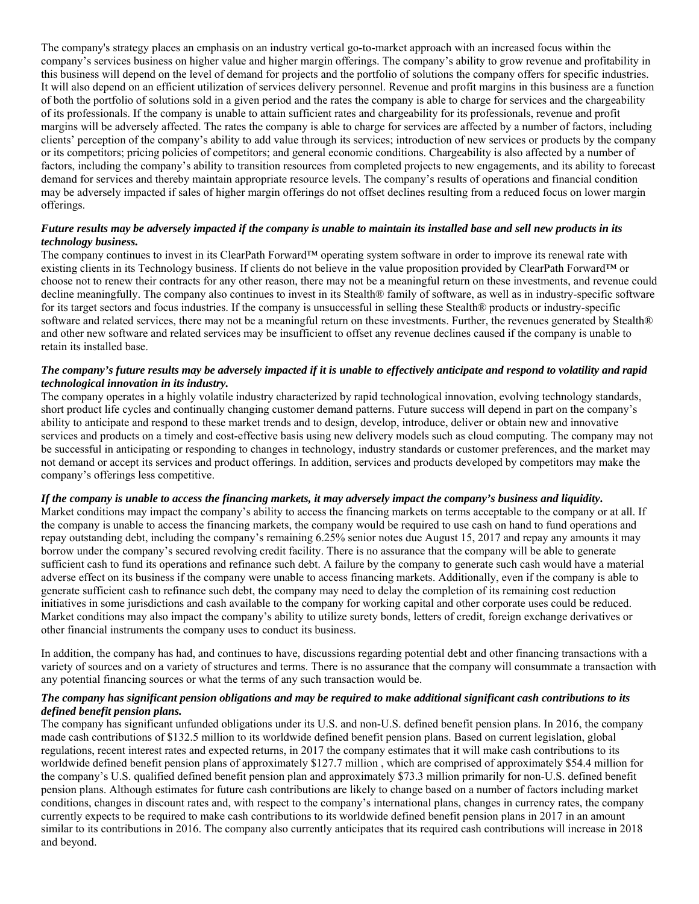The company's strategy places an emphasis on an industry vertical go-to-market approach with an increased focus within the company's services business on higher value and higher margin offerings. The company's ability to grow revenue and profitability in this business will depend on the level of demand for projects and the portfolio of solutions the company offers for specific industries. It will also depend on an efficient utilization of services delivery personnel. Revenue and profit margins in this business are a function of both the portfolio of solutions sold in a given period and the rates the company is able to charge for services and the chargeability of its professionals. If the company is unable to attain sufficient rates and chargeability for its professionals, revenue and profit margins will be adversely affected. The rates the company is able to charge for services are affected by a number of factors, including clients' perception of the company's ability to add value through its services; introduction of new services or products by the company or its competitors; pricing policies of competitors; and general economic conditions. Chargeability is also affected by a number of factors, including the company's ability to transition resources from completed projects to new engagements, and its ability to forecast demand for services and thereby maintain appropriate resource levels. The company's results of operations and financial condition may be adversely impacted if sales of higher margin offerings do not offset declines resulting from a reduced focus on lower margin offerings.

#### *Future results may be adversely impacted if the company is unable to maintain its installed base and sell new products in its technology business.*

The company continues to invest in its ClearPath Forward™ operating system software in order to improve its renewal rate with existing clients in its Technology business. If clients do not believe in the value proposition provided by ClearPath Forward™ or choose not to renew their contracts for any other reason, there may not be a meaningful return on these investments, and revenue could decline meaningfully. The company also continues to invest in its Stealth® family of software, as well as in industry-specific software for its target sectors and focus industries. If the company is unsuccessful in selling these Stealth® products or industry-specific software and related services, there may not be a meaningful return on these investments. Further, the revenues generated by Stealth® and other new software and related services may be insufficient to offset any revenue declines caused if the company is unable to retain its installed base.

#### *The company's future results may be adversely impacted if it is unable to effectively anticipate and respond to volatility and rapid technological innovation in its industry.*

The company operates in a highly volatile industry characterized by rapid technological innovation, evolving technology standards, short product life cycles and continually changing customer demand patterns. Future success will depend in part on the company's ability to anticipate and respond to these market trends and to design, develop, introduce, deliver or obtain new and innovative services and products on a timely and cost-effective basis using new delivery models such as cloud computing. The company may not be successful in anticipating or responding to changes in technology, industry standards or customer preferences, and the market may not demand or accept its services and product offerings. In addition, services and products developed by competitors may make the company's offerings less competitive.

#### *If the company is unable to access the financing markets, it may adversely impact the company's business and liquidity***.**

Market conditions may impact the company's ability to access the financing markets on terms acceptable to the company or at all. If the company is unable to access the financing markets, the company would be required to use cash on hand to fund operations and repay outstanding debt, including the company's remaining 6.25% senior notes due August 15, 2017 and repay any amounts it may borrow under the company's secured revolving credit facility. There is no assurance that the company will be able to generate sufficient cash to fund its operations and refinance such debt. A failure by the company to generate such cash would have a material adverse effect on its business if the company were unable to access financing markets. Additionally, even if the company is able to generate sufficient cash to refinance such debt, the company may need to delay the completion of its remaining cost reduction initiatives in some jurisdictions and cash available to the company for working capital and other corporate uses could be reduced. Market conditions may also impact the company's ability to utilize surety bonds, letters of credit, foreign exchange derivatives or other financial instruments the company uses to conduct its business.

In addition, the company has had, and continues to have, discussions regarding potential debt and other financing transactions with a variety of sources and on a variety of structures and terms. There is no assurance that the company will consummate a transaction with any potential financing sources or what the terms of any such transaction would be.

#### *The company has significant pension obligations and may be required to make additional significant cash contributions to its defined benefit pension plans.*

The company has significant unfunded obligations under its U.S. and non-U.S. defined benefit pension plans. In 2016, the company made cash contributions of \$132.5 million to its worldwide defined benefit pension plans. Based on current legislation, global regulations, recent interest rates and expected returns, in 2017 the company estimates that it will make cash contributions to its worldwide defined benefit pension plans of approximately \$127.7 million , which are comprised of approximately \$54.4 million for the company's U.S. qualified defined benefit pension plan and approximately \$73.3 million primarily for non-U.S. defined benefit pension plans. Although estimates for future cash contributions are likely to change based on a number of factors including market conditions, changes in discount rates and, with respect to the company's international plans, changes in currency rates, the company currently expects to be required to make cash contributions to its worldwide defined benefit pension plans in 2017 in an amount similar to its contributions in 2016. The company also currently anticipates that its required cash contributions will increase in 2018 and beyond.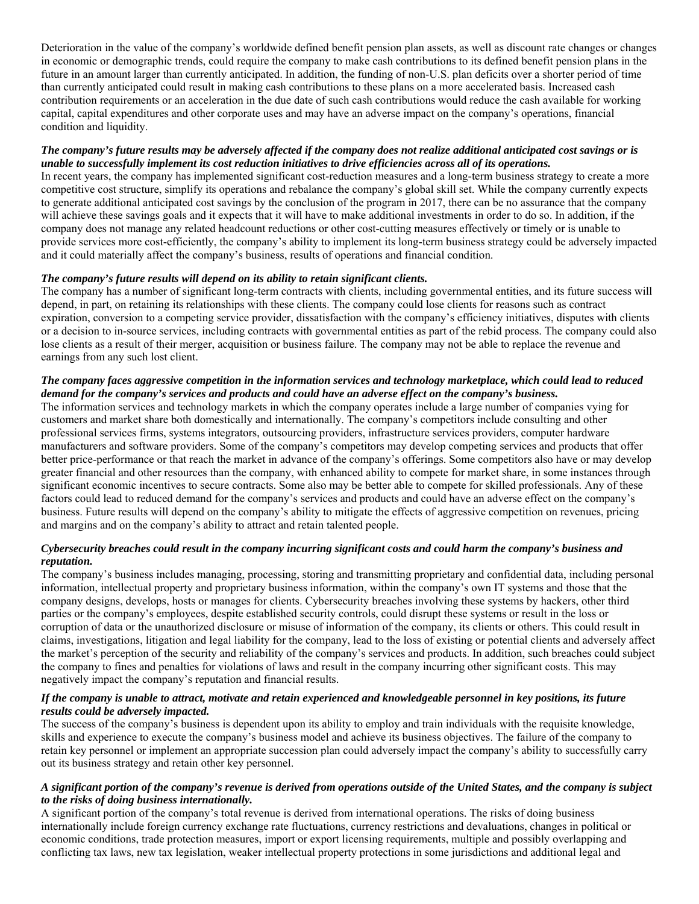Deterioration in the value of the company's worldwide defined benefit pension plan assets, as well as discount rate changes or changes in economic or demographic trends, could require the company to make cash contributions to its defined benefit pension plans in the future in an amount larger than currently anticipated. In addition, the funding of non-U.S. plan deficits over a shorter period of time than currently anticipated could result in making cash contributions to these plans on a more accelerated basis. Increased cash contribution requirements or an acceleration in the due date of such cash contributions would reduce the cash available for working capital, capital expenditures and other corporate uses and may have an adverse impact on the company's operations, financial condition and liquidity.

#### *The company's future results may be adversely affected if the company does not realize additional anticipated cost savings or is unable to successfully implement its cost reduction initiatives to drive efficiencies across all of its operations.*

In recent years, the company has implemented significant cost-reduction measures and a long-term business strategy to create a more competitive cost structure, simplify its operations and rebalance the company's global skill set. While the company currently expects to generate additional anticipated cost savings by the conclusion of the program in 2017, there can be no assurance that the company will achieve these savings goals and it expects that it will have to make additional investments in order to do so. In addition, if the company does not manage any related headcount reductions or other cost-cutting measures effectively or timely or is unable to provide services more cost-efficiently, the company's ability to implement its long-term business strategy could be adversely impacted and it could materially affect the company's business, results of operations and financial condition.

#### *The company's future results will depend on its ability to retain significant clients.*

The company has a number of significant long-term contracts with clients, including governmental entities, and its future success will depend, in part, on retaining its relationships with these clients. The company could lose clients for reasons such as contract expiration, conversion to a competing service provider, dissatisfaction with the company's efficiency initiatives, disputes with clients or a decision to in-source services, including contracts with governmental entities as part of the rebid process. The company could also lose clients as a result of their merger, acquisition or business failure. The company may not be able to replace the revenue and earnings from any such lost client.

#### *The company faces aggressive competition in the information services and technology marketplace, which could lead to reduced demand for the company's services and products and could have an adverse effect on the company's business.*

The information services and technology markets in which the company operates include a large number of companies vying for customers and market share both domestically and internationally. The company's competitors include consulting and other professional services firms, systems integrators, outsourcing providers, infrastructure services providers, computer hardware manufacturers and software providers. Some of the company's competitors may develop competing services and products that offer better price-performance or that reach the market in advance of the company's offerings. Some competitors also have or may develop greater financial and other resources than the company, with enhanced ability to compete for market share, in some instances through significant economic incentives to secure contracts. Some also may be better able to compete for skilled professionals. Any of these factors could lead to reduced demand for the company's services and products and could have an adverse effect on the company's business. Future results will depend on the company's ability to mitigate the effects of aggressive competition on revenues, pricing and margins and on the company's ability to attract and retain talented people.

#### *Cybersecurity breaches could result in the company incurring significant costs and could harm the company's business and reputation.*

The company's business includes managing, processing, storing and transmitting proprietary and confidential data, including personal information, intellectual property and proprietary business information, within the company's own IT systems and those that the company designs, develops, hosts or manages for clients. Cybersecurity breaches involving these systems by hackers, other third parties or the company's employees, despite established security controls, could disrupt these systems or result in the loss or corruption of data or the unauthorized disclosure or misuse of information of the company, its clients or others. This could result in claims, investigations, litigation and legal liability for the company, lead to the loss of existing or potential clients and adversely affect the market's perception of the security and reliability of the company's services and products. In addition, such breaches could subject the company to fines and penalties for violations of laws and result in the company incurring other significant costs. This may negatively impact the company's reputation and financial results.

#### *If the company is unable to attract, motivate and retain experienced and knowledgeable personnel in key positions, its future results could be adversely impacted.*

The success of the company's business is dependent upon its ability to employ and train individuals with the requisite knowledge, skills and experience to execute the company's business model and achieve its business objectives. The failure of the company to retain key personnel or implement an appropriate succession plan could adversely impact the company's ability to successfully carry out its business strategy and retain other key personnel.

#### *A significant portion of the company's revenue is derived from operations outside of the United States, and the company is subject to the risks of doing business internationally.*

A significant portion of the company's total revenue is derived from international operations. The risks of doing business internationally include foreign currency exchange rate fluctuations, currency restrictions and devaluations, changes in political or economic conditions, trade protection measures, import or export licensing requirements, multiple and possibly overlapping and conflicting tax laws, new tax legislation, weaker intellectual property protections in some jurisdictions and additional legal and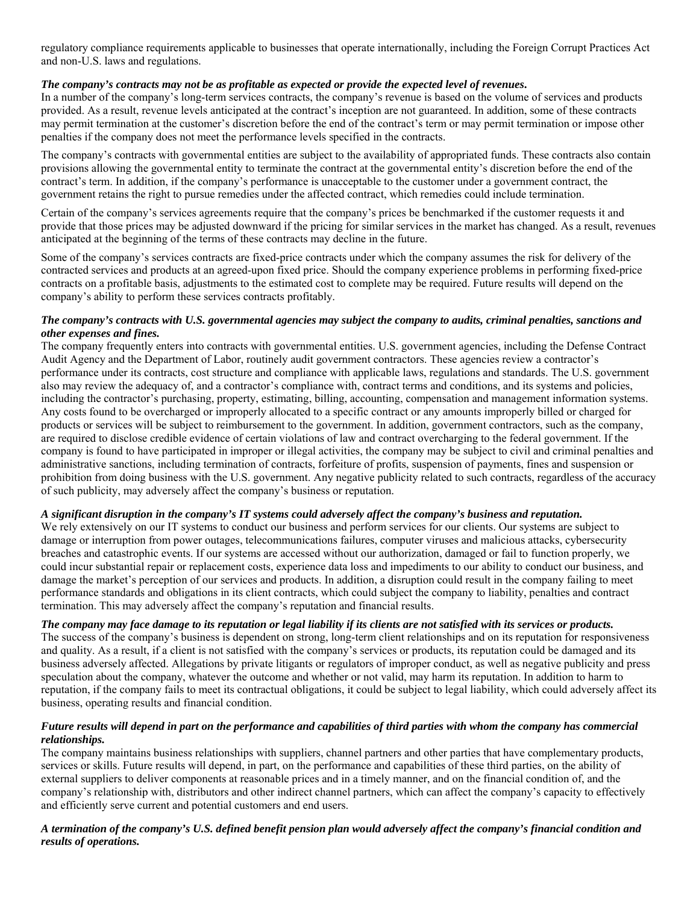regulatory compliance requirements applicable to businesses that operate internationally, including the Foreign Corrupt Practices Act and non-U.S. laws and regulations.

#### *The company's contracts may not be as profitable as expected or provide the expected level of revenues***.**

In a number of the company's long-term services contracts, the company's revenue is based on the volume of services and products provided. As a result, revenue levels anticipated at the contract's inception are not guaranteed. In addition, some of these contracts may permit termination at the customer's discretion before the end of the contract's term or may permit termination or impose other penalties if the company does not meet the performance levels specified in the contracts.

The company's contracts with governmental entities are subject to the availability of appropriated funds. These contracts also contain provisions allowing the governmental entity to terminate the contract at the governmental entity's discretion before the end of the contract's term. In addition, if the company's performance is unacceptable to the customer under a government contract, the government retains the right to pursue remedies under the affected contract, which remedies could include termination.

Certain of the company's services agreements require that the company's prices be benchmarked if the customer requests it and provide that those prices may be adjusted downward if the pricing for similar services in the market has changed. As a result, revenues anticipated at the beginning of the terms of these contracts may decline in the future.

Some of the company's services contracts are fixed-price contracts under which the company assumes the risk for delivery of the contracted services and products at an agreed-upon fixed price. Should the company experience problems in performing fixed-price contracts on a profitable basis, adjustments to the estimated cost to complete may be required. Future results will depend on the company's ability to perform these services contracts profitably.

#### *The company's contracts with U.S. governmental agencies may subject the company to audits, criminal penalties, sanctions and other expenses and fines.*

The company frequently enters into contracts with governmental entities. U.S. government agencies, including the Defense Contract Audit Agency and the Department of Labor, routinely audit government contractors. These agencies review a contractor's performance under its contracts, cost structure and compliance with applicable laws, regulations and standards. The U.S. government also may review the adequacy of, and a contractor's compliance with, contract terms and conditions, and its systems and policies, including the contractor's purchasing, property, estimating, billing, accounting, compensation and management information systems. Any costs found to be overcharged or improperly allocated to a specific contract or any amounts improperly billed or charged for products or services will be subject to reimbursement to the government. In addition, government contractors, such as the company, are required to disclose credible evidence of certain violations of law and contract overcharging to the federal government. If the company is found to have participated in improper or illegal activities, the company may be subject to civil and criminal penalties and administrative sanctions, including termination of contracts, forfeiture of profits, suspension of payments, fines and suspension or prohibition from doing business with the U.S. government. Any negative publicity related to such contracts, regardless of the accuracy of such publicity, may adversely affect the company's business or reputation.

#### *A significant disruption in the company's IT systems could adversely affect the company's business and reputation.*

We rely extensively on our IT systems to conduct our business and perform services for our clients. Our systems are subject to damage or interruption from power outages, telecommunications failures, computer viruses and malicious attacks, cybersecurity breaches and catastrophic events. If our systems are accessed without our authorization, damaged or fail to function properly, we could incur substantial repair or replacement costs, experience data loss and impediments to our ability to conduct our business, and damage the market's perception of our services and products. In addition, a disruption could result in the company failing to meet performance standards and obligations in its client contracts, which could subject the company to liability, penalties and contract termination. This may adversely affect the company's reputation and financial results.

#### *The company may face damage to its reputation or legal liability if its clients are not satisfied with its services or products.*

The success of the company's business is dependent on strong, long-term client relationships and on its reputation for responsiveness and quality. As a result, if a client is not satisfied with the company's services or products, its reputation could be damaged and its business adversely affected. Allegations by private litigants or regulators of improper conduct, as well as negative publicity and press speculation about the company, whatever the outcome and whether or not valid, may harm its reputation. In addition to harm to reputation, if the company fails to meet its contractual obligations, it could be subject to legal liability, which could adversely affect its business, operating results and financial condition.

#### *Future results will depend in part on the performance and capabilities of third parties with whom the company has commercial relationships.*

The company maintains business relationships with suppliers, channel partners and other parties that have complementary products, services or skills. Future results will depend, in part, on the performance and capabilities of these third parties, on the ability of external suppliers to deliver components at reasonable prices and in a timely manner, and on the financial condition of, and the company's relationship with, distributors and other indirect channel partners, which can affect the company's capacity to effectively and efficiently serve current and potential customers and end users.

*A termination of the company's U.S. defined benefit pension plan would adversely affect the company's financial condition and results of operations.*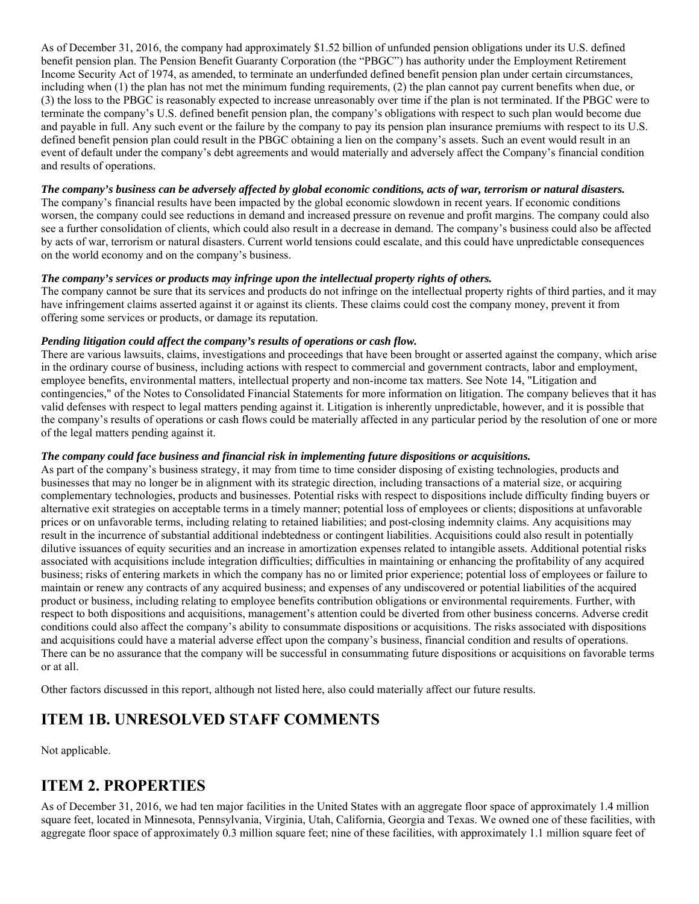As of December 31, 2016, the company had approximately \$1.52 billion of unfunded pension obligations under its U.S. defined benefit pension plan. The Pension Benefit Guaranty Corporation (the "PBGC") has authority under the Employment Retirement Income Security Act of 1974, as amended, to terminate an underfunded defined benefit pension plan under certain circumstances, including when (1) the plan has not met the minimum funding requirements, (2) the plan cannot pay current benefits when due, or (3) the loss to the PBGC is reasonably expected to increase unreasonably over time if the plan is not terminated. If the PBGC were to terminate the company's U.S. defined benefit pension plan, the company's obligations with respect to such plan would become due and payable in full. Any such event or the failure by the company to pay its pension plan insurance premiums with respect to its U.S. defined benefit pension plan could result in the PBGC obtaining a lien on the company's assets. Such an event would result in an event of default under the company's debt agreements and would materially and adversely affect the Company's financial condition and results of operations.

#### *The company's business can be adversely affected by global economic conditions, acts of war, terrorism or natural disasters.*

The company's financial results have been impacted by the global economic slowdown in recent years. If economic conditions worsen, the company could see reductions in demand and increased pressure on revenue and profit margins. The company could also see a further consolidation of clients, which could also result in a decrease in demand. The company's business could also be affected by acts of war, terrorism or natural disasters. Current world tensions could escalate, and this could have unpredictable consequences on the world economy and on the company's business.

#### *The company's services or products may infringe upon the intellectual property rights of others.*

The company cannot be sure that its services and products do not infringe on the intellectual property rights of third parties, and it may have infringement claims asserted against it or against its clients. These claims could cost the company money, prevent it from offering some services or products, or damage its reputation.

#### *Pending litigation could affect the company's results of operations or cash flow.*

There are various lawsuits, claims, investigations and proceedings that have been brought or asserted against the company, which arise in the ordinary course of business, including actions with respect to commercial and government contracts, labor and employment, employee benefits, environmental matters, intellectual property and non-income tax matters. See Note 14, "Litigation and contingencies," of the Notes to Consolidated Financial Statements for more information on litigation. The company believes that it has valid defenses with respect to legal matters pending against it. Litigation is inherently unpredictable, however, and it is possible that the company's results of operations or cash flows could be materially affected in any particular period by the resolution of one or more of the legal matters pending against it.

#### *The company could face business and financial risk in implementing future dispositions or acquisitions.*

As part of the company's business strategy, it may from time to time consider disposing of existing technologies, products and businesses that may no longer be in alignment with its strategic direction, including transactions of a material size, or acquiring complementary technologies, products and businesses. Potential risks with respect to dispositions include difficulty finding buyers or alternative exit strategies on acceptable terms in a timely manner; potential loss of employees or clients; dispositions at unfavorable prices or on unfavorable terms, including relating to retained liabilities; and post-closing indemnity claims. Any acquisitions may result in the incurrence of substantial additional indebtedness or contingent liabilities. Acquisitions could also result in potentially dilutive issuances of equity securities and an increase in amortization expenses related to intangible assets. Additional potential risks associated with acquisitions include integration difficulties; difficulties in maintaining or enhancing the profitability of any acquired business; risks of entering markets in which the company has no or limited prior experience; potential loss of employees or failure to maintain or renew any contracts of any acquired business; and expenses of any undiscovered or potential liabilities of the acquired product or business, including relating to employee benefits contribution obligations or environmental requirements. Further, with respect to both dispositions and acquisitions, management's attention could be diverted from other business concerns. Adverse credit conditions could also affect the company's ability to consummate dispositions or acquisitions. The risks associated with dispositions and acquisitions could have a material adverse effect upon the company's business, financial condition and results of operations. There can be no assurance that the company will be successful in consummating future dispositions or acquisitions on favorable terms or at all.

Other factors discussed in this report, although not listed here, also could materially affect our future results.

#### **ITEM 1B. UNRESOLVED STAFF COMMENTS**

Not applicable.

### **ITEM 2. PROPERTIES**

As of December 31, 2016, we had ten major facilities in the United States with an aggregate floor space of approximately 1.4 million square feet, located in Minnesota, Pennsylvania, Virginia, Utah, California, Georgia and Texas. We owned one of these facilities, with aggregate floor space of approximately 0.3 million square feet; nine of these facilities, with approximately 1.1 million square feet of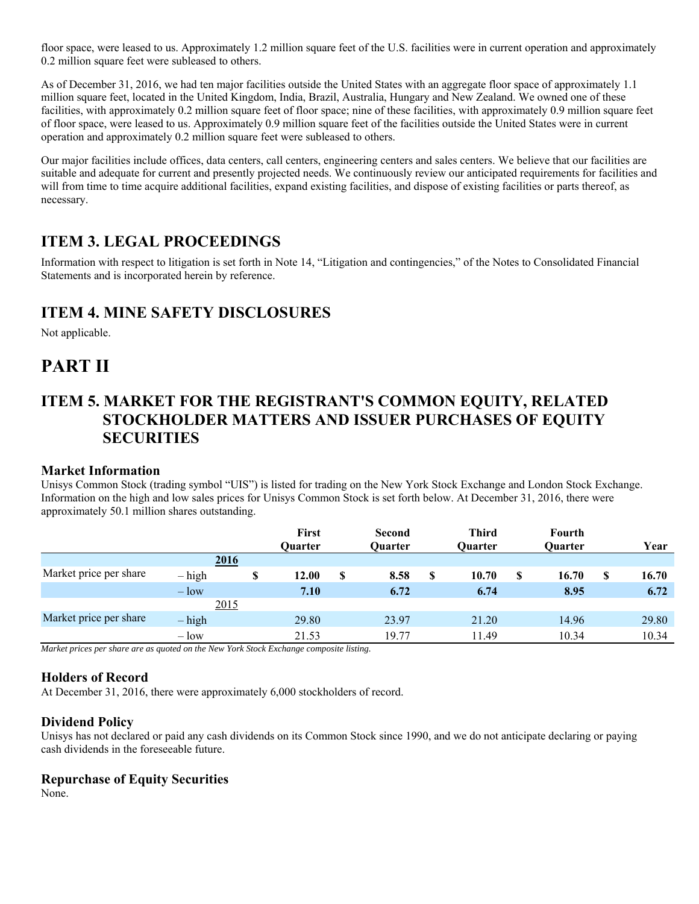floor space, were leased to us. Approximately 1.2 million square feet of the U.S. facilities were in current operation and approximately 0.2 million square feet were subleased to others.

As of December 31, 2016, we had ten major facilities outside the United States with an aggregate floor space of approximately 1.1 million square feet, located in the United Kingdom, India, Brazil, Australia, Hungary and New Zealand. We owned one of these facilities, with approximately 0.2 million square feet of floor space; nine of these facilities, with approximately 0.9 million square feet of floor space, were leased to us. Approximately 0.9 million square feet of the facilities outside the United States were in current operation and approximately 0.2 million square feet were subleased to others.

Our major facilities include offices, data centers, call centers, engineering centers and sales centers. We believe that our facilities are suitable and adequate for current and presently projected needs. We continuously review our anticipated requirements for facilities and will from time to time acquire additional facilities, expand existing facilities, and dispose of existing facilities or parts thereof, as necessary.

### **ITEM 3. LEGAL PROCEEDINGS**

Information with respect to litigation is set forth in Note 14, "Litigation and contingencies," of the Notes to Consolidated Financial Statements and is incorporated herein by reference.

#### **ITEM 4. MINE SAFETY DISCLOSURES**

Not applicable.

# **PART II**

### **ITEM 5. MARKET FOR THE REGISTRANT'S COMMON EQUITY, RELATED STOCKHOLDER MATTERS AND ISSUER PURCHASES OF EQUITY SECURITIES**

#### **Market Information**

Unisys Common Stock (trading symbol "UIS") is listed for trading on the New York Stock Exchange and London Stock Exchange. Information on the high and low sales prices for Unisys Common Stock is set forth below. At December 31, 2016, there were approximately 50.1 million shares outstanding.

| $\mathbf{1}$           |                        | o  |                  |   |                          |                  |   |                          |   |       |
|------------------------|------------------------|----|------------------|---|--------------------------|------------------|---|--------------------------|---|-------|
|                        |                        |    | First<br>Quarter |   | Second<br><b>Ouarter</b> | Third<br>Ouarter |   | Fourth<br><b>Ouarter</b> |   | Year  |
|                        | 2016                   |    |                  |   |                          |                  |   |                          |   |       |
| Market price per share | $-\operatorname{high}$ | \$ | 12.00            | S | 8.58                     | \$<br>10.70      | S | 16.70                    | S | 16.70 |
|                        | $-\text{low}$          |    | 7.10             |   | 6.72                     | 6.74             |   | 8.95                     |   | 6.72  |
|                        | 2015                   |    |                  |   |                          |                  |   |                          |   |       |
| Market price per share | $-\mathrm{high}$       |    | 29.80            |   | 23.97                    | 21.20            |   | 14.96                    |   | 29.80 |
|                        | $-$ low                |    | 21.53            |   | 19.77                    | 11.49            |   | 10.34                    |   | 10.34 |

*Market prices per share are as quoted on the New York Stock Exchange composite listing.*

#### **Holders of Record**

At December 31, 2016, there were approximately 6,000 stockholders of record.

#### **Dividend Policy**

Unisys has not declared or paid any cash dividends on its Common Stock since 1990, and we do not anticipate declaring or paying cash dividends in the foreseeable future.

#### **Repurchase of Equity Securities**

None.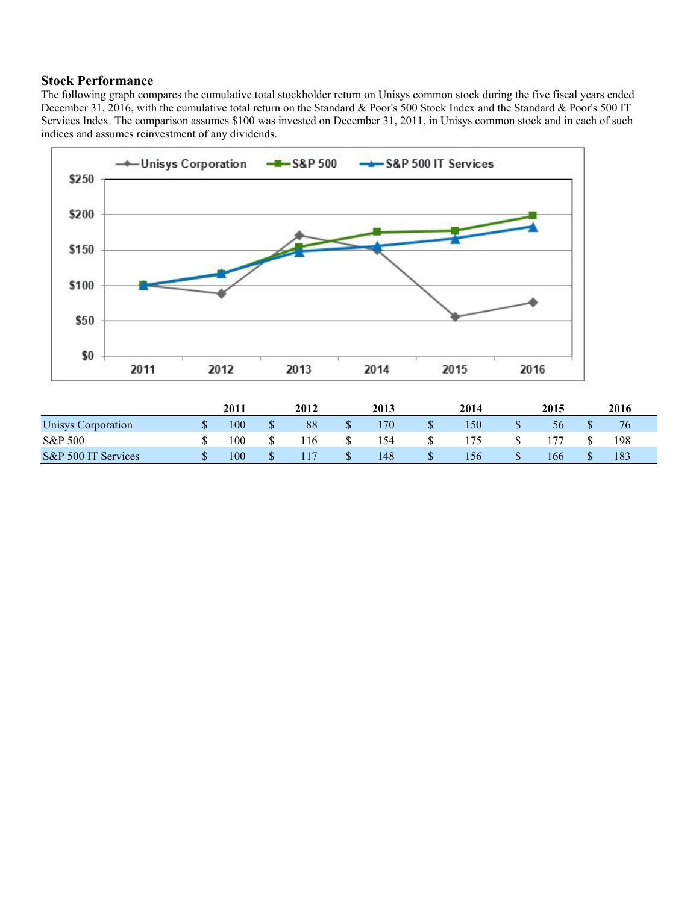#### **Stock Performance**

The following graph compares the cumulative total stockholder return on Unisys common stock during the five fiscal years ended December 31, 2016, with the cumulative total return on the Standard & Poor's 500 Stock Index and the Standard & Poor's 500 IT Services Index. The comparison assumes \$100 was invested on December 31, 2011, in Unisys common stock and in each of such indices and assumes reinvestment of any dividends.



|                     | 2011 | 2012 | 2013 | 2014 | 2015 | 2016 |  |
|---------------------|------|------|------|------|------|------|--|
| Unisys Corporation  | 100  | 88   | 170  | 150  | э6   | 76   |  |
| S&P 500             | 100  | 116  | 154  |      |      | 198  |  |
| S&P 500 IT Services | 100  |      | 148  | 156' | 166' | 183  |  |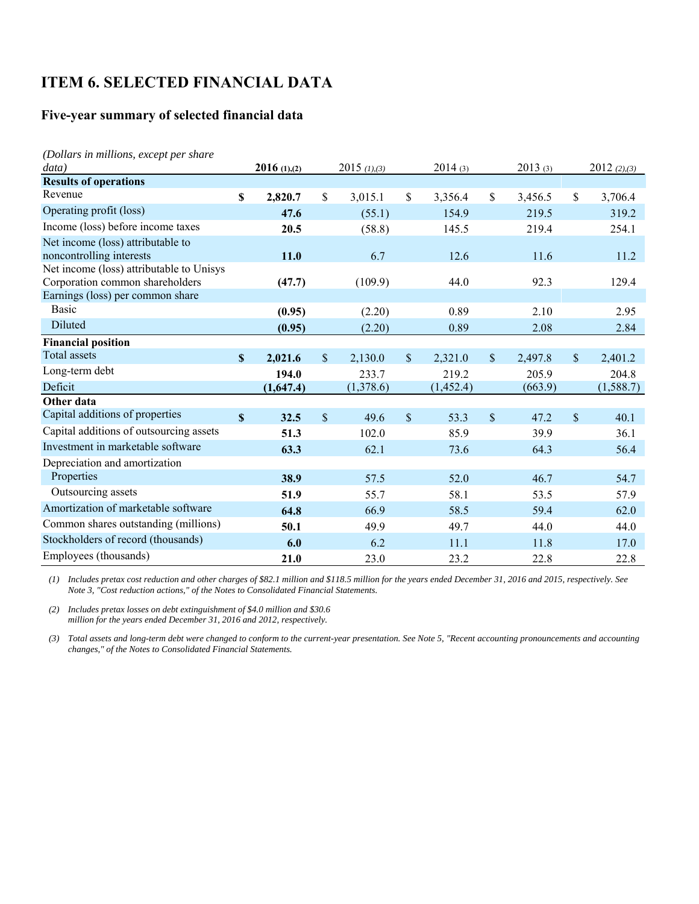#### **ITEM 6. SELECTED FINANCIAL DATA**

#### **Five-year summary of selected financial data**

| (Dollars in millions, except per share    |              |              |               |              |               |           |                           |         |               |             |
|-------------------------------------------|--------------|--------------|---------------|--------------|---------------|-----------|---------------------------|---------|---------------|-------------|
| data)                                     |              | 2016(1), (2) |               | 2015(1), (3) |               | 2014(3)   |                           | 2013(3) |               | 2012(2),(3) |
| <b>Results of operations</b>              |              |              |               |              |               |           |                           |         |               |             |
| Revenue                                   | $\mathbf S$  | 2,820.7      | $\mathbb{S}$  | 3,015.1      | $\mathcal{S}$ | 3,356.4   | $\mathbb{S}$              | 3,456.5 | $\mathbb{S}$  | 3,706.4     |
| Operating profit (loss)                   |              | 47.6         |               | (55.1)       |               | 154.9     |                           | 219.5   |               | 319.2       |
| Income (loss) before income taxes         |              | 20.5         |               | (58.8)       |               | 145.5     |                           | 219.4   |               | 254.1       |
| Net income (loss) attributable to         |              |              |               |              |               |           |                           |         |               |             |
| noncontrolling interests                  |              | <b>11.0</b>  |               | 6.7          |               | 12.6      |                           | 11.6    |               | 11.2        |
| Net income (loss) attributable to Unisys  |              |              |               |              |               |           |                           |         |               |             |
| Corporation common shareholders           |              | (47.7)       |               | (109.9)      |               | 44.0      |                           | 92.3    |               | 129.4       |
| Earnings (loss) per common share<br>Basic |              |              |               |              |               |           |                           |         |               |             |
|                                           |              | (0.95)       |               | (2.20)       |               | 0.89      |                           | 2.10    |               | 2.95        |
| Diluted                                   |              | (0.95)       |               | (2.20)       |               | 0.89      |                           | 2.08    |               | 2.84        |
| <b>Financial position</b>                 |              |              |               |              |               |           |                           |         |               |             |
| Total assets                              | $\mathbf S$  | 2,021.6      | $\mathcal{S}$ | 2,130.0      | \$            | 2,321.0   | $\boldsymbol{\mathsf{S}}$ | 2,497.8 | $\mathcal{S}$ | 2,401.2     |
| Long-term debt                            |              | 194.0        |               | 233.7        |               | 219.2     |                           | 205.9   |               | 204.8       |
| Deficit                                   |              | (1,647.4)    |               | (1,378.6)    |               | (1,452.4) |                           | (663.9) |               | (1,588.7)   |
| Other data                                |              |              |               |              |               |           |                           |         |               |             |
| Capital additions of properties           | $\mathbf{s}$ | 32.5         | $\mathcal{S}$ | 49.6         | \$            | 53.3      | $\boldsymbol{\mathsf{S}}$ | 47.2    | \$            | 40.1        |
| Capital additions of outsourcing assets   |              | 51.3         |               | 102.0        |               | 85.9      |                           | 39.9    |               | 36.1        |
| Investment in marketable software         |              | 63.3         |               | 62.1         |               | 73.6      |                           | 64.3    |               | 56.4        |
| Depreciation and amortization             |              |              |               |              |               |           |                           |         |               |             |
| Properties                                |              | 38.9         |               | 57.5         |               | 52.0      |                           | 46.7    |               | 54.7        |
| Outsourcing assets                        |              | 51.9         |               | 55.7         |               | 58.1      |                           | 53.5    |               | 57.9        |
| Amortization of marketable software       |              | 64.8         |               | 66.9         |               | 58.5      |                           | 59.4    |               | 62.0        |
| Common shares outstanding (millions)      |              | 50.1         |               | 49.9         |               | 49.7      |                           | 44.0    |               | 44.0        |
| Stockholders of record (thousands)        |              | 6.0          |               | 6.2          |               | 11.1      |                           | 11.8    |               | 17.0        |
| Employees (thousands)                     |              | 21.0         |               | 23.0         |               | 23.2      |                           | 22.8    |               | 22.8        |

*(1) Includes pretax cost reduction and other charges of \$82.1 million and \$118.5 million for the years ended December 31, 2016 and 2015, respectively. See Note 3, "Cost reduction actions," of the Notes to Consolidated Financial Statements.*

*(2) Includes pretax losses on debt extinguishment of \$4.0 million and \$30.6 million for the years ended December 31, 2016 and 2012, respectively.*

*(3) Total assets and long-term debt were changed to conform to the current-year presentation. See Note 5, "Recent accounting pronouncements and accounting changes," of the Notes to Consolidated Financial Statements.*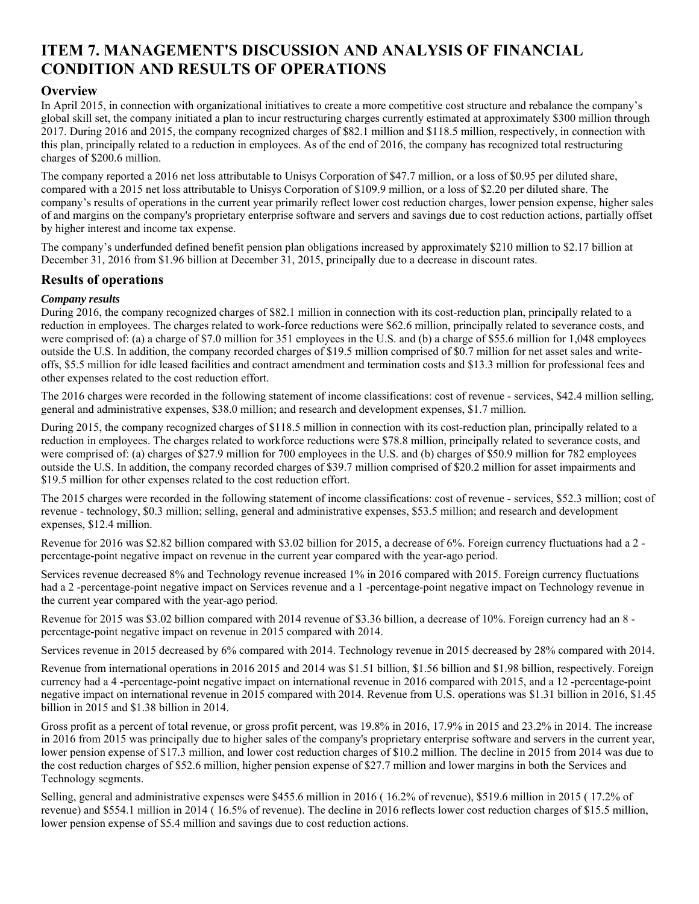# **ITEM 7. MANAGEMENT'S DISCUSSION AND ANALYSIS OF FINANCIAL CONDITION AND RESULTS OF OPERATIONS**

#### **Overview**

In April 2015, in connection with organizational initiatives to create a more competitive cost structure and rebalance the company's global skill set, the company initiated a plan to incur restructuring charges currently estimated at approximately \$300 million through 2017. During 2016 and 2015, the company recognized charges of \$82.1 million and \$118.5 million, respectively, in connection with this plan, principally related to a reduction in employees. As of the end of 2016, the company has recognized total restructuring charges of \$200.6 million.

The company reported a 2016 net loss attributable to Unisys Corporation of \$47.7 million, or a loss of \$0.95 per diluted share, compared with a 2015 net loss attributable to Unisys Corporation of \$109.9 million, or a loss of \$2.20 per diluted share. The company's results of operations in the current year primarily reflect lower cost reduction charges, lower pension expense, higher sales of and margins on the company's proprietary enterprise software and servers and savings due to cost reduction actions, partially offset by higher interest and income tax expense.

The company's underfunded defined benefit pension plan obligations increased by approximately \$210 million to \$2.17 billion at December 31, 2016 from \$1.96 billion at December 31, 2015, principally due to a decrease in discount rates.

#### **Results of operations**

#### *Company results*

During 2016, the company recognized charges of \$82.1 million in connection with its cost-reduction plan, principally related to a reduction in employees. The charges related to work-force reductions were \$62.6 million, principally related to severance costs, and were comprised of: (a) a charge of \$7.0 million for 351 employees in the U.S. and (b) a charge of \$55.6 million for 1,048 employees outside the U.S. In addition, the company recorded charges of \$19.5 million comprised of \$0.7 million for net asset sales and writeoffs, \$5.5 million for idle leased facilities and contract amendment and termination costs and \$13.3 million for professional fees and other expenses related to the cost reduction effort.

The 2016 charges were recorded in the following statement of income classifications: cost of revenue - services, \$42.4 million selling, general and administrative expenses, \$38.0 million; and research and development expenses, \$1.7 million.

During 2015, the company recognized charges of \$118.5 million in connection with its cost-reduction plan, principally related to a reduction in employees. The charges related to workforce reductions were \$78.8 million, principally related to severance costs, and were comprised of: (a) charges of \$27.9 million for 700 employees in the U.S. and (b) charges of \$50.9 million for 782 employees outside the U.S. In addition, the company recorded charges of \$39.7 million comprised of \$20.2 million for asset impairments and \$19.5 million for other expenses related to the cost reduction effort.

The 2015 charges were recorded in the following statement of income classifications: cost of revenue - services, \$52.3 million; cost of revenue - technology, \$0.3 million; selling, general and administrative expenses, \$53.5 million; and research and development expenses, \$12.4 million.

Revenue for 2016 was \$2.82 billion compared with \$3.02 billion for 2015, a decrease of 6%. Foreign currency fluctuations had a 2 percentage-point negative impact on revenue in the current year compared with the year-ago period.

Services revenue decreased 8% and Technology revenue increased 1% in 2016 compared with 2015. Foreign currency fluctuations had a 2-percentage-point negative impact on Services revenue and a 1-percentage-point negative impact on Technology revenue in the current year compared with the year-ago period.

Revenue for 2015 was \$3.02 billion compared with 2014 revenue of \$3.36 billion, a decrease of 10%. Foreign currency had an 8 percentage-point negative impact on revenue in 2015 compared with 2014.

Services revenue in 2015 decreased by 6% compared with 2014. Technology revenue in 2015 decreased by 28% compared with 2014.

Revenue from international operations in 2016 2015 and 2014 was \$1.51 billion, \$1.56 billion and \$1.98 billion, respectively. Foreign currency had a 4 -percentage-point negative impact on international revenue in 2016 compared with 2015, and a 12 -percentage-point negative impact on international revenue in 2015 compared with 2014. Revenue from U.S. operations was \$1.31 billion in 2016, \$1.45 billion in 2015 and \$1.38 billion in 2014.

Gross profit as a percent of total revenue, or gross profit percent, was 19.8% in 2016, 17.9% in 2015 and 23.2% in 2014. The increase in 2016 from 2015 was principally due to higher sales of the company's proprietary enterprise software and servers in the current year, lower pension expense of \$17.3 million, and lower cost reduction charges of \$10.2 million. The decline in 2015 from 2014 was due to the cost reduction charges of \$52.6 million, higher pension expense of \$27.7 million and lower margins in both the Services and Technology segments.

Selling, general and administrative expenses were \$455.6 million in 2016 ( 16.2% of revenue), \$519.6 million in 2015 ( 17.2% of revenue) and \$554.1 million in 2014 ( 16.5% of revenue). The decline in 2016 reflects lower cost reduction charges of \$15.5 million, lower pension expense of \$5.4 million and savings due to cost reduction actions.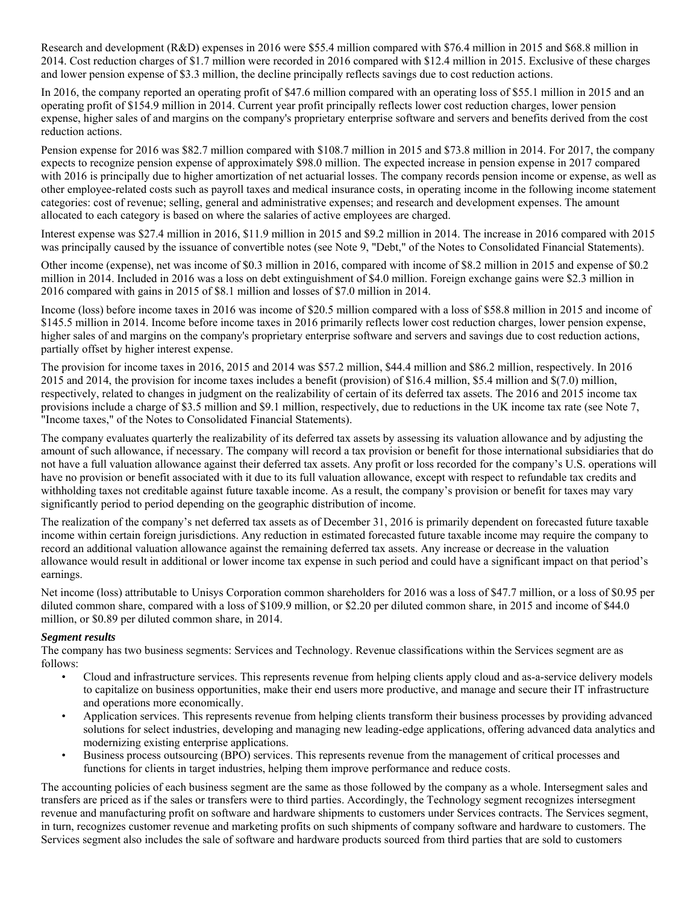Research and development (R&D) expenses in 2016 were \$55.4 million compared with \$76.4 million in 2015 and \$68.8 million in 2014. Cost reduction charges of \$1.7 million were recorded in 2016 compared with \$12.4 million in 2015. Exclusive of these charges and lower pension expense of \$3.3 million, the decline principally reflects savings due to cost reduction actions.

In 2016, the company reported an operating profit of \$47.6 million compared with an operating loss of \$55.1 million in 2015 and an operating profit of \$154.9 million in 2014. Current year profit principally reflects lower cost reduction charges, lower pension expense, higher sales of and margins on the company's proprietary enterprise software and servers and benefits derived from the cost reduction actions.

Pension expense for 2016 was \$82.7 million compared with \$108.7 million in 2015 and \$73.8 million in 2014. For 2017, the company expects to recognize pension expense of approximately \$98.0 million. The expected increase in pension expense in 2017 compared with 2016 is principally due to higher amortization of net actuarial losses. The company records pension income or expense, as well as other employee-related costs such as payroll taxes and medical insurance costs, in operating income in the following income statement categories: cost of revenue; selling, general and administrative expenses; and research and development expenses. The amount allocated to each category is based on where the salaries of active employees are charged.

Interest expense was \$27.4 million in 2016, \$11.9 million in 2015 and \$9.2 million in 2014. The increase in 2016 compared with 2015 was principally caused by the issuance of convertible notes (see Note 9, "Debt," of the Notes to Consolidated Financial Statements).

Other income (expense), net was income of \$0.3 million in 2016, compared with income of \$8.2 million in 2015 and expense of \$0.2 million in 2014. Included in 2016 was a loss on debt extinguishment of \$4.0 million. Foreign exchange gains were \$2.3 million in 2016 compared with gains in 2015 of \$8.1 million and losses of \$7.0 million in 2014.

Income (loss) before income taxes in 2016 was income of \$20.5 million compared with a loss of \$58.8 million in 2015 and income of \$145.5 million in 2014. Income before income taxes in 2016 primarily reflects lower cost reduction charges, lower pension expense, higher sales of and margins on the company's proprietary enterprise software and servers and savings due to cost reduction actions, partially offset by higher interest expense.

The provision for income taxes in 2016, 2015 and 2014 was \$57.2 million, \$44.4 million and \$86.2 million, respectively. In 2016 2015 and 2014, the provision for income taxes includes a benefit (provision) of \$16.4 million, \$5.4 million and \$(7.0) million, respectively, related to changes in judgment on the realizability of certain of its deferred tax assets. The 2016 and 2015 income tax provisions include a charge of \$3.5 million and \$9.1 million, respectively, due to reductions in the UK income tax rate (see Note 7, "Income taxes," of the Notes to Consolidated Financial Statements).

The company evaluates quarterly the realizability of its deferred tax assets by assessing its valuation allowance and by adjusting the amount of such allowance, if necessary. The company will record a tax provision or benefit for those international subsidiaries that do not have a full valuation allowance against their deferred tax assets. Any profit or loss recorded for the company's U.S. operations will have no provision or benefit associated with it due to its full valuation allowance, except with respect to refundable tax credits and withholding taxes not creditable against future taxable income. As a result, the company's provision or benefit for taxes may vary significantly period to period depending on the geographic distribution of income.

The realization of the company's net deferred tax assets as of December 31, 2016 is primarily dependent on forecasted future taxable income within certain foreign jurisdictions. Any reduction in estimated forecasted future taxable income may require the company to record an additional valuation allowance against the remaining deferred tax assets. Any increase or decrease in the valuation allowance would result in additional or lower income tax expense in such period and could have a significant impact on that period's earnings.

Net income (loss) attributable to Unisys Corporation common shareholders for 2016 was a loss of \$47.7 million, or a loss of \$0.95 per diluted common share, compared with a loss of \$109.9 million, or \$2.20 per diluted common share, in 2015 and income of \$44.0 million, or \$0.89 per diluted common share, in 2014.

#### *Segment results*

The company has two business segments: Services and Technology. Revenue classifications within the Services segment are as follows:

- Cloud and infrastructure services. This represents revenue from helping clients apply cloud and as-a-service delivery models to capitalize on business opportunities, make their end users more productive, and manage and secure their IT infrastructure and operations more economically.
- Application services. This represents revenue from helping clients transform their business processes by providing advanced solutions for select industries, developing and managing new leading-edge applications, offering advanced data analytics and modernizing existing enterprise applications.
- Business process outsourcing (BPO) services. This represents revenue from the management of critical processes and functions for clients in target industries, helping them improve performance and reduce costs.

The accounting policies of each business segment are the same as those followed by the company as a whole. Intersegment sales and transfers are priced as if the sales or transfers were to third parties. Accordingly, the Technology segment recognizes intersegment revenue and manufacturing profit on software and hardware shipments to customers under Services contracts. The Services segment, in turn, recognizes customer revenue and marketing profits on such shipments of company software and hardware to customers. The Services segment also includes the sale of software and hardware products sourced from third parties that are sold to customers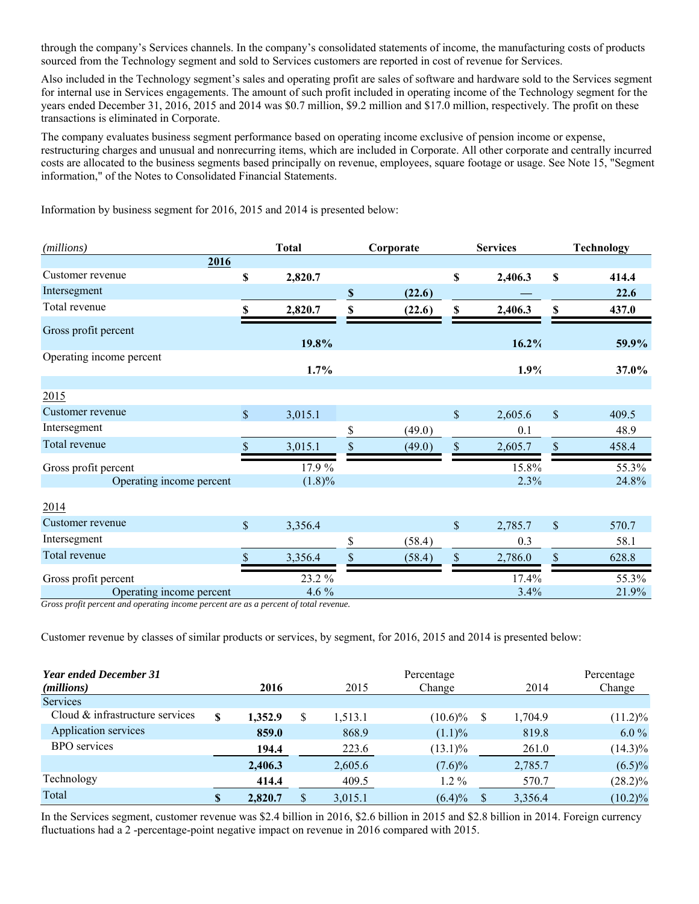through the company's Services channels. In the company's consolidated statements of income, the manufacturing costs of products sourced from the Technology segment and sold to Services customers are reported in cost of revenue for Services.

Also included in the Technology segment's sales and operating profit are sales of software and hardware sold to the Services segment for internal use in Services engagements. The amount of such profit included in operating income of the Technology segment for the years ended December 31, 2016, 2015 and 2014 was \$0.7 million, \$9.2 million and \$17.0 million, respectively. The profit on these transactions is eliminated in Corporate.

The company evaluates business segment performance based on operating income exclusive of pension income or expense, restructuring charges and unusual and nonrecurring items, which are included in Corporate. All other corporate and centrally incurred costs are allocated to the business segments based principally on revenue, employees, square footage or usage. See Note 15, "Segment information," of the Notes to Consolidated Financial Statements.

Information by business segment for 2016, 2015 and 2014 is presented below:

| (millions)               |              | <b>Total</b> |             | Corporate |              | <b>Services</b> | <b>Technology</b> |       |  |
|--------------------------|--------------|--------------|-------------|-----------|--------------|-----------------|-------------------|-------|--|
| 2016                     |              |              |             |           |              |                 |                   |       |  |
| Customer revenue         | \$           | 2,820.7      |             |           | $\mathbf S$  | 2,406.3         | \$                | 414.4 |  |
| Intersegment             |              |              | $\mathbb S$ | (22.6)    |              |                 |                   | 22.6  |  |
| Total revenue            | S            | 2,820.7      | \$          | (22.6)    | \$           | 2,406.3         | \$                | 437.0 |  |
| Gross profit percent     |              |              |             |           |              |                 |                   |       |  |
| Operating income percent |              | 19.8%        |             |           |              | 16.2%           |                   | 59.9% |  |
|                          |              | $1.7\%$      |             |           |              | 1.9%            |                   | 37.0% |  |
|                          |              |              |             |           |              |                 |                   |       |  |
| 2015                     |              |              |             |           |              |                 |                   |       |  |
| Customer revenue         | $\mathbb{S}$ | 3,015.1      |             |           | $\sqrt{\ }$  | 2,605.6         | $\mathcal{S}$     | 409.5 |  |
| Intersegment             |              |              | \$          | (49.0)    |              | 0.1             |                   | 48.9  |  |
| Total revenue            | \$           | 3,015.1      | \$          | (49.0)    | \$           | 2,605.7         | \$                | 458.4 |  |
| Gross profit percent     |              | 17.9 %       |             |           |              | 15.8%           |                   | 55.3% |  |
| Operating income percent |              | $(1.8)\%$    |             |           |              | 2.3%            |                   | 24.8% |  |
| 2014                     |              |              |             |           |              |                 |                   |       |  |
| Customer revenue         | $\mathbb{S}$ | 3,356.4      |             |           | $\sqrt{\ }$  | 2,785.7         | \$                | 570.7 |  |
| Intersegment             |              |              | \$          | (58.4)    |              | 0.3             |                   | 58.1  |  |
| Total revenue            | \$           | 3,356.4      | \$          | (58.4)    | $\mathbb{S}$ | 2,786.0         | \$                | 628.8 |  |
| Gross profit percent     |              | 23.2 %       |             |           |              | 17.4%           |                   | 55.3% |  |
| Operating income percent |              | 4.6 %        |             |           |              | 3.4%            |                   | 21.9% |  |

*Gross profit percent and operating income percent are as a percent of total revenue.*

Customer revenue by classes of similar products or services, by segment, for 2016, 2015 and 2014 is presented below:

| <b>Year ended December 31</b><br>( <i>millions</i> ) |   | 2016    | 2015          | Percentage<br>Change |    | 2014    | Percentage<br>Change |
|------------------------------------------------------|---|---------|---------------|----------------------|----|---------|----------------------|
| <b>Services</b>                                      |   |         |               |                      |    |         |                      |
| Cloud & infrastructure services                      | S | 1,352.9 | \$<br>1,513.1 | $(10.6)\%$           | S  | 1,704.9 | $(11.2)\%$           |
| Application services                                 |   | 859.0   | 868.9         | $(1.1)\%$            |    | 819.8   | $6.0\%$              |
| <b>BPO</b> services                                  |   | 194.4   | 223.6         | $(13.1)\%$           |    | 261.0   | $(14.3)\%$           |
|                                                      |   | 2,406.3 | 2,605.6       | $(7.6)\%$            |    | 2,785.7 | $(6.5)\%$            |
| Technology                                           |   | 414.4   | 409.5         | $1.2\%$              |    | 570.7   | $(28.2)\%$           |
| Total                                                |   | 2,820.7 | \$<br>3,015.1 | $(6.4)\%$            | \$ | 3,356.4 | $(10.2)\%$           |

In the Services segment, customer revenue was \$2.4 billion in 2016, \$2.6 billion in 2015 and \$2.8 billion in 2014. Foreign currency fluctuations had a 2 -percentage-point negative impact on revenue in 2016 compared with 2015.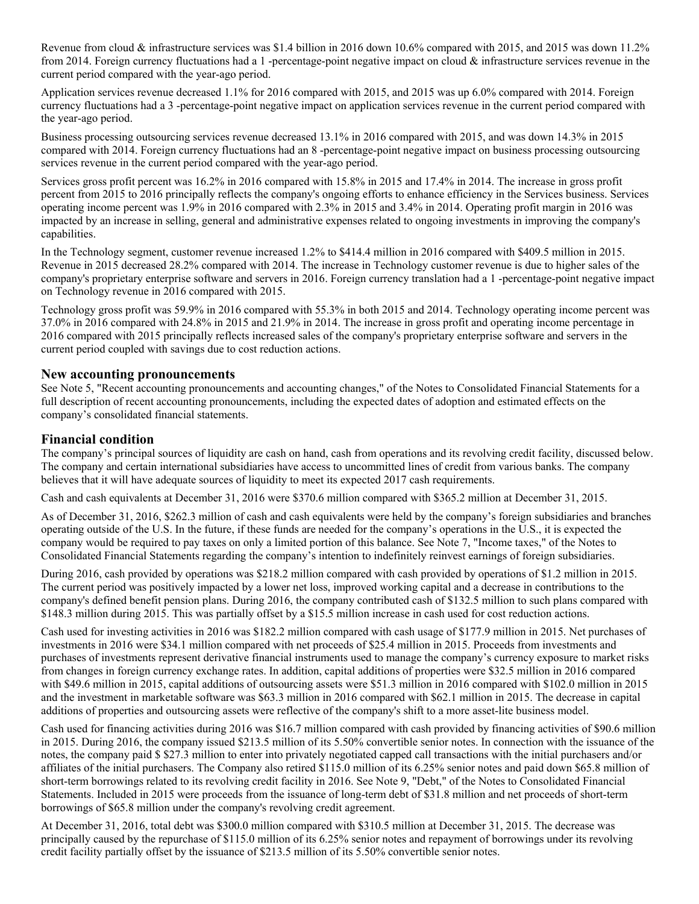Revenue from cloud & infrastructure services was \$1.4 billion in 2016 down 10.6% compared with 2015, and 2015 was down 11.2% from 2014. Foreign currency fluctuations had a 1 -percentage-point negative impact on cloud & infrastructure services revenue in the current period compared with the year-ago period.

Application services revenue decreased 1.1% for 2016 compared with 2015, and 2015 was up 6.0% compared with 2014. Foreign currency fluctuations had a 3 -percentage-point negative impact on application services revenue in the current period compared with the year-ago period.

Business processing outsourcing services revenue decreased 13.1% in 2016 compared with 2015, and was down 14.3% in 2015 compared with 2014. Foreign currency fluctuations had an 8 -percentage-point negative impact on business processing outsourcing services revenue in the current period compared with the year-ago period.

Services gross profit percent was 16.2% in 2016 compared with 15.8% in 2015 and 17.4% in 2014. The increase in gross profit percent from 2015 to 2016 principally reflects the company's ongoing efforts to enhance efficiency in the Services business. Services operating income percent was 1.9% in 2016 compared with 2.3% in 2015 and 3.4% in 2014. Operating profit margin in 2016 was impacted by an increase in selling, general and administrative expenses related to ongoing investments in improving the company's capabilities.

In the Technology segment, customer revenue increased 1.2% to \$414.4 million in 2016 compared with \$409.5 million in 2015. Revenue in 2015 decreased 28.2% compared with 2014. The increase in Technology customer revenue is due to higher sales of the company's proprietary enterprise software and servers in 2016. Foreign currency translation had a 1 -percentage-point negative impact on Technology revenue in 2016 compared with 2015.

Technology gross profit was 59.9% in 2016 compared with 55.3% in both 2015 and 2014. Technology operating income percent was 37.0% in 2016 compared with 24.8% in 2015 and 21.9% in 2014. The increase in gross profit and operating income percentage in 2016 compared with 2015 principally reflects increased sales of the company's proprietary enterprise software and servers in the current period coupled with savings due to cost reduction actions.

#### **New accounting pronouncements**

See Note 5, "Recent accounting pronouncements and accounting changes," of the Notes to Consolidated Financial Statements for a full description of recent accounting pronouncements, including the expected dates of adoption and estimated effects on the company's consolidated financial statements.

#### **Financial condition**

The company's principal sources of liquidity are cash on hand, cash from operations and its revolving credit facility, discussed below. The company and certain international subsidiaries have access to uncommitted lines of credit from various banks. The company believes that it will have adequate sources of liquidity to meet its expected 2017 cash requirements.

Cash and cash equivalents at December 31, 2016 were \$370.6 million compared with \$365.2 million at December 31, 2015.

As of December 31, 2016, \$262.3 million of cash and cash equivalents were held by the company's foreign subsidiaries and branches operating outside of the U.S. In the future, if these funds are needed for the company's operations in the U.S., it is expected the company would be required to pay taxes on only a limited portion of this balance. See Note 7, "Income taxes," of the Notes to Consolidated Financial Statements regarding the company's intention to indefinitely reinvest earnings of foreign subsidiaries.

During 2016, cash provided by operations was \$218.2 million compared with cash provided by operations of \$1.2 million in 2015. The current period was positively impacted by a lower net loss, improved working capital and a decrease in contributions to the company's defined benefit pension plans. During 2016, the company contributed cash of \$132.5 million to such plans compared with \$148.3 million during 2015. This was partially offset by a \$15.5 million increase in cash used for cost reduction actions.

Cash used for investing activities in 2016 was \$182.2 million compared with cash usage of \$177.9 million in 2015. Net purchases of investments in 2016 were \$34.1 million compared with net proceeds of \$25.4 million in 2015. Proceeds from investments and purchases of investments represent derivative financial instruments used to manage the company's currency exposure to market risks from changes in foreign currency exchange rates. In addition, capital additions of properties were \$32.5 million in 2016 compared with \$49.6 million in 2015, capital additions of outsourcing assets were \$51.3 million in 2016 compared with \$102.0 million in 2015 and the investment in marketable software was \$63.3 million in 2016 compared with \$62.1 million in 2015. The decrease in capital additions of properties and outsourcing assets were reflective of the company's shift to a more asset-lite business model.

Cash used for financing activities during 2016 was \$16.7 million compared with cash provided by financing activities of \$90.6 million in 2015. During 2016, the company issued \$213.5 million of its 5.50% convertible senior notes. In connection with the issuance of the notes, the company paid \$ \$27.3 million to enter into privately negotiated capped call transactions with the initial purchasers and/or affiliates of the initial purchasers. The Company also retired \$115.0 million of its 6.25% senior notes and paid down \$65.8 million of short-term borrowings related to its revolving credit facility in 2016. See Note 9, "Debt," of the Notes to Consolidated Financial Statements. Included in 2015 were proceeds from the issuance of long-term debt of \$31.8 million and net proceeds of short-term borrowings of \$65.8 million under the company's revolving credit agreement.

At December 31, 2016, total debt was \$300.0 million compared with \$310.5 million at December 31, 2015. The decrease was principally caused by the repurchase of \$115.0 million of its 6.25% senior notes and repayment of borrowings under its revolving credit facility partially offset by the issuance of \$213.5 million of its 5.50% convertible senior notes.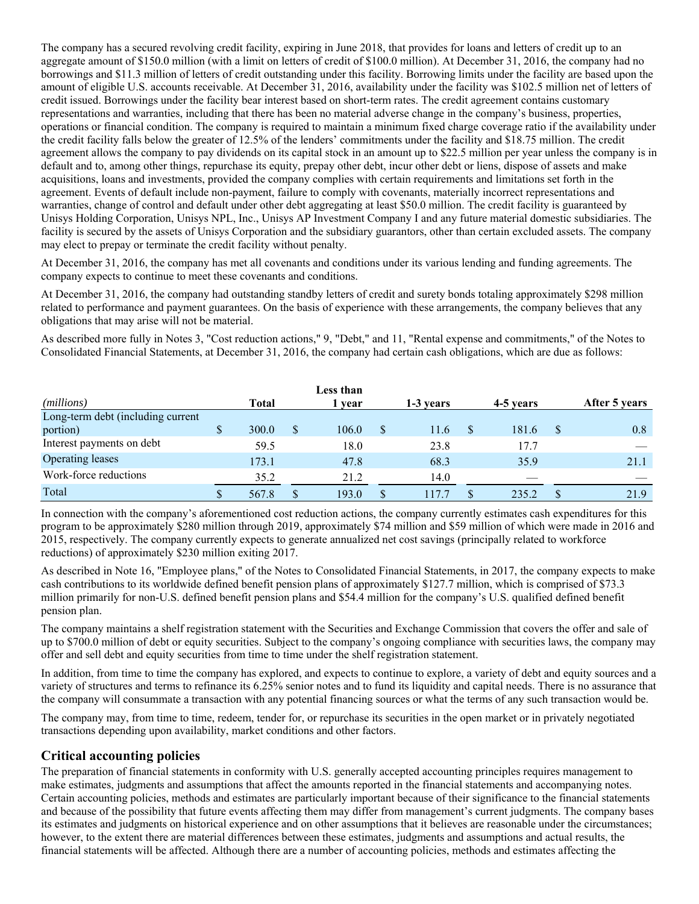The company has a secured revolving credit facility, expiring in June 2018, that provides for loans and letters of credit up to an aggregate amount of \$150.0 million (with a limit on letters of credit of \$100.0 million). At December 31, 2016, the company had no borrowings and \$11.3 million of letters of credit outstanding under this facility. Borrowing limits under the facility are based upon the amount of eligible U.S. accounts receivable. At December 31, 2016, availability under the facility was \$102.5 million net of letters of credit issued. Borrowings under the facility bear interest based on short-term rates. The credit agreement contains customary representations and warranties, including that there has been no material adverse change in the company's business, properties, operations or financial condition. The company is required to maintain a minimum fixed charge coverage ratio if the availability under the credit facility falls below the greater of 12.5% of the lenders' commitments under the facility and \$18.75 million. The credit agreement allows the company to pay dividends on its capital stock in an amount up to \$22.5 million per year unless the company is in default and to, among other things, repurchase its equity, prepay other debt, incur other debt or liens, dispose of assets and make acquisitions, loans and investments, provided the company complies with certain requirements and limitations set forth in the agreement. Events of default include non-payment, failure to comply with covenants, materially incorrect representations and warranties, change of control and default under other debt aggregating at least \$50.0 million. The credit facility is guaranteed by Unisys Holding Corporation, Unisys NPL, Inc., Unisys AP Investment Company I and any future material domestic subsidiaries. The facility is secured by the assets of Unisys Corporation and the subsidiary guarantors, other than certain excluded assets. The company may elect to prepay or terminate the credit facility without penalty.

At December 31, 2016, the company has met all covenants and conditions under its various lending and funding agreements. The company expects to continue to meet these covenants and conditions.

At December 31, 2016, the company had outstanding standby letters of credit and surety bonds totaling approximately \$298 million related to performance and payment guarantees. On the basis of experience with these arrangements, the company believes that any obligations that may arise will not be material.

As described more fully in Notes 3, "Cost reduction actions," 9, "Debt," and 11, "Rental expense and commitments," of the Notes to Consolidated Financial Statements, at December 31, 2016, the company had certain cash obligations, which are due as follows:

|                                   |              | Less than |            |           |               |
|-----------------------------------|--------------|-----------|------------|-----------|---------------|
| ( <i>millions</i> )               | <b>Total</b> | vear      | 1-3 years  | 4-5 years | After 5 years |
| Long-term debt (including current |              |           |            |           |               |
| portion)                          | 300.0        | 106.0     | \$<br>11.6 | 181.6     | 0.8           |
| Interest payments on debt         | 59.5         | 18.0      | 23.8       | 17.7      |               |
| Operating leases                  | 173.1        | 47.8      | 68.3       | 35.9      | 21.1          |
| Work-force reductions             | 35.2         | 21.2      | 14.0       |           |               |
| Total                             | 567.8        | 193.0     | 117.7      | 235.2     | 21.9          |

In connection with the company's aforementioned cost reduction actions, the company currently estimates cash expenditures for this program to be approximately \$280 million through 2019, approximately \$74 million and \$59 million of which were made in 2016 and 2015, respectively. The company currently expects to generate annualized net cost savings (principally related to workforce reductions) of approximately \$230 million exiting 2017.

As described in Note 16, "Employee plans," of the Notes to Consolidated Financial Statements, in 2017, the company expects to make cash contributions to its worldwide defined benefit pension plans of approximately \$127.7 million, which is comprised of \$73.3 million primarily for non-U.S. defined benefit pension plans and \$54.4 million for the company's U.S. qualified defined benefit pension plan.

The company maintains a shelf registration statement with the Securities and Exchange Commission that covers the offer and sale of up to \$700.0 million of debt or equity securities. Subject to the company's ongoing compliance with securities laws, the company may offer and sell debt and equity securities from time to time under the shelf registration statement.

In addition, from time to time the company has explored, and expects to continue to explore, a variety of debt and equity sources and a variety of structures and terms to refinance its 6.25% senior notes and to fund its liquidity and capital needs. There is no assurance that the company will consummate a transaction with any potential financing sources or what the terms of any such transaction would be.

The company may, from time to time, redeem, tender for, or repurchase its securities in the open market or in privately negotiated transactions depending upon availability, market conditions and other factors.

#### **Critical accounting policies**

The preparation of financial statements in conformity with U.S. generally accepted accounting principles requires management to make estimates, judgments and assumptions that affect the amounts reported in the financial statements and accompanying notes. Certain accounting policies, methods and estimates are particularly important because of their significance to the financial statements and because of the possibility that future events affecting them may differ from management's current judgments. The company bases its estimates and judgments on historical experience and on other assumptions that it believes are reasonable under the circumstances; however, to the extent there are material differences between these estimates, judgments and assumptions and actual results, the financial statements will be affected. Although there are a number of accounting policies, methods and estimates affecting the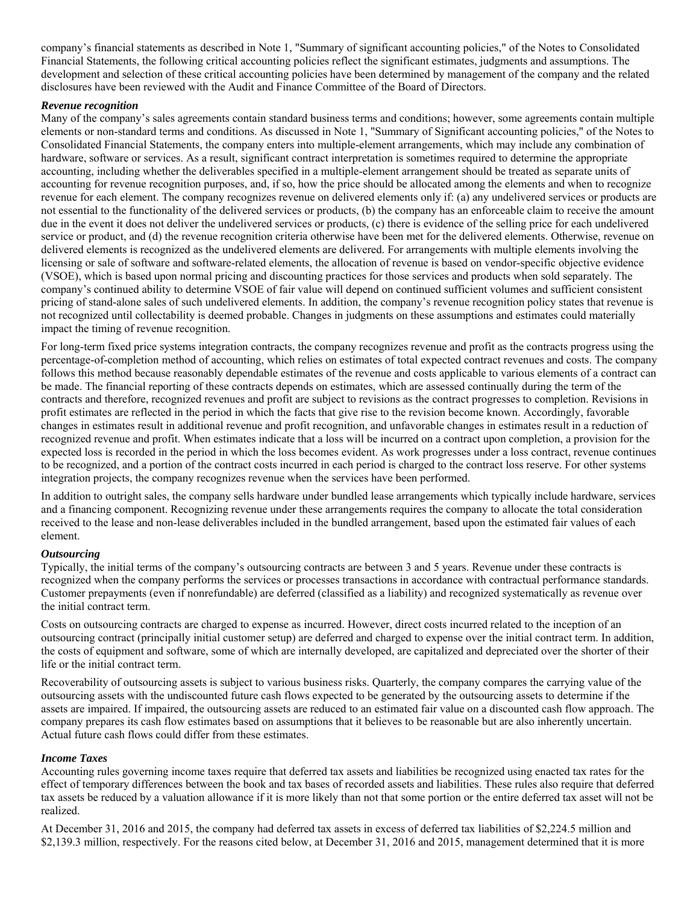company's financial statements as described in Note 1, "Summary of significant accounting policies," of the Notes to Consolidated Financial Statements, the following critical accounting policies reflect the significant estimates, judgments and assumptions. The development and selection of these critical accounting policies have been determined by management of the company and the related disclosures have been reviewed with the Audit and Finance Committee of the Board of Directors.

#### *Revenue recognition*

Many of the company's sales agreements contain standard business terms and conditions; however, some agreements contain multiple elements or non-standard terms and conditions. As discussed in Note 1, "Summary of Significant accounting policies," of the Notes to Consolidated Financial Statements, the company enters into multiple-element arrangements, which may include any combination of hardware, software or services. As a result, significant contract interpretation is sometimes required to determine the appropriate accounting, including whether the deliverables specified in a multiple-element arrangement should be treated as separate units of accounting for revenue recognition purposes, and, if so, how the price should be allocated among the elements and when to recognize revenue for each element. The company recognizes revenue on delivered elements only if: (a) any undelivered services or products are not essential to the functionality of the delivered services or products, (b) the company has an enforceable claim to receive the amount due in the event it does not deliver the undelivered services or products, (c) there is evidence of the selling price for each undelivered service or product, and (d) the revenue recognition criteria otherwise have been met for the delivered elements. Otherwise, revenue on delivered elements is recognized as the undelivered elements are delivered. For arrangements with multiple elements involving the licensing or sale of software and software-related elements, the allocation of revenue is based on vendor-specific objective evidence (VSOE), which is based upon normal pricing and discounting practices for those services and products when sold separately. The company's continued ability to determine VSOE of fair value will depend on continued sufficient volumes and sufficient consistent pricing of stand-alone sales of such undelivered elements. In addition, the company's revenue recognition policy states that revenue is not recognized until collectability is deemed probable. Changes in judgments on these assumptions and estimates could materially impact the timing of revenue recognition.

For long-term fixed price systems integration contracts, the company recognizes revenue and profit as the contracts progress using the percentage-of-completion method of accounting, which relies on estimates of total expected contract revenues and costs. The company follows this method because reasonably dependable estimates of the revenue and costs applicable to various elements of a contract can be made. The financial reporting of these contracts depends on estimates, which are assessed continually during the term of the contracts and therefore, recognized revenues and profit are subject to revisions as the contract progresses to completion. Revisions in profit estimates are reflected in the period in which the facts that give rise to the revision become known. Accordingly, favorable changes in estimates result in additional revenue and profit recognition, and unfavorable changes in estimates result in a reduction of recognized revenue and profit. When estimates indicate that a loss will be incurred on a contract upon completion, a provision for the expected loss is recorded in the period in which the loss becomes evident. As work progresses under a loss contract, revenue continues to be recognized, and a portion of the contract costs incurred in each period is charged to the contract loss reserve. For other systems integration projects, the company recognizes revenue when the services have been performed.

In addition to outright sales, the company sells hardware under bundled lease arrangements which typically include hardware, services and a financing component. Recognizing revenue under these arrangements requires the company to allocate the total consideration received to the lease and non-lease deliverables included in the bundled arrangement, based upon the estimated fair values of each element.

#### *Outsourcing*

Typically, the initial terms of the company's outsourcing contracts are between 3 and 5 years. Revenue under these contracts is recognized when the company performs the services or processes transactions in accordance with contractual performance standards. Customer prepayments (even if nonrefundable) are deferred (classified as a liability) and recognized systematically as revenue over the initial contract term.

Costs on outsourcing contracts are charged to expense as incurred. However, direct costs incurred related to the inception of an outsourcing contract (principally initial customer setup) are deferred and charged to expense over the initial contract term. In addition, the costs of equipment and software, some of which are internally developed, are capitalized and depreciated over the shorter of their life or the initial contract term.

Recoverability of outsourcing assets is subject to various business risks. Quarterly, the company compares the carrying value of the outsourcing assets with the undiscounted future cash flows expected to be generated by the outsourcing assets to determine if the assets are impaired. If impaired, the outsourcing assets are reduced to an estimated fair value on a discounted cash flow approach. The company prepares its cash flow estimates based on assumptions that it believes to be reasonable but are also inherently uncertain. Actual future cash flows could differ from these estimates.

#### *Income Taxes*

Accounting rules governing income taxes require that deferred tax assets and liabilities be recognized using enacted tax rates for the effect of temporary differences between the book and tax bases of recorded assets and liabilities. These rules also require that deferred tax assets be reduced by a valuation allowance if it is more likely than not that some portion or the entire deferred tax asset will not be realized.

At December 31, 2016 and 2015, the company had deferred tax assets in excess of deferred tax liabilities of \$2,224.5 million and \$2,139.3 million, respectively. For the reasons cited below, at December 31, 2016 and 2015, management determined that it is more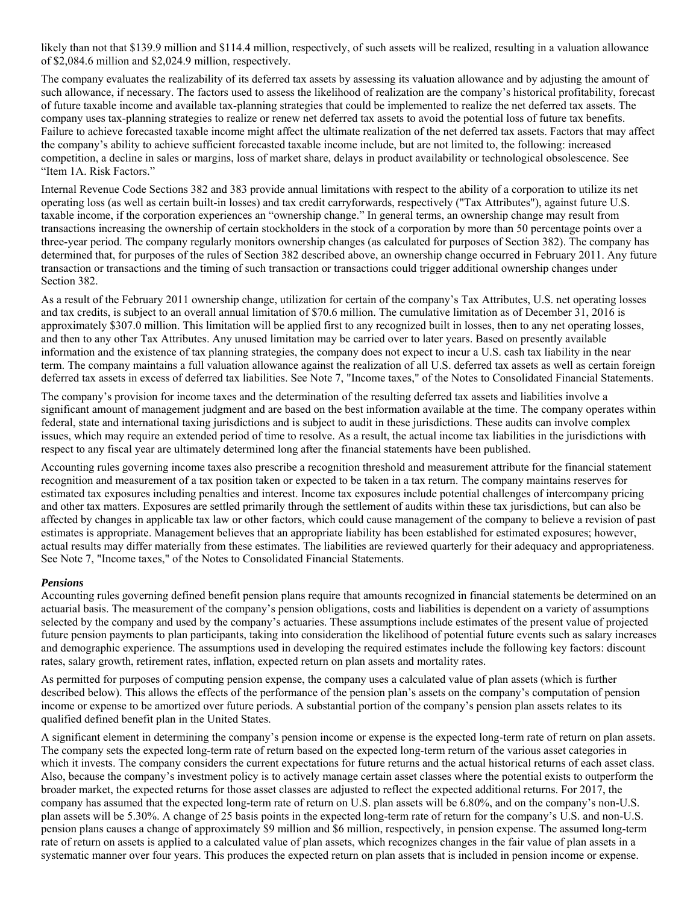likely than not that \$139.9 million and \$114.4 million, respectively, of such assets will be realized, resulting in a valuation allowance of \$2,084.6 million and \$2,024.9 million, respectively.

The company evaluates the realizability of its deferred tax assets by assessing its valuation allowance and by adjusting the amount of such allowance, if necessary. The factors used to assess the likelihood of realization are the company's historical profitability, forecast of future taxable income and available tax-planning strategies that could be implemented to realize the net deferred tax assets. The company uses tax-planning strategies to realize or renew net deferred tax assets to avoid the potential loss of future tax benefits. Failure to achieve forecasted taxable income might affect the ultimate realization of the net deferred tax assets. Factors that may affect the company's ability to achieve sufficient forecasted taxable income include, but are not limited to, the following: increased competition, a decline in sales or margins, loss of market share, delays in product availability or technological obsolescence. See "Item 1A. Risk Factors."

Internal Revenue Code Sections 382 and 383 provide annual limitations with respect to the ability of a corporation to utilize its net operating loss (as well as certain built-in losses) and tax credit carryforwards, respectively ("Tax Attributes"), against future U.S. taxable income, if the corporation experiences an "ownership change." In general terms, an ownership change may result from transactions increasing the ownership of certain stockholders in the stock of a corporation by more than 50 percentage points over a three-year period. The company regularly monitors ownership changes (as calculated for purposes of Section 382). The company has determined that, for purposes of the rules of Section 382 described above, an ownership change occurred in February 2011. Any future transaction or transactions and the timing of such transaction or transactions could trigger additional ownership changes under Section 382.

As a result of the February 2011 ownership change, utilization for certain of the company's Tax Attributes, U.S. net operating losses and tax credits, is subject to an overall annual limitation of \$70.6 million. The cumulative limitation as of December 31, 2016 is approximately \$307.0 million. This limitation will be applied first to any recognized built in losses, then to any net operating losses, and then to any other Tax Attributes. Any unused limitation may be carried over to later years. Based on presently available information and the existence of tax planning strategies, the company does not expect to incur a U.S. cash tax liability in the near term. The company maintains a full valuation allowance against the realization of all U.S. deferred tax assets as well as certain foreign deferred tax assets in excess of deferred tax liabilities. See Note 7, "Income taxes," of the Notes to Consolidated Financial Statements.

The company's provision for income taxes and the determination of the resulting deferred tax assets and liabilities involve a significant amount of management judgment and are based on the best information available at the time. The company operates within federal, state and international taxing jurisdictions and is subject to audit in these jurisdictions. These audits can involve complex issues, which may require an extended period of time to resolve. As a result, the actual income tax liabilities in the jurisdictions with respect to any fiscal year are ultimately determined long after the financial statements have been published.

Accounting rules governing income taxes also prescribe a recognition threshold and measurement attribute for the financial statement recognition and measurement of a tax position taken or expected to be taken in a tax return. The company maintains reserves for estimated tax exposures including penalties and interest. Income tax exposures include potential challenges of intercompany pricing and other tax matters. Exposures are settled primarily through the settlement of audits within these tax jurisdictions, but can also be affected by changes in applicable tax law or other factors, which could cause management of the company to believe a revision of past estimates is appropriate. Management believes that an appropriate liability has been established for estimated exposures; however, actual results may differ materially from these estimates. The liabilities are reviewed quarterly for their adequacy and appropriateness. See Note 7, "Income taxes," of the Notes to Consolidated Financial Statements.

#### *Pensions*

Accounting rules governing defined benefit pension plans require that amounts recognized in financial statements be determined on an actuarial basis. The measurement of the company's pension obligations, costs and liabilities is dependent on a variety of assumptions selected by the company and used by the company's actuaries. These assumptions include estimates of the present value of projected future pension payments to plan participants, taking into consideration the likelihood of potential future events such as salary increases and demographic experience. The assumptions used in developing the required estimates include the following key factors: discount rates, salary growth, retirement rates, inflation, expected return on plan assets and mortality rates.

As permitted for purposes of computing pension expense, the company uses a calculated value of plan assets (which is further described below). This allows the effects of the performance of the pension plan's assets on the company's computation of pension income or expense to be amortized over future periods. A substantial portion of the company's pension plan assets relates to its qualified defined benefit plan in the United States.

A significant element in determining the company's pension income or expense is the expected long-term rate of return on plan assets. The company sets the expected long-term rate of return based on the expected long-term return of the various asset categories in which it invests. The company considers the current expectations for future returns and the actual historical returns of each asset class. Also, because the company's investment policy is to actively manage certain asset classes where the potential exists to outperform the broader market, the expected returns for those asset classes are adjusted to reflect the expected additional returns. For 2017, the company has assumed that the expected long-term rate of return on U.S. plan assets will be 6.80%, and on the company's non-U.S. plan assets will be 5.30%. A change of 25 basis points in the expected long-term rate of return for the company's U.S. and non-U.S. pension plans causes a change of approximately \$9 million and \$6 million, respectively, in pension expense. The assumed long-term rate of return on assets is applied to a calculated value of plan assets, which recognizes changes in the fair value of plan assets in a systematic manner over four years. This produces the expected return on plan assets that is included in pension income or expense.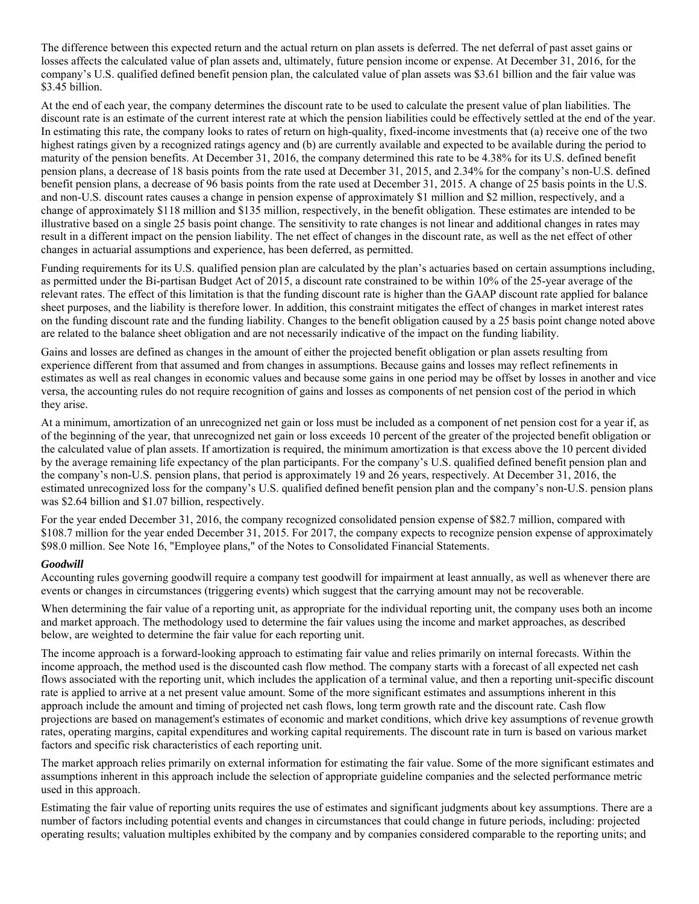The difference between this expected return and the actual return on plan assets is deferred. The net deferral of past asset gains or losses affects the calculated value of plan assets and, ultimately, future pension income or expense. At December 31, 2016, for the company's U.S. qualified defined benefit pension plan, the calculated value of plan assets was \$3.61 billion and the fair value was \$3.45 billion.

At the end of each year, the company determines the discount rate to be used to calculate the present value of plan liabilities. The discount rate is an estimate of the current interest rate at which the pension liabilities could be effectively settled at the end of the year. In estimating this rate, the company looks to rates of return on high-quality, fixed-income investments that (a) receive one of the two highest ratings given by a recognized ratings agency and (b) are currently available and expected to be available during the period to maturity of the pension benefits. At December 31, 2016, the company determined this rate to be 4.38% for its U.S. defined benefit pension plans, a decrease of 18 basis points from the rate used at December 31, 2015, and 2.34% for the company's non-U.S. defined benefit pension plans, a decrease of 96 basis points from the rate used at December 31, 2015. A change of 25 basis points in the U.S. and non-U.S. discount rates causes a change in pension expense of approximately \$1 million and \$2 million, respectively, and a change of approximately \$118 million and \$135 million, respectively, in the benefit obligation. These estimates are intended to be illustrative based on a single 25 basis point change. The sensitivity to rate changes is not linear and additional changes in rates may result in a different impact on the pension liability. The net effect of changes in the discount rate, as well as the net effect of other changes in actuarial assumptions and experience, has been deferred, as permitted.

Funding requirements for its U.S. qualified pension plan are calculated by the plan's actuaries based on certain assumptions including, as permitted under the Bi-partisan Budget Act of 2015, a discount rate constrained to be within 10% of the 25-year average of the relevant rates. The effect of this limitation is that the funding discount rate is higher than the GAAP discount rate applied for balance sheet purposes, and the liability is therefore lower. In addition, this constraint mitigates the effect of changes in market interest rates on the funding discount rate and the funding liability. Changes to the benefit obligation caused by a 25 basis point change noted above are related to the balance sheet obligation and are not necessarily indicative of the impact on the funding liability.

Gains and losses are defined as changes in the amount of either the projected benefit obligation or plan assets resulting from experience different from that assumed and from changes in assumptions. Because gains and losses may reflect refinements in estimates as well as real changes in economic values and because some gains in one period may be offset by losses in another and vice versa, the accounting rules do not require recognition of gains and losses as components of net pension cost of the period in which they arise.

At a minimum, amortization of an unrecognized net gain or loss must be included as a component of net pension cost for a year if, as of the beginning of the year, that unrecognized net gain or loss exceeds 10 percent of the greater of the projected benefit obligation or the calculated value of plan assets. If amortization is required, the minimum amortization is that excess above the 10 percent divided by the average remaining life expectancy of the plan participants. For the company's U.S. qualified defined benefit pension plan and the company's non-U.S. pension plans, that period is approximately 19 and 26 years, respectively. At December 31, 2016, the estimated unrecognized loss for the company's U.S. qualified defined benefit pension plan and the company's non-U.S. pension plans was \$2.64 billion and \$1.07 billion, respectively.

For the year ended December 31, 2016, the company recognized consolidated pension expense of \$82.7 million, compared with \$108.7 million for the year ended December 31, 2015. For 2017, the company expects to recognize pension expense of approximately \$98.0 million. See Note 16, "Employee plans," of the Notes to Consolidated Financial Statements.

#### *Goodwill*

Accounting rules governing goodwill require a company test goodwill for impairment at least annually, as well as whenever there are events or changes in circumstances (triggering events) which suggest that the carrying amount may not be recoverable.

When determining the fair value of a reporting unit, as appropriate for the individual reporting unit, the company uses both an income and market approach. The methodology used to determine the fair values using the income and market approaches, as described below, are weighted to determine the fair value for each reporting unit.

The income approach is a forward-looking approach to estimating fair value and relies primarily on internal forecasts. Within the income approach, the method used is the discounted cash flow method. The company starts with a forecast of all expected net cash flows associated with the reporting unit, which includes the application of a terminal value, and then a reporting unit-specific discount rate is applied to arrive at a net present value amount. Some of the more significant estimates and assumptions inherent in this approach include the amount and timing of projected net cash flows, long term growth rate and the discount rate. Cash flow projections are based on management's estimates of economic and market conditions, which drive key assumptions of revenue growth rates, operating margins, capital expenditures and working capital requirements. The discount rate in turn is based on various market factors and specific risk characteristics of each reporting unit.

The market approach relies primarily on external information for estimating the fair value. Some of the more significant estimates and assumptions inherent in this approach include the selection of appropriate guideline companies and the selected performance metric used in this approach.

Estimating the fair value of reporting units requires the use of estimates and significant judgments about key assumptions. There are a number of factors including potential events and changes in circumstances that could change in future periods, including: projected operating results; valuation multiples exhibited by the company and by companies considered comparable to the reporting units; and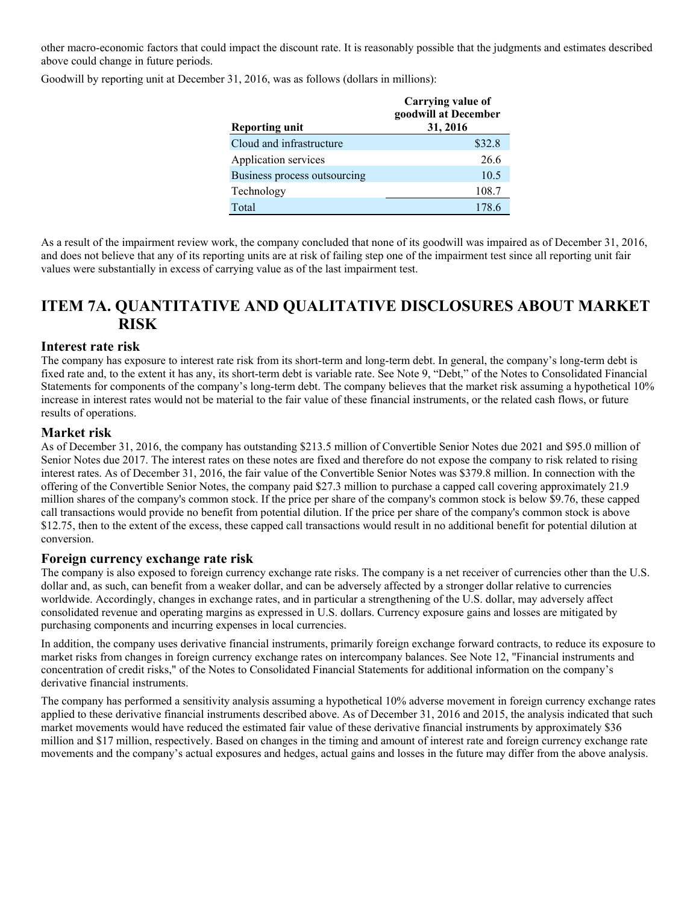other macro-economic factors that could impact the discount rate. It is reasonably possible that the judgments and estimates described above could change in future periods.

Goodwill by reporting unit at December 31, 2016, was as follows (dollars in millions):

| <b>Reporting unit</b>        | Carrying value of<br>goodwill at December<br>31, 2016 |
|------------------------------|-------------------------------------------------------|
| Cloud and infrastructure     | \$32.8                                                |
| Application services         | 26.6                                                  |
| Business process outsourcing | 10.5                                                  |
| Technology                   | 108.7                                                 |
| Total                        | 1786                                                  |

As a result of the impairment review work, the company concluded that none of its goodwill was impaired as of December 31, 2016, and does not believe that any of its reporting units are at risk of failing step one of the impairment test since all reporting unit fair values were substantially in excess of carrying value as of the last impairment test.

#### **ITEM 7A. QUANTITATIVE AND QUALITATIVE DISCLOSURES ABOUT MARKET RISK**

#### **Interest rate risk**

The company has exposure to interest rate risk from its short-term and long-term debt. In general, the company's long-term debt is fixed rate and, to the extent it has any, its short-term debt is variable rate. See Note 9, "Debt," of the Notes to Consolidated Financial Statements for components of the company's long-term debt. The company believes that the market risk assuming a hypothetical 10% increase in interest rates would not be material to the fair value of these financial instruments, or the related cash flows, or future results of operations.

#### **Market risk**

As of December 31, 2016, the company has outstanding \$213.5 million of Convertible Senior Notes due 2021 and \$95.0 million of Senior Notes due 2017. The interest rates on these notes are fixed and therefore do not expose the company to risk related to rising interest rates. As of December 31, 2016, the fair value of the Convertible Senior Notes was \$379.8 million. In connection with the offering of the Convertible Senior Notes, the company paid \$27.3 million to purchase a capped call covering approximately 21.9 million shares of the company's common stock. If the price per share of the company's common stock is below \$9.76, these capped call transactions would provide no benefit from potential dilution. If the price per share of the company's common stock is above \$12.75, then to the extent of the excess, these capped call transactions would result in no additional benefit for potential dilution at conversion.

#### **Foreign currency exchange rate risk**

The company is also exposed to foreign currency exchange rate risks. The company is a net receiver of currencies other than the U.S. dollar and, as such, can benefit from a weaker dollar, and can be adversely affected by a stronger dollar relative to currencies worldwide. Accordingly, changes in exchange rates, and in particular a strengthening of the U.S. dollar, may adversely affect consolidated revenue and operating margins as expressed in U.S. dollars. Currency exposure gains and losses are mitigated by purchasing components and incurring expenses in local currencies.

In addition, the company uses derivative financial instruments, primarily foreign exchange forward contracts, to reduce its exposure to market risks from changes in foreign currency exchange rates on intercompany balances. See Note 12, "Financial instruments and concentration of credit risks," of the Notes to Consolidated Financial Statements for additional information on the company's derivative financial instruments.

The company has performed a sensitivity analysis assuming a hypothetical 10% adverse movement in foreign currency exchange rates applied to these derivative financial instruments described above. As of December 31, 2016 and 2015, the analysis indicated that such market movements would have reduced the estimated fair value of these derivative financial instruments by approximately \$36 million and \$17 million, respectively. Based on changes in the timing and amount of interest rate and foreign currency exchange rate movements and the company's actual exposures and hedges, actual gains and losses in the future may differ from the above analysis.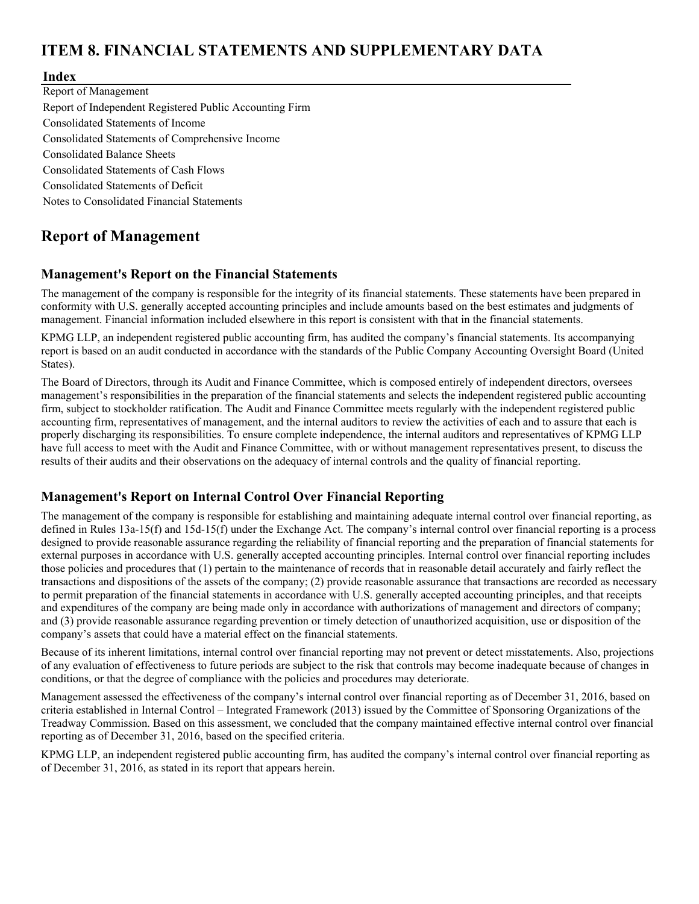# **ITEM 8. FINANCIAL STATEMENTS AND SUPPLEMENTARY DATA Index**

Report of Management Report of Independent Registered Public Accounting Firm Consolidated Statements of Income Consolidated Statements of Comprehensive Income Consolidated Balance Sheets Consolidated Statements of Cash Flows Consolidated Statements of Deficit Notes to Consolidated Financial Statements

#### **Report of Management**

#### **Management's Report on the Financial Statements**

The management of the company is responsible for the integrity of its financial statements. These statements have been prepared in conformity with U.S. generally accepted accounting principles and include amounts based on the best estimates and judgments of management. Financial information included elsewhere in this report is consistent with that in the financial statements.

KPMG LLP, an independent registered public accounting firm, has audited the company's financial statements. Its accompanying report is based on an audit conducted in accordance with the standards of the Public Company Accounting Oversight Board (United States).

The Board of Directors, through its Audit and Finance Committee, which is composed entirely of independent directors, oversees management's responsibilities in the preparation of the financial statements and selects the independent registered public accounting firm, subject to stockholder ratification. The Audit and Finance Committee meets regularly with the independent registered public accounting firm, representatives of management, and the internal auditors to review the activities of each and to assure that each is properly discharging its responsibilities. To ensure complete independence, the internal auditors and representatives of KPMG LLP have full access to meet with the Audit and Finance Committee, with or without management representatives present, to discuss the results of their audits and their observations on the adequacy of internal controls and the quality of financial reporting.

#### **Management's Report on Internal Control Over Financial Reporting**

The management of the company is responsible for establishing and maintaining adequate internal control over financial reporting, as defined in Rules 13a-15(f) and 15d-15(f) under the Exchange Act. The company's internal control over financial reporting is a process designed to provide reasonable assurance regarding the reliability of financial reporting and the preparation of financial statements for external purposes in accordance with U.S. generally accepted accounting principles. Internal control over financial reporting includes those policies and procedures that (1) pertain to the maintenance of records that in reasonable detail accurately and fairly reflect the transactions and dispositions of the assets of the company; (2) provide reasonable assurance that transactions are recorded as necessary to permit preparation of the financial statements in accordance with U.S. generally accepted accounting principles, and that receipts and expenditures of the company are being made only in accordance with authorizations of management and directors of company; and (3) provide reasonable assurance regarding prevention or timely detection of unauthorized acquisition, use or disposition of the company's assets that could have a material effect on the financial statements.

Because of its inherent limitations, internal control over financial reporting may not prevent or detect misstatements. Also, projections of any evaluation of effectiveness to future periods are subject to the risk that controls may become inadequate because of changes in conditions, or that the degree of compliance with the policies and procedures may deteriorate.

Management assessed the effectiveness of the company's internal control over financial reporting as of December 31, 2016, based on criteria established in Internal Control – Integrated Framework (2013) issued by the Committee of Sponsoring Organizations of the Treadway Commission. Based on this assessment, we concluded that the company maintained effective internal control over financial reporting as of December 31, 2016, based on the specified criteria.

KPMG LLP, an independent registered public accounting firm, has audited the company's internal control over financial reporting as of December 31, 2016, as stated in its report that appears herein.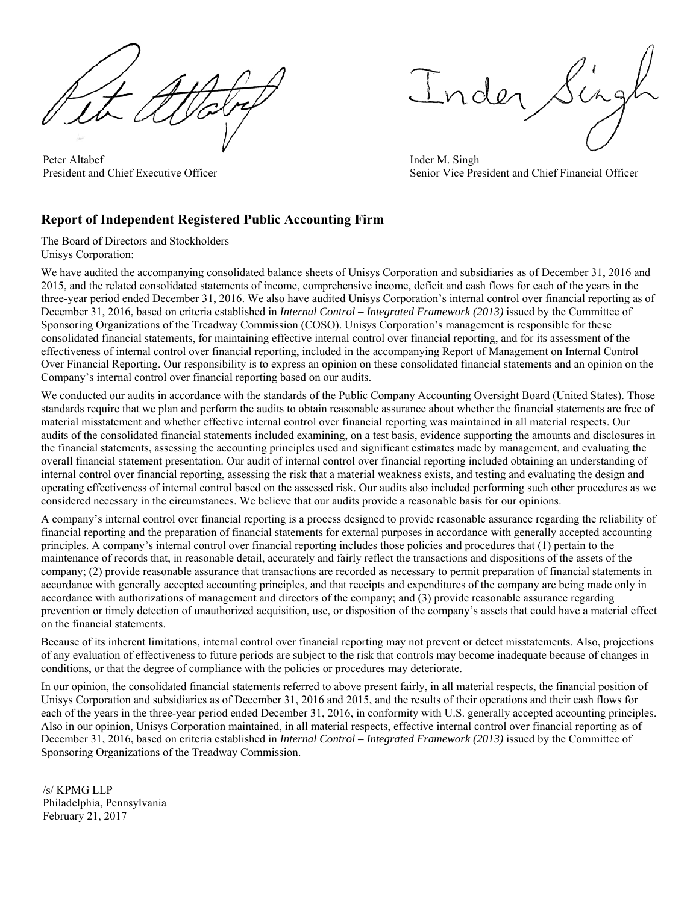Inder

President and Chief Executive Officer Senior Senior Vice President and Chief Financial Officer

# Peter Altabef Index and The Index Studies and The Index Studies and The Index M. Singh

#### **Report of Independent Registered Public Accounting Firm**

The Board of Directors and Stockholders Unisys Corporation:

We have audited the accompanying consolidated balance sheets of Unisys Corporation and subsidiaries as of December 31, 2016 and 2015, and the related consolidated statements of income, comprehensive income, deficit and cash flows for each of the years in the three-year period ended December 31, 2016. We also have audited Unisys Corporation's internal control over financial reporting as of December 31, 2016, based on criteria established in *Internal Control – Integrated Framework (2013)* issued by the Committee of Sponsoring Organizations of the Treadway Commission (COSO). Unisys Corporation's management is responsible for these consolidated financial statements, for maintaining effective internal control over financial reporting, and for its assessment of the effectiveness of internal control over financial reporting, included in the accompanying Report of Management on Internal Control Over Financial Reporting. Our responsibility is to express an opinion on these consolidated financial statements and an opinion on the Company's internal control over financial reporting based on our audits.

We conducted our audits in accordance with the standards of the Public Company Accounting Oversight Board (United States). Those standards require that we plan and perform the audits to obtain reasonable assurance about whether the financial statements are free of material misstatement and whether effective internal control over financial reporting was maintained in all material respects. Our audits of the consolidated financial statements included examining, on a test basis, evidence supporting the amounts and disclosures in the financial statements, assessing the accounting principles used and significant estimates made by management, and evaluating the overall financial statement presentation. Our audit of internal control over financial reporting included obtaining an understanding of internal control over financial reporting, assessing the risk that a material weakness exists, and testing and evaluating the design and operating effectiveness of internal control based on the assessed risk. Our audits also included performing such other procedures as we considered necessary in the circumstances. We believe that our audits provide a reasonable basis for our opinions.

A company's internal control over financial reporting is a process designed to provide reasonable assurance regarding the reliability of financial reporting and the preparation of financial statements for external purposes in accordance with generally accepted accounting principles. A company's internal control over financial reporting includes those policies and procedures that (1) pertain to the maintenance of records that, in reasonable detail, accurately and fairly reflect the transactions and dispositions of the assets of the company; (2) provide reasonable assurance that transactions are recorded as necessary to permit preparation of financial statements in accordance with generally accepted accounting principles, and that receipts and expenditures of the company are being made only in accordance with authorizations of management and directors of the company; and (3) provide reasonable assurance regarding prevention or timely detection of unauthorized acquisition, use, or disposition of the company's assets that could have a material effect on the financial statements.

Because of its inherent limitations, internal control over financial reporting may not prevent or detect misstatements. Also, projections of any evaluation of effectiveness to future periods are subject to the risk that controls may become inadequate because of changes in conditions, or that the degree of compliance with the policies or procedures may deteriorate.

In our opinion, the consolidated financial statements referred to above present fairly, in all material respects, the financial position of Unisys Corporation and subsidiaries as of December 31, 2016 and 2015, and the results of their operations and their cash flows for each of the years in the three-year period ended December 31, 2016, in conformity with U.S. generally accepted accounting principles. Also in our opinion, Unisys Corporation maintained, in all material respects, effective internal control over financial reporting as of December 31, 2016, based on criteria established in *Internal Control – Integrated Framework (2013)* issued by the Committee of Sponsoring Organizations of the Treadway Commission.

/s/ KPMG LLP Philadelphia, Pennsylvania February 21, 2017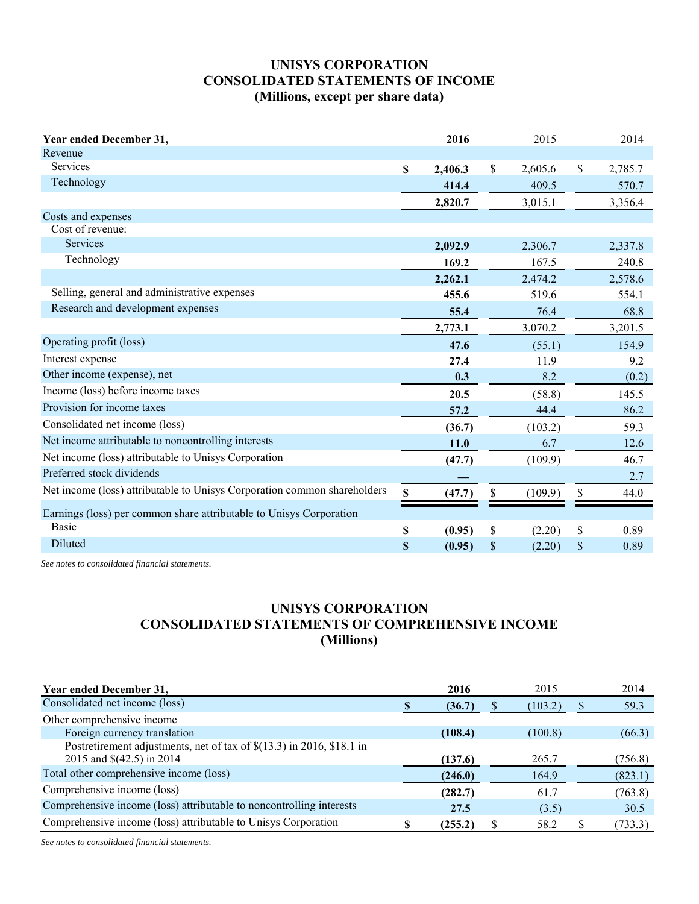#### **UNISYS CORPORATION CONSOLIDATED STATEMENTS OF INCOME (Millions, except per share data)**

| Year ended December 31,                                                  |                           | 2016    | 2015          |               | 2014    |
|--------------------------------------------------------------------------|---------------------------|---------|---------------|---------------|---------|
| Revenue                                                                  |                           |         |               |               |         |
| Services                                                                 | \$                        | 2,406.3 | \$<br>2,605.6 | $\mathcal{S}$ | 2,785.7 |
| Technology                                                               |                           | 414.4   | 409.5         |               | 570.7   |
|                                                                          |                           | 2,820.7 | 3,015.1       |               | 3,356.4 |
| Costs and expenses                                                       |                           |         |               |               |         |
| Cost of revenue:                                                         |                           |         |               |               |         |
| Services                                                                 |                           | 2,092.9 | 2,306.7       |               | 2,337.8 |
| Technology                                                               |                           | 169.2   | 167.5         |               | 240.8   |
|                                                                          |                           | 2,262.1 | 2,474.2       |               | 2,578.6 |
| Selling, general and administrative expenses                             |                           | 455.6   | 519.6         |               | 554.1   |
| Research and development expenses                                        |                           | 55.4    | 76.4          |               | 68.8    |
|                                                                          |                           | 2,773.1 | 3,070.2       |               | 3,201.5 |
| Operating profit (loss)                                                  |                           | 47.6    | (55.1)        |               | 154.9   |
| Interest expense                                                         |                           | 27.4    | 11.9          |               | 9.2     |
| Other income (expense), net                                              |                           | 0.3     | 8.2           |               | (0.2)   |
| Income (loss) before income taxes                                        |                           | 20.5    | (58.8)        |               | 145.5   |
| Provision for income taxes                                               |                           | 57.2    | 44.4          |               | 86.2    |
| Consolidated net income (loss)                                           |                           | (36.7)  | (103.2)       |               | 59.3    |
| Net income attributable to noncontrolling interests                      |                           | 11.0    | 6.7           |               | 12.6    |
| Net income (loss) attributable to Unisys Corporation                     |                           | (47.7)  | (109.9)       |               | 46.7    |
| Preferred stock dividends                                                |                           |         |               |               | 2.7     |
| Net income (loss) attributable to Unisys Corporation common shareholders | $\boldsymbol{\mathsf{S}}$ | (47.7)  | \$<br>(109.9) | \$            | 44.0    |
| Earnings (loss) per common share attributable to Unisys Corporation      |                           |         |               |               |         |
| Basic                                                                    | \$                        | (0.95)  | \$<br>(2.20)  | \$            | 0.89    |
| Diluted                                                                  | \$                        | (0.95)  | \$<br>(2.20)  | \$            | 0.89    |

*See notes to consolidated financial statements.*

#### **UNISYS CORPORATION CONSOLIDATED STATEMENTS OF COMPREHENSIVE INCOME (Millions)**

| Year ended December 31,                                               | 2016    | 2015    |   | 2014    |
|-----------------------------------------------------------------------|---------|---------|---|---------|
| Consolidated net income (loss)                                        | (36.7)  | (103.2) | S | 59.3    |
| Other comprehensive income                                            |         |         |   |         |
| Foreign currency translation                                          | (108.4) | (100.8) |   | (66.3)  |
| Postretirement adjustments, net of tax of \$(13.3) in 2016, \$18.1 in |         |         |   |         |
| 2015 and \$(42.5) in 2014                                             | (137.6) | 265.7   |   | (756.8) |
| Total other comprehensive income (loss)                               | (246.0) | 164.9   |   | (823.1) |
| Comprehensive income (loss)                                           | (282.7) | 61.7    |   | (763.8) |
| Comprehensive income (loss) attributable to noncontrolling interests  | 27.5    | (3.5)   |   | 30.5    |
| Comprehensive income (loss) attributable to Unisys Corporation        | (255.2) | 58.2    |   | (733.3) |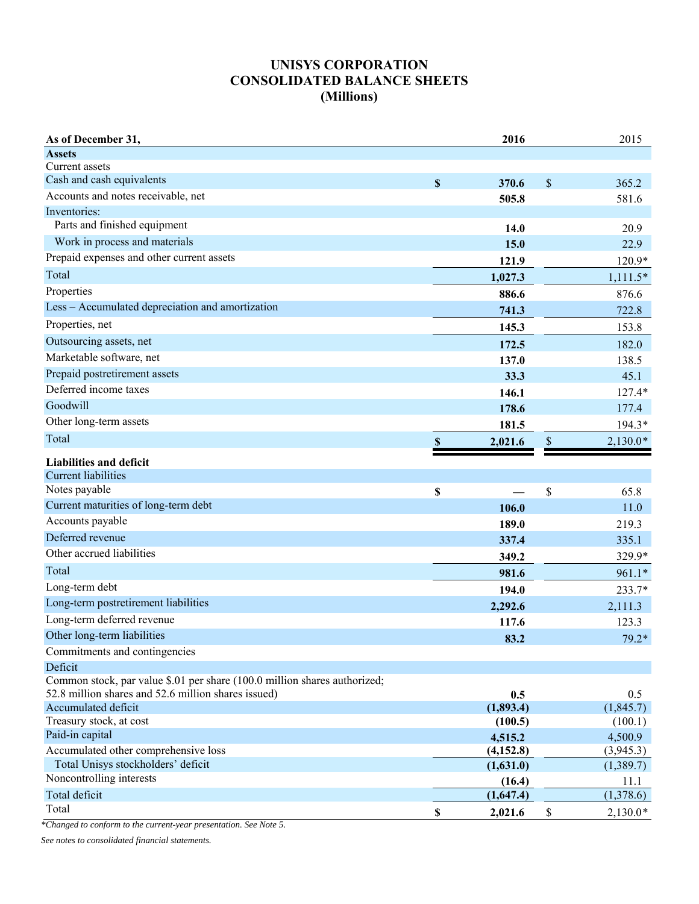#### **UNISYS CORPORATION CONSOLIDATED BALANCE SHEETS (Millions)**

| As of December 31,                                                                   |                           | 2016       |                           | 2015       |
|--------------------------------------------------------------------------------------|---------------------------|------------|---------------------------|------------|
| <b>Assets</b>                                                                        |                           |            |                           |            |
| Current assets                                                                       |                           |            |                           |            |
| Cash and cash equivalents                                                            | $\boldsymbol{\mathsf{S}}$ | 370.6      | \$                        | 365.2      |
| Accounts and notes receivable, net                                                   |                           | 505.8      |                           | 581.6      |
| Inventories:                                                                         |                           |            |                           |            |
| Parts and finished equipment                                                         |                           | 14.0       |                           | 20.9       |
| Work in process and materials                                                        |                           | 15.0       |                           | 22.9       |
| Prepaid expenses and other current assets                                            |                           | 121.9      |                           | 120.9*     |
| Total                                                                                |                           | 1,027.3    |                           | $1,111.5*$ |
| Properties                                                                           |                           | 886.6      |                           | 876.6      |
| Less - Accumulated depreciation and amortization                                     |                           | 741.3      |                           | 722.8      |
| Properties, net                                                                      |                           | 145.3      |                           | 153.8      |
| Outsourcing assets, net                                                              |                           | 172.5      |                           | 182.0      |
| Marketable software, net                                                             |                           | 137.0      |                           | 138.5      |
| Prepaid postretirement assets                                                        |                           | 33.3       |                           | 45.1       |
| Deferred income taxes                                                                |                           | 146.1      |                           | 127.4*     |
| Goodwill                                                                             |                           | 178.6      |                           | 177.4      |
| Other long-term assets                                                               |                           | 181.5      |                           | 194.3*     |
| Total                                                                                | $\boldsymbol{\mathsf{S}}$ | 2,021.6    | $\boldsymbol{\mathsf{S}}$ | $2,130.0*$ |
| <b>Liabilities and deficit</b>                                                       |                           |            |                           |            |
| <b>Current liabilities</b>                                                           |                           |            |                           |            |
| Notes payable                                                                        | \$                        |            | \$                        | 65.8       |
| Current maturities of long-term debt                                                 |                           | 106.0      |                           | 11.0       |
| Accounts payable                                                                     |                           | 189.0      |                           | 219.3      |
| Deferred revenue                                                                     |                           | 337.4      |                           | 335.1      |
| Other accrued liabilities                                                            |                           |            |                           |            |
| Total                                                                                |                           | 349.2      |                           | 329.9*     |
|                                                                                      |                           | 981.6      |                           | 961.1*     |
| Long-term debt                                                                       |                           | 194.0      |                           | $233.7*$   |
| Long-term postretirement liabilities                                                 |                           | 2,292.6    |                           | 2,111.3    |
| Long-term deferred revenue                                                           |                           | 117.6      |                           | 123.3      |
| Other long-term liabilities                                                          |                           | 83.2       |                           | $79.2*$    |
| Commitments and contingencies                                                        |                           |            |                           |            |
| Deficit<br>Common stock, par value \$.01 per share (100.0 million shares authorized; |                           |            |                           |            |
| 52.8 million shares and 52.6 million shares issued)                                  |                           | 0.5        |                           | 0.5        |
| Accumulated deficit                                                                  |                           | (1,893.4)  |                           | (1,845.7)  |
| Treasury stock, at cost                                                              |                           | (100.5)    |                           | (100.1)    |
| Paid-in capital                                                                      |                           | 4,515.2    |                           | 4,500.9    |
| Accumulated other comprehensive loss                                                 |                           | (4, 152.8) |                           | (3,945.3)  |
| Total Unisys stockholders' deficit                                                   |                           | (1,631.0)  |                           | (1,389.7)  |
| Noncontrolling interests                                                             |                           | (16.4)     |                           | 11.1       |
| Total deficit                                                                        |                           | (1,647.4)  |                           | (1,378.6)  |
| Total                                                                                | \$                        | 2,021.6    | $\mathbb{S}$              | $2,130.0*$ |

*\*Changed to conform to the current-year presentation. See Note 5.*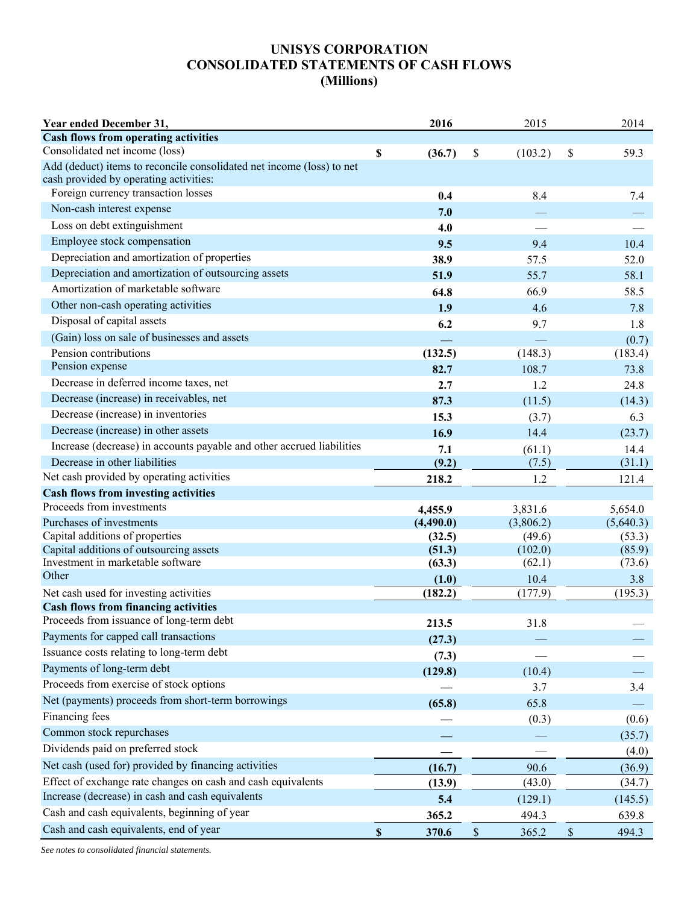#### **UNISYS CORPORATION CONSOLIDATED STATEMENTS OF CASH FLOWS (Millions)**

| Year ended December 31,                                                                                         | 2016                |             | 2015                |              | 2014                |
|-----------------------------------------------------------------------------------------------------------------|---------------------|-------------|---------------------|--------------|---------------------|
| <b>Cash flows from operating activities</b>                                                                     |                     |             |                     |              |                     |
| Consolidated net income (loss)                                                                                  | \$<br>(36.7)        | \$          | (103.2)             | \$           | 59.3                |
| Add (deduct) items to reconcile consolidated net income (loss) to net<br>cash provided by operating activities: |                     |             |                     |              |                     |
| Foreign currency transaction losses                                                                             | 0.4                 |             | 8.4                 |              | 7.4                 |
| Non-cash interest expense                                                                                       | 7.0                 |             |                     |              |                     |
| Loss on debt extinguishment                                                                                     | 4.0                 |             |                     |              |                     |
| Employee stock compensation                                                                                     | 9.5                 |             | 9.4                 |              | 10.4                |
| Depreciation and amortization of properties                                                                     | 38.9                |             | 57.5                |              | 52.0                |
| Depreciation and amortization of outsourcing assets                                                             | 51.9                |             | 55.7                |              | 58.1                |
| Amortization of marketable software                                                                             | 64.8                |             | 66.9                |              | 58.5                |
| Other non-cash operating activities                                                                             | 1.9                 |             | 4.6                 |              | 7.8                 |
| Disposal of capital assets                                                                                      |                     |             |                     |              |                     |
| (Gain) loss on sale of businesses and assets                                                                    | 6.2                 |             | 9.7                 |              | 1.8                 |
| Pension contributions                                                                                           | (132.5)             |             | (148.3)             |              | (0.7)<br>(183.4)    |
| Pension expense                                                                                                 | 82.7                |             | 108.7               |              | 73.8                |
| Decrease in deferred income taxes, net                                                                          |                     |             |                     |              |                     |
| Decrease (increase) in receivables, net                                                                         | 2.7                 |             | 1.2                 |              | 24.8                |
| Decrease (increase) in inventories                                                                              | 87.3                |             | (11.5)              |              | (14.3)              |
|                                                                                                                 | 15.3                |             | (3.7)               |              | 6.3                 |
| Decrease (increase) in other assets                                                                             | 16.9                |             | 14.4                |              | (23.7)              |
| Increase (decrease) in accounts payable and other accrued liabilities                                           | 7.1                 |             | (61.1)              |              | 14.4                |
| Decrease in other liabilities                                                                                   | (9.2)               |             | (7.5)               |              | (31.1)              |
| Net cash provided by operating activities                                                                       | 218.2               |             | 1.2                 |              | 121.4               |
| <b>Cash flows from investing activities</b><br>Proceeds from investments                                        |                     |             |                     |              |                     |
| Purchases of investments                                                                                        | 4,455.9             |             | 3,831.6             |              | 5,654.0             |
| Capital additions of properties                                                                                 | (4,490.0)<br>(32.5) |             | (3,806.2)<br>(49.6) |              | (5,640.3)<br>(53.3) |
| Capital additions of outsourcing assets                                                                         | (51.3)              |             | (102.0)             |              | (85.9)              |
| Investment in marketable software                                                                               | (63.3)              |             | (62.1)              |              | (73.6)              |
| Other                                                                                                           | (1.0)               |             | 10.4                |              | 3.8                 |
| Net cash used for investing activities                                                                          | (182.2)             |             | (177.9)             |              | (195.3)             |
| <b>Cash flows from financing activities</b>                                                                     |                     |             |                     |              |                     |
| Proceeds from issuance of long-term debt                                                                        | 213.5               |             | 31.8                |              |                     |
| Payments for capped call transactions                                                                           | (27.3)              |             |                     |              |                     |
| Issuance costs relating to long-term debt                                                                       | (7.3)               |             |                     |              |                     |
| Payments of long-term debt                                                                                      | (129.8)             |             | (10.4)              |              |                     |
| Proceeds from exercise of stock options                                                                         |                     |             | 3.7                 |              | 3.4                 |
| Net (payments) proceeds from short-term borrowings                                                              | (65.8)              |             | 65.8                |              |                     |
| Financing fees                                                                                                  |                     |             | (0.3)               |              | (0.6)               |
| Common stock repurchases                                                                                        |                     |             |                     |              | (35.7)              |
| Dividends paid on preferred stock                                                                               |                     |             |                     |              | (4.0)               |
| Net cash (used for) provided by financing activities                                                            | (16.7)              |             | 90.6                |              | (36.9)              |
| Effect of exchange rate changes on cash and cash equivalents                                                    | (13.9)              |             | (43.0)              |              | (34.7)              |
| Increase (decrease) in cash and cash equivalents                                                                | 5.4                 |             | (129.1)             |              | (145.5)             |
| Cash and cash equivalents, beginning of year                                                                    | 365.2               |             | 494.3               |              | 639.8               |
| Cash and cash equivalents, end of year                                                                          | \$<br>370.6         | $\mathbb S$ | 365.2               | $\mathbb{S}$ | 494.3               |
|                                                                                                                 |                     |             |                     |              |                     |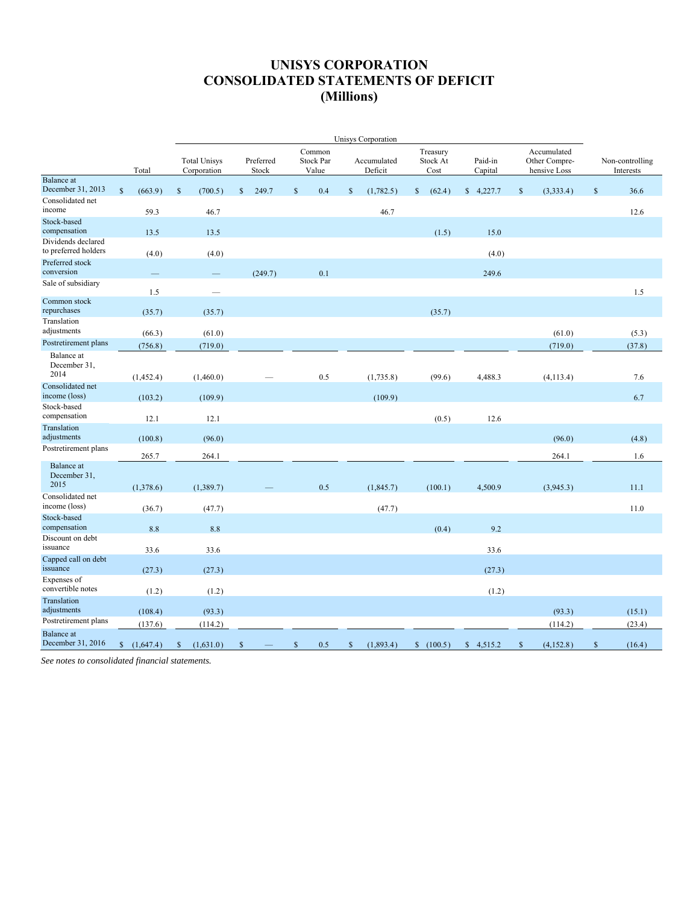#### **UNISYS CORPORATION CONSOLIDATED STATEMENTS OF DEFICIT (Millions)**

|                                            |                           |               |                                    |             |                    |              |                                     |             | Unisys Corporation     |                              |                    |         |              |                                              |              |                              |
|--------------------------------------------|---------------------------|---------------|------------------------------------|-------------|--------------------|--------------|-------------------------------------|-------------|------------------------|------------------------------|--------------------|---------|--------------|----------------------------------------------|--------------|------------------------------|
|                                            | Total                     |               | <b>Total Unisys</b><br>Corporation |             | Preferred<br>Stock |              | Common<br><b>Stock Par</b><br>Value |             | Accumulated<br>Deficit | Treasury<br>Stock At<br>Cost | Paid-in<br>Capital |         |              | Accumulated<br>Other Compre-<br>hensive Loss |              | Non-controlling<br>Interests |
| <b>Balance</b> at                          |                           |               |                                    |             |                    |              |                                     |             |                        |                              |                    |         |              |                                              |              |                              |
| December 31, 2013                          | $\mathbb{S}$<br>(663.9)   | $\mathbb{S}$  | (700.5)                            | \$          | 249.7              | $\mathbb{S}$ | 0.4                                 | \$          | (1,782.5)              | \$<br>(62.4)                 | \$4,227.7          |         | $\mathbb{S}$ | (3,333.4)                                    | $\mathbb{S}$ | 36.6                         |
| Consolidated net<br>income                 | 59.3                      |               | 46.7                               |             |                    |              |                                     |             | 46.7                   |                              |                    |         |              |                                              |              | 12.6                         |
| Stock-based                                |                           |               |                                    |             |                    |              |                                     |             |                        |                              |                    |         |              |                                              |              |                              |
| compensation                               | 13.5                      |               | 13.5                               |             |                    |              |                                     |             |                        | (1.5)                        |                    | 15.0    |              |                                              |              |                              |
| Dividends declared<br>to preferred holders | (4.0)                     |               | (4.0)                              |             |                    |              |                                     |             |                        |                              |                    | (4.0)   |              |                                              |              |                              |
| Preferred stock<br>conversion              |                           |               | ш,                                 |             | (249.7)            |              | 0.1                                 |             |                        |                              |                    | 249.6   |              |                                              |              |                              |
| Sale of subsidiary                         |                           |               |                                    |             |                    |              |                                     |             |                        |                              |                    |         |              |                                              |              |                              |
|                                            | 1.5                       |               |                                    |             |                    |              |                                     |             |                        |                              |                    |         |              |                                              |              | 1.5                          |
| Common stock<br>repurchases                |                           |               |                                    |             |                    |              |                                     |             |                        |                              |                    |         |              |                                              |              |                              |
| Translation                                | (35.7)                    |               | (35.7)                             |             |                    |              |                                     |             |                        | (35.7)                       |                    |         |              |                                              |              |                              |
| adjustments                                | (66.3)                    |               | (61.0)                             |             |                    |              |                                     |             |                        |                              |                    |         |              | (61.0)                                       |              | (5.3)                        |
| Postretirement plans                       | (756.8)                   |               | (719.0)                            |             |                    |              |                                     |             |                        |                              |                    |         |              | (719.0)                                      |              | (37.8)                       |
| Balance at                                 |                           |               |                                    |             |                    |              |                                     |             |                        |                              |                    |         |              |                                              |              |                              |
| December 31,                               |                           |               |                                    |             |                    |              |                                     |             |                        |                              |                    |         |              |                                              |              |                              |
| 2014                                       | (1,452.4)                 |               | (1,460.0)                          |             |                    |              | 0.5                                 |             | (1,735.8)              | (99.6)                       |                    | 4,488.3 |              | (4, 113.4)                                   |              | 7.6                          |
| Consolidated net                           |                           |               |                                    |             |                    |              |                                     |             |                        |                              |                    |         |              |                                              |              |                              |
| income (loss)                              | (103.2)                   |               | (109.9)                            |             |                    |              |                                     |             | (109.9)                |                              |                    |         |              |                                              |              | 6.7                          |
| Stock-based<br>compensation                |                           |               |                                    |             |                    |              |                                     |             |                        |                              |                    |         |              |                                              |              |                              |
| Translation                                | 12.1                      |               | 12.1                               |             |                    |              |                                     |             |                        | (0.5)                        |                    | 12.6    |              |                                              |              |                              |
| adjustments                                | (100.8)                   |               | (96.0)                             |             |                    |              |                                     |             |                        |                              |                    |         |              | (96.0)                                       |              | (4.8)                        |
| Postretirement plans                       |                           |               |                                    |             |                    |              |                                     |             |                        |                              |                    |         |              |                                              |              |                              |
|                                            | 265.7                     |               | 264.1                              |             |                    |              |                                     |             |                        |                              |                    |         |              | 264.1                                        |              | 1.6                          |
| <b>Balance</b> at<br>December 31,<br>2015  | (1,378.6)                 |               | (1,389.7)                          |             |                    |              | 0.5                                 |             | (1,845.7)              | (100.1)                      |                    | 4,500.9 |              | (3,945.3)                                    |              | 11.1                         |
| Consolidated net                           |                           |               |                                    |             |                    |              |                                     |             |                        |                              |                    |         |              |                                              |              |                              |
| income (loss)                              | (36.7)                    |               | (47.7)                             |             |                    |              |                                     |             | (47.7)                 |                              |                    |         |              |                                              |              | 11.0                         |
| Stock-based                                |                           |               |                                    |             |                    |              |                                     |             |                        |                              |                    |         |              |                                              |              |                              |
| compensation                               | 8.8                       |               | 8.8                                |             |                    |              |                                     |             |                        | (0.4)                        |                    | 9.2     |              |                                              |              |                              |
| Discount on debt<br>issuance               | 33.6                      |               | 33.6                               |             |                    |              |                                     |             |                        |                              |                    | 33.6    |              |                                              |              |                              |
| Capped call on debt                        |                           |               |                                    |             |                    |              |                                     |             |                        |                              |                    |         |              |                                              |              |                              |
| issuance                                   | (27.3)                    |               | (27.3)                             |             |                    |              |                                     |             |                        |                              |                    | (27.3)  |              |                                              |              |                              |
| Expenses of                                |                           |               |                                    |             |                    |              |                                     |             |                        |                              |                    |         |              |                                              |              |                              |
| convertible notes                          | (1.2)                     |               | (1.2)                              |             |                    |              |                                     |             |                        |                              |                    | (1.2)   |              |                                              |              |                              |
| Translation<br>adjustments                 | (108.4)                   |               | (93.3)                             |             |                    |              |                                     |             |                        |                              |                    |         |              | (93.3)                                       |              | (15.1)                       |
| Postretirement plans                       | (137.6)                   |               |                                    |             |                    |              |                                     |             |                        |                              |                    |         |              | (114.2)                                      |              | (23.4)                       |
| <b>Balance</b> at                          |                           |               | (114.2)                            |             |                    |              |                                     |             |                        |                              |                    |         |              |                                              |              |                              |
| December 31, 2016                          | $\mathbb{S}$<br>(1,647.4) | $\mathcal{S}$ | (1,631.0)                          | $\mathbf S$ |                    | $\mathbb{S}$ | 0.5                                 | $\mathbf S$ | (1,893.4)              | \$(100.5)                    | \$4,515.2          |         | $\mathbf S$  | (4,152.8)                                    | $\mathbb{S}$ | (16.4)                       |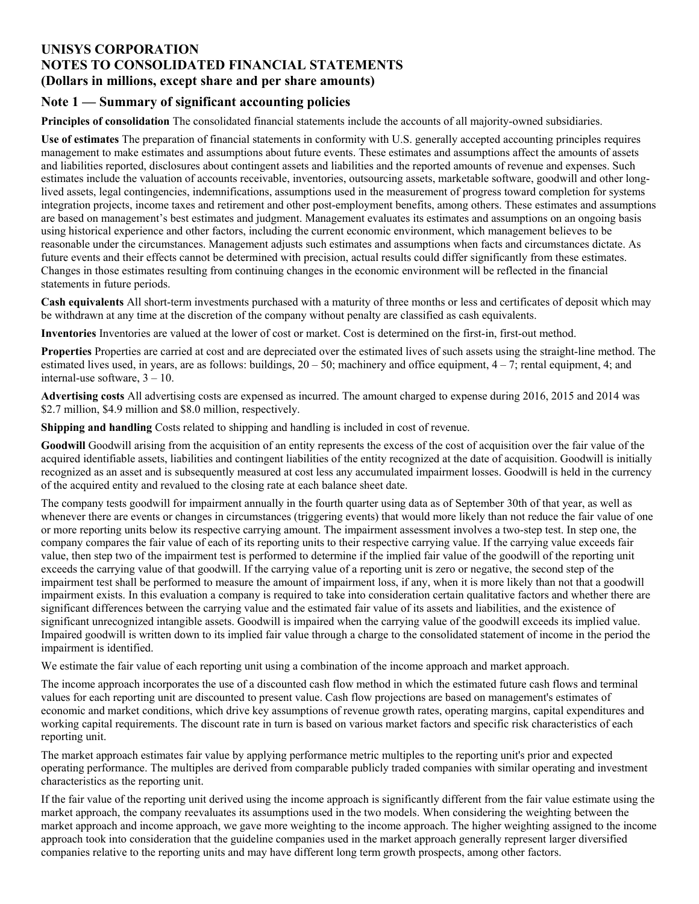#### **UNISYS CORPORATION NOTES TO CONSOLIDATED FINANCIAL STATEMENTS (Dollars in millions, except share and per share amounts)**

#### **Note 1 — Summary of significant accounting policies**

**Principles of consolidation** The consolidated financial statements include the accounts of all majority-owned subsidiaries.

**Use of estimates** The preparation of financial statements in conformity with U.S. generally accepted accounting principles requires management to make estimates and assumptions about future events. These estimates and assumptions affect the amounts of assets and liabilities reported, disclosures about contingent assets and liabilities and the reported amounts of revenue and expenses. Such estimates include the valuation of accounts receivable, inventories, outsourcing assets, marketable software, goodwill and other longlived assets, legal contingencies, indemnifications, assumptions used in the measurement of progress toward completion for systems integration projects, income taxes and retirement and other post-employment benefits, among others. These estimates and assumptions are based on management's best estimates and judgment. Management evaluates its estimates and assumptions on an ongoing basis using historical experience and other factors, including the current economic environment, which management believes to be reasonable under the circumstances. Management adjusts such estimates and assumptions when facts and circumstances dictate. As future events and their effects cannot be determined with precision, actual results could differ significantly from these estimates. Changes in those estimates resulting from continuing changes in the economic environment will be reflected in the financial statements in future periods.

**Cash equivalents** All short-term investments purchased with a maturity of three months or less and certificates of deposit which may be withdrawn at any time at the discretion of the company without penalty are classified as cash equivalents.

**Inventories** Inventories are valued at the lower of cost or market. Cost is determined on the first-in, first-out method.

**Properties** Properties are carried at cost and are depreciated over the estimated lives of such assets using the straight-line method. The estimated lives used, in years, are as follows: buildings,  $20 - 50$ ; machinery and office equipment,  $4 - 7$ ; rental equipment,  $4$ ; and internal-use software,  $3 - 10$ .

**Advertising costs** All advertising costs are expensed as incurred. The amount charged to expense during 2016, 2015 and 2014 was \$2.7 million, \$4.9 million and \$8.0 million, respectively.

**Shipping and handling** Costs related to shipping and handling is included in cost of revenue.

**Goodwill** Goodwill arising from the acquisition of an entity represents the excess of the cost of acquisition over the fair value of the acquired identifiable assets, liabilities and contingent liabilities of the entity recognized at the date of acquisition. Goodwill is initially recognized as an asset and is subsequently measured at cost less any accumulated impairment losses. Goodwill is held in the currency of the acquired entity and revalued to the closing rate at each balance sheet date.

The company tests goodwill for impairment annually in the fourth quarter using data as of September 30th of that year, as well as whenever there are events or changes in circumstances (triggering events) that would more likely than not reduce the fair value of one or more reporting units below its respective carrying amount. The impairment assessment involves a two-step test. In step one, the company compares the fair value of each of its reporting units to their respective carrying value. If the carrying value exceeds fair value, then step two of the impairment test is performed to determine if the implied fair value of the goodwill of the reporting unit exceeds the carrying value of that goodwill. If the carrying value of a reporting unit is zero or negative, the second step of the impairment test shall be performed to measure the amount of impairment loss, if any, when it is more likely than not that a goodwill impairment exists. In this evaluation a company is required to take into consideration certain qualitative factors and whether there are significant differences between the carrying value and the estimated fair value of its assets and liabilities, and the existence of significant unrecognized intangible assets. Goodwill is impaired when the carrying value of the goodwill exceeds its implied value. Impaired goodwill is written down to its implied fair value through a charge to the consolidated statement of income in the period the impairment is identified.

We estimate the fair value of each reporting unit using a combination of the income approach and market approach.

The income approach incorporates the use of a discounted cash flow method in which the estimated future cash flows and terminal values for each reporting unit are discounted to present value. Cash flow projections are based on management's estimates of economic and market conditions, which drive key assumptions of revenue growth rates, operating margins, capital expenditures and working capital requirements. The discount rate in turn is based on various market factors and specific risk characteristics of each reporting unit.

The market approach estimates fair value by applying performance metric multiples to the reporting unit's prior and expected operating performance. The multiples are derived from comparable publicly traded companies with similar operating and investment characteristics as the reporting unit.

If the fair value of the reporting unit derived using the income approach is significantly different from the fair value estimate using the market approach, the company reevaluates its assumptions used in the two models. When considering the weighting between the market approach and income approach, we gave more weighting to the income approach. The higher weighting assigned to the income approach took into consideration that the guideline companies used in the market approach generally represent larger diversified companies relative to the reporting units and may have different long term growth prospects, among other factors.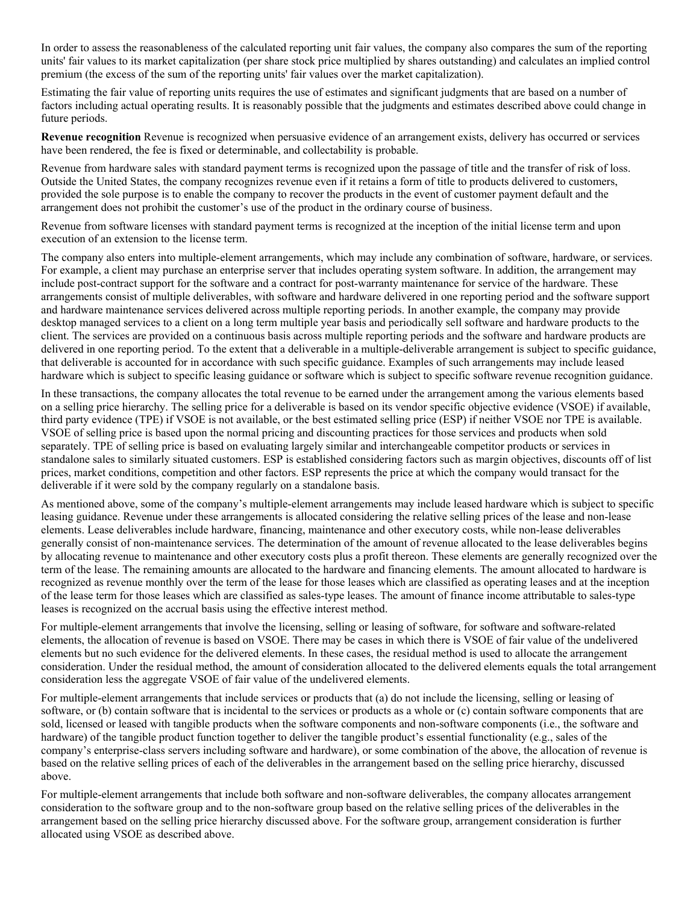In order to assess the reasonableness of the calculated reporting unit fair values, the company also compares the sum of the reporting units' fair values to its market capitalization (per share stock price multiplied by shares outstanding) and calculates an implied control premium (the excess of the sum of the reporting units' fair values over the market capitalization).

Estimating the fair value of reporting units requires the use of estimates and significant judgments that are based on a number of factors including actual operating results. It is reasonably possible that the judgments and estimates described above could change in future periods.

**Revenue recognition** Revenue is recognized when persuasive evidence of an arrangement exists, delivery has occurred or services have been rendered, the fee is fixed or determinable, and collectability is probable.

Revenue from hardware sales with standard payment terms is recognized upon the passage of title and the transfer of risk of loss. Outside the United States, the company recognizes revenue even if it retains a form of title to products delivered to customers, provided the sole purpose is to enable the company to recover the products in the event of customer payment default and the arrangement does not prohibit the customer's use of the product in the ordinary course of business.

Revenue from software licenses with standard payment terms is recognized at the inception of the initial license term and upon execution of an extension to the license term.

The company also enters into multiple-element arrangements, which may include any combination of software, hardware, or services. For example, a client may purchase an enterprise server that includes operating system software. In addition, the arrangement may include post-contract support for the software and a contract for post-warranty maintenance for service of the hardware. These arrangements consist of multiple deliverables, with software and hardware delivered in one reporting period and the software support and hardware maintenance services delivered across multiple reporting periods. In another example, the company may provide desktop managed services to a client on a long term multiple year basis and periodically sell software and hardware products to the client. The services are provided on a continuous basis across multiple reporting periods and the software and hardware products are delivered in one reporting period. To the extent that a deliverable in a multiple-deliverable arrangement is subject to specific guidance, that deliverable is accounted for in accordance with such specific guidance. Examples of such arrangements may include leased hardware which is subject to specific leasing guidance or software which is subject to specific software revenue recognition guidance.

In these transactions, the company allocates the total revenue to be earned under the arrangement among the various elements based on a selling price hierarchy. The selling price for a deliverable is based on its vendor specific objective evidence (VSOE) if available, third party evidence (TPE) if VSOE is not available, or the best estimated selling price (ESP) if neither VSOE nor TPE is available. VSOE of selling price is based upon the normal pricing and discounting practices for those services and products when sold separately. TPE of selling price is based on evaluating largely similar and interchangeable competitor products or services in standalone sales to similarly situated customers. ESP is established considering factors such as margin objectives, discounts off of list prices, market conditions, competition and other factors. ESP represents the price at which the company would transact for the deliverable if it were sold by the company regularly on a standalone basis.

As mentioned above, some of the company's multiple-element arrangements may include leased hardware which is subject to specific leasing guidance. Revenue under these arrangements is allocated considering the relative selling prices of the lease and non-lease elements. Lease deliverables include hardware, financing, maintenance and other executory costs, while non-lease deliverables generally consist of non-maintenance services. The determination of the amount of revenue allocated to the lease deliverables begins by allocating revenue to maintenance and other executory costs plus a profit thereon. These elements are generally recognized over the term of the lease. The remaining amounts are allocated to the hardware and financing elements. The amount allocated to hardware is recognized as revenue monthly over the term of the lease for those leases which are classified as operating leases and at the inception of the lease term for those leases which are classified as sales-type leases. The amount of finance income attributable to sales-type leases is recognized on the accrual basis using the effective interest method.

For multiple-element arrangements that involve the licensing, selling or leasing of software, for software and software-related elements, the allocation of revenue is based on VSOE. There may be cases in which there is VSOE of fair value of the undelivered elements but no such evidence for the delivered elements. In these cases, the residual method is used to allocate the arrangement consideration. Under the residual method, the amount of consideration allocated to the delivered elements equals the total arrangement consideration less the aggregate VSOE of fair value of the undelivered elements.

For multiple-element arrangements that include services or products that (a) do not include the licensing, selling or leasing of software, or (b) contain software that is incidental to the services or products as a whole or (c) contain software components that are sold, licensed or leased with tangible products when the software components and non-software components (i.e., the software and hardware) of the tangible product function together to deliver the tangible product's essential functionality (e.g., sales of the company's enterprise-class servers including software and hardware), or some combination of the above, the allocation of revenue is based on the relative selling prices of each of the deliverables in the arrangement based on the selling price hierarchy, discussed above.

For multiple-element arrangements that include both software and non-software deliverables, the company allocates arrangement consideration to the software group and to the non-software group based on the relative selling prices of the deliverables in the arrangement based on the selling price hierarchy discussed above. For the software group, arrangement consideration is further allocated using VSOE as described above.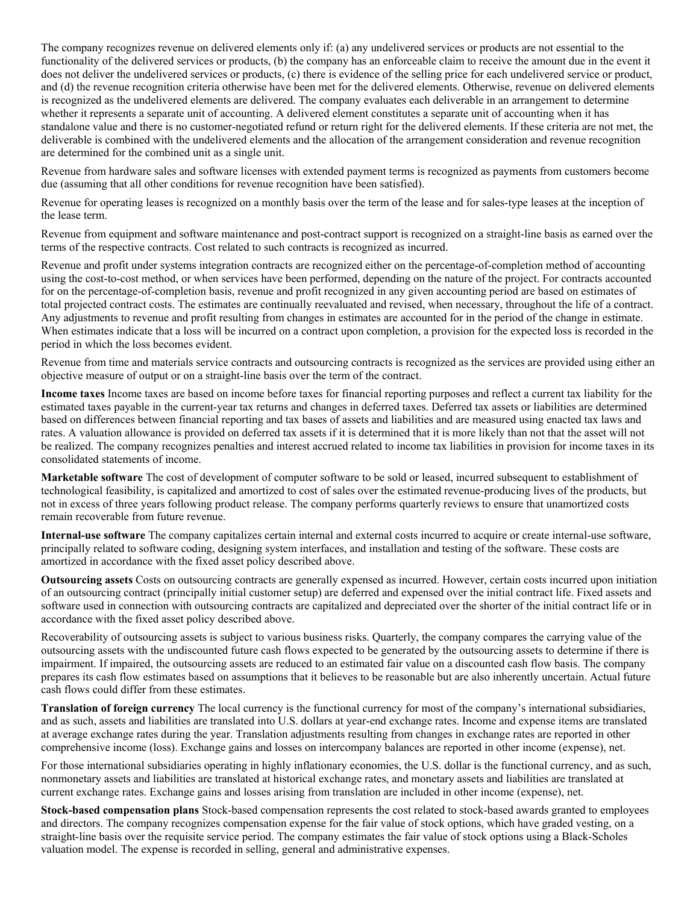The company recognizes revenue on delivered elements only if: (a) any undelivered services or products are not essential to the functionality of the delivered services or products, (b) the company has an enforceable claim to receive the amount due in the event it does not deliver the undelivered services or products, (c) there is evidence of the selling price for each undelivered service or product, and (d) the revenue recognition criteria otherwise have been met for the delivered elements. Otherwise, revenue on delivered elements is recognized as the undelivered elements are delivered. The company evaluates each deliverable in an arrangement to determine whether it represents a separate unit of accounting. A delivered element constitutes a separate unit of accounting when it has standalone value and there is no customer-negotiated refund or return right for the delivered elements. If these criteria are not met, the deliverable is combined with the undelivered elements and the allocation of the arrangement consideration and revenue recognition are determined for the combined unit as a single unit.

Revenue from hardware sales and software licenses with extended payment terms is recognized as payments from customers become due (assuming that all other conditions for revenue recognition have been satisfied).

Revenue for operating leases is recognized on a monthly basis over the term of the lease and for sales-type leases at the inception of the lease term.

Revenue from equipment and software maintenance and post-contract support is recognized on a straight-line basis as earned over the terms of the respective contracts. Cost related to such contracts is recognized as incurred.

Revenue and profit under systems integration contracts are recognized either on the percentage-of-completion method of accounting using the cost-to-cost method, or when services have been performed, depending on the nature of the project. For contracts accounted for on the percentage-of-completion basis, revenue and profit recognized in any given accounting period are based on estimates of total projected contract costs. The estimates are continually reevaluated and revised, when necessary, throughout the life of a contract. Any adjustments to revenue and profit resulting from changes in estimates are accounted for in the period of the change in estimate. When estimates indicate that a loss will be incurred on a contract upon completion, a provision for the expected loss is recorded in the period in which the loss becomes evident.

Revenue from time and materials service contracts and outsourcing contracts is recognized as the services are provided using either an objective measure of output or on a straight-line basis over the term of the contract.

**Income taxes** Income taxes are based on income before taxes for financial reporting purposes and reflect a current tax liability for the estimated taxes payable in the current-year tax returns and changes in deferred taxes. Deferred tax assets or liabilities are determined based on differences between financial reporting and tax bases of assets and liabilities and are measured using enacted tax laws and rates. A valuation allowance is provided on deferred tax assets if it is determined that it is more likely than not that the asset will not be realized. The company recognizes penalties and interest accrued related to income tax liabilities in provision for income taxes in its consolidated statements of income.

**Marketable software** The cost of development of computer software to be sold or leased, incurred subsequent to establishment of technological feasibility, is capitalized and amortized to cost of sales over the estimated revenue-producing lives of the products, but not in excess of three years following product release. The company performs quarterly reviews to ensure that unamortized costs remain recoverable from future revenue.

**Internal-use software** The company capitalizes certain internal and external costs incurred to acquire or create internal-use software, principally related to software coding, designing system interfaces, and installation and testing of the software. These costs are amortized in accordance with the fixed asset policy described above.

**Outsourcing assets** Costs on outsourcing contracts are generally expensed as incurred. However, certain costs incurred upon initiation of an outsourcing contract (principally initial customer setup) are deferred and expensed over the initial contract life. Fixed assets and software used in connection with outsourcing contracts are capitalized and depreciated over the shorter of the initial contract life or in accordance with the fixed asset policy described above.

Recoverability of outsourcing assets is subject to various business risks. Quarterly, the company compares the carrying value of the outsourcing assets with the undiscounted future cash flows expected to be generated by the outsourcing assets to determine if there is impairment. If impaired, the outsourcing assets are reduced to an estimated fair value on a discounted cash flow basis. The company prepares its cash flow estimates based on assumptions that it believes to be reasonable but are also inherently uncertain. Actual future cash flows could differ from these estimates.

**Translation of foreign currency** The local currency is the functional currency for most of the company's international subsidiaries, and as such, assets and liabilities are translated into U.S. dollars at year-end exchange rates. Income and expense items are translated at average exchange rates during the year. Translation adjustments resulting from changes in exchange rates are reported in other comprehensive income (loss). Exchange gains and losses on intercompany balances are reported in other income (expense), net.

For those international subsidiaries operating in highly inflationary economies, the U.S. dollar is the functional currency, and as such, nonmonetary assets and liabilities are translated at historical exchange rates, and monetary assets and liabilities are translated at current exchange rates. Exchange gains and losses arising from translation are included in other income (expense), net.

**Stock-based compensation plans** Stock-based compensation represents the cost related to stock-based awards granted to employees and directors. The company recognizes compensation expense for the fair value of stock options, which have graded vesting, on a straight-line basis over the requisite service period. The company estimates the fair value of stock options using a Black-Scholes valuation model. The expense is recorded in selling, general and administrative expenses.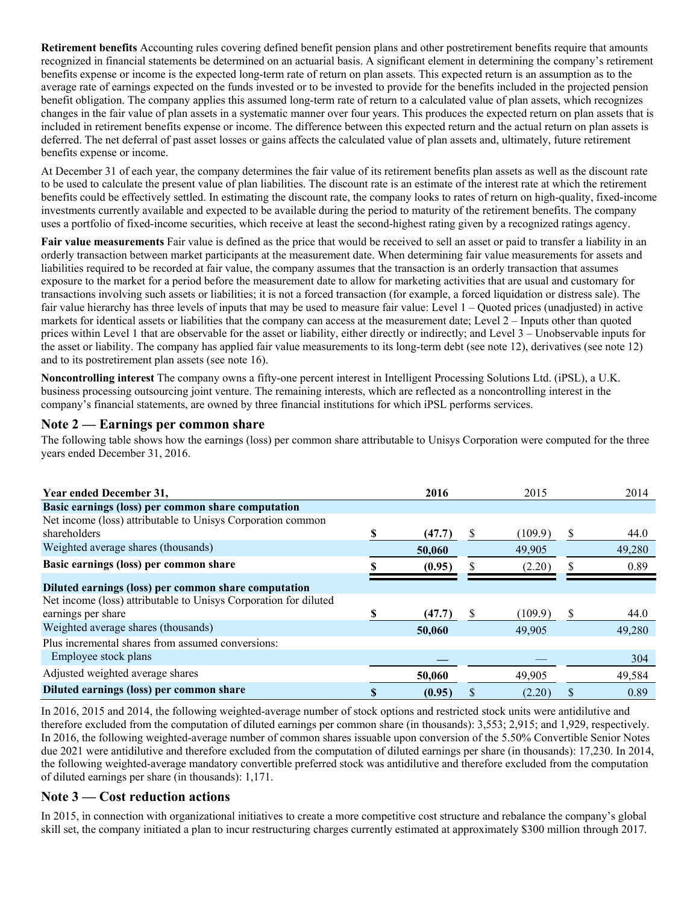**Retirement benefits** Accounting rules covering defined benefit pension plans and other postretirement benefits require that amounts recognized in financial statements be determined on an actuarial basis. A significant element in determining the company's retirement benefits expense or income is the expected long-term rate of return on plan assets. This expected return is an assumption as to the average rate of earnings expected on the funds invested or to be invested to provide for the benefits included in the projected pension benefit obligation. The company applies this assumed long-term rate of return to a calculated value of plan assets, which recognizes changes in the fair value of plan assets in a systematic manner over four years. This produces the expected return on plan assets that is included in retirement benefits expense or income. The difference between this expected return and the actual return on plan assets is deferred. The net deferral of past asset losses or gains affects the calculated value of plan assets and, ultimately, future retirement benefits expense or income.

At December 31 of each year, the company determines the fair value of its retirement benefits plan assets as well as the discount rate to be used to calculate the present value of plan liabilities. The discount rate is an estimate of the interest rate at which the retirement benefits could be effectively settled. In estimating the discount rate, the company looks to rates of return on high-quality, fixed-income investments currently available and expected to be available during the period to maturity of the retirement benefits. The company uses a portfolio of fixed-income securities, which receive at least the second-highest rating given by a recognized ratings agency.

**Fair value measurements** Fair value is defined as the price that would be received to sell an asset or paid to transfer a liability in an orderly transaction between market participants at the measurement date. When determining fair value measurements for assets and liabilities required to be recorded at fair value, the company assumes that the transaction is an orderly transaction that assumes exposure to the market for a period before the measurement date to allow for marketing activities that are usual and customary for transactions involving such assets or liabilities; it is not a forced transaction (for example, a forced liquidation or distress sale). The fair value hierarchy has three levels of inputs that may be used to measure fair value: Level 1 – Quoted prices (unadjusted) in active markets for identical assets or liabilities that the company can access at the measurement date; Level 2 – Inputs other than quoted prices within Level 1 that are observable for the asset or liability, either directly or indirectly; and Level 3 – Unobservable inputs for the asset or liability. The company has applied fair value measurements to its long-term debt (see note 12), derivatives (see note 12) and to its postretirement plan assets (see note 16).

**Noncontrolling interest** The company owns a fifty-one percent interest in Intelligent Processing Solutions Ltd. (iPSL), a U.K. business processing outsourcing joint venture. The remaining interests, which are reflected as a noncontrolling interest in the company's financial statements, are owned by three financial institutions for which iPSL performs services.

#### **Note 2 — Earnings per common share**

The following table shows how the earnings (loss) per common share attributable to Unisys Corporation were computed for the three years ended December 31, 2016.

| Year ended December 31,                                          | 2016   |    | 2015    |    | 2014   |
|------------------------------------------------------------------|--------|----|---------|----|--------|
| Basic earnings (loss) per common share computation               |        |    |         |    |        |
| Net income (loss) attributable to Unisys Corporation common      |        |    |         |    |        |
| shareholders                                                     | (47.7) | S  | (109.9) | S  | 44.0   |
| Weighted average shares (thousands)                              | 50,060 |    | 49,905  |    | 49,280 |
| Basic earnings (loss) per common share                           | (0.95) | \$ | (2.20)  | S  | 0.89   |
| Diluted earnings (loss) per common share computation             |        |    |         |    |        |
| Net income (loss) attributable to Unisys Corporation for diluted |        |    |         |    |        |
| earnings per share                                               | (47.7) | S  | (109.9) | \$ | 44.0   |
| Weighted average shares (thousands)                              | 50,060 |    | 49,905  |    | 49,280 |
| Plus incremental shares from assumed conversions:                |        |    |         |    |        |
| Employee stock plans                                             |        |    |         |    | 304    |
| Adjusted weighted average shares                                 | 50,060 |    | 49,905  |    | 49,584 |
| Diluted earnings (loss) per common share                         | (0.95) | S  | (2.20)  | \$ | 0.89   |

In 2016, 2015 and 2014, the following weighted-average number of stock options and restricted stock units were antidilutive and therefore excluded from the computation of diluted earnings per common share (in thousands): 3,553; 2,915; and 1,929, respectively. In 2016, the following weighted-average number of common shares issuable upon conversion of the 5.50% Convertible Senior Notes due 2021 were antidilutive and therefore excluded from the computation of diluted earnings per share (in thousands): 17,230. In 2014, the following weighted-average mandatory convertible preferred stock was antidilutive and therefore excluded from the computation of diluted earnings per share (in thousands): 1,171.

#### **Note 3 — Cost reduction actions**

In 2015, in connection with organizational initiatives to create a more competitive cost structure and rebalance the company's global skill set, the company initiated a plan to incur restructuring charges currently estimated at approximately \$300 million through 2017.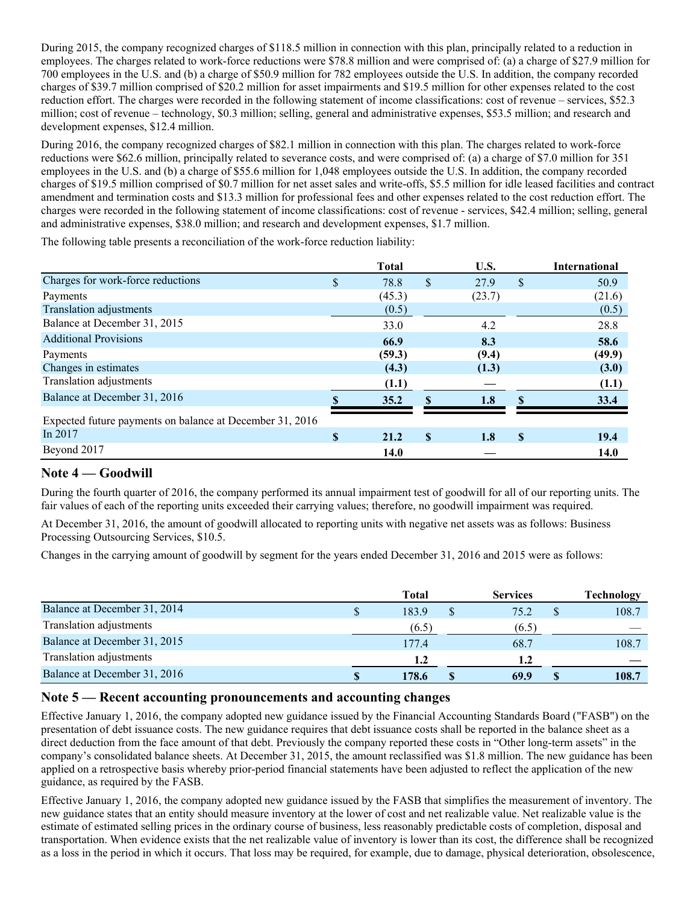During 2015, the company recognized charges of \$118.5 million in connection with this plan, principally related to a reduction in employees. The charges related to work-force reductions were \$78.8 million and were comprised of: (a) a charge of \$27.9 million for 700 employees in the U.S. and (b) a charge of \$50.9 million for 782 employees outside the U.S. In addition, the company recorded charges of \$39.7 million comprised of \$20.2 million for asset impairments and \$19.5 million for other expenses related to the cost reduction effort. The charges were recorded in the following statement of income classifications: cost of revenue – services, \$52.3 million; cost of revenue – technology, \$0.3 million; selling, general and administrative expenses, \$53.5 million; and research and development expenses, \$12.4 million.

During 2016, the company recognized charges of \$82.1 million in connection with this plan. The charges related to work-force reductions were \$62.6 million, principally related to severance costs, and were comprised of: (a) a charge of \$7.0 million for 351 employees in the U.S. and (b) a charge of \$55.6 million for 1,048 employees outside the U.S. In addition, the company recorded charges of \$19.5 million comprised of \$0.7 million for net asset sales and write-offs, \$5.5 million for idle leased facilities and contract amendment and termination costs and \$13.3 million for professional fees and other expenses related to the cost reduction effort. The charges were recorded in the following statement of income classifications: cost of revenue - services, \$42.4 million; selling, general and administrative expenses, \$38.0 million; and research and development expenses, \$1.7 million.

The following table presents a reconciliation of the work-force reduction liability:

|                                                          |               | <b>Total</b> |               | U.S.   |              | <b>International</b> |
|----------------------------------------------------------|---------------|--------------|---------------|--------|--------------|----------------------|
| Charges for work-force reductions                        | <sup>\$</sup> | 78.8         | $\mathbb{S}$  | 27.9   | S            | 50.9                 |
| Payments                                                 |               | (45.3)       |               | (23.7) |              | (21.6)               |
| Translation adjustments                                  |               | (0.5)        |               |        |              | (0.5)                |
| Balance at December 31, 2015                             |               | 33.0         |               | 4.2    |              | 28.8                 |
| <b>Additional Provisions</b>                             |               | 66.9         |               | 8.3    |              | 58.6                 |
| Payments                                                 |               | (59.3)       |               | (9.4)  |              | (49.9)               |
| Changes in estimates                                     |               | (4.3)        |               | (1.3)  |              | (3.0)                |
| Translation adjustments                                  |               | (1.1)        |               |        |              | (1.1)                |
| Balance at December 31, 2016                             |               | 35.2         | $\mathbf{S}$  | 1.8    | $\mathbf{S}$ | 33.4                 |
| Expected future payments on balance at December 31, 2016 |               |              |               |        |              |                      |
| In $2017$                                                | $\mathbf S$   | 21.2         | <sup>\$</sup> | 1.8    | S            | 19.4                 |
| Beyond 2017                                              |               | 14.0         |               |        |              | 14.0                 |

#### **Note 4 — Goodwill**

During the fourth quarter of 2016, the company performed its annual impairment test of goodwill for all of our reporting units. The fair values of each of the reporting units exceeded their carrying values; therefore, no goodwill impairment was required.

At December 31, 2016, the amount of goodwill allocated to reporting units with negative net assets was as follows: Business Processing Outsourcing Services, \$10.5.

Changes in the carrying amount of goodwill by segment for the years ended December 31, 2016 and 2015 were as follows:

|                              | <b>Total</b> | <b>Services</b> | Technology |
|------------------------------|--------------|-----------------|------------|
| Balance at December 31, 2014 | 183.9        | 75.2            | 108.7      |
| Translation adjustments      | (6.5)        | (6.5)           |            |
| Balance at December 31, 2015 | 177.4        | 68.7            | 108.7      |
| Translation adjustments      | 1.2          | 1.2             |            |
| Balance at December 31, 2016 | 178.6        | 69.9            | 108.7      |

#### **Note 5 — Recent accounting pronouncements and accounting changes**

Effective January 1, 2016, the company adopted new guidance issued by the Financial Accounting Standards Board ("FASB") on the presentation of debt issuance costs. The new guidance requires that debt issuance costs shall be reported in the balance sheet as a direct deduction from the face amount of that debt. Previously the company reported these costs in "Other long-term assets" in the company's consolidated balance sheets. At December 31, 2015, the amount reclassified was \$1.8 million. The new guidance has been applied on a retrospective basis whereby prior-period financial statements have been adjusted to reflect the application of the new guidance, as required by the FASB.

Effective January 1, 2016, the company adopted new guidance issued by the FASB that simplifies the measurement of inventory. The new guidance states that an entity should measure inventory at the lower of cost and net realizable value. Net realizable value is the estimate of estimated selling prices in the ordinary course of business, less reasonably predictable costs of completion, disposal and transportation. When evidence exists that the net realizable value of inventory is lower than its cost, the difference shall be recognized as a loss in the period in which it occurs. That loss may be required, for example, due to damage, physical deterioration, obsolescence,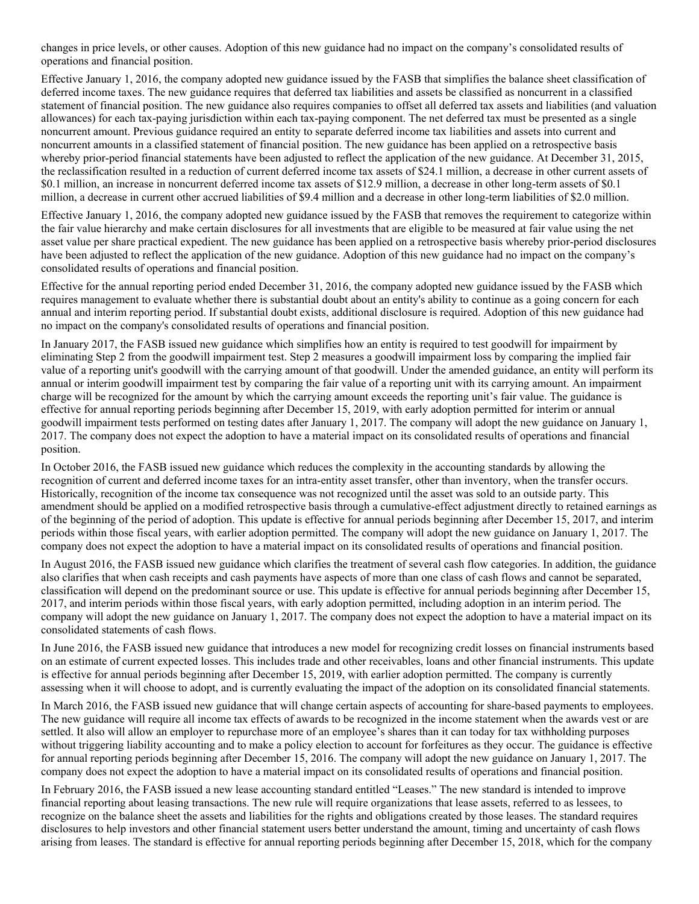changes in price levels, or other causes. Adoption of this new guidance had no impact on the company's consolidated results of operations and financial position.

Effective January 1, 2016, the company adopted new guidance issued by the FASB that simplifies the balance sheet classification of deferred income taxes. The new guidance requires that deferred tax liabilities and assets be classified as noncurrent in a classified statement of financial position. The new guidance also requires companies to offset all deferred tax assets and liabilities (and valuation allowances) for each tax-paying jurisdiction within each tax-paying component. The net deferred tax must be presented as a single noncurrent amount. Previous guidance required an entity to separate deferred income tax liabilities and assets into current and noncurrent amounts in a classified statement of financial position. The new guidance has been applied on a retrospective basis whereby prior-period financial statements have been adjusted to reflect the application of the new guidance. At December 31, 2015, the reclassification resulted in a reduction of current deferred income tax assets of \$24.1 million, a decrease in other current assets of \$0.1 million, an increase in noncurrent deferred income tax assets of \$12.9 million, a decrease in other long-term assets of \$0.1 million, a decrease in current other accrued liabilities of \$9.4 million and a decrease in other long-term liabilities of \$2.0 million.

Effective January 1, 2016, the company adopted new guidance issued by the FASB that removes the requirement to categorize within the fair value hierarchy and make certain disclosures for all investments that are eligible to be measured at fair value using the net asset value per share practical expedient. The new guidance has been applied on a retrospective basis whereby prior-period disclosures have been adjusted to reflect the application of the new guidance. Adoption of this new guidance had no impact on the company's consolidated results of operations and financial position.

Effective for the annual reporting period ended December 31, 2016, the company adopted new guidance issued by the FASB which requires management to evaluate whether there is substantial doubt about an entity's ability to continue as a going concern for each annual and interim reporting period. If substantial doubt exists, additional disclosure is required. Adoption of this new guidance had no impact on the company's consolidated results of operations and financial position.

In January 2017, the FASB issued new guidance which simplifies how an entity is required to test goodwill for impairment by eliminating Step 2 from the goodwill impairment test. Step 2 measures a goodwill impairment loss by comparing the implied fair value of a reporting unit's goodwill with the carrying amount of that goodwill. Under the amended guidance, an entity will perform its annual or interim goodwill impairment test by comparing the fair value of a reporting unit with its carrying amount. An impairment charge will be recognized for the amount by which the carrying amount exceeds the reporting unit's fair value. The guidance is effective for annual reporting periods beginning after December 15, 2019, with early adoption permitted for interim or annual goodwill impairment tests performed on testing dates after January 1, 2017. The company will adopt the new guidance on January 1, 2017. The company does not expect the adoption to have a material impact on its consolidated results of operations and financial position.

In October 2016, the FASB issued new guidance which reduces the complexity in the accounting standards by allowing the recognition of current and deferred income taxes for an intra-entity asset transfer, other than inventory, when the transfer occurs. Historically, recognition of the income tax consequence was not recognized until the asset was sold to an outside party. This amendment should be applied on a modified retrospective basis through a cumulative-effect adjustment directly to retained earnings as of the beginning of the period of adoption. This update is effective for annual periods beginning after December 15, 2017, and interim periods within those fiscal years, with earlier adoption permitted. The company will adopt the new guidance on January 1, 2017. The company does not expect the adoption to have a material impact on its consolidated results of operations and financial position.

In August 2016, the FASB issued new guidance which clarifies the treatment of several cash flow categories. In addition, the guidance also clarifies that when cash receipts and cash payments have aspects of more than one class of cash flows and cannot be separated, classification will depend on the predominant source or use. This update is effective for annual periods beginning after December 15, 2017, and interim periods within those fiscal years, with early adoption permitted, including adoption in an interim period. The company will adopt the new guidance on January 1, 2017. The company does not expect the adoption to have a material impact on its consolidated statements of cash flows.

In June 2016, the FASB issued new guidance that introduces a new model for recognizing credit losses on financial instruments based on an estimate of current expected losses. This includes trade and other receivables, loans and other financial instruments. This update is effective for annual periods beginning after December 15, 2019, with earlier adoption permitted. The company is currently assessing when it will choose to adopt, and is currently evaluating the impact of the adoption on its consolidated financial statements.

In March 2016, the FASB issued new guidance that will change certain aspects of accounting for share-based payments to employees. The new guidance will require all income tax effects of awards to be recognized in the income statement when the awards vest or are settled. It also will allow an employer to repurchase more of an employee's shares than it can today for tax withholding purposes without triggering liability accounting and to make a policy election to account for forfeitures as they occur. The guidance is effective for annual reporting periods beginning after December 15, 2016. The company will adopt the new guidance on January 1, 2017. The company does not expect the adoption to have a material impact on its consolidated results of operations and financial position.

In February 2016, the FASB issued a new lease accounting standard entitled "Leases." The new standard is intended to improve financial reporting about leasing transactions. The new rule will require organizations that lease assets, referred to as lessees, to recognize on the balance sheet the assets and liabilities for the rights and obligations created by those leases. The standard requires disclosures to help investors and other financial statement users better understand the amount, timing and uncertainty of cash flows arising from leases. The standard is effective for annual reporting periods beginning after December 15, 2018, which for the company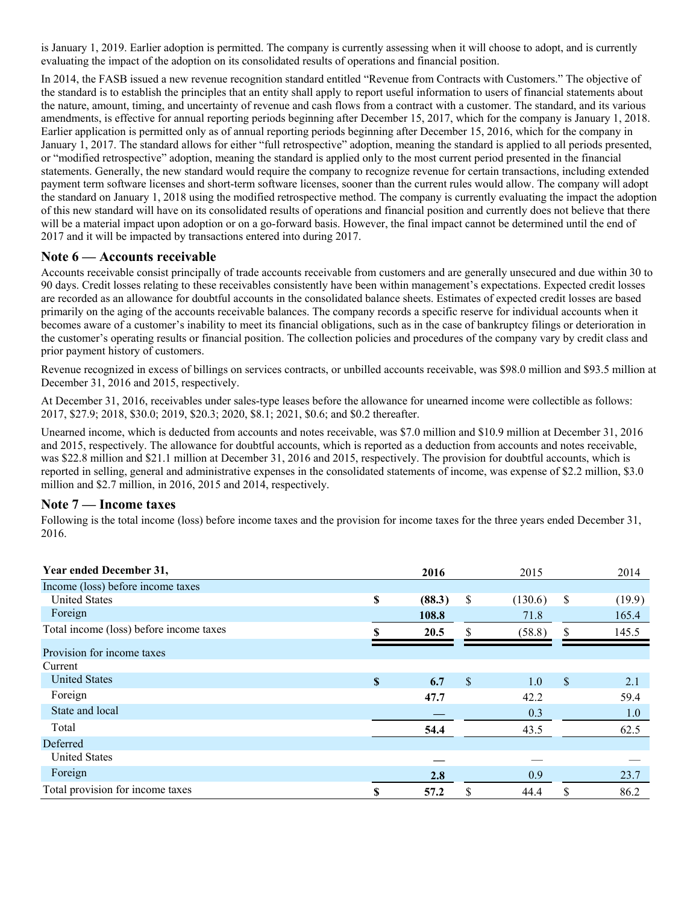is January 1, 2019. Earlier adoption is permitted. The company is currently assessing when it will choose to adopt, and is currently evaluating the impact of the adoption on its consolidated results of operations and financial position.

In 2014, the FASB issued a new revenue recognition standard entitled "Revenue from Contracts with Customers." The objective of the standard is to establish the principles that an entity shall apply to report useful information to users of financial statements about the nature, amount, timing, and uncertainty of revenue and cash flows from a contract with a customer. The standard, and its various amendments, is effective for annual reporting periods beginning after December 15, 2017, which for the company is January 1, 2018. Earlier application is permitted only as of annual reporting periods beginning after December 15, 2016, which for the company in January 1, 2017. The standard allows for either "full retrospective" adoption, meaning the standard is applied to all periods presented, or "modified retrospective" adoption, meaning the standard is applied only to the most current period presented in the financial statements. Generally, the new standard would require the company to recognize revenue for certain transactions, including extended payment term software licenses and short-term software licenses, sooner than the current rules would allow. The company will adopt the standard on January 1, 2018 using the modified retrospective method. The company is currently evaluating the impact the adoption of this new standard will have on its consolidated results of operations and financial position and currently does not believe that there will be a material impact upon adoption or on a go-forward basis. However, the final impact cannot be determined until the end of 2017 and it will be impacted by transactions entered into during 2017.

#### **Note 6 — Accounts receivable**

Accounts receivable consist principally of trade accounts receivable from customers and are generally unsecured and due within 30 to 90 days. Credit losses relating to these receivables consistently have been within management's expectations. Expected credit losses are recorded as an allowance for doubtful accounts in the consolidated balance sheets. Estimates of expected credit losses are based primarily on the aging of the accounts receivable balances. The company records a specific reserve for individual accounts when it becomes aware of a customer's inability to meet its financial obligations, such as in the case of bankruptcy filings or deterioration in the customer's operating results or financial position. The collection policies and procedures of the company vary by credit class and prior payment history of customers.

Revenue recognized in excess of billings on services contracts, or unbilled accounts receivable, was \$98.0 million and \$93.5 million at December 31, 2016 and 2015, respectively.

At December 31, 2016, receivables under sales-type leases before the allowance for unearned income were collectible as follows: 2017, \$27.9; 2018, \$30.0; 2019, \$20.3; 2020, \$8.1; 2021, \$0.6; and \$0.2 thereafter.

Unearned income, which is deducted from accounts and notes receivable, was \$7.0 million and \$10.9 million at December 31, 2016 and 2015, respectively. The allowance for doubtful accounts, which is reported as a deduction from accounts and notes receivable, was \$22.8 million and \$21.1 million at December 31, 2016 and 2015, respectively. The provision for doubtful accounts, which is reported in selling, general and administrative expenses in the consolidated statements of income, was expense of \$2.2 million, \$3.0 million and \$2.7 million, in 2016, 2015 and 2014, respectively.

#### **Note 7 — Income taxes**

Following is the total income (loss) before income taxes and the provision for income taxes for the three years ended December 31, 2016.

| Year ended December 31,                 |    | 2016   |               | 2015    | 2014         |
|-----------------------------------------|----|--------|---------------|---------|--------------|
| Income (loss) before income taxes       |    |        |               |         |              |
| <b>United States</b>                    | \$ | (88.3) | \$            | (130.6) | \$<br>(19.9) |
| Foreign                                 |    | 108.8  |               | 71.8    | 165.4        |
| Total income (loss) before income taxes | \$ | 20.5   | \$            | (58.8)  | \$<br>145.5  |
| Provision for income taxes              |    |        |               |         |              |
| Current                                 |    |        |               |         |              |
| <b>United States</b>                    | \$ | 6.7    | $\mathcal{S}$ | 1.0     | \$<br>2.1    |
| Foreign                                 |    | 47.7   |               | 42.2    | 59.4         |
| State and local                         |    |        |               | 0.3     | 1.0          |
| Total                                   |    | 54.4   |               | 43.5    | 62.5         |
| Deferred                                |    |        |               |         |              |
| <b>United States</b>                    |    |        |               |         |              |
| Foreign                                 |    | 2.8    |               | 0.9     | 23.7         |
| Total provision for income taxes        | S  | 57.2   | \$            | 44.4    | \$<br>86.2   |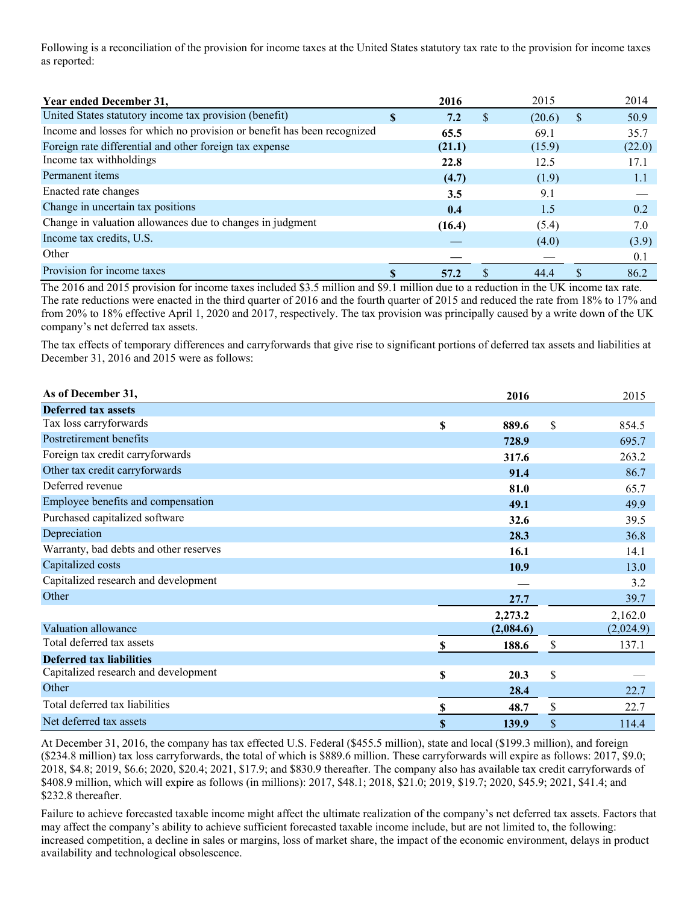Following is a reconciliation of the provision for income taxes at the United States statutory tax rate to the provision for income taxes as reported:

| Year ended December 31,                                                 |   | 2016   | 2015              | 2014   |
|-------------------------------------------------------------------------|---|--------|-------------------|--------|
| United States statutory income tax provision (benefit)                  | S | 7.2    | \$<br>(20.6)<br>S | 50.9   |
| Income and losses for which no provision or benefit has been recognized |   | 65.5   | 69.1              | 35.7   |
| Foreign rate differential and other foreign tax expense                 |   | (21.1) | (15.9)            | (22.0) |
| Income tax withholdings                                                 |   | 22.8   | 12.5              | 17.1   |
| Permanent items                                                         |   | (4.7)  | (1.9)             | 1.1    |
| Enacted rate changes                                                    |   | 3.5    | 9.1               |        |
| Change in uncertain tax positions                                       |   | 0.4    | 1.5               | 0.2    |
| Change in valuation allowances due to changes in judgment               |   | (16.4) | (5.4)             | 7.0    |
| Income tax credits, U.S.                                                |   |        | (4.0)             | (3.9)  |
| Other                                                                   |   |        |                   | 0.1    |
| Provision for income taxes                                              |   | 57.2   | 44.4              | 86.2   |

The 2016 and 2015 provision for income taxes included \$3.5 million and \$9.1 million due to a reduction in the UK income tax rate. The rate reductions were enacted in the third quarter of 2016 and the fourth quarter of 2015 and reduced the rate from 18% to 17% and from 20% to 18% effective April 1, 2020 and 2017, respectively. The tax provision was principally caused by a write down of the UK company's net deferred tax assets.

The tax effects of temporary differences and carryforwards that give rise to significant portions of deferred tax assets and liabilities at December 31, 2016 and 2015 were as follows:

| As of December 31,                     | 2016        | 2015        |
|----------------------------------------|-------------|-------------|
| Deferred tax assets                    |             |             |
| Tax loss carryforwards                 | \$<br>889.6 | \$<br>854.5 |
| Postretirement benefits                | 728.9       | 695.7       |
| Foreign tax credit carryforwards       | 317.6       | 263.2       |
| Other tax credit carryforwards         | 91.4        | 86.7        |
| Deferred revenue                       | 81.0        | 65.7        |
| Employee benefits and compensation     | 49.1        | 49.9        |
| Purchased capitalized software         | 32.6        | 39.5        |
| Depreciation                           | 28.3        | 36.8        |
| Warranty, bad debts and other reserves | 16.1        | 14.1        |
| Capitalized costs                      | 10.9        | 13.0        |
| Capitalized research and development   |             | 3.2         |
| Other                                  | 27.7        | 39.7        |
|                                        | 2,273.2     | 2,162.0     |
| Valuation allowance                    | (2,084.6)   | (2,024.9)   |
| Total deferred tax assets              | \$<br>188.6 | \$<br>137.1 |
| <b>Deferred tax liabilities</b>        |             |             |
| Capitalized research and development   | \$<br>20.3  | \$          |
| Other                                  | 28.4        | 22.7        |
| Total deferred tax liabilities         | \$<br>48.7  | \$<br>22.7  |
| Net deferred tax assets                | \$<br>139.9 | \$<br>114.4 |

At December 31, 2016, the company has tax effected U.S. Federal (\$455.5 million), state and local (\$199.3 million), and foreign (\$234.8 million) tax loss carryforwards, the total of which is \$889.6 million. These carryforwards will expire as follows: 2017, \$9.0; 2018, \$4.8; 2019, \$6.6; 2020, \$20.4; 2021, \$17.9; and \$830.9 thereafter. The company also has available tax credit carryforwards of \$408.9 million, which will expire as follows (in millions): 2017, \$48.1; 2018, \$21.0; 2019, \$19.7; 2020, \$45.9; 2021, \$41.4; and \$232.8 thereafter.

Failure to achieve forecasted taxable income might affect the ultimate realization of the company's net deferred tax assets. Factors that may affect the company's ability to achieve sufficient forecasted taxable income include, but are not limited to, the following: increased competition, a decline in sales or margins, loss of market share, the impact of the economic environment, delays in product availability and technological obsolescence.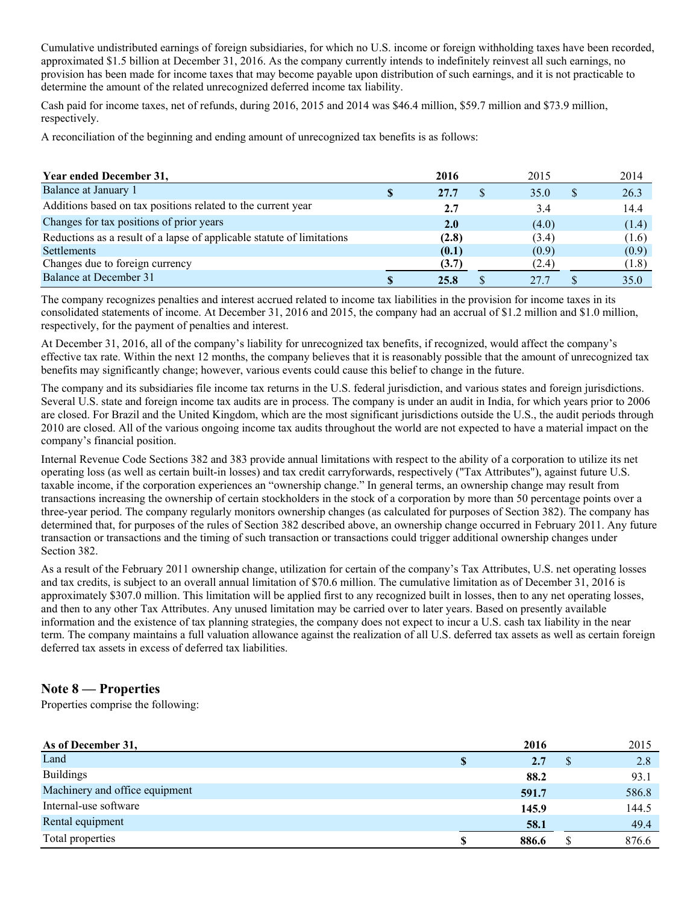Cumulative undistributed earnings of foreign subsidiaries, for which no U.S. income or foreign withholding taxes have been recorded, approximated \$1.5 billion at December 31, 2016. As the company currently intends to indefinitely reinvest all such earnings, no provision has been made for income taxes that may become payable upon distribution of such earnings, and it is not practicable to determine the amount of the related unrecognized deferred income tax liability.

Cash paid for income taxes, net of refunds, during 2016, 2015 and 2014 was \$46.4 million, \$59.7 million and \$73.9 million, respectively.

A reconciliation of the beginning and ending amount of unrecognized tax benefits is as follows:

| Year ended December 31,                                                | 2016  | 2015  | 2014  |
|------------------------------------------------------------------------|-------|-------|-------|
| Balance at January 1                                                   | 27.7  | 35.0  | 26.3  |
| Additions based on tax positions related to the current year           | 2.7   | 3.4   | 14.4  |
| Changes for tax positions of prior years                               | 2.0   | (4.0) | (1.4) |
| Reductions as a result of a lapse of applicable statute of limitations | (2.8) | (3.4) | (1.6) |
| <b>Settlements</b>                                                     | (0.1) | (0.9) | (0.9) |
| Changes due to foreign currency                                        | (3.7) | (2.4) | (1.8) |
| Balance at December 31                                                 | 25.8  | 27.1  | 35.0  |

The company recognizes penalties and interest accrued related to income tax liabilities in the provision for income taxes in its consolidated statements of income. At December 31, 2016 and 2015, the company had an accrual of \$1.2 million and \$1.0 million, respectively, for the payment of penalties and interest.

At December 31, 2016, all of the company's liability for unrecognized tax benefits, if recognized, would affect the company's effective tax rate. Within the next 12 months, the company believes that it is reasonably possible that the amount of unrecognized tax benefits may significantly change; however, various events could cause this belief to change in the future.

The company and its subsidiaries file income tax returns in the U.S. federal jurisdiction, and various states and foreign jurisdictions. Several U.S. state and foreign income tax audits are in process. The company is under an audit in India, for which years prior to 2006 are closed. For Brazil and the United Kingdom, which are the most significant jurisdictions outside the U.S., the audit periods through 2010 are closed. All of the various ongoing income tax audits throughout the world are not expected to have a material impact on the company's financial position.

Internal Revenue Code Sections 382 and 383 provide annual limitations with respect to the ability of a corporation to utilize its net operating loss (as well as certain built-in losses) and tax credit carryforwards, respectively ("Tax Attributes"), against future U.S. taxable income, if the corporation experiences an "ownership change." In general terms, an ownership change may result from transactions increasing the ownership of certain stockholders in the stock of a corporation by more than 50 percentage points over a three-year period. The company regularly monitors ownership changes (as calculated for purposes of Section 382). The company has determined that, for purposes of the rules of Section 382 described above, an ownership change occurred in February 2011. Any future transaction or transactions and the timing of such transaction or transactions could trigger additional ownership changes under Section 382.

As a result of the February 2011 ownership change, utilization for certain of the company's Tax Attributes, U.S. net operating losses and tax credits, is subject to an overall annual limitation of \$70.6 million. The cumulative limitation as of December 31, 2016 is approximately \$307.0 million. This limitation will be applied first to any recognized built in losses, then to any net operating losses, and then to any other Tax Attributes. Any unused limitation may be carried over to later years. Based on presently available information and the existence of tax planning strategies, the company does not expect to incur a U.S. cash tax liability in the near term. The company maintains a full valuation allowance against the realization of all U.S. deferred tax assets as well as certain foreign deferred tax assets in excess of deferred tax liabilities.

### **Note 8 — Properties**

Properties comprise the following:

| As of December 31,             | 2016       | 2015  |
|--------------------------------|------------|-------|
| Land                           | 2.7        | 2.8   |
| <b>Buildings</b>               | 88.2       | 93.1  |
| Machinery and office equipment | 591.7      | 586.8 |
| Internal-use software          | 145.9      | 144.5 |
| Rental equipment               | 58.1       | 49.4  |
| Total properties               | 886.6<br>S | 876.6 |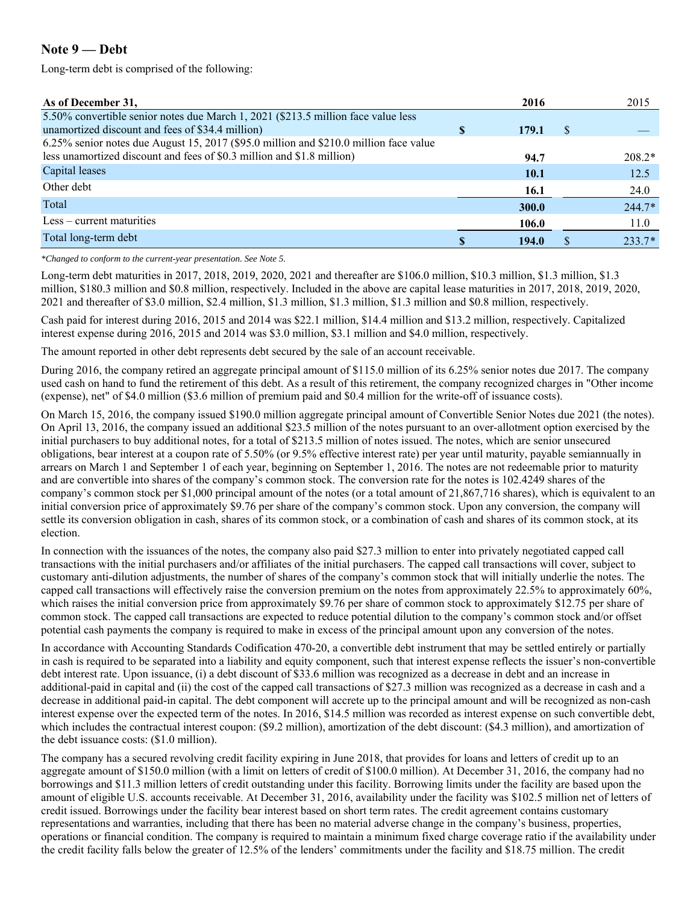### **Note 9 — Debt**

Long-term debt is comprised of the following:

| As of December 31,                                                                    | 2016        | 2015     |
|---------------------------------------------------------------------------------------|-------------|----------|
| 5.50% convertible senior notes due March 1, 2021 (\$213.5 million face value less     |             |          |
| unamortized discount and fees of \$34.4 million)                                      | 179.1       |          |
| 6.25% senior notes due August 15, 2017 (\$95.0 million and \$210.0 million face value |             |          |
| less unamortized discount and fees of \$0.3 million and \$1.8 million)                | 94.7        | $208.2*$ |
| Capital leases                                                                        | <b>10.1</b> | 12.5     |
| Other debt                                                                            | <b>16.1</b> | 24.0     |
| Total                                                                                 | 300.0       | 244.7*   |
| $Less - current maturities$                                                           | 106.0       | 11.0     |
| Total long-term debt                                                                  | 194.0       | $233.7*$ |

*\*Changed to conform to the current-year presentation. See Note 5.*

Long-term debt maturities in 2017, 2018, 2019, 2020, 2021 and thereafter are \$106.0 million, \$10.3 million, \$1.3 million, \$1.3 million, \$180.3 million and \$0.8 million, respectively. Included in the above are capital lease maturities in 2017, 2018, 2019, 2020, 2021 and thereafter of \$3.0 million, \$2.4 million, \$1.3 million, \$1.3 million, \$1.3 million and \$0.8 million, respectively.

Cash paid for interest during 2016, 2015 and 2014 was \$22.1 million, \$14.4 million and \$13.2 million, respectively. Capitalized interest expense during 2016, 2015 and 2014 was \$3.0 million, \$3.1 million and \$4.0 million, respectively.

The amount reported in other debt represents debt secured by the sale of an account receivable.

During 2016, the company retired an aggregate principal amount of \$115.0 million of its 6.25% senior notes due 2017. The company used cash on hand to fund the retirement of this debt. As a result of this retirement, the company recognized charges in "Other income (expense), net" of \$4.0 million (\$3.6 million of premium paid and \$0.4 million for the write-off of issuance costs).

On March 15, 2016, the company issued \$190.0 million aggregate principal amount of Convertible Senior Notes due 2021 (the notes). On April 13, 2016, the company issued an additional \$23.5 million of the notes pursuant to an over-allotment option exercised by the initial purchasers to buy additional notes, for a total of \$213.5 million of notes issued. The notes, which are senior unsecured obligations, bear interest at a coupon rate of 5.50% (or 9.5% effective interest rate) per year until maturity, payable semiannually in arrears on March 1 and September 1 of each year, beginning on September 1, 2016. The notes are not redeemable prior to maturity and are convertible into shares of the company's common stock. The conversion rate for the notes is 102.4249 shares of the company's common stock per \$1,000 principal amount of the notes (or a total amount of 21,867,716 shares), which is equivalent to an initial conversion price of approximately \$9.76 per share of the company's common stock. Upon any conversion, the company will settle its conversion obligation in cash, shares of its common stock, or a combination of cash and shares of its common stock, at its election.

In connection with the issuances of the notes, the company also paid \$27.3 million to enter into privately negotiated capped call transactions with the initial purchasers and/or affiliates of the initial purchasers. The capped call transactions will cover, subject to customary anti-dilution adjustments, the number of shares of the company's common stock that will initially underlie the notes. The capped call transactions will effectively raise the conversion premium on the notes from approximately 22.5% to approximately 60%, which raises the initial conversion price from approximately \$9.76 per share of common stock to approximately \$12.75 per share of common stock. The capped call transactions are expected to reduce potential dilution to the company's common stock and/or offset potential cash payments the company is required to make in excess of the principal amount upon any conversion of the notes.

In accordance with Accounting Standards Codification 470-20, a convertible debt instrument that may be settled entirely or partially in cash is required to be separated into a liability and equity component, such that interest expense reflects the issuer's non-convertible debt interest rate. Upon issuance, (i) a debt discount of \$33.6 million was recognized as a decrease in debt and an increase in additional-paid in capital and (ii) the cost of the capped call transactions of \$27.3 million was recognized as a decrease in cash and a decrease in additional paid-in capital. The debt component will accrete up to the principal amount and will be recognized as non-cash interest expense over the expected term of the notes. In 2016, \$14.5 million was recorded as interest expense on such convertible debt, which includes the contractual interest coupon: (\$9.2 million), amortization of the debt discount: (\$4.3 million), and amortization of the debt issuance costs: (\$1.0 million).

The company has a secured revolving credit facility expiring in June 2018, that provides for loans and letters of credit up to an aggregate amount of \$150.0 million (with a limit on letters of credit of \$100.0 million). At December 31, 2016, the company had no borrowings and \$11.3 million letters of credit outstanding under this facility. Borrowing limits under the facility are based upon the amount of eligible U.S. accounts receivable. At December 31, 2016, availability under the facility was \$102.5 million net of letters of credit issued. Borrowings under the facility bear interest based on short term rates. The credit agreement contains customary representations and warranties, including that there has been no material adverse change in the company's business, properties, operations or financial condition. The company is required to maintain a minimum fixed charge coverage ratio if the availability under the credit facility falls below the greater of 12.5% of the lenders' commitments under the facility and \$18.75 million. The credit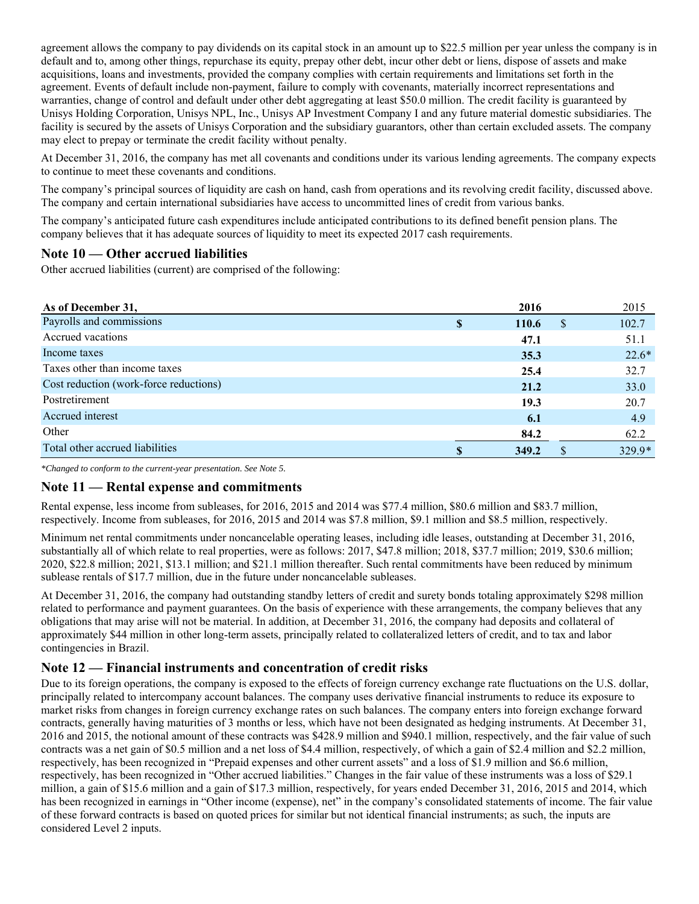agreement allows the company to pay dividends on its capital stock in an amount up to \$22.5 million per year unless the company is in default and to, among other things, repurchase its equity, prepay other debt, incur other debt or liens, dispose of assets and make acquisitions, loans and investments, provided the company complies with certain requirements and limitations set forth in the agreement. Events of default include non-payment, failure to comply with covenants, materially incorrect representations and warranties, change of control and default under other debt aggregating at least \$50.0 million. The credit facility is guaranteed by Unisys Holding Corporation, Unisys NPL, Inc., Unisys AP Investment Company I and any future material domestic subsidiaries. The facility is secured by the assets of Unisys Corporation and the subsidiary guarantors, other than certain excluded assets. The company may elect to prepay or terminate the credit facility without penalty.

At December 31, 2016, the company has met all covenants and conditions under its various lending agreements. The company expects to continue to meet these covenants and conditions.

The company's principal sources of liquidity are cash on hand, cash from operations and its revolving credit facility, discussed above. The company and certain international subsidiaries have access to uncommitted lines of credit from various banks.

The company's anticipated future cash expenditures include anticipated contributions to its defined benefit pension plans. The company believes that it has adequate sources of liquidity to meet its expected 2017 cash requirements.

### **Note 10 — Other accrued liabilities**

Other accrued liabilities (current) are comprised of the following:

| As of December 31,                     |   | 2016  |   | 2015    |
|----------------------------------------|---|-------|---|---------|
| Payrolls and commissions               | S | 110.6 | S | 102.7   |
| Accrued vacations                      |   | 47.1  |   | 51.1    |
| Income taxes                           |   | 35.3  |   | $22.6*$ |
| Taxes other than income taxes          |   | 25.4  |   | 32.7    |
| Cost reduction (work-force reductions) |   | 21.2  |   | 33.0    |
| Postretirement                         |   | 19.3  |   | 20.7    |
| Accrued interest                       |   | 6.1   |   | 4.9     |
| Other                                  |   | 84.2  |   | 62.2    |
| Total other accrued liabilities        |   | 349.2 |   | 329.9*  |

*\*Changed to conform to the current-year presentation. See Note 5.*

#### **Note 11 — Rental expense and commitments**

Rental expense, less income from subleases, for 2016, 2015 and 2014 was \$77.4 million, \$80.6 million and \$83.7 million, respectively. Income from subleases, for 2016, 2015 and 2014 was \$7.8 million, \$9.1 million and \$8.5 million, respectively.

Minimum net rental commitments under noncancelable operating leases, including idle leases, outstanding at December 31, 2016, substantially all of which relate to real properties, were as follows: 2017, \$47.8 million; 2018, \$37.7 million; 2019, \$30.6 million; 2020, \$22.8 million; 2021, \$13.1 million; and \$21.1 million thereafter. Such rental commitments have been reduced by minimum sublease rentals of \$17.7 million, due in the future under noncancelable subleases.

At December 31, 2016, the company had outstanding standby letters of credit and surety bonds totaling approximately \$298 million related to performance and payment guarantees. On the basis of experience with these arrangements, the company believes that any obligations that may arise will not be material. In addition, at December 31, 2016, the company had deposits and collateral of approximately \$44 million in other long-term assets, principally related to collateralized letters of credit, and to tax and labor contingencies in Brazil.

#### **Note 12 — Financial instruments and concentration of credit risks**

Due to its foreign operations, the company is exposed to the effects of foreign currency exchange rate fluctuations on the U.S. dollar, principally related to intercompany account balances. The company uses derivative financial instruments to reduce its exposure to market risks from changes in foreign currency exchange rates on such balances. The company enters into foreign exchange forward contracts, generally having maturities of 3 months or less, which have not been designated as hedging instruments. At December 31, 2016 and 2015, the notional amount of these contracts was \$428.9 million and \$940.1 million, respectively, and the fair value of such contracts was a net gain of \$0.5 million and a net loss of \$4.4 million, respectively, of which a gain of \$2.4 million and \$2.2 million, respectively, has been recognized in "Prepaid expenses and other current assets" and a loss of \$1.9 million and \$6.6 million, respectively, has been recognized in "Other accrued liabilities." Changes in the fair value of these instruments was a loss of \$29.1 million, a gain of \$15.6 million and a gain of \$17.3 million, respectively, for years ended December 31, 2016, 2015 and 2014, which has been recognized in earnings in "Other income (expense), net" in the company's consolidated statements of income. The fair value of these forward contracts is based on quoted prices for similar but not identical financial instruments; as such, the inputs are considered Level 2 inputs.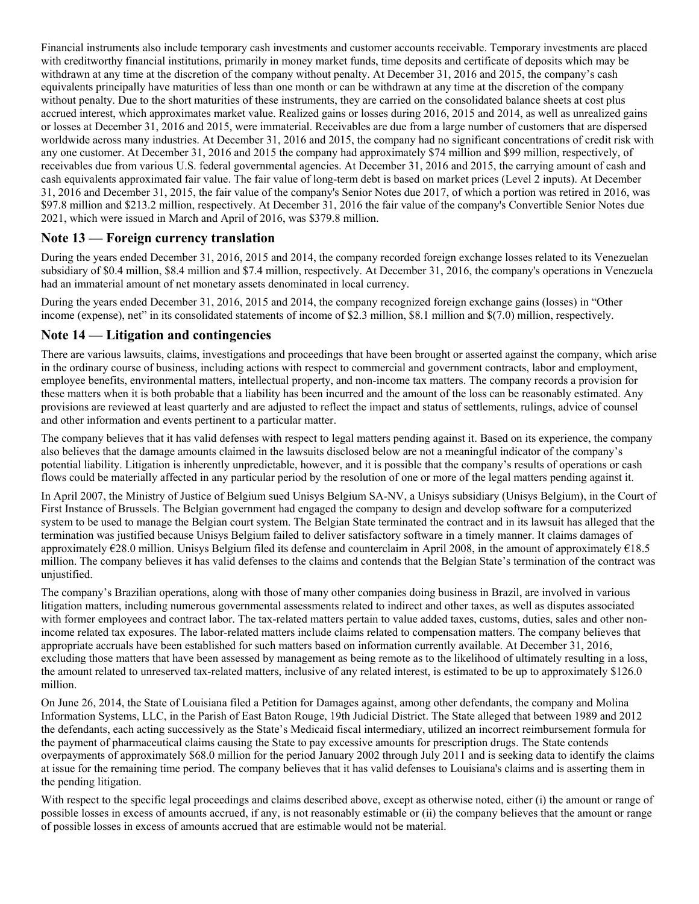Financial instruments also include temporary cash investments and customer accounts receivable. Temporary investments are placed with creditworthy financial institutions, primarily in money market funds, time deposits and certificate of deposits which may be withdrawn at any time at the discretion of the company without penalty. At December 31, 2016 and 2015, the company's cash equivalents principally have maturities of less than one month or can be withdrawn at any time at the discretion of the company without penalty. Due to the short maturities of these instruments, they are carried on the consolidated balance sheets at cost plus accrued interest, which approximates market value. Realized gains or losses during 2016, 2015 and 2014, as well as unrealized gains or losses at December 31, 2016 and 2015, were immaterial. Receivables are due from a large number of customers that are dispersed worldwide across many industries. At December 31, 2016 and 2015, the company had no significant concentrations of credit risk with any one customer. At December 31, 2016 and 2015 the company had approximately \$74 million and \$99 million, respectively, of receivables due from various U.S. federal governmental agencies. At December 31, 2016 and 2015, the carrying amount of cash and cash equivalents approximated fair value. The fair value of long-term debt is based on market prices (Level 2 inputs). At December 31, 2016 and December 31, 2015, the fair value of the company's Senior Notes due 2017, of which a portion was retired in 2016, was \$97.8 million and \$213.2 million, respectively. At December 31, 2016 the fair value of the company's Convertible Senior Notes due 2021, which were issued in March and April of 2016, was \$379.8 million.

### **Note 13 — Foreign currency translation**

During the years ended December 31, 2016, 2015 and 2014, the company recorded foreign exchange losses related to its Venezuelan subsidiary of \$0.4 million, \$8.4 million and \$7.4 million, respectively. At December 31, 2016, the company's operations in Venezuela had an immaterial amount of net monetary assets denominated in local currency.

During the years ended December 31, 2016, 2015 and 2014, the company recognized foreign exchange gains (losses) in "Other income (expense), net" in its consolidated statements of income of \$2.3 million, \$8.1 million and \$(7.0) million, respectively.

### **Note 14 — Litigation and contingencies**

There are various lawsuits, claims, investigations and proceedings that have been brought or asserted against the company, which arise in the ordinary course of business, including actions with respect to commercial and government contracts, labor and employment, employee benefits, environmental matters, intellectual property, and non-income tax matters. The company records a provision for these matters when it is both probable that a liability has been incurred and the amount of the loss can be reasonably estimated. Any provisions are reviewed at least quarterly and are adjusted to reflect the impact and status of settlements, rulings, advice of counsel and other information and events pertinent to a particular matter.

The company believes that it has valid defenses with respect to legal matters pending against it. Based on its experience, the company also believes that the damage amounts claimed in the lawsuits disclosed below are not a meaningful indicator of the company's potential liability. Litigation is inherently unpredictable, however, and it is possible that the company's results of operations or cash flows could be materially affected in any particular period by the resolution of one or more of the legal matters pending against it.

In April 2007, the Ministry of Justice of Belgium sued Unisys Belgium SA-NV, a Unisys subsidiary (Unisys Belgium), in the Court of First Instance of Brussels. The Belgian government had engaged the company to design and develop software for a computerized system to be used to manage the Belgian court system. The Belgian State terminated the contract and in its lawsuit has alleged that the termination was justified because Unisys Belgium failed to deliver satisfactory software in a timely manner. It claims damages of approximately €28.0 million. Unisys Belgium filed its defense and counterclaim in April 2008, in the amount of approximately €18.5 million. The company believes it has valid defenses to the claims and contends that the Belgian State's termination of the contract was unjustified.

The company's Brazilian operations, along with those of many other companies doing business in Brazil, are involved in various litigation matters, including numerous governmental assessments related to indirect and other taxes, as well as disputes associated with former employees and contract labor. The tax-related matters pertain to value added taxes, customs, duties, sales and other nonincome related tax exposures. The labor-related matters include claims related to compensation matters. The company believes that appropriate accruals have been established for such matters based on information currently available. At December 31, 2016, excluding those matters that have been assessed by management as being remote as to the likelihood of ultimately resulting in a loss, the amount related to unreserved tax-related matters, inclusive of any related interest, is estimated to be up to approximately \$126.0 million.

On June 26, 2014, the State of Louisiana filed a Petition for Damages against, among other defendants, the company and Molina Information Systems, LLC, in the Parish of East Baton Rouge, 19th Judicial District. The State alleged that between 1989 and 2012 the defendants, each acting successively as the State's Medicaid fiscal intermediary, utilized an incorrect reimbursement formula for the payment of pharmaceutical claims causing the State to pay excessive amounts for prescription drugs. The State contends overpayments of approximately \$68.0 million for the period January 2002 through July 2011 and is seeking data to identify the claims at issue for the remaining time period. The company believes that it has valid defenses to Louisiana's claims and is asserting them in the pending litigation.

With respect to the specific legal proceedings and claims described above, except as otherwise noted, either (i) the amount or range of possible losses in excess of amounts accrued, if any, is not reasonably estimable or (ii) the company believes that the amount or range of possible losses in excess of amounts accrued that are estimable would not be material.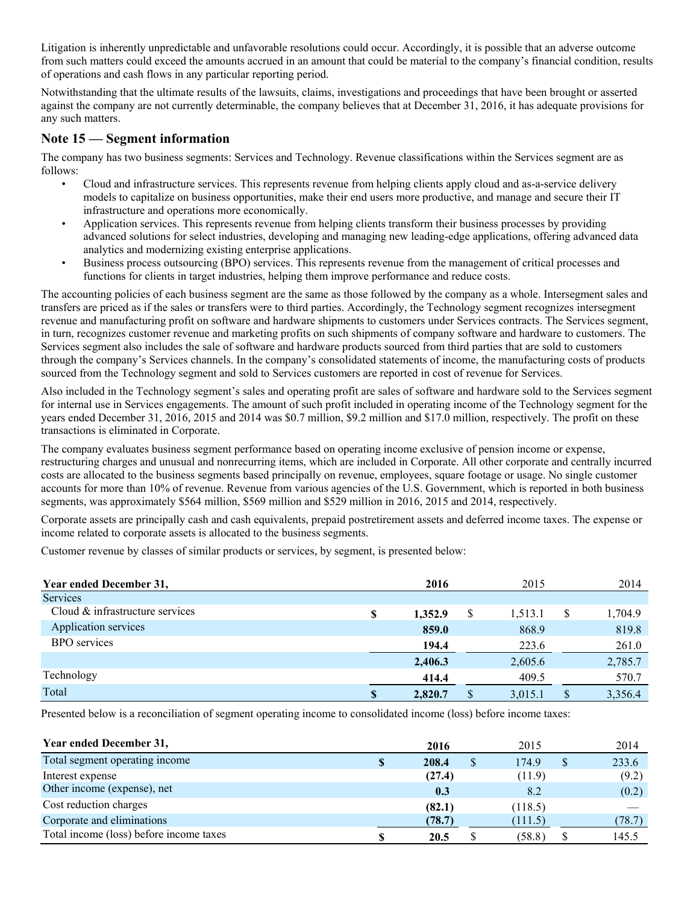Litigation is inherently unpredictable and unfavorable resolutions could occur. Accordingly, it is possible that an adverse outcome from such matters could exceed the amounts accrued in an amount that could be material to the company's financial condition, results of operations and cash flows in any particular reporting period.

Notwithstanding that the ultimate results of the lawsuits, claims, investigations and proceedings that have been brought or asserted against the company are not currently determinable, the company believes that at December 31, 2016, it has adequate provisions for any such matters.

### **Note 15 — Segment information**

The company has two business segments: Services and Technology. Revenue classifications within the Services segment are as follows:

- Cloud and infrastructure services. This represents revenue from helping clients apply cloud and as-a-service delivery models to capitalize on business opportunities, make their end users more productive, and manage and secure their IT infrastructure and operations more economically.<br>Application services. This represents revenue from helping clients transform their business processes by providing
- advanced solutions for select industries, developing and managing new leading-edge applications, offering advanced data analytics and modernizing existing enterprise applications.<br>Business process outsourcing (BPO) services. This represents revenue from the management of critical processes and
- functions for clients in target industries, helping them improve performance and reduce costs.

The accounting policies of each business segment are the same as those followed by the company as a whole. Intersegment sales and transfers are priced as if the sales or transfers were to third parties. Accordingly, the Technology segment recognizes intersegment revenue and manufacturing profit on software and hardware shipments to customers under Services contracts. The Services segment, in turn, recognizes customer revenue and marketing profits on such shipments of company software and hardware to customers. The Services segment also includes the sale of software and hardware products sourced from third parties that are sold to customers through the company's Services channels. In the company's consolidated statements of income, the manufacturing costs of products sourced from the Technology segment and sold to Services customers are reported in cost of revenue for Services.

Also included in the Technology segment's sales and operating profit are sales of software and hardware sold to the Services segment for internal use in Services engagements. The amount of such profit included in operating income of the Technology segment for the years ended December 31, 2016, 2015 and 2014 was \$0.7 million, \$9.2 million and \$17.0 million, respectively. The profit on these transactions is eliminated in Corporate.

The company evaluates business segment performance based on operating income exclusive of pension income or expense, restructuring charges and unusual and nonrecurring items, which are included in Corporate. All other corporate and centrally incurred costs are allocated to the business segments based principally on revenue, employees, square footage or usage. No single customer accounts for more than 10% of revenue. Revenue from various agencies of the U.S. Government, which is reported in both business segments, was approximately \$564 million, \$569 million and \$529 million in 2016, 2015 and 2014, respectively.

Corporate assets are principally cash and cash equivalents, prepaid postretirement assets and deferred income taxes. The expense or income related to corporate assets is allocated to the business segments.

Customer revenue by classes of similar products or services, by segment, is presented below:

| Year ended December 31,         |   | 2016    |   | 2015    | 2014    |
|---------------------------------|---|---------|---|---------|---------|
| Services                        |   |         |   |         |         |
| Cloud & infrastructure services | S | 1,352.9 | S | 1,513.1 | 1,704.9 |
| Application services            |   | 859.0   |   | 868.9   | 819.8   |
| <b>BPO</b> services             |   | 194.4   |   | 223.6   | 261.0   |
|                                 |   | 2,406.3 |   | 2,605.6 | 2,785.7 |
| Technology                      |   | 414.4   |   | 409.5   | 570.7   |
| Total                           | D | 2,820.7 |   | 3,015.1 | 3,356.4 |

Presented below is a reconciliation of segment operating income to consolidated income (loss) before income taxes:

| Year ended December 31,                 |    | 2016   | 2015    | 2014   |
|-----------------------------------------|----|--------|---------|--------|
| Total segment operating income          | S. | 208.4  | 174.9   | 233.6  |
| Interest expense                        |    | (27.4) | (11.9)  | (9.2)  |
| Other income (expense), net             |    | 0.3    | 8.2     | (0.2)  |
| Cost reduction charges                  |    | (82.1) | (118.5) |        |
| Corporate and eliminations              |    | (78.7) | (111.5) | (78.7) |
| Total income (loss) before income taxes |    | 20.5   | (58.8)  | 145.5  |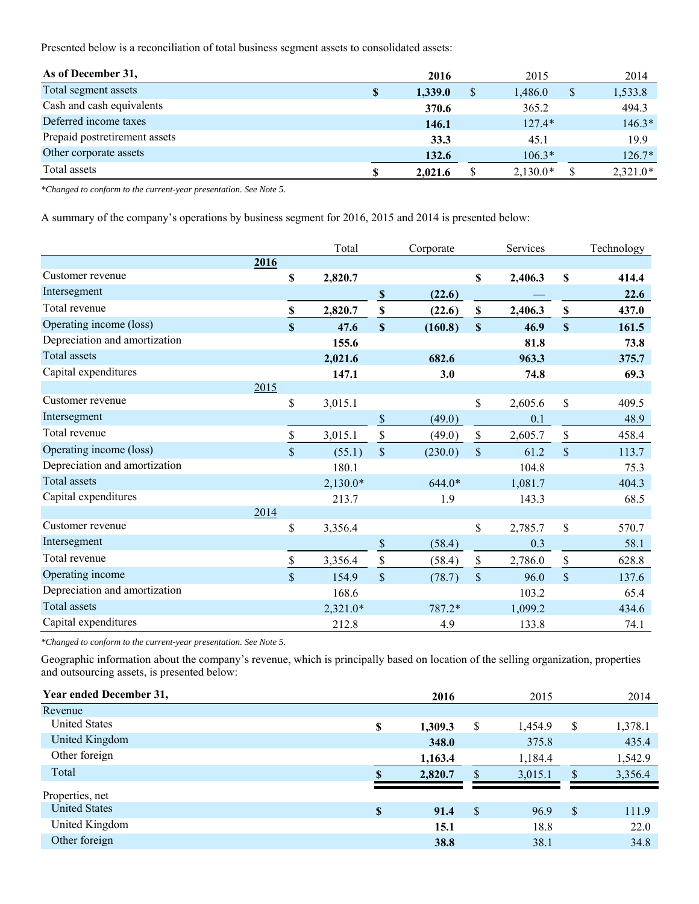Presented below is a reconciliation of total business segment assets to consolidated assets:

| As of December 31,            |   | 2016    | 2015          | 2014          |
|-------------------------------|---|---------|---------------|---------------|
| Total segment assets          | S | 1,339.0 | \$<br>1,486.0 | \$<br>1,533.8 |
| Cash and cash equivalents     |   | 370.6   | 365.2         | 494.3         |
| Deferred income taxes         |   | 146.1   | $127.4*$      | $146.3*$      |
| Prepaid postretirement assets |   | 33.3    | 45.1          | 19.9          |
| Other corporate assets        |   | 132.6   | $106.3*$      | 126.7*        |
| Total assets                  | S | 2,021.6 | $2,130.0*$    | $2,321.0*$    |

*\*Changed to conform to the current-year presentation. See Note 5.*

A summary of the company's operations by business segment for 2016, 2015 and 2014 is presented below:

|                               |      |                           | Total      |               | Corporate |                           | Services |                           | Technology |
|-------------------------------|------|---------------------------|------------|---------------|-----------|---------------------------|----------|---------------------------|------------|
|                               | 2016 |                           |            |               |           |                           |          |                           |            |
| Customer revenue              |      | $\boldsymbol{\mathsf{S}}$ | 2,820.7    |               |           | \$                        | 2,406.3  | \$                        | 414.4      |
| Intersegment                  |      |                           |            | $\mathbb S$   | (22.6)    |                           |          |                           | 22.6       |
| Total revenue                 |      | $\boldsymbol{\mathsf{S}}$ | 2,820.7    | $\mathbf S$   | (22.6)    | $\mathbf S$               | 2,406.3  | $\boldsymbol{\mathsf{S}}$ | 437.0      |
| Operating income (loss)       |      | $\mathbf S$               | 47.6       | $\mathbf S$   | (160.8)   | $\boldsymbol{\mathsf{S}}$ | 46.9     | $\mathbf S$               | 161.5      |
| Depreciation and amortization |      |                           | 155.6      |               |           |                           | 81.8     |                           | 73.8       |
| <b>Total</b> assets           |      |                           | 2,021.6    |               | 682.6     |                           | 963.3    |                           | 375.7      |
| Capital expenditures          |      |                           | 147.1      |               | 3.0       |                           | 74.8     |                           | 69.3       |
|                               | 2015 |                           |            |               |           |                           |          |                           |            |
| Customer revenue              |      | $\mathcal{S}$             | 3,015.1    |               |           | \$                        | 2,605.6  | $\mathbb{S}$              | 409.5      |
| Intersegment                  |      |                           |            | $\$$          | (49.0)    |                           | 0.1      |                           | 48.9       |
| Total revenue                 |      | $\mathbb S$               | 3,015.1    | \$            | (49.0)    | $\mathbb S$               | 2,605.7  | $\$$                      | 458.4      |
| Operating income (loss)       |      | $\mathcal{S}$             | (55.1)     | $\mathcal{S}$ | (230.0)   | \$                        | 61.2     | \$                        | 113.7      |
| Depreciation and amortization |      |                           | 180.1      |               |           |                           | 104.8    |                           | 75.3       |
| <b>Total</b> assets           |      |                           | $2,130.0*$ |               | $644.0*$  |                           | 1,081.7  |                           | 404.3      |
| Capital expenditures          |      |                           | 213.7      |               | 1.9       |                           | 143.3    |                           | 68.5       |
|                               | 2014 |                           |            |               |           |                           |          |                           |            |
| Customer revenue              |      | $\mathsf{\$}$             | 3,356.4    |               |           | \$                        | 2,785.7  | \$                        | 570.7      |
| Intersegment                  |      |                           |            | $\$$          | (58.4)    |                           | 0.3      |                           | 58.1       |
| Total revenue                 |      | $\mathbb{S}$              | 3,356.4    | $\mathbb{S}$  | (58.4)    | $\mathbb S$               | 2,786.0  | $\$$                      | 628.8      |
| Operating income              |      | $\mathcal{S}$             | 154.9      | $\mathcal{S}$ | (78.7)    | $\mathbb{S}$              | 96.0     | \$                        | 137.6      |
| Depreciation and amortization |      |                           | 168.6      |               |           |                           | 103.2    |                           | 65.4       |
| <b>Total</b> assets           |      |                           | $2,321.0*$ |               | 787.2*    |                           | 1,099.2  |                           | 434.6      |
| Capital expenditures          |      |                           | 212.8      |               | 4.9       |                           | 133.8    |                           | 74.1       |

*\*Changed to conform to the current-year presentation. See Note 5.*

Geographic information about the company's revenue, which is principally based on location of the selling organization, properties and outsourcing assets, is presented below:

| Year ended December 31, |               | 2016    |    | 2015    | 2014          |
|-------------------------|---------------|---------|----|---------|---------------|
| Revenue                 |               |         |    |         |               |
| <b>United States</b>    | \$            | 1,309.3 | S  | 1,454.9 | \$<br>1,378.1 |
| United Kingdom          |               | 348.0   |    | 375.8   | 435.4         |
| Other foreign           |               | 1,163.4 |    | 1,184.4 | 1,542.9       |
| Total                   |               | 2,820.7 |    | 3,015.1 | \$<br>3,356.4 |
| Properties, net         |               |         |    |         |               |
| <b>United States</b>    | <sup>\$</sup> | 91.4    | \$ | 96.9    | \$<br>111.9   |
| United Kingdom          |               | 15.1    |    | 18.8    | 22.0          |
| Other foreign           |               | 38.8    |    | 38.1    | 34.8          |
|                         |               |         |    |         |               |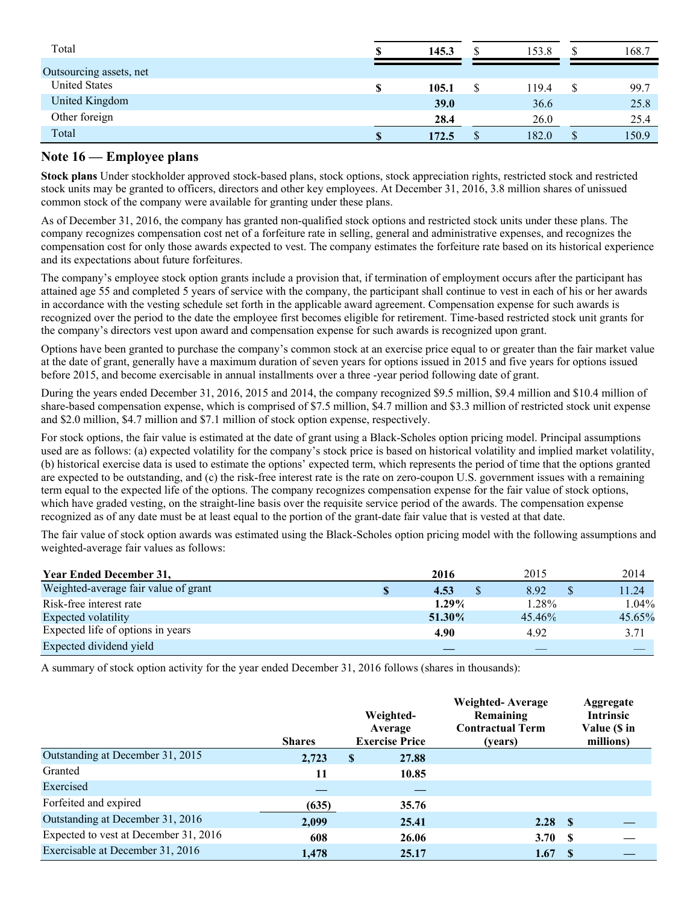| Total                   | œ<br>٨D  | 145.3       | 153.8 | 168.7 |
|-------------------------|----------|-------------|-------|-------|
| Outsourcing assets, net |          |             |       |       |
| <b>United States</b>    | S        | 105.1       | 119.4 | 99.7  |
| United Kingdom          |          | <b>39.0</b> | 36.6  | 25.8  |
| Other foreign           |          | 28.4        | 26.0  | 25.4  |
| Total                   | <b>S</b> | 172.5       | 182.0 | 150.9 |

### **Note 16 — Employee plans**

**Stock plans** Under stockholder approved stock-based plans, stock options, stock appreciation rights, restricted stock and restricted stock units may be granted to officers, directors and other key employees. At December 31, 2016, 3.8 million shares of unissued common stock of the company were available for granting under these plans.

As of December 31, 2016, the company has granted non-qualified stock options and restricted stock units under these plans. The company recognizes compensation cost net of a forfeiture rate in selling, general and administrative expenses, and recognizes the compensation cost for only those awards expected to vest. The company estimates the forfeiture rate based on its historical experience and its expectations about future forfeitures.

The company's employee stock option grants include a provision that, if termination of employment occurs after the participant has attained age 55 and completed 5 years of service with the company, the participant shall continue to vest in each of his or her awards in accordance with the vesting schedule set forth in the applicable award agreement. Compensation expense for such awards is recognized over the period to the date the employee first becomes eligible for retirement. Time-based restricted stock unit grants for the company's directors vest upon award and compensation expense for such awards is recognized upon grant.

Options have been granted to purchase the company's common stock at an exercise price equal to or greater than the fair market value at the date of grant, generally have a maximum duration of seven years for options issued in 2015 and five years for options issued before 2015, and become exercisable in annual installments over a three -year period following date of grant.

During the years ended December 31, 2016, 2015 and 2014, the company recognized \$9.5 million, \$9.4 million and \$10.4 million of share-based compensation expense, which is comprised of \$7.5 million, \$4.7 million and \$3.3 million of restricted stock unit expense and \$2.0 million, \$4.7 million and \$7.1 million of stock option expense, respectively.

For stock options, the fair value is estimated at the date of grant using a Black-Scholes option pricing model. Principal assumptions used are as follows: (a) expected volatility for the company's stock price is based on historical volatility and implied market volatility, (b) historical exercise data is used to estimate the options' expected term, which represents the period of time that the options granted are expected to be outstanding, and (c) the risk-free interest rate is the rate on zero-coupon U.S. government issues with a remaining term equal to the expected life of the options. The company recognizes compensation expense for the fair value of stock options, which have graded vesting, on the straight-line basis over the requisite service period of the awards. The compensation expense recognized as of any date must be at least equal to the portion of the grant-date fair value that is vested at that date.

The fair value of stock option awards was estimated using the Black-Scholes option pricing model with the following assumptions and weighted-average fair values as follows:

| <b>Year Ended December 31,</b>       | 2016      | 2015   | 2014   |
|--------------------------------------|-----------|--------|--------|
| Weighted-average fair value of grant | 4.53<br>S | 8.92   | 11.24  |
| Risk-free interest rate              | 1.29%     | 1.28%  | 1.04%  |
| Expected volatility                  | 51.30%    | 45.46% | 45.65% |
| Expected life of options in years    | 4.90      | 4.92   | 3.71   |
| Expected dividend yield              |           |        |        |

A summary of stock option activity for the year ended December 31, 2016 follows (shares in thousands):

|                                       | <b>Shares</b> |   | Weighted-<br>Average<br><b>Exercise Price</b> | <b>Weighted-Average</b><br>Remaining<br><b>Contractual Term</b><br>(years) |      | Aggregate<br><b>Intrinsic</b><br>Value (\$ in<br>millions) |
|---------------------------------------|---------------|---|-----------------------------------------------|----------------------------------------------------------------------------|------|------------------------------------------------------------|
| Outstanding at December 31, 2015      | 2,723         | S | 27.88                                         |                                                                            |      |                                                            |
| Granted                               | 11            |   | 10.85                                         |                                                                            |      |                                                            |
| Exercised                             |               |   |                                               |                                                                            |      |                                                            |
| Forfeited and expired                 | (635)         |   | 35.76                                         |                                                                            |      |                                                            |
| Outstanding at December 31, 2016      | 2,099         |   | 25.41                                         | 2.28                                                                       | - \$ |                                                            |
| Expected to vest at December 31, 2016 | 608           |   | 26.06                                         | 3.70                                                                       | -S   |                                                            |
| Exercisable at December 31, 2016      | 1.478         |   | 25.17                                         | 1.67                                                                       | -8   |                                                            |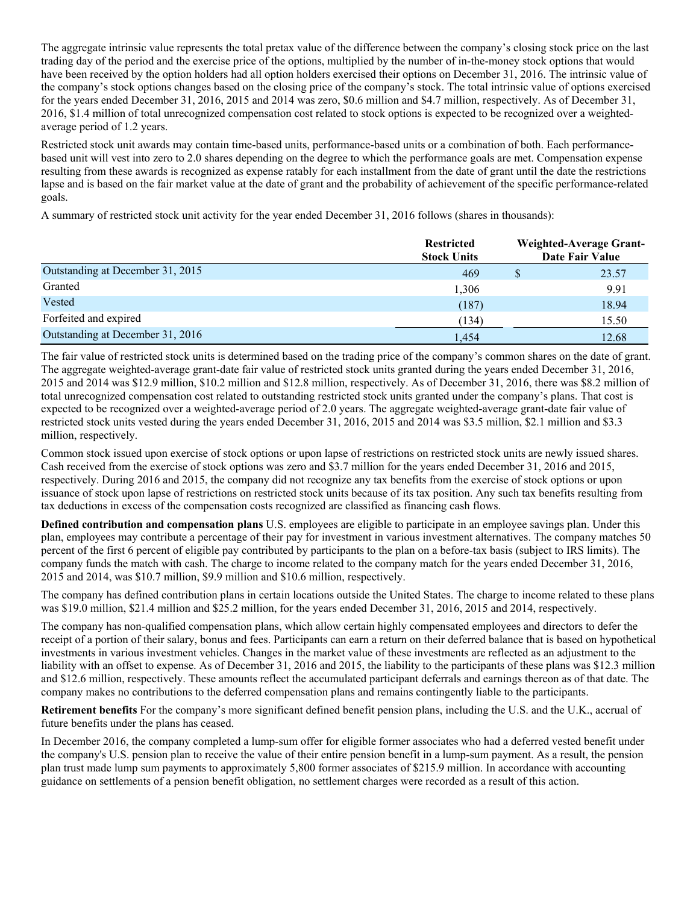The aggregate intrinsic value represents the total pretax value of the difference between the company's closing stock price on the last trading day of the period and the exercise price of the options, multiplied by the number of in-the-money stock options that would have been received by the option holders had all option holders exercised their options on December 31, 2016. The intrinsic value of the company's stock options changes based on the closing price of the company's stock. The total intrinsic value of options exercised for the years ended December 31, 2016, 2015 and 2014 was zero, \$0.6 million and \$4.7 million, respectively. As of December 31, 2016, \$1.4 million of total unrecognized compensation cost related to stock options is expected to be recognized over a weightedaverage period of 1.2 years.

Restricted stock unit awards may contain time-based units, performance-based units or a combination of both. Each performancebased unit will vest into zero to 2.0 shares depending on the degree to which the performance goals are met. Compensation expense resulting from these awards is recognized as expense ratably for each installment from the date of grant until the date the restrictions lapse and is based on the fair market value at the date of grant and the probability of achievement of the specific performance-related goals.

A summary of restricted stock unit activity for the year ended December 31, 2016 follows (shares in thousands):

|                                  | <b>Restricted</b><br><b>Stock Units</b> |   | Weighted-Average Grant-<br>Date Fair Value |
|----------------------------------|-----------------------------------------|---|--------------------------------------------|
| Outstanding at December 31, 2015 | 469                                     | S | 23.57                                      |
| Granted                          | 1,306                                   |   | 9.91                                       |
| Vested                           | (187)                                   |   | 18.94                                      |
| Forfeited and expired            | (134)                                   |   | 15.50                                      |
| Outstanding at December 31, 2016 | 1.454                                   |   | 12.68                                      |

The fair value of restricted stock units is determined based on the trading price of the company's common shares on the date of grant. The aggregate weighted-average grant-date fair value of restricted stock units granted during the years ended December 31, 2016, 2015 and 2014 was \$12.9 million, \$10.2 million and \$12.8 million, respectively. As of December 31, 2016, there was \$8.2 million of total unrecognized compensation cost related to outstanding restricted stock units granted under the company's plans. That cost is expected to be recognized over a weighted-average period of 2.0 years. The aggregate weighted-average grant-date fair value of restricted stock units vested during the years ended December 31, 2016, 2015 and 2014 was \$3.5 million, \$2.1 million and \$3.3 million, respectively.

Common stock issued upon exercise of stock options or upon lapse of restrictions on restricted stock units are newly issued shares. Cash received from the exercise of stock options was zero and \$3.7 million for the years ended December 31, 2016 and 2015, respectively. During 2016 and 2015, the company did not recognize any tax benefits from the exercise of stock options or upon issuance of stock upon lapse of restrictions on restricted stock units because of its tax position. Any such tax benefits resulting from tax deductions in excess of the compensation costs recognized are classified as financing cash flows.

**Defined contribution and compensation plans** U.S. employees are eligible to participate in an employee savings plan. Under this plan, employees may contribute a percentage of their pay for investment in various investment alternatives. The company matches 50 percent of the first 6 percent of eligible pay contributed by participants to the plan on a before-tax basis (subject to IRS limits). The company funds the match with cash. The charge to income related to the company match for the years ended December 31, 2016, 2015 and 2014, was \$10.7 million, \$9.9 million and \$10.6 million, respectively.

The company has defined contribution plans in certain locations outside the United States. The charge to income related to these plans was \$19.0 million, \$21.4 million and \$25.2 million, for the years ended December 31, 2016, 2015 and 2014, respectively.

The company has non-qualified compensation plans, which allow certain highly compensated employees and directors to defer the receipt of a portion of their salary, bonus and fees. Participants can earn a return on their deferred balance that is based on hypothetical investments in various investment vehicles. Changes in the market value of these investments are reflected as an adjustment to the liability with an offset to expense. As of December 31, 2016 and 2015, the liability to the participants of these plans was \$12.3 million and \$12.6 million, respectively. These amounts reflect the accumulated participant deferrals and earnings thereon as of that date. The company makes no contributions to the deferred compensation plans and remains contingently liable to the participants.

**Retirement benefits** For the company's more significant defined benefit pension plans, including the U.S. and the U.K., accrual of future benefits under the plans has ceased.

In December 2016, the company completed a lump-sum offer for eligible former associates who had a deferred vested benefit under the company's U.S. pension plan to receive the value of their entire pension benefit in a lump-sum payment. As a result, the pension plan trust made lump sum payments to approximately 5,800 former associates of \$215.9 million. In accordance with accounting guidance on settlements of a pension benefit obligation, no settlement charges were recorded as a result of this action.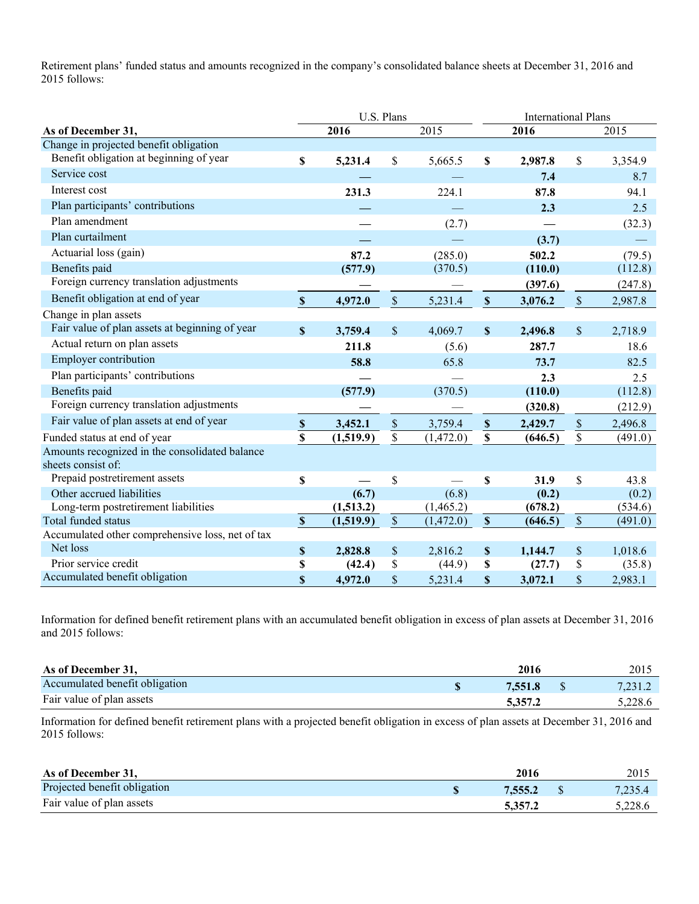Retirement plans' funded status and amounts recognized in the company's consolidated balance sheets at December 31, 2016 and 2015 follows:

|                                                                      | U.S. Plans         |           |               |           |                           |         | <b>International Plans</b> |         |
|----------------------------------------------------------------------|--------------------|-----------|---------------|-----------|---------------------------|---------|----------------------------|---------|
| As of December 31,                                                   |                    | 2016      |               | 2015      |                           | 2016    |                            | 2015    |
| Change in projected benefit obligation                               |                    |           |               |           |                           |         |                            |         |
| Benefit obligation at beginning of year                              | \$                 | 5,231.4   | \$            | 5,665.5   | S                         | 2,987.8 | \$                         | 3,354.9 |
| Service cost                                                         |                    |           |               |           |                           | 7.4     |                            | 8.7     |
| Interest cost                                                        |                    | 231.3     |               | 224.1     |                           | 87.8    |                            | 94.1    |
| Plan participants' contributions                                     |                    |           |               |           |                           | 2.3     |                            | 2.5     |
| Plan amendment                                                       |                    |           |               | (2.7)     |                           |         |                            | (32.3)  |
| Plan curtailment                                                     |                    |           |               |           |                           | (3.7)   |                            |         |
| Actuarial loss (gain)                                                |                    | 87.2      |               | (285.0)   |                           | 502.2   |                            | (79.5)  |
| Benefits paid                                                        |                    | (577.9)   |               | (370.5)   |                           | (110.0) |                            | (112.8) |
| Foreign currency translation adjustments                             |                    |           |               |           |                           | (397.6) |                            | (247.8) |
| Benefit obligation at end of year                                    | $\mathbf S$        | 4,972.0   | $\$$          | 5,231.4   | $\mathbb S$               | 3,076.2 | $\$$                       | 2,987.8 |
| Change in plan assets                                                |                    |           |               |           |                           |         |                            |         |
| Fair value of plan assets at beginning of year                       | $\mathbf S$        | 3,759.4   | $\mathcal{S}$ | 4,069.7   | $\mathbf S$               | 2,496.8 | \$                         | 2,718.9 |
| Actual return on plan assets                                         |                    | 211.8     |               | (5.6)     |                           | 287.7   |                            | 18.6    |
| Employer contribution                                                |                    | 58.8      |               | 65.8      |                           | 73.7    |                            | 82.5    |
| Plan participants' contributions                                     |                    |           |               |           |                           | 2.3     |                            | 2.5     |
| Benefits paid                                                        |                    | (577.9)   |               | (370.5)   |                           | (110.0) |                            | (112.8) |
| Foreign currency translation adjustments                             |                    |           |               |           |                           | (320.8) |                            | (212.9) |
| Fair value of plan assets at end of year                             | $\pmb{\mathbb{S}}$ | 3,452.1   | $\mathbb{S}$  | 3,759.4   | $\pmb{\mathbb{S}}$        | 2,429.7 | $\boldsymbol{\mathsf{S}}$  | 2,496.8 |
| Funded status at end of year                                         | $\overline{s}$     | (1,519.9) | \$            | (1,472.0) | $\pmb{\mathbb{S}}$        | (646.5) | $\mathbb{S}$               | (491.0) |
| Amounts recognized in the consolidated balance<br>sheets consist of: |                    |           |               |           |                           |         |                            |         |
| Prepaid postretirement assets                                        | \$                 |           | \$            |           | \$                        | 31.9    | \$                         | 43.8    |
| Other accrued liabilities                                            |                    | (6.7)     |               | (6.8)     |                           | (0.2)   |                            | (0.2)   |
| Long-term postretirement liabilities                                 |                    | (1,513.2) |               | (1,465.2) |                           | (678.2) |                            | (534.6) |
| Total funded status                                                  | $\mathbf S$        | (1,519.9) | $\sqrt{\ }$   | (1,472.0) | $\mathbb S$               | (646.5) | $\boldsymbol{\mathsf{S}}$  | (491.0) |
| Accumulated other comprehensive loss, net of tax                     |                    |           |               |           |                           |         |                            |         |
| Net loss                                                             | \$                 | 2,828.8   | \$            | 2,816.2   | \$                        | 1,144.7 | \$                         | 1,018.6 |
| Prior service credit                                                 | \$                 | (42.4)    | \$            | (44.9)    | \$                        | (27.7)  | \$                         | (35.8)  |
| Accumulated benefit obligation                                       | \$                 | 4,972.0   | \$            | 5,231.4   | $\boldsymbol{\mathsf{S}}$ | 3,072.1 | \$                         | 2,983.1 |

Information for defined benefit retirement plans with an accumulated benefit obligation in excess of plan assets at December 31, 2016 and 2015 follows:

| As of December 31,             | 2016    | 2015    |
|--------------------------------|---------|---------|
| Accumulated benefit obligation | 7.551.8 | 7.231.2 |
| Fair value of plan assets      | 5,357.2 | 5,228.6 |

Information for defined benefit retirement plans with a projected benefit obligation in excess of plan assets at December 31, 2016 and 2015 follows:

| As of December 31,           | 2016    | 2015    |
|------------------------------|---------|---------|
| Projected benefit obligation | 7,555.2 | 7,235.4 |
| Fair value of plan assets    | 5.357.2 | 5,228.6 |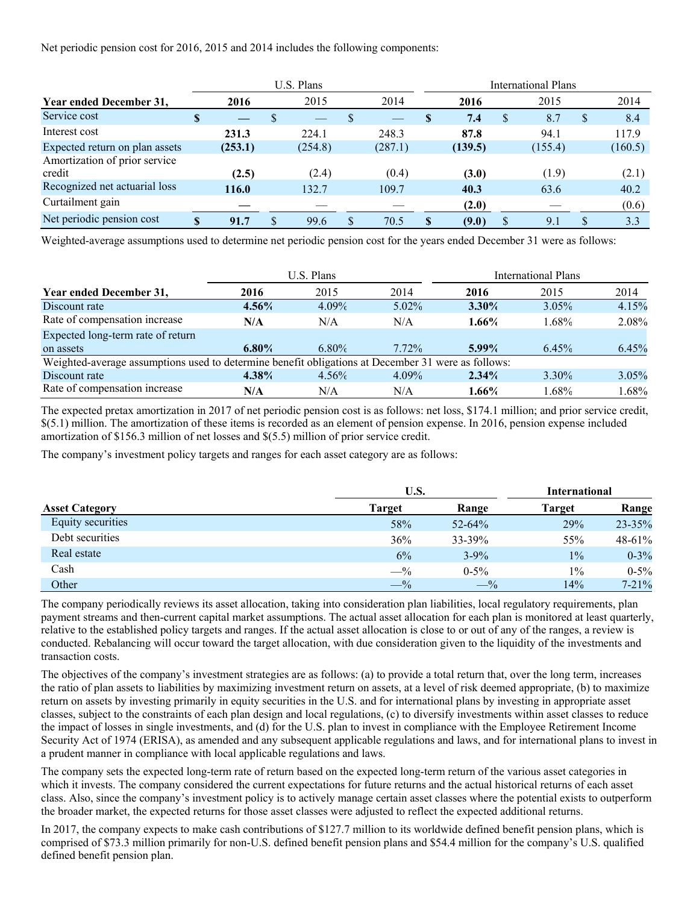Net periodic pension cost for 2016, 2015 and 2014 includes the following components:

|                                |    |         |   | U.S. Plans |    |         | <b>International Plans</b> |         |   |         |   |         |
|--------------------------------|----|---------|---|------------|----|---------|----------------------------|---------|---|---------|---|---------|
| Year ended December 31,        |    | 2016    |   | 2015       |    | 2014    |                            | 2016    |   | 2015    |   | 2014    |
| Service cost                   | \$ |         |   |            | S  |         | S                          | 7.4     | S | 8.7     | S | 8.4     |
| Interest cost                  |    | 231.3   |   | 224.1      |    | 248.3   |                            | 87.8    |   | 94.1    |   | 117.9   |
| Expected return on plan assets |    | (253.1) |   | (254.8)    |    | (287.1) |                            | (139.5) |   | (155.4) |   | (160.5) |
| Amortization of prior service  |    |         |   |            |    |         |                            |         |   |         |   |         |
| credit                         |    | (2.5)   |   | (2.4)      |    | (0.4)   |                            | (3.0)   |   | (1.9)   |   | (2.1)   |
| Recognized net actuarial loss  |    | 116.0   |   | 132.7      |    | 109.7   |                            | 40.3    |   | 63.6    |   | 40.2    |
| Curtailment gain               |    |         |   |            |    |         |                            | (2.0)   |   |         |   | (0.6)   |
| Net periodic pension cost      | ¢  | 91.7    | S | 99.6       | \$ | 70.5    | S                          | (9.0)   |   | 9.1     | S | 3.3     |

Weighted-average assumptions used to determine net periodic pension cost for the years ended December 31 were as follows:

|                                                                                                    |          | U.S. Plans |          | <b>International Plans</b> |          |       |  |  |
|----------------------------------------------------------------------------------------------------|----------|------------|----------|----------------------------|----------|-------|--|--|
| Year ended December 31,                                                                            | 2016     | 2015       | 2014     | 2016                       | 2015     | 2014  |  |  |
| Discount rate                                                                                      | 4.56%    | $4.09\%$   | $5.02\%$ | 3.30%                      | $3.05\%$ | 4.15% |  |  |
| Rate of compensation increase                                                                      | N/A      | N/A        | N/A      | 1.66%                      | 1.68%    | 2.08% |  |  |
| Expected long-term rate of return                                                                  |          |            |          |                            |          |       |  |  |
| on assets                                                                                          | $6.80\%$ | $6.80\%$   | $7.72\%$ | $5.99\%$                   | 6.45%    | 6.45% |  |  |
| Weighted-average assumptions used to determine benefit obligations at December 31 were as follows: |          |            |          |                            |          |       |  |  |
| Discount rate                                                                                      | 4.38%    | $4.56\%$   | $4.09\%$ | 2.34%                      | $3.30\%$ | 3.05% |  |  |
| Rate of compensation increase                                                                      | N/A      | N/A        | N/A      | $1.66\%$                   | 1.68%    | 1.68% |  |  |

The expected pretax amortization in 2017 of net periodic pension cost is as follows: net loss, \$174.1 million; and prior service credit, \$(5.1) million. The amortization of these items is recorded as an element of pension expense. In 2016, pension expense included amortization of \$156.3 million of net losses and \$(5.5) million of prior service credit.

The company's investment policy targets and ranges for each asset category are as follows:

|                       |               | U.S.       |               |           |  |
|-----------------------|---------------|------------|---------------|-----------|--|
| <b>Asset Category</b> | <b>Target</b> | Range      | <b>Target</b> | Range     |  |
| Equity securities     | 58%           | $52 - 64%$ | 29%           | 23-35%    |  |
| Debt securities       | 36%           | 33-39%     | 55%           | 48-61%    |  |
| Real estate           | 6%            | $3 - 9\%$  | $1\%$         | $0 - 3\%$ |  |
| Cash                  | $-$ %         | $0 - 5\%$  | $1\%$         | $0 - 5\%$ |  |
| Other                 | $-$ %         | $-$ %      | 14%           | $7 - 21%$ |  |

The company periodically reviews its asset allocation, taking into consideration plan liabilities, local regulatory requirements, plan payment streams and then-current capital market assumptions. The actual asset allocation for each plan is monitored at least quarterly, relative to the established policy targets and ranges. If the actual asset allocation is close to or out of any of the ranges, a review is conducted. Rebalancing will occur toward the target allocation, with due consideration given to the liquidity of the investments and transaction costs.

The objectives of the company's investment strategies are as follows: (a) to provide a total return that, over the long term, increases the ratio of plan assets to liabilities by maximizing investment return on assets, at a level of risk deemed appropriate, (b) to maximize return on assets by investing primarily in equity securities in the U.S. and for international plans by investing in appropriate asset classes, subject to the constraints of each plan design and local regulations, (c) to diversify investments within asset classes to reduce the impact of losses in single investments, and (d) for the U.S. plan to invest in compliance with the Employee Retirement Income Security Act of 1974 (ERISA), as amended and any subsequent applicable regulations and laws, and for international plans to invest in a prudent manner in compliance with local applicable regulations and laws.

The company sets the expected long-term rate of return based on the expected long-term return of the various asset categories in which it invests. The company considered the current expectations for future returns and the actual historical returns of each asset class. Also, since the company's investment policy is to actively manage certain asset classes where the potential exists to outperform the broader market, the expected returns for those asset classes were adjusted to reflect the expected additional returns.

In 2017, the company expects to make cash contributions of \$127.7 million to its worldwide defined benefit pension plans, which is comprised of \$73.3 million primarily for non-U.S. defined benefit pension plans and \$54.4 million for the company's U.S. qualified defined benefit pension plan.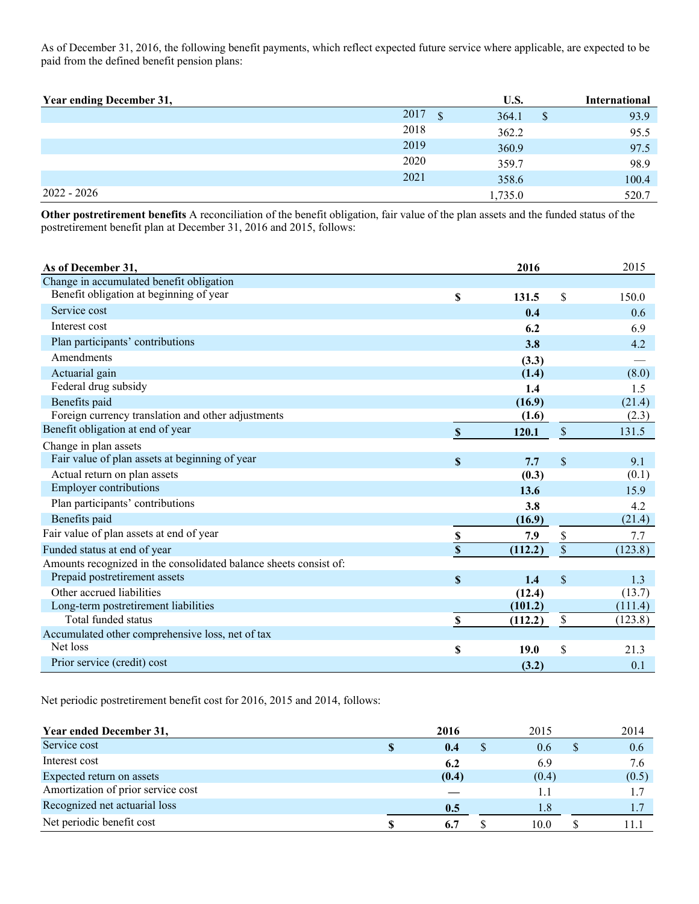As of December 31, 2016, the following benefit payments, which reflect expected future service where applicable, are expected to be paid from the defined benefit pension plans:

| <b>Year ending December 31,</b> |      | U.S.        | <b>International</b> |
|---------------------------------|------|-------------|----------------------|
|                                 | 2017 | 364.1<br>\$ | 93.9                 |
|                                 | 2018 | 362.2       | 95.5                 |
|                                 | 2019 | 360.9       | 97.5                 |
|                                 | 2020 | 359.7       | 98.9                 |
|                                 | 2021 | 358.6       | 100.4                |
| 2022 - 2026                     |      | 1,735.0     | 520.7                |

**Other postretirement benefits** A reconciliation of the benefit obligation, fair value of the plan assets and the funded status of the postretirement benefit plan at December 31, 2016 and 2015, follows:

| As of December 31,                                                |                           | 2016    |               | 2015    |
|-------------------------------------------------------------------|---------------------------|---------|---------------|---------|
| Change in accumulated benefit obligation                          |                           |         |               |         |
| Benefit obligation at beginning of year                           | \$                        | 131.5   | \$            | 150.0   |
| Service cost                                                      |                           | 0.4     |               | 0.6     |
| Interest cost                                                     |                           | 6.2     |               | 6.9     |
| Plan participants' contributions                                  |                           | 3.8     |               | 4.2     |
| Amendments                                                        |                           | (3.3)   |               |         |
| Actuarial gain                                                    |                           | (1.4)   |               | (8.0)   |
| Federal drug subsidy                                              |                           | 1.4     |               | 1.5     |
| Benefits paid                                                     |                           | (16.9)  |               | (21.4)  |
| Foreign currency translation and other adjustments                |                           | (1.6)   |               | (2.3)   |
| Benefit obligation at end of year                                 | $\boldsymbol{\mathsf{S}}$ | 120.1   | $\$$          | 131.5   |
| Change in plan assets                                             |                           |         |               |         |
| Fair value of plan assets at beginning of year                    | $\mathbf S$               | 7.7     | $\mathcal{S}$ | 9.1     |
| Actual return on plan assets                                      |                           | (0.3)   |               | (0.1)   |
| <b>Employer contributions</b>                                     |                           | 13.6    |               | 15.9    |
| Plan participants' contributions                                  |                           | 3.8     |               | 4.2     |
| Benefits paid                                                     |                           | (16.9)  |               | (21.4)  |
| Fair value of plan assets at end of year                          | \$                        | 7.9     | \$            | 7.7     |
| Funded status at end of year                                      | $\overline{\mathbf{s}}$   | (112.2) | $\mathsf{\$}$ | (123.8) |
| Amounts recognized in the consolidated balance sheets consist of: |                           |         |               |         |
| Prepaid postretirement assets                                     | $\mathbf S$               | 1.4     | $\mathcal{S}$ | 1.3     |
| Other accrued liabilities                                         |                           | (12.4)  |               | (13.7)  |
| Long-term postretirement liabilities                              |                           | (101.2) |               | (111.4) |
| Total funded status                                               | $\mathbb S$               | (112.2) | $\$$          | (123.8) |
| Accumulated other comprehensive loss, net of tax                  |                           |         |               |         |
| Net loss                                                          | \$                        | 19.0    | \$            | 21.3    |
| Prior service (credit) cost                                       |                           | (3.2)   |               | 0.1     |

Net periodic postretirement benefit cost for 2016, 2015 and 2014, follows:

| Year ended December 31,            | 2016  | 2015  | 2014  |
|------------------------------------|-------|-------|-------|
| Service cost                       | 0.4   | 0.6   | 0.6   |
| Interest cost                      | 6.2   | 6.9   | 7.6   |
| Expected return on assets          | (0.4) | (0.4) | (0.5) |
| Amortization of prior service cost |       | 1.1   |       |
| Recognized net actuarial loss      | 0.5   | 1.8   |       |
| Net periodic benefit cost          | 6.7   | 10.0  |       |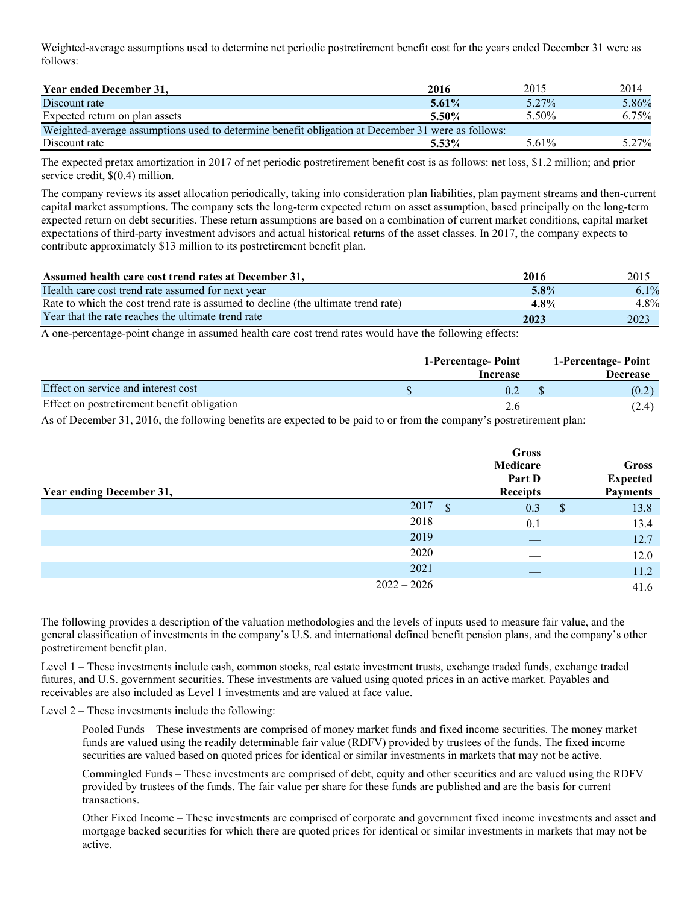Weighted-average assumptions used to determine net periodic postretirement benefit cost for the years ended December 31 were as follows:

| Year ended December 31,                                                                           | 2016  | 2015     | 2014  |
|---------------------------------------------------------------------------------------------------|-------|----------|-------|
| Discount rate                                                                                     | 5.61% | $5.27\%$ | 5.86% |
| Expected return on plan assets                                                                    | 5.50% | 5.50%    | 6.75% |
| Weighted-average assumptions used to determine benefit obligation at December 31 were as follows: |       |          |       |
| Discount rate                                                                                     | 5.53% | 5.61%    | 5.27% |

The expected pretax amortization in 2017 of net periodic postretirement benefit cost is as follows: net loss, \$1.2 million; and prior service credit, \$(0.4) million.

The company reviews its asset allocation periodically, taking into consideration plan liabilities, plan payment streams and then-current capital market assumptions. The company sets the long-term expected return on asset assumption, based principally on the long-term expected return on debt securities. These return assumptions are based on a combination of current market conditions, capital market expectations of third-party investment advisors and actual historical returns of the asset classes. In 2017, the company expects to contribute approximately \$13 million to its postretirement benefit plan.

| Assumed health care cost trend rates at December 31,                              | 2016 | 2015    |
|-----------------------------------------------------------------------------------|------|---------|
| Health care cost trend rate assumed for next year                                 | 5.8% | $6.1\%$ |
| Rate to which the cost trend rate is assumed to decline (the ultimate trend rate) | 4.8% | $4.8\%$ |
| Year that the rate reaches the ultimate trend rate                                | 2023 | 2023    |

A one-percentage-point change in assumed health care cost trend rates would have the following effects:

|                                             | 1-Percentage-Point<br>Increase | 1-Percentage-Point<br><b>Decrease</b> |
|---------------------------------------------|--------------------------------|---------------------------------------|
| Effect on service and interest cost         | 0.2                            | (0.2)                                 |
| Effect on postretirement benefit obligation |                                | (2.4)                                 |

As of December 31, 2016, the following benefits are expected to be paid to or from the company's postretirement plan:

| <b>Year ending December 31,</b> |               |               | Gross<br>Medicare<br>Part D<br><b>Receipts</b> |   | Gross<br><b>Expected</b><br><b>Payments</b> |
|---------------------------------|---------------|---------------|------------------------------------------------|---|---------------------------------------------|
|                                 | 2017          | $\mathcal{S}$ | 0.3                                            | S | 13.8                                        |
|                                 | 2018          |               | 0.1                                            |   | 13.4                                        |
|                                 | 2019          |               |                                                |   | 12.7                                        |
|                                 | 2020          |               |                                                |   | 12.0                                        |
|                                 | 2021          |               |                                                |   | 11.2                                        |
|                                 | $2022 - 2026$ |               |                                                |   | 41.6                                        |

The following provides a description of the valuation methodologies and the levels of inputs used to measure fair value, and the general classification of investments in the company's U.S. and international defined benefit pension plans, and the company's other postretirement benefit plan.

Level 1 – These investments include cash, common stocks, real estate investment trusts, exchange traded funds, exchange traded futures, and U.S. government securities. These investments are valued using quoted prices in an active market. Payables and receivables are also included as Level 1 investments and are valued at face value.

Level 2 – These investments include the following:

Pooled Funds – These investments are comprised of money market funds and fixed income securities. The money market funds are valued using the readily determinable fair value (RDFV) provided by trustees of the funds. The fixed income securities are valued based on quoted prices for identical or similar investments in markets that may not be active.

Commingled Funds – These investments are comprised of debt, equity and other securities and are valued using the RDFV provided by trustees of the funds. The fair value per share for these funds are published and are the basis for current transactions.

Other Fixed Income – These investments are comprised of corporate and government fixed income investments and asset and mortgage backed securities for which there are quoted prices for identical or similar investments in markets that may not be active.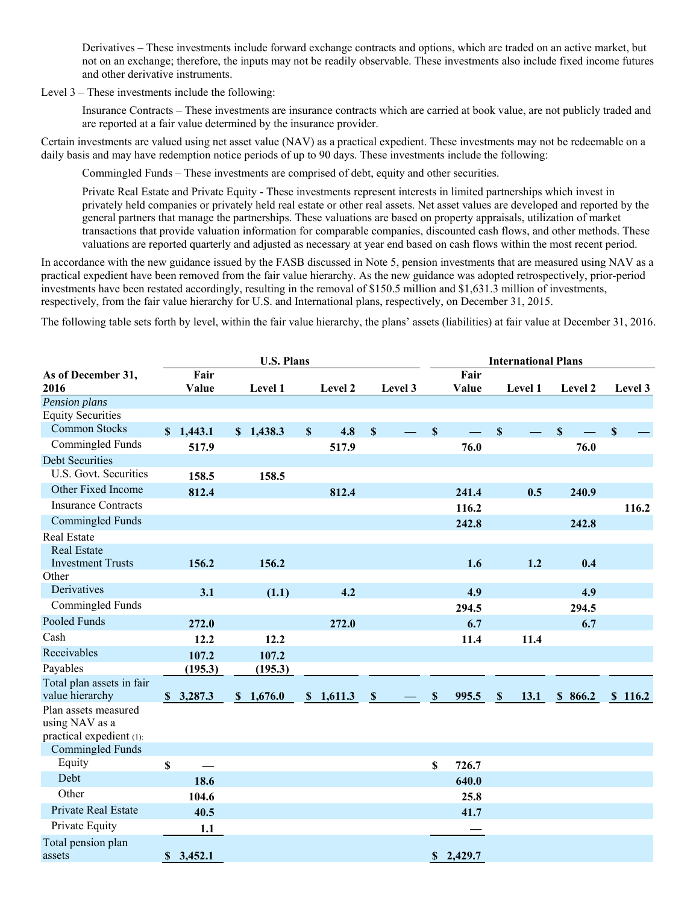Derivatives – These investments include forward exchange contracts and options, which are traded on an active market, but not on an exchange; therefore, the inputs may not be readily observable. These investments also include fixed income futures and other derivative instruments.

Level 3 – These investments include the following:

Insurance Contracts – These investments are insurance contracts which are carried at book value, are not publicly traded and are reported at a fair value determined by the insurance provider.

Certain investments are valued using net asset value (NAV) as a practical expedient. These investments may not be redeemable on a daily basis and may have redemption notice periods of up to 90 days. These investments include the following:

Commingled Funds – These investments are comprised of debt, equity and other securities.

Private Real Estate and Private Equity - These investments represent interests in limited partnerships which invest in privately held companies or privately held real estate or other real assets. Net asset values are developed and reported by the general partners that manage the partnerships. These valuations are based on property appraisals, utilization of market transactions that provide valuation information for comparable companies, discounted cash flows, and other methods. These valuations are reported quarterly and adjusted as necessary at year end based on cash flows within the most recent period.

In accordance with the new guidance issued by the FASB discussed in Note 5, pension investments that are measured using NAV as a practical expedient have been removed from the fair value hierarchy. As the new guidance was adopted retrospectively, prior-period investments have been restated accordingly, resulting in the removal of \$150.5 million and \$1,631.3 million of investments, respectively, from the fair value hierarchy for U.S. and International plans, respectively, on December 31, 2015.

The following table sets forth by level, within the fair value hierarchy, the plans' assets (liabilities) at fair value at December 31, 2016.

|                              |                   |           | <b>International Plans</b> |           |                   |                           |           |               |         |               |       |               |         |
|------------------------------|-------------------|-----------|----------------------------|-----------|-------------------|---------------------------|-----------|---------------|---------|---------------|-------|---------------|---------|
| As of December 31,           | Fair              |           |                            |           |                   |                           | Fair      |               |         |               |       |               |         |
| 2016                         | Value             | Level 1   |                            | Level 2   | Level 3           |                           | Value     |               | Level 1 | Level 2       |       |               | Level 3 |
| Pension plans                |                   |           |                            |           |                   |                           |           |               |         |               |       |               |         |
| <b>Equity Securities</b>     |                   |           |                            |           |                   |                           |           |               |         |               |       |               |         |
| <b>Common Stocks</b>         | \$1,443.1         | \$1,438.3 | $\mathbf S$                | 4.8       | $\mathbf S$       | $\boldsymbol{\mathsf{S}}$ |           | $\mathbf S$   |         | $\mathbf{\$}$ |       | $\mathbf{\$}$ |         |
| Commingled Funds             | 517.9             |           |                            | 517.9     |                   |                           | 76.0      |               |         |               | 76.0  |               |         |
| <b>Debt Securities</b>       |                   |           |                            |           |                   |                           |           |               |         |               |       |               |         |
| U.S. Govt. Securities        | 158.5             | 158.5     |                            |           |                   |                           |           |               |         |               |       |               |         |
| Other Fixed Income           | 812.4             |           |                            | 812.4     |                   |                           | 241.4     |               | 0.5     |               | 240.9 |               |         |
| <b>Insurance Contracts</b>   |                   |           |                            |           |                   |                           | 116.2     |               |         |               |       |               | 116.2   |
| <b>Commingled Funds</b>      |                   |           |                            |           |                   |                           | 242.8     |               |         |               | 242.8 |               |         |
| Real Estate                  |                   |           |                            |           |                   |                           |           |               |         |               |       |               |         |
| <b>Real Estate</b>           |                   |           |                            |           |                   |                           |           |               |         |               |       |               |         |
| <b>Investment Trusts</b>     | 156.2             | 156.2     |                            |           |                   |                           | 1.6       |               | 1.2     |               | 0.4   |               |         |
| Other                        |                   |           |                            |           |                   |                           |           |               |         |               |       |               |         |
| Derivatives                  | 3.1               | (1.1)     |                            | 4.2       |                   |                           | 4.9       |               |         |               | 4.9   |               |         |
| Commingled Funds             |                   |           |                            |           |                   |                           | 294.5     |               |         |               | 294.5 |               |         |
| Pooled Funds                 | 272.0             |           |                            | 272.0     |                   |                           | 6.7       |               |         |               | 6.7   |               |         |
| Cash                         | 12.2              | 12.2      |                            |           |                   |                           | 11.4      |               | 11.4    |               |       |               |         |
| Receivables                  | 107.2             | 107.2     |                            |           |                   |                           |           |               |         |               |       |               |         |
| Payables                     | (195.3)           | (195.3)   |                            |           |                   |                           |           |               |         |               |       |               |         |
| Total plan assets in fair    |                   |           |                            |           |                   |                           |           |               |         |               |       |               |         |
| value hierarchy              | \$3,287.3         | \$1,676.0 |                            | \$1,611.3 | $\boldsymbol{\$}$ | $\pmb{\mathbb{S}}$        | 995.5     | $\mathbf{\$}$ | 13.1    | \$866.2       |       |               | \$116.2 |
| Plan assets measured         |                   |           |                            |           |                   |                           |           |               |         |               |       |               |         |
| using NAV as a               |                   |           |                            |           |                   |                           |           |               |         |               |       |               |         |
| practical expedient (1):     |                   |           |                            |           |                   |                           |           |               |         |               |       |               |         |
| <b>Commingled Funds</b>      |                   |           |                            |           |                   |                           |           |               |         |               |       |               |         |
| Equity                       | \$<br><u>in a</u> |           |                            |           |                   | $\mathbf S$               | 726.7     |               |         |               |       |               |         |
| Debt                         | 18.6              |           |                            |           |                   |                           | 640.0     |               |         |               |       |               |         |
| Other                        | 104.6             |           |                            |           |                   |                           | 25.8      |               |         |               |       |               |         |
| Private Real Estate          | 40.5              |           |                            |           |                   |                           | 41.7      |               |         |               |       |               |         |
| Private Equity               | 1.1               |           |                            |           |                   |                           |           |               |         |               |       |               |         |
| Total pension plan<br>assets | \$3,452.1         |           |                            |           |                   |                           | \$2,429.7 |               |         |               |       |               |         |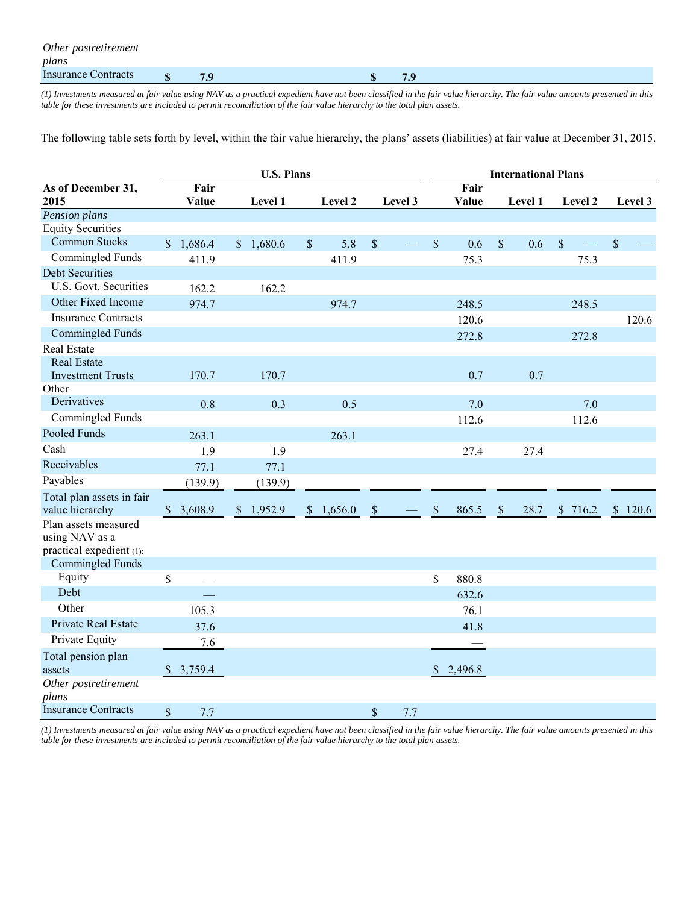| Other postretirement       |     |    |
|----------------------------|-----|----|
| plans                      |     |    |
| <b>Insurance Contracts</b> | 7.9 | 70 |

*(1) Investments measured at fair value using NAV as a practical expedient have not been classified in the fair value hierarchy. The fair value amounts presented in this table for these investments are included to permit reconciliation of the fair value hierarchy to the total plan assets.*

The following table sets forth by level, within the fair value hierarchy, the plans' assets (liabilities) at fair value at December 31, 2015.

|                            | <b>U.S. Plans</b> |              |           |             |           |              |         |              | <b>International Plans</b> |               |         |    |         |               |         |  |  |  |
|----------------------------|-------------------|--------------|-----------|-------------|-----------|--------------|---------|--------------|----------------------------|---------------|---------|----|---------|---------------|---------|--|--|--|
| As of December 31,         | Fair              |              |           |             |           |              |         |              | Fair                       |               |         |    |         |               |         |  |  |  |
| 2015                       | Value             |              | Level 1   |             | Level 2   |              | Level 3 |              | Value                      |               | Level 1 |    | Level 2 |               | Level 3 |  |  |  |
| Pension plans              |                   |              |           |             |           |              |         |              |                            |               |         |    |         |               |         |  |  |  |
| <b>Equity Securities</b>   |                   |              |           |             |           |              |         |              |                            |               |         |    |         |               |         |  |  |  |
| <b>Common Stocks</b>       | \$1,686.4         |              | \$1,680.6 | $\sqrt{\ }$ | 5.8       | \$           |         | $\mathbb{S}$ | 0.6                        | $\mathsf{\$}$ | 0.6     | \$ |         | $\mathcal{S}$ |         |  |  |  |
| Commingled Funds           | 411.9             |              |           |             | 411.9     |              |         |              | 75.3                       |               |         |    | 75.3    |               |         |  |  |  |
| <b>Debt Securities</b>     |                   |              |           |             |           |              |         |              |                            |               |         |    |         |               |         |  |  |  |
| U.S. Govt. Securities      | 162.2             |              | 162.2     |             |           |              |         |              |                            |               |         |    |         |               |         |  |  |  |
| Other Fixed Income         | 974.7             |              |           |             | 974.7     |              |         |              | 248.5                      |               |         |    | 248.5   |               |         |  |  |  |
| <b>Insurance Contracts</b> |                   |              |           |             |           |              |         |              | 120.6                      |               |         |    |         |               | 120.6   |  |  |  |
| <b>Commingled Funds</b>    |                   |              |           |             |           |              |         |              | 272.8                      |               |         |    | 272.8   |               |         |  |  |  |
| <b>Real Estate</b>         |                   |              |           |             |           |              |         |              |                            |               |         |    |         |               |         |  |  |  |
| <b>Real Estate</b>         |                   |              |           |             |           |              |         |              |                            |               |         |    |         |               |         |  |  |  |
| <b>Investment Trusts</b>   | 170.7             |              | 170.7     |             |           |              |         |              | 0.7                        |               | 0.7     |    |         |               |         |  |  |  |
| Other                      |                   |              |           |             |           |              |         |              |                            |               |         |    |         |               |         |  |  |  |
| Derivatives                | 0.8               |              | 0.3       |             | 0.5       |              |         |              | 7.0                        |               |         |    | 7.0     |               |         |  |  |  |
| Commingled Funds           |                   |              |           |             |           |              |         |              | 112.6                      |               |         |    | 112.6   |               |         |  |  |  |
| Pooled Funds               | 263.1             |              |           |             | 263.1     |              |         |              |                            |               |         |    |         |               |         |  |  |  |
| Cash                       | 1.9               |              | 1.9       |             |           |              |         |              | 27.4                       |               | 27.4    |    |         |               |         |  |  |  |
| Receivables                | 77.1              |              | 77.1      |             |           |              |         |              |                            |               |         |    |         |               |         |  |  |  |
| Payables                   | (139.9)           |              | (139.9)   |             |           |              |         |              |                            |               |         |    |         |               |         |  |  |  |
| Total plan assets in fair  |                   |              |           |             |           |              |         |              |                            |               |         |    |         |               |         |  |  |  |
| value hierarchy            | \$3,608.9         | $\mathbb{S}$ | 1,952.9   |             | \$1,656.0 | $\mathbb{S}$ |         | $\$$         | 865.5                      | $\sqrt{\ }$   | 28.7    |    | \$716.2 |               | \$120.6 |  |  |  |
| Plan assets measured       |                   |              |           |             |           |              |         |              |                            |               |         |    |         |               |         |  |  |  |
| using NAV as a             |                   |              |           |             |           |              |         |              |                            |               |         |    |         |               |         |  |  |  |
| practical expedient (1):   |                   |              |           |             |           |              |         |              |                            |               |         |    |         |               |         |  |  |  |
| <b>Commingled Funds</b>    |                   |              |           |             |           |              |         |              |                            |               |         |    |         |               |         |  |  |  |
| Equity                     | \$                |              |           |             |           |              |         | \$           | 880.8                      |               |         |    |         |               |         |  |  |  |
| Debt                       |                   |              |           |             |           |              |         |              | 632.6                      |               |         |    |         |               |         |  |  |  |
| Other                      | 105.3             |              |           |             |           |              |         |              | 76.1                       |               |         |    |         |               |         |  |  |  |
| Private Real Estate        | 37.6              |              |           |             |           |              |         |              | 41.8                       |               |         |    |         |               |         |  |  |  |
| Private Equity             | 7.6               |              |           |             |           |              |         |              |                            |               |         |    |         |               |         |  |  |  |
| Total pension plan         |                   |              |           |             |           |              |         |              |                            |               |         |    |         |               |         |  |  |  |
| assets                     | \$3,759.4         |              |           |             |           |              |         |              | \$2,496.8                  |               |         |    |         |               |         |  |  |  |
| Other postretirement       |                   |              |           |             |           |              |         |              |                            |               |         |    |         |               |         |  |  |  |
| plans                      |                   |              |           |             |           |              |         |              |                            |               |         |    |         |               |         |  |  |  |
| <b>Insurance Contracts</b> | \$<br>7.7         |              |           |             |           | $\$$         | 7.7     |              |                            |               |         |    |         |               |         |  |  |  |

*(1) Investments measured at fair value using NAV as a practical expedient have not been classified in the fair value hierarchy. The fair value amounts presented in this table for these investments are included to permit reconciliation of the fair value hierarchy to the total plan assets.*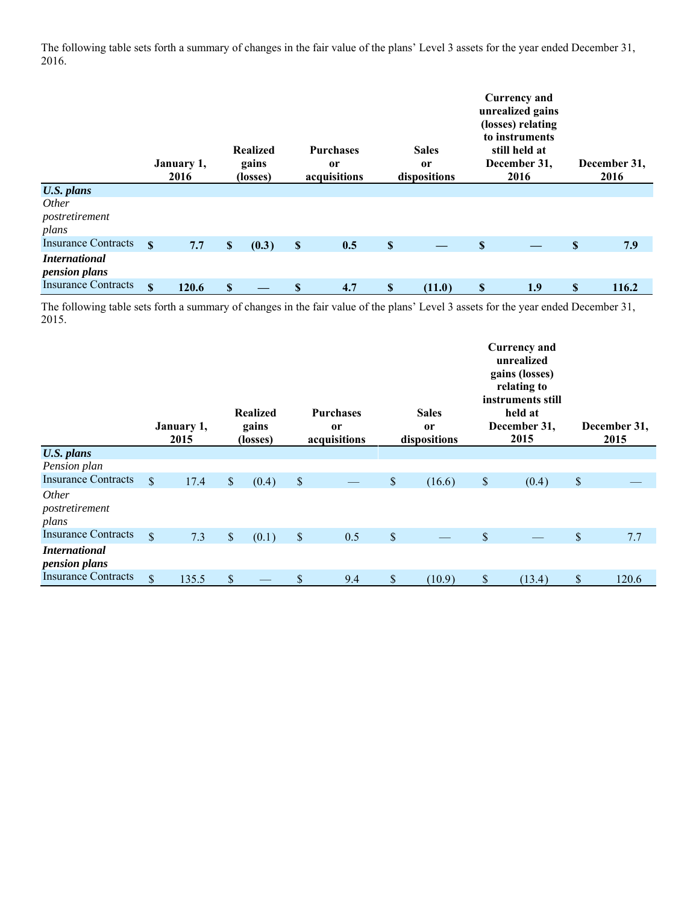The following table sets forth a summary of changes in the fair value of the plans' Level 3 assets for the year ended December 31, 2016.

|                                              |              | January 1,<br>2016 |               | <b>Realized</b><br>gains<br>(losses) |               | <b>Purchases</b><br><sub>or</sub><br>acquisitions |                           | <b>Sales</b><br><sub>or</sub><br>dispositions |    | <b>Currency and</b><br>unrealized gains<br>(losses) relating<br>to instruments<br>still held at<br>December 31,<br>2016 |               | December 31,<br>2016 |
|----------------------------------------------|--------------|--------------------|---------------|--------------------------------------|---------------|---------------------------------------------------|---------------------------|-----------------------------------------------|----|-------------------------------------------------------------------------------------------------------------------------|---------------|----------------------|
| <b>U.S.</b> plans                            |              |                    |               |                                      |               |                                                   |                           |                                               |    |                                                                                                                         |               |                      |
| <i>Other</i><br>postretirement<br>plans      |              |                    |               |                                      |               |                                                   |                           |                                               |    |                                                                                                                         |               |                      |
| <b>Insurance Contracts</b>                   | $\mathbf{s}$ | 7.7                | <sup>\$</sup> | (0.3)                                | \$            | 0.5                                               | $\boldsymbol{\mathsf{S}}$ |                                               | S  |                                                                                                                         | <sup>\$</sup> | 7.9                  |
| <i>International</i><br><i>pension plans</i> |              |                    |               |                                      |               |                                                   |                           |                                               |    |                                                                                                                         |               |                      |
| <b>Insurance Contracts</b>                   | $\mathbf{s}$ | 120.6              | \$            |                                      | <sup>\$</sup> | 4.7                                               | \$                        | (11.0)                                        | \$ | 1.9                                                                                                                     | S             | 116.2                |

The following table sets forth a summary of changes in the fair value of the plans' Level 3 assets for the year ended December 31, 2015.

|                                              |               | January 1,<br>2015 |              | <b>Realized</b><br>gains<br>(losses) |      | <b>Purchases</b><br><sub>or</sub><br>acquisitions |                           | <b>Sales</b><br><sub>or</sub><br>dispositions |                           | <b>Currency and</b><br>unrealized<br>gains (losses)<br>relating to<br>instruments still<br>held at<br>December 31,<br>2015 |      | December 31,<br>2015 |
|----------------------------------------------|---------------|--------------------|--------------|--------------------------------------|------|---------------------------------------------------|---------------------------|-----------------------------------------------|---------------------------|----------------------------------------------------------------------------------------------------------------------------|------|----------------------|
| <b>U.S.</b> plans                            |               |                    |              |                                      |      |                                                   |                           |                                               |                           |                                                                                                                            |      |                      |
| Pension plan                                 |               |                    |              |                                      |      |                                                   |                           |                                               |                           |                                                                                                                            |      |                      |
| <b>Insurance Contracts</b>                   | $\mathbb{S}$  | 17.4               | $\mathbb{S}$ | (0.4)                                | $\$$ |                                                   | \$                        | (16.6)                                        | $\boldsymbol{\mathsf{S}}$ | (0.4)                                                                                                                      | $\$$ |                      |
| <i>Other</i><br>postretirement<br>plans      |               |                    |              |                                      |      |                                                   |                           |                                               |                           |                                                                                                                            |      |                      |
| <b>Insurance Contracts</b>                   | $\mathbb{S}$  | 7.3                | $\sqrt{\ }$  | (0.1)                                | \$   | 0.5                                               | $\boldsymbol{\mathsf{S}}$ |                                               | \$                        |                                                                                                                            | \$   | 7.7                  |
| <i>International</i><br><i>pension plans</i> |               |                    |              |                                      |      |                                                   |                           |                                               |                           |                                                                                                                            |      |                      |
| <b>Insurance Contracts</b>                   | $\mathbf{\$}$ | 135.5              | \$           |                                      | \$   | 9.4                                               | \$                        | (10.9)                                        | $\mathcal{S}$             | (13.4)                                                                                                                     | \$   | 120.6                |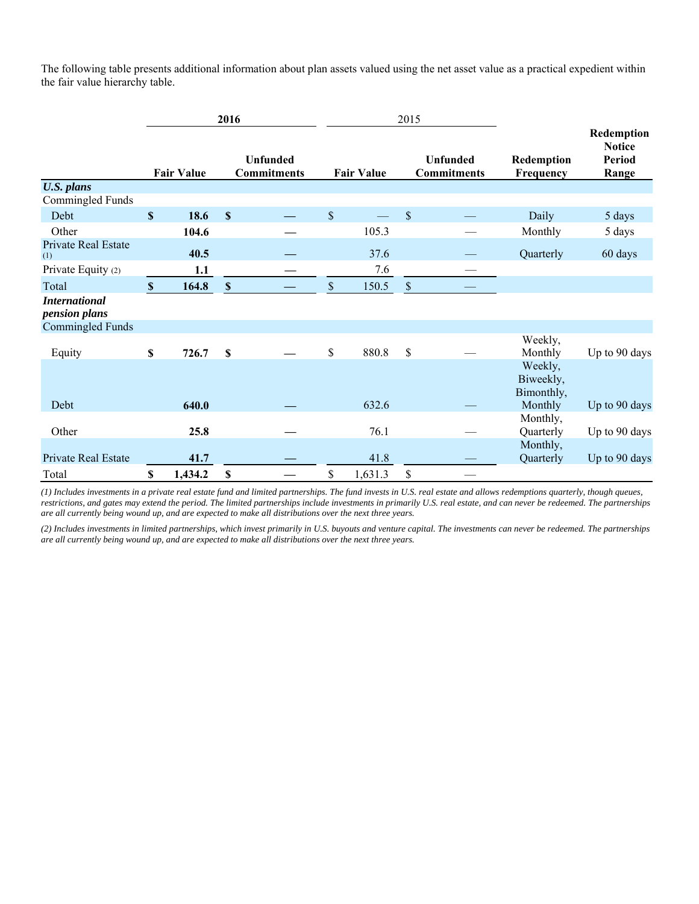The following table presents additional information about plan assets valued using the net asset value as a practical expedient within the fair value hierarchy table.

|                                              |                           |                   | 2016                                  |  |                           |                   | 2015          |                                       |                                    |                                                |
|----------------------------------------------|---------------------------|-------------------|---------------------------------------|--|---------------------------|-------------------|---------------|---------------------------------------|------------------------------------|------------------------------------------------|
|                                              |                           | <b>Fair Value</b> | <b>Unfunded</b><br><b>Commitments</b> |  |                           | <b>Fair Value</b> |               | <b>Unfunded</b><br><b>Commitments</b> | Redemption<br>Frequency            | Redemption<br><b>Notice</b><br>Period<br>Range |
| U.S. plans                                   |                           |                   |                                       |  |                           |                   |               |                                       |                                    |                                                |
| Commingled Funds                             |                           |                   |                                       |  |                           |                   |               |                                       |                                    |                                                |
| Debt                                         | $\boldsymbol{\mathsf{S}}$ | 18.6              | $\mathbf S$                           |  | $\$$                      |                   | $\mathcal{S}$ |                                       | Daily                              | 5 days                                         |
| Other                                        |                           | 104.6             |                                       |  |                           | 105.3             |               |                                       | Monthly                            | 5 days                                         |
| Private Real Estate<br>(1)                   |                           | 40.5              |                                       |  |                           | 37.6              |               |                                       | Quarterly                          | 60 days                                        |
| Private Equity (2)                           |                           | 1.1               |                                       |  |                           | 7.6               |               |                                       |                                    |                                                |
| Total                                        | $\boldsymbol{\mathsf{S}}$ | 164.8             | $\mathbf{\$}$                         |  | $\boldsymbol{\mathsf{S}}$ | 150.5             | $\mathbb{S}$  |                                       |                                    |                                                |
| <b>International</b><br><i>pension plans</i> |                           |                   |                                       |  |                           |                   |               |                                       |                                    |                                                |
| Commingled Funds                             |                           |                   |                                       |  |                           |                   |               |                                       |                                    |                                                |
| Equity                                       | \$                        | 726.7             | \$                                    |  | \$                        | 880.8             | \$            |                                       | Weekly,<br>Monthly                 | Up to 90 days                                  |
|                                              |                           |                   |                                       |  |                           |                   |               |                                       | Weekly,<br>Biweekly,<br>Bimonthly, |                                                |
| Debt                                         |                           | 640.0             |                                       |  |                           | 632.6             |               |                                       | Monthly                            | Up to 90 days                                  |
| Other                                        |                           | 25.8              |                                       |  |                           | 76.1              |               |                                       | Monthly,<br>Quarterly              | Up to 90 days                                  |
|                                              |                           |                   |                                       |  |                           |                   |               |                                       | Monthly,                           |                                                |
| Private Real Estate                          |                           | 41.7              |                                       |  |                           | 41.8              |               |                                       | Quarterly                          | Up to 90 days                                  |
| Total                                        | \$                        | 1,434.2           | \$                                    |  | \$                        | 1,631.3           | \$            |                                       |                                    |                                                |

*(1) Includes investments in a private real estate fund and limited partnerships. The fund invests in U.S. real estate and allows redemptions quarterly, though queues, restrictions, and gates may extend the period. The limited partnerships include investments in primarily U.S. real estate, and can never be redeemed. The partnerships are all currently being wound up, and are expected to make all distributions over the next three years.*

*(2) Includes investments in limited partnerships, which invest primarily in U.S. buyouts and venture capital. The investments can never be redeemed. The partnerships are all currently being wound up, and are expected to make all distributions over the next three years.*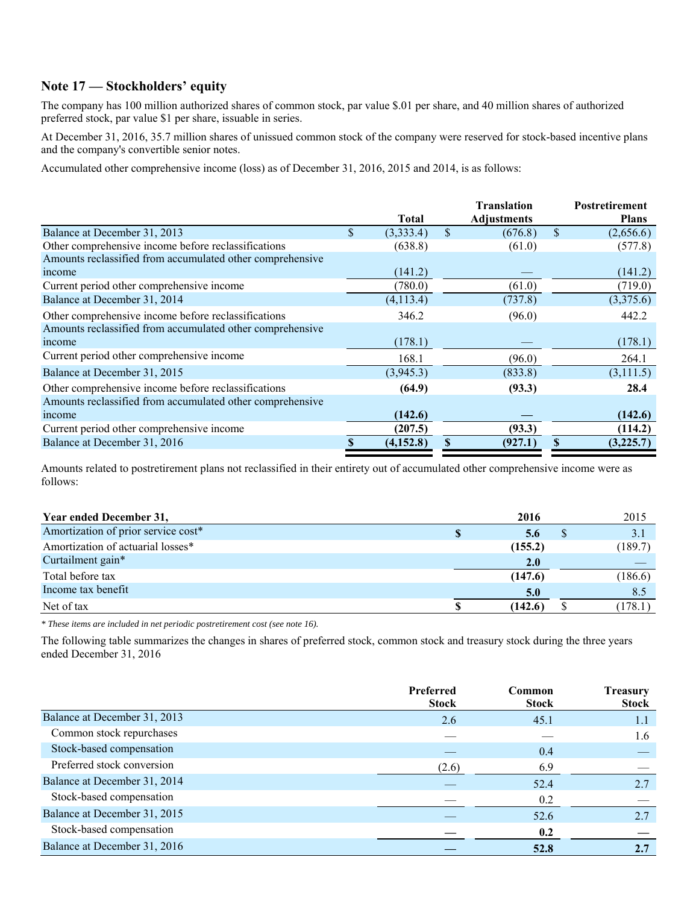### **Note 17 — Stockholders' equity**

The company has 100 million authorized shares of common stock, par value \$.01 per share, and 40 million shares of authorized preferred stock, par value \$1 per share, issuable in series.

At December 31, 2016, 35.7 million shares of unissued common stock of the company were reserved for stock-based incentive plans and the company's convertible senior notes.

Accumulated other comprehensive income (loss) as of December 31, 2016, 2015 and 2014, is as follows:

|                                                           |                 |               | <b>Translation</b> |              | <b>Postretirement</b> |
|-----------------------------------------------------------|-----------------|---------------|--------------------|--------------|-----------------------|
|                                                           | <b>Total</b>    |               | <b>Adjustments</b> |              | <b>Plans</b>          |
| Balance at December 31, 2013                              | \$<br>(3,333.4) | $\mathcal{S}$ | (676.8)            | $\mathbb{S}$ | (2,656.6)             |
| Other comprehensive income before reclassifications       | (638.8)         |               | (61.0)             |              | (577.8)               |
| Amounts reclassified from accumulated other comprehensive |                 |               |                    |              |                       |
| income                                                    | (141.2)         |               |                    |              | (141.2)               |
| Current period other comprehensive income                 | (780.0)         |               | (61.0)             |              | (719.0)               |
| Balance at December 31, 2014                              | (4, 113.4)      |               | (737.8)            |              | (3,375.6)             |
| Other comprehensive income before reclassifications       | 346.2           |               | (96.0)             |              | 442.2                 |
| Amounts reclassified from accumulated other comprehensive |                 |               |                    |              |                       |
| income                                                    | (178.1)         |               |                    |              | (178.1)               |
| Current period other comprehensive income                 | 168.1           |               | (96.0)             |              | 264.1                 |
| Balance at December 31, 2015                              | (3,945.3)       |               | (833.8)            |              | (3,111.5)             |
| Other comprehensive income before reclassifications       | (64.9)          |               | (93.3)             |              | 28.4                  |
| Amounts reclassified from accumulated other comprehensive |                 |               |                    |              |                       |
| income                                                    | (142.6)         |               |                    |              | (142.6)               |
| Current period other comprehensive income                 | (207.5)         |               | (93.3)             |              | (114.2)               |
| Balance at December 31, 2016                              | (4,152.8)       |               | (927.1)            |              | (3,225.7)             |

Amounts related to postretirement plans not reclassified in their entirety out of accumulated other comprehensive income were as follows:

| Year ended December 31,             | 2016    | 2015    |
|-------------------------------------|---------|---------|
| Amortization of prior service cost* | 5.6     |         |
| Amortization of actuarial losses*   | (155.2) | (189.7) |
| Curtailment gain*                   | 2.0     |         |
| Total before tax                    | (147.6) | (186.6) |
| Income tax benefit                  | 5.0     | 8.5     |
| Net of tax                          | (142.6) | (178.1) |

*\* These items are included in net periodic postretirement cost (see note 16).*

The following table summarizes the changes in shares of preferred stock, common stock and treasury stock during the three years ended December 31, 2016

|                              | <b>Preferred</b><br><b>Stock</b> | Common<br><b>Stock</b> | <b>Treasury</b><br><b>Stock</b> |
|------------------------------|----------------------------------|------------------------|---------------------------------|
| Balance at December 31, 2013 | 2.6                              | 45.1                   | 1.1                             |
| Common stock repurchases     |                                  |                        | 1.6                             |
| Stock-based compensation     |                                  | 0.4                    |                                 |
| Preferred stock conversion   | (2.6)                            | 6.9                    |                                 |
| Balance at December 31, 2014 |                                  | 52.4                   | 2.7                             |
| Stock-based compensation     |                                  | 0.2                    |                                 |
| Balance at December 31, 2015 |                                  | 52.6                   | 2.7                             |
| Stock-based compensation     |                                  | 0.2                    |                                 |
| Balance at December 31, 2016 |                                  | 52.8                   |                                 |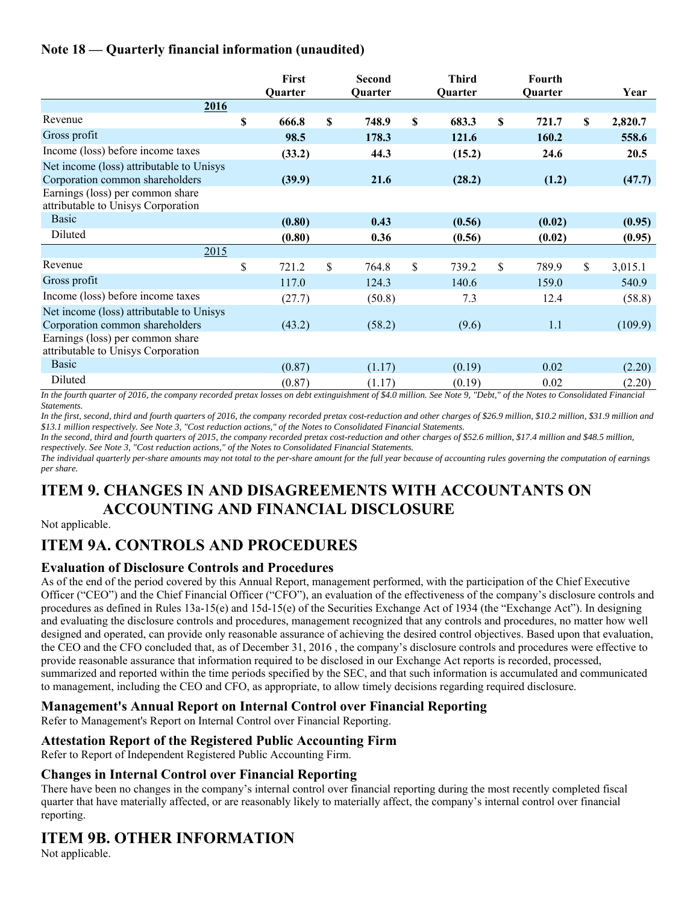### **Note 18 — Quarterly financial information (unaudited)**

|                                                                                                                                                       | First<br>Quarter |     | <b>Second</b><br>Quarter | <b>Third</b><br>Quarter | Fourth<br>Quarter | Year          |
|-------------------------------------------------------------------------------------------------------------------------------------------------------|------------------|-----|--------------------------|-------------------------|-------------------|---------------|
| 2016                                                                                                                                                  |                  |     |                          |                         |                   |               |
| Revenue                                                                                                                                               | \$<br>666.8      | \$  | 748.9                    | \$<br>683.3             | \$<br>721.7       | \$<br>2,820.7 |
| Gross profit                                                                                                                                          | 98.5             |     | 178.3                    | 121.6                   | 160.2             | 558.6         |
| Income (loss) before income taxes                                                                                                                     | (33.2)           |     | 44.3                     | (15.2)                  | 24.6              | 20.5          |
| Net income (loss) attributable to Unisys<br>Corporation common shareholders<br>Earnings (loss) per common share                                       | (39.9)           |     | 21.6                     | (28.2)                  | (1.2)             | (47.7)        |
| attributable to Unisys Corporation                                                                                                                    |                  |     |                          |                         |                   |               |
| <b>Basic</b>                                                                                                                                          | (0.80)           |     | 0.43                     | (0.56)                  | (0.02)            | (0.95)        |
| Diluted                                                                                                                                               | (0.80)           |     | 0.36                     | (0.56)                  | (0.02)            | (0.95)        |
| 2015                                                                                                                                                  |                  |     |                          |                         |                   |               |
| Revenue                                                                                                                                               | \$<br>721.2      | \$. | 764.8                    | \$<br>739.2             | \$<br>789.9       | \$<br>3,015.1 |
| Gross profit                                                                                                                                          | 117.0            |     | 124.3                    | 140.6                   | 159.0             | 540.9         |
| Income (loss) before income taxes                                                                                                                     | (27.7)           |     | (50.8)                   | 7.3                     | 12.4              | (58.8)        |
| Net income (loss) attributable to Unisys<br>Corporation common shareholders<br>Earnings (loss) per common share<br>attributable to Unisys Corporation | (43.2)           |     | (58.2)                   | (9.6)                   | 1.1               | (109.9)       |
| Basic                                                                                                                                                 | (0.87)           |     | (1.17)                   | (0.19)                  | 0.02              | (2.20)        |
| Diluted<br>$0.0012 - 1$                                                                                                                               | (0.87)           |     | (1.17)                   | (0.19)                  | 0.02              | (2.20)        |

*In the fourth quarter of 2016, the company recorded pretax losses on debt extinguishment of \$4.0 million. See Note 9, "Debt," of the Notes to Consolidated Financial Statements.*

*In the first, second, third and fourth quarters of 2016, the company recorded pretax cost-reduction and other charges of \$26.9 million, \$10.2 million, \$31.9 million and \$13.1 million respectively. See Note 3, "Cost reduction actions," of the Notes to Consolidated Financial Statements.*

*In the second, third and fourth quarters of 2015, the company recorded pretax cost-reduction and other charges of \$52.6 million, \$17.4 million and \$48.5 million, respectively. See Note 3, "Cost reduction actions," of the Notes to Consolidated Financial Statements.*

The individual quarterly per-share amounts may not total to the per-share amount for the full year because of accounting rules governing the computation of earnings *per share.*

# **ITEM 9. CHANGES IN AND DISAGREEMENTS WITH ACCOUNTANTS ON ACCOUNTING AND FINANCIAL DISCLOSURE**

Not applicable.

# **ITEM 9A. CONTROLS AND PROCEDURES**

### **Evaluation of Disclosure Controls and Procedures**

As of the end of the period covered by this Annual Report, management performed, with the participation of the Chief Executive Officer ("CEO") and the Chief Financial Officer ("CFO"), an evaluation of the effectiveness of the company's disclosure controls and procedures as defined in Rules 13a-15(e) and 15d-15(e) of the Securities Exchange Act of 1934 (the "Exchange Act"). In designing and evaluating the disclosure controls and procedures, management recognized that any controls and procedures, no matter how well designed and operated, can provide only reasonable assurance of achieving the desired control objectives. Based upon that evaluation, the CEO and the CFO concluded that, as of December 31, 2016 , the company's disclosure controls and procedures were effective to provide reasonable assurance that information required to be disclosed in our Exchange Act reports is recorded, processed, summarized and reported within the time periods specified by the SEC, and that such information is accumulated and communicated to management, including the CEO and CFO, as appropriate, to allow timely decisions regarding required disclosure.

### **Management's Annual Report on Internal Control over Financial Reporting**

Refer to Management's Report on Internal Control over Financial Reporting.

### **Attestation Report of the Registered Public Accounting Firm**

Refer to Report of Independent Registered Public Accounting Firm.

### **Changes in Internal Control over Financial Reporting**

There have been no changes in the company's internal control over financial reporting during the most recently completed fiscal quarter that have materially affected, or are reasonably likely to materially affect, the company's internal control over financial reporting.

## **ITEM 9B. OTHER INFORMATION**

Not applicable.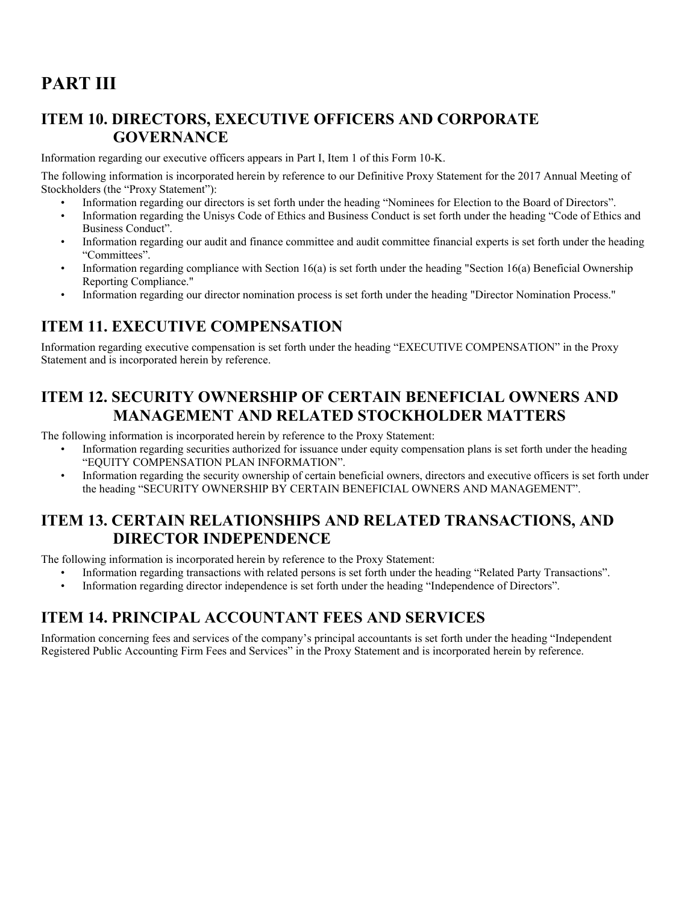# **PART III**

## **ITEM 10. DIRECTORS, EXECUTIVE OFFICERS AND CORPORATE GOVERNANCE**

Information regarding our executive officers appears in Part I, Item 1 of this Form 10-K.

The following information is incorporated herein by reference to our Definitive Proxy Statement for the 2017 Annual Meeting of Stockholders (the "Proxy Statement"):

- Information regarding our directors is set forth under the heading "Nominees for Election to the Board of Directors".
- Information regarding the Unisys Code of Ethics and Business Conduct is set forth under the heading "Code of Ethics and Business Conduct". • Information regarding our audit and finance committee and audit committee financial experts is set forth under the heading
- "Committees". Information regarding compliance with Section 16(a) is set forth under the heading "Section 16(a) Beneficial Ownership
- Reporting Compliance."
- Information regarding our director nomination process is set forth under the heading "Director Nomination Process."

## **ITEM 11. EXECUTIVE COMPENSATION**

Information regarding executive compensation is set forth under the heading "EXECUTIVE COMPENSATION" in the Proxy Statement and is incorporated herein by reference.

## **ITEM 12. SECURITY OWNERSHIP OF CERTAIN BENEFICIAL OWNERS AND MANAGEMENT AND RELATED STOCKHOLDER MATTERS**

The following information is incorporated herein by reference to the Proxy Statement:

- Information regarding securities authorized for issuance under equity compensation plans is set forth under the heading "EQUITY COMPENSATION PLAN INFORMATION".
- Information regarding the security ownership of certain beneficial owners, directors and executive officers is set forth under the heading "SECURITY OWNERSHIP BY CERTAIN BENEFICIAL OWNERS AND MANAGEMENT".

# **ITEM 13. CERTAIN RELATIONSHIPS AND RELATED TRANSACTIONS, AND DIRECTOR INDEPENDENCE**

The following information is incorporated herein by reference to the Proxy Statement:

- Information regarding transactions with related persons is set forth under the heading "Related Party Transactions".
- Information regarding director independence is set forth under the heading "Independence of Directors".

# **ITEM 14. PRINCIPAL ACCOUNTANT FEES AND SERVICES**

Information concerning fees and services of the company's principal accountants is set forth under the heading "Independent Registered Public Accounting Firm Fees and Services" in the Proxy Statement and is incorporated herein by reference.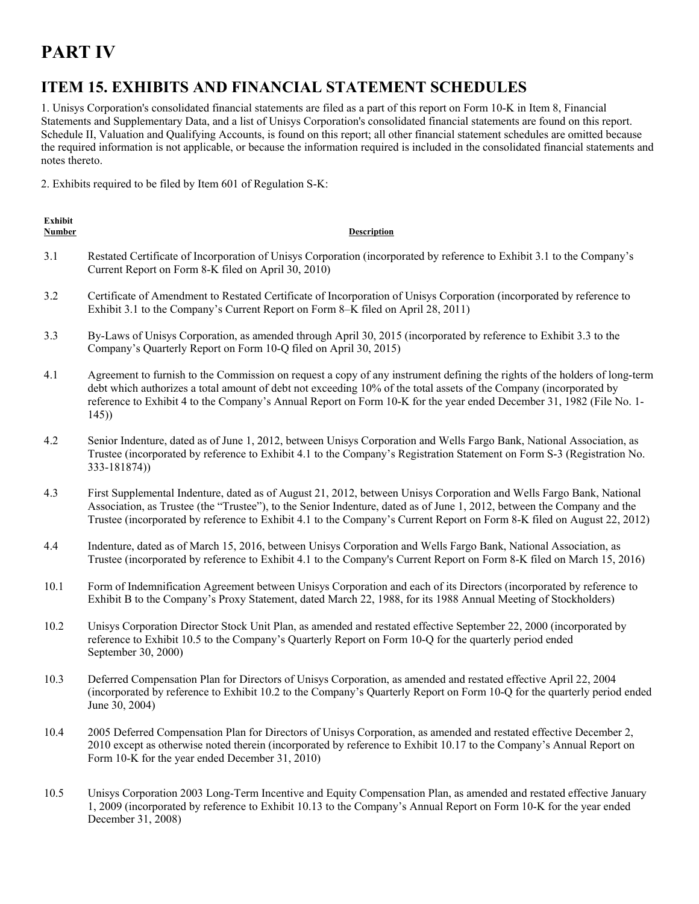# **PART IV**

# **ITEM 15. EXHIBITS AND FINANCIAL STATEMENT SCHEDULES**

1. Unisys Corporation's consolidated financial statements are filed as a part of this report on Form 10-K in Item 8, Financial Statements and Supplementary Data, and a list of Unisys Corporation's consolidated financial statements are found on this report. Schedule II, Valuation and Qualifying Accounts, is found on this report; all other financial statement schedules are omitted because the required information is not applicable, or because the information required is included in the consolidated financial statements and notes thereto.

2. Exhibits required to be filed by Item 601 of Regulation S-K:

| <b>Exhibit</b><br><b>Number</b> | <b>Description</b>                                                                                                                                                                                                                                                                                                                                                               |
|---------------------------------|----------------------------------------------------------------------------------------------------------------------------------------------------------------------------------------------------------------------------------------------------------------------------------------------------------------------------------------------------------------------------------|
| 3.1                             | Restated Certificate of Incorporation of Unisys Corporation (incorporated by reference to Exhibit 3.1 to the Company's<br>Current Report on Form 8-K filed on April 30, 2010)                                                                                                                                                                                                    |
| 3.2                             | Certificate of Amendment to Restated Certificate of Incorporation of Unisys Corporation (incorporated by reference to<br>Exhibit 3.1 to the Company's Current Report on Form 8–K filed on April 28, 2011)                                                                                                                                                                        |
| 3.3                             | By-Laws of Unisys Corporation, as amended through April 30, 2015 (incorporated by reference to Exhibit 3.3 to the<br>Company's Quarterly Report on Form 10-Q filed on April 30, 2015)                                                                                                                                                                                            |
| 4.1                             | Agreement to furnish to the Commission on request a copy of any instrument defining the rights of the holders of long-term<br>debt which authorizes a total amount of debt not exceeding 10% of the total assets of the Company (incorporated by<br>reference to Exhibit 4 to the Company's Annual Report on Form 10-K for the year ended December 31, 1982 (File No. 1-<br>145) |
| 4.2                             | Senior Indenture, dated as of June 1, 2012, between Unisys Corporation and Wells Fargo Bank, National Association, as<br>Trustee (incorporated by reference to Exhibit 4.1 to the Company's Registration Statement on Form S-3 (Registration No.<br>$333 - 181874)$                                                                                                              |
| 4.3                             | First Supplemental Indenture, dated as of August 21, 2012, between Unisys Corporation and Wells Fargo Bank, National<br>Association, as Trustee (the "Trustee"), to the Senior Indenture, dated as of June 1, 2012, between the Company and the<br>Trustee (incorporated by reference to Exhibit 4.1 to the Company's Current Report on Form 8-K filed on August 22, 2012)       |
| 4.4                             | Indenture, dated as of March 15, 2016, between Unisys Corporation and Wells Fargo Bank, National Association, as<br>Trustee (incorporated by reference to Exhibit 4.1 to the Company's Current Report on Form 8-K filed on March 15, 2016)                                                                                                                                       |
| 10.1                            | Form of Indemnification Agreement between Unisys Corporation and each of its Directors (incorporated by reference to<br>Exhibit B to the Company's Proxy Statement, dated March 22, 1988, for its 1988 Annual Meeting of Stockholders)                                                                                                                                           |
| 10.2                            | Unisys Corporation Director Stock Unit Plan, as amended and restated effective September 22, 2000 (incorporated by<br>reference to Exhibit 10.5 to the Company's Quarterly Report on Form 10-Q for the quarterly period ended<br>September 30, 2000)                                                                                                                             |
| 10.3                            | Deferred Compensation Plan for Directors of Unisys Corporation, as amended and restated effective April 22, 2004<br>(incorporated by reference to Exhibit 10.2 to the Company's Quarterly Report on Form 10-Q for the quarterly period ended<br>June 30, 2004)                                                                                                                   |
| 10.4                            | 2005 Deferred Compensation Plan for Directors of Unisys Corporation, as amended and restated effective December 2,<br>2010 except as otherwise noted therein (incorporated by reference to Exhibit 10.17 to the Company's Annual Report on<br>Form 10-K for the year ended December 31, 2010)                                                                                    |

10.5 Unisys Corporation 2003 Long-Term Incentive and Equity Compensation Plan, as amended and restated effective January 1, 2009 (incorporated by reference to Exhibit 10.13 to the Company's Annual Report on Form 10-K for the year ended December 31, 2008)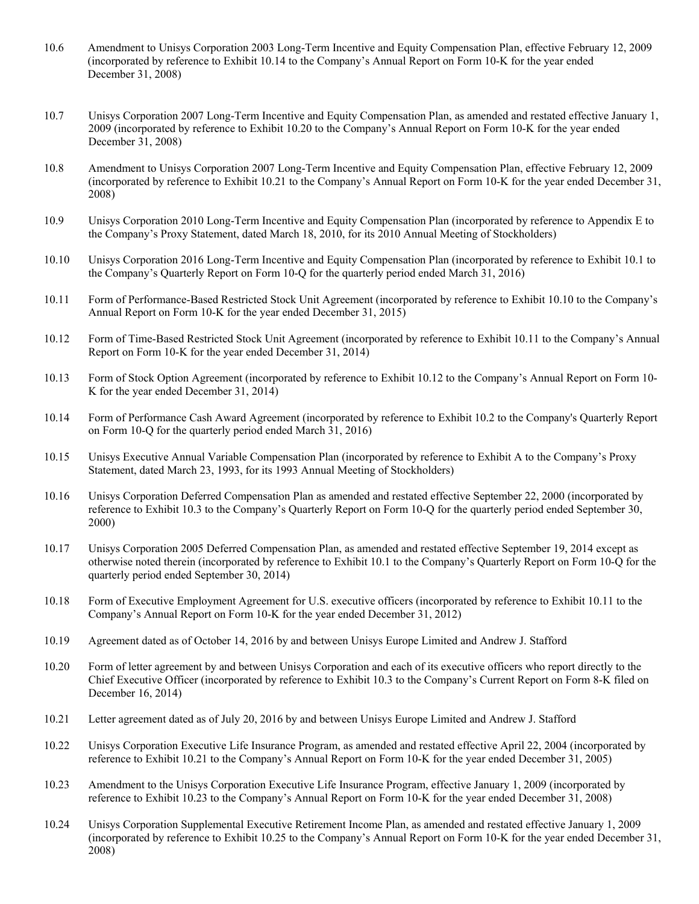- 10.6 Amendment to Unisys Corporation 2003 Long-Term Incentive and Equity Compensation Plan, effective February 12, 2009 (incorporated by reference to Exhibit 10.14 to the Company's Annual Report on Form 10-K for the year ended December 31, 2008)
- 10.7 Unisys Corporation 2007 Long-Term Incentive and Equity Compensation Plan, as amended and restated effective January 1, 2009 (incorporated by reference to Exhibit 10.20 to the Company's Annual Report on Form 10-K for the year ended December 31, 2008)
- 10.8 Amendment to Unisys Corporation 2007 Long-Term Incentive and Equity Compensation Plan, effective February 12, 2009 (incorporated by reference to Exhibit 10.21 to the Company's Annual Report on Form 10-K for the year ended December 31, 2008)
- 10.9 Unisys Corporation 2010 Long-Term Incentive and Equity Compensation Plan (incorporated by reference to Appendix E to the Company's Proxy Statement, dated March 18, 2010, for its 2010 Annual Meeting of Stockholders)
- 10.10 Unisys Corporation 2016 Long-Term Incentive and Equity Compensation Plan (incorporated by reference to Exhibit 10.1 to the Company's Quarterly Report on Form 10-Q for the quarterly period ended March 31, 2016)
- 10.11 Form of Performance-Based Restricted Stock Unit Agreement (incorporated by reference to Exhibit 10.10 to the Company's Annual Report on Form 10-K for the year ended December 31, 2015)
- 10.12 Form of Time-Based Restricted Stock Unit Agreement (incorporated by reference to Exhibit 10.11 to the Company's Annual Report on Form 10-K for the year ended December 31, 2014)
- 10.13 Form of Stock Option Agreement (incorporated by reference to Exhibit 10.12 to the Company's Annual Report on Form 10- K for the year ended December 31, 2014)
- 10.14 Form of Performance Cash Award Agreement (incorporated by reference to Exhibit 10.2 to the Company's Quarterly Report on Form 10-Q for the quarterly period ended March 31, 2016)
- 10.15 Unisys Executive Annual Variable Compensation Plan (incorporated by reference to Exhibit A to the Company's Proxy Statement, dated March 23, 1993, for its 1993 Annual Meeting of Stockholders)
- 10.16 Unisys Corporation Deferred Compensation Plan as amended and restated effective September 22, 2000 (incorporated by reference to Exhibit 10.3 to the Company's Quarterly Report on Form 10-Q for the quarterly period ended September 30, 2000)
- 10.17 Unisys Corporation 2005 Deferred Compensation Plan, as amended and restated effective September 19, 2014 except as otherwise noted therein (incorporated by reference to Exhibit 10.1 to the Company's Quarterly Report on Form 10-Q for the quarterly period ended September 30, 2014)
- 10.18 Form of Executive Employment Agreement for U.S. executive officers (incorporated by reference to Exhibit 10.11 to the Company's Annual Report on Form 10-K for the year ended December 31, 2012)
- 10.19 Agreement dated as of October 14, 2016 by and between Unisys Europe Limited and Andrew J. Stafford
- 10.20 Form of letter agreement by and between Unisys Corporation and each of its executive officers who report directly to the Chief Executive Officer (incorporated by reference to Exhibit 10.3 to the Company's Current Report on Form 8-K filed on December 16, 2014)
- 10.21 Letter agreement dated as of July 20, 2016 by and between Unisys Europe Limited and Andrew J. Stafford
- 10.22 Unisys Corporation Executive Life Insurance Program, as amended and restated effective April 22, 2004 (incorporated by reference to Exhibit 10.21 to the Company's Annual Report on Form 10-K for the year ended December 31, 2005)
- 10.23 Amendment to the Unisys Corporation Executive Life Insurance Program, effective January 1, 2009 (incorporated by reference to Exhibit 10.23 to the Company's Annual Report on Form 10-K for the year ended December 31, 2008)
- 10.24 Unisys Corporation Supplemental Executive Retirement Income Plan, as amended and restated effective January 1, 2009 (incorporated by reference to Exhibit 10.25 to the Company's Annual Report on Form 10-K for the year ended December 31, 2008)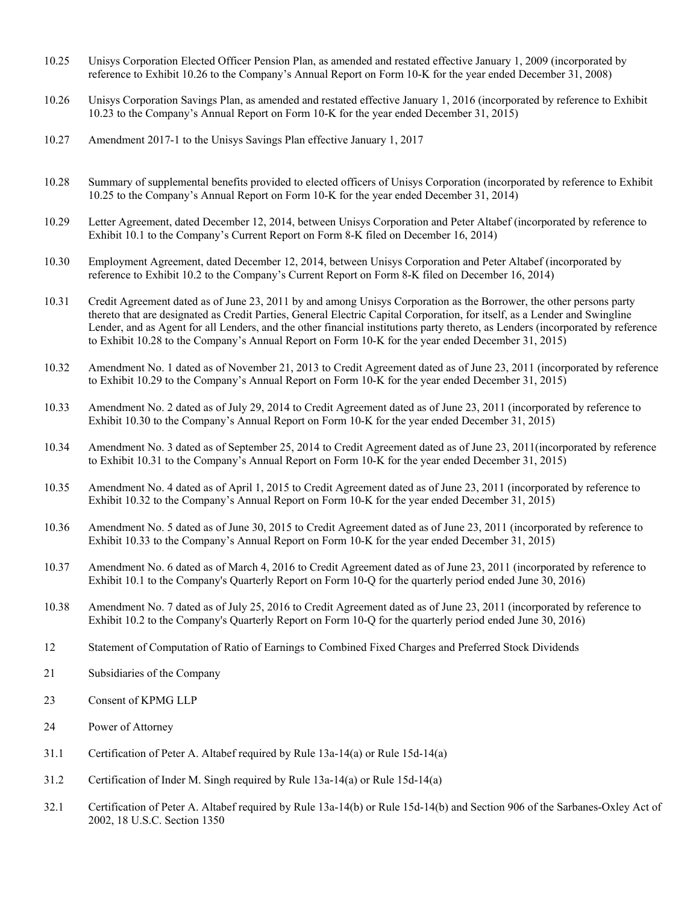- 10.25 Unisys Corporation Elected Officer Pension Plan, as amended and restated effective January 1, 2009 (incorporated by reference to Exhibit 10.26 to the Company's Annual Report on Form 10-K for the year ended December 31, 2008)
- 10.26 Unisys Corporation Savings Plan, as amended and restated effective January 1, 2016 (incorporated by reference to Exhibit 10.23 to the Company's Annual Report on Form 10-K for the year ended December 31, 2015)
- 10.27 Amendment 2017-1 to the Unisys Savings Plan effective January 1, 2017
- 10.28 Summary of supplemental benefits provided to elected officers of Unisys Corporation (incorporated by reference to Exhibit 10.25 to the Company's Annual Report on Form 10-K for the year ended December 31, 2014)
- 10.29 Letter Agreement, dated December 12, 2014, between Unisys Corporation and Peter Altabef (incorporated by reference to Exhibit 10.1 to the Company's Current Report on Form 8-K filed on December 16, 2014)
- 10.30 Employment Agreement, dated December 12, 2014, between Unisys Corporation and Peter Altabef (incorporated by reference to Exhibit 10.2 to the Company's Current Report on Form 8-K filed on December 16, 2014)
- 10.31 Credit Agreement dated as of June 23, 2011 by and among Unisys Corporation as the Borrower, the other persons party thereto that are designated as Credit Parties, General Electric Capital Corporation, for itself, as a Lender and Swingline Lender, and as Agent for all Lenders, and the other financial institutions party thereto, as Lenders (incorporated by reference to Exhibit 10.28 to the Company's Annual Report on Form 10-K for the year ended December 31, 2015)
- 10.32 Amendment No. 1 dated as of November 21, 2013 to Credit Agreement dated as of June 23, 2011 (incorporated by reference to Exhibit 10.29 to the Company's Annual Report on Form 10-K for the year ended December 31, 2015)
- 10.33 Amendment No. 2 dated as of July 29, 2014 to Credit Agreement dated as of June 23, 2011 (incorporated by reference to Exhibit 10.30 to the Company's Annual Report on Form 10-K for the year ended December 31, 2015)
- 10.34 Amendment No. 3 dated as of September 25, 2014 to Credit Agreement dated as of June 23, 2011(incorporated by reference to Exhibit 10.31 to the Company's Annual Report on Form 10-K for the year ended December 31, 2015)
- 10.35 Amendment No. 4 dated as of April 1, 2015 to Credit Agreement dated as of June 23, 2011 (incorporated by reference to Exhibit 10.32 to the Company's Annual Report on Form 10-K for the year ended December 31, 2015)
- 10.36 Amendment No. 5 dated as of June 30, 2015 to Credit Agreement dated as of June 23, 2011 (incorporated by reference to Exhibit 10.33 to the Company's Annual Report on Form 10-K for the year ended December 31, 2015)
- 10.37 Amendment No. 6 dated as of March 4, 2016 to Credit Agreement dated as of June 23, 2011 (incorporated by reference to Exhibit 10.1 to the Company's Quarterly Report on Form 10-Q for the quarterly period ended June 30, 2016)
- 10.38 Amendment No. 7 dated as of July 25, 2016 to Credit Agreement dated as of June 23, 2011 (incorporated by reference to Exhibit 10.2 to the Company's Quarterly Report on Form 10-Q for the quarterly period ended June 30, 2016)
- 12 Statement of Computation of Ratio of Earnings to Combined Fixed Charges and Preferred Stock Dividends
- 21 Subsidiaries of the Company
- 23 Consent of KPMG LLP
- 24 Power of Attorney
- 31.1 Certification of Peter A. Altabef required by Rule 13a-14(a) or Rule 15d-14(a)
- 31.2 Certification of Inder M. Singh required by Rule 13a-14(a) or Rule 15d-14(a)
- 32.1 Certification of Peter A. Altabef required by Rule 13a-14(b) or Rule 15d-14(b) and Section 906 of the Sarbanes-Oxley Act of 2002, 18 U.S.C. Section 1350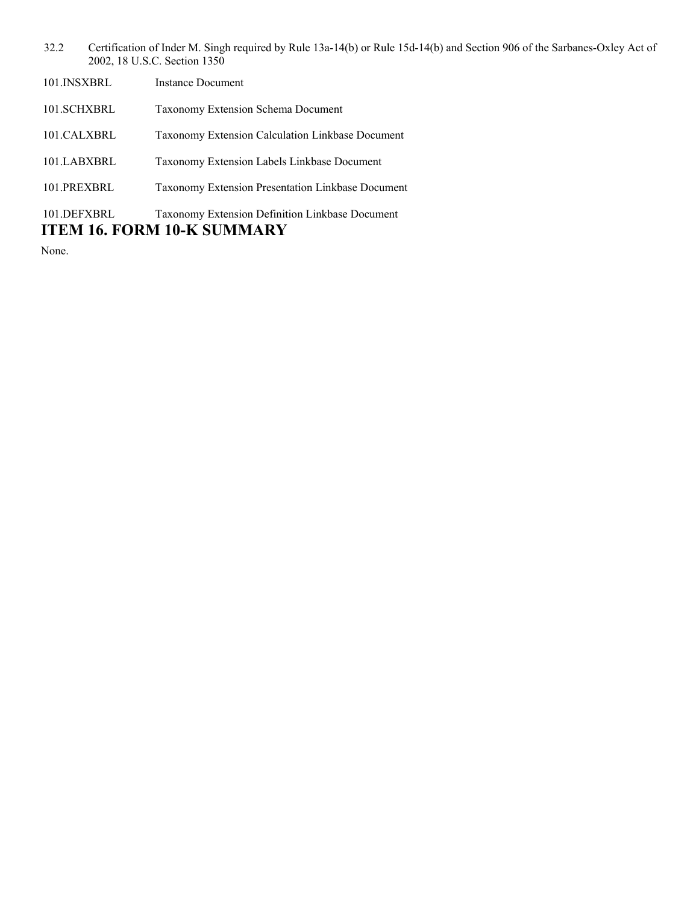- 32.2 Certification of Inder M. Singh required by Rule 13a-14(b) or Rule 15d-14(b) and Section 906 of the Sarbanes-Oxley Act of 2002, 18 U.S.C. Section 1350<br>101.INSXBRL Instance Docum
- Instance Document
- 101.SCHXBRL Taxonomy Extension Schema Document
- 101.CALXBRL Taxonomy Extension Calculation Linkbase Document
- 101.LABXBRL Taxonomy Extension Labels Linkbase Document
- 101.PREXBRL Taxonomy Extension Presentation Linkbase Document

101.DEFXBRL Taxonomy Extension Definition Linkbase Document

### **ITEM 16. FORM 10-K SUMMARY**

None.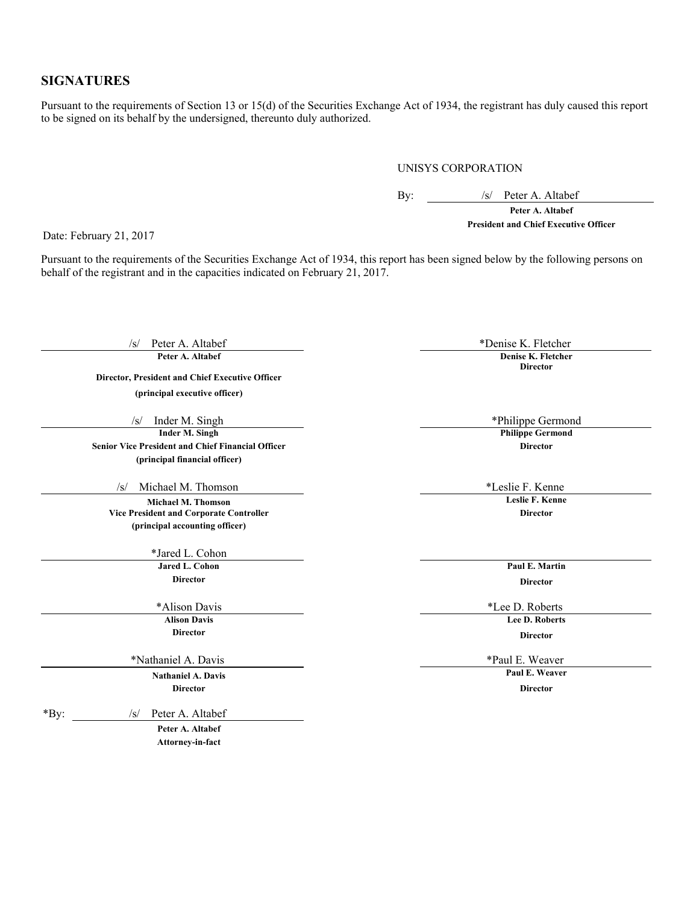#### **SIGNATURES**

Pursuant to the requirements of Section 13 or 15(d) of the Securities Exchange Act of 1934, the registrant has duly caused this report to be signed on its behalf by the undersigned, thereunto duly authorized.

#### UNISYS CORPORATION

By: /s/ Peter A. Altabef

**Peter A. Altabef President and Chief Executive Officer**

Date: February 21, 2017

Pursuant to the requirements of the Securities Exchange Act of 1934, this report has been signed below by the following persons on behalf of the registrant and in the capacities indicated on February 21, 2017.

> /s/ Peter A. Altabef \*Denise K. Fletcher **Peter A. Altabef Denise K. Fletcher**

**Director, President and Chief Executive Officer**

**(principal executive officer)**

**Inder M. Singh Philippe Germond Senior Vice President and Chief Financial Officer Director (principal financial officer)**

/s/ Michael M. Thomson \*Leslie F. Kenne

**Vice President and Corporate Controller Director (principal accounting officer)**

> \*Jared L. Cohon **Jared L. Cohon Paul E. Martin**

**Director Director**

\*Nathaniel A. Davis \*Paul E. Weaver

**Nathaniel A. Davis Paul E. Weaver Director Director**

\*By: /s/ Peter A. Altabef **Peter A. Altabef**

**Attorney-in-fact**

**Director**

/s/ Inder M. Singh \*Philippe Germond

**Michael M. Thomson Leslie F. Kenne**

**Director Director**

\*Alison Davis \*Lee D. Roberts **Alison Davis Lee D. Roberts**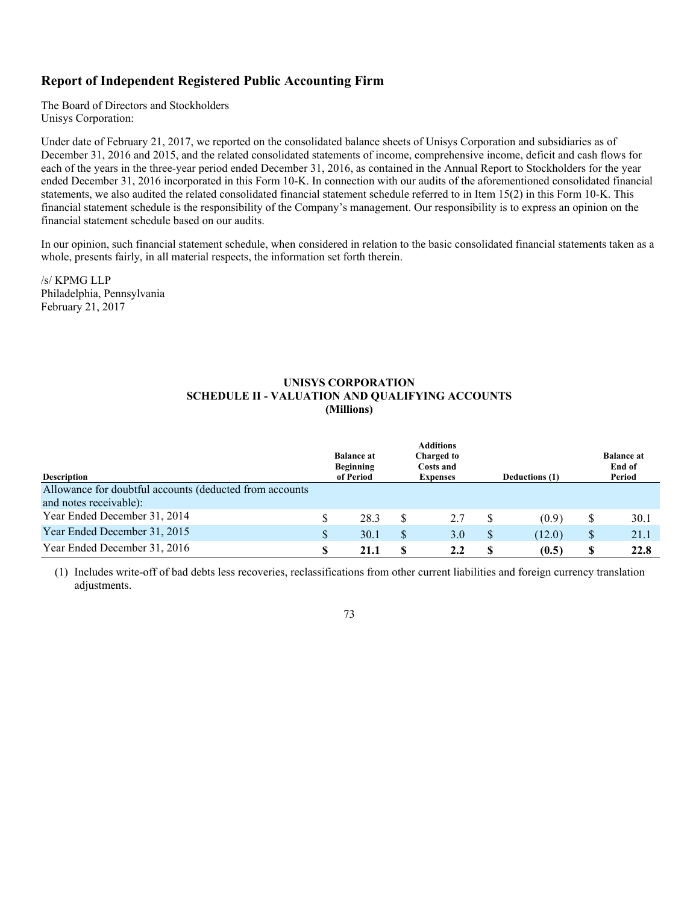### **Report of Independent Registered Public Accounting Firm**

The Board of Directors and Stockholders Unisys Corporation:

Under date of February 21, 2017, we reported on the consolidated balance sheets of Unisys Corporation and subsidiaries as of December 31, 2016 and 2015, and the related consolidated statements of income, comprehensive income, deficit and cash flows for each of the years in the three-year period ended December 31, 2016, as contained in the Annual Report to Stockholders for the year ended December 31, 2016 incorporated in this Form 10-K. In connection with our audits of the aforementioned consolidated financial statements, we also audited the related consolidated financial statement schedule referred to in Item 15(2) in this Form 10-K. This financial statement schedule is the responsibility of the Company's management. Our responsibility is to express an opinion on the financial statement schedule based on our audits.

In our opinion, such financial statement schedule, when considered in relation to the basic consolidated financial statements taken as a whole, presents fairly, in all material respects, the information set forth therein.

/s/ KPMG LLP Philadelphia, Pennsylvania February 21, 2017

#### **UNISYS CORPORATION SCHEDULE II - VALUATION AND QUALIFYING ACCOUNTS (Millions)**

| <b>Description</b>                                                                | <b>Balance at</b><br><b>Beginning</b><br>of Period |      | <b>Additions</b><br>Charged to<br>Costs and<br><b>Expenses</b> |     |    | Deductions (1) | <b>Balance at</b><br>End of<br>Period |      |  |
|-----------------------------------------------------------------------------------|----------------------------------------------------|------|----------------------------------------------------------------|-----|----|----------------|---------------------------------------|------|--|
| Allowance for doubtful accounts (deducted from accounts<br>and notes receivable): |                                                    |      |                                                                |     |    |                |                                       |      |  |
| Year Ended December 31, 2014                                                      | S                                                  | 28.3 |                                                                | 2.7 |    | (0.9)          | \$                                    | 30.1 |  |
| Year Ended December 31, 2015                                                      | \$                                                 | 30.1 |                                                                | 3.0 | \$ | (12.0)         | \$                                    | 21.1 |  |
| Year Ended December 31, 2016                                                      | S                                                  | 21.1 | S                                                              | 2.2 | S  | (0.5)          | \$                                    | 22.8 |  |

(1) Includes write-off of bad debts less recoveries, reclassifications from other current liabilities and foreign currency translation adjustments.

73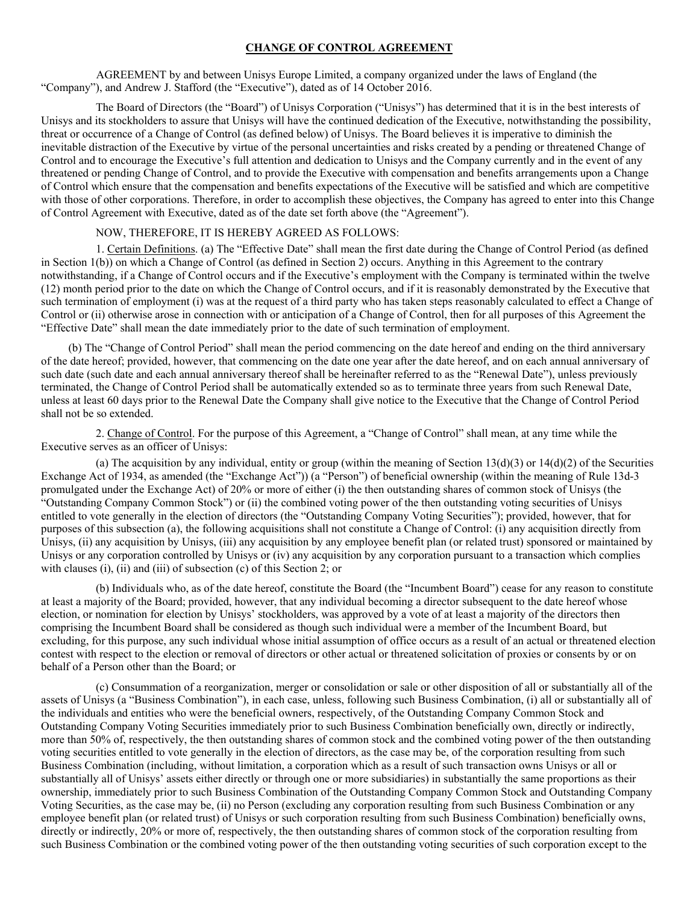#### **CHANGE OF CONTROL AGREEMENT**

AGREEMENT by and between Unisys Europe Limited, a company organized under the laws of England (the "Company"), and Andrew J. Stafford (the "Executive"), dated as of 14 October 2016.

The Board of Directors (the "Board") of Unisys Corporation ("Unisys") has determined that it is in the best interests of Unisys and its stockholders to assure that Unisys will have the continued dedication of the Executive, notwithstanding the possibility, threat or occurrence of a Change of Control (as defined below) of Unisys. The Board believes it is imperative to diminish the inevitable distraction of the Executive by virtue of the personal uncertainties and risks created by a pending or threatened Change of Control and to encourage the Executive's full attention and dedication to Unisys and the Company currently and in the event of any threatened or pending Change of Control, and to provide the Executive with compensation and benefits arrangements upon a Change of Control which ensure that the compensation and benefits expectations of the Executive will be satisfied and which are competitive with those of other corporations. Therefore, in order to accomplish these objectives, the Company has agreed to enter into this Change of Control Agreement with Executive, dated as of the date set forth above (the "Agreement").

#### NOW, THEREFORE, IT IS HEREBY AGREED AS FOLLOWS:

1. Certain Definitions. (a) The "Effective Date" shall mean the first date during the Change of Control Period (as defined in Section 1(b)) on which a Change of Control (as defined in Section 2) occurs. Anything in this Agreement to the contrary notwithstanding, if a Change of Control occurs and if the Executive's employment with the Company is terminated within the twelve (12) month period prior to the date on which the Change of Control occurs, and if it is reasonably demonstrated by the Executive that such termination of employment (i) was at the request of a third party who has taken steps reasonably calculated to effect a Change of Control or (ii) otherwise arose in connection with or anticipation of a Change of Control, then for all purposes of this Agreement the "Effective Date" shall mean the date immediately prior to the date of such termination of employment.

(b) The "Change of Control Period" shall mean the period commencing on the date hereof and ending on the third anniversary of the date hereof; provided, however, that commencing on the date one year after the date hereof, and on each annual anniversary of such date (such date and each annual anniversary thereof shall be hereinafter referred to as the "Renewal Date"), unless previously terminated, the Change of Control Period shall be automatically extended so as to terminate three years from such Renewal Date, unless at least 60 days prior to the Renewal Date the Company shall give notice to the Executive that the Change of Control Period shall not be so extended.

2. Change of Control. For the purpose of this Agreement, a "Change of Control" shall mean, at any time while the Executive serves as an officer of Unisys:

(a) The acquisition by any individual, entity or group (within the meaning of Section  $13(d)(3)$  or  $14(d)(2)$  of the Securities Exchange Act of 1934, as amended (the "Exchange Act")) (a "Person") of beneficial ownership (within the meaning of Rule 13d-3 promulgated under the Exchange Act) of 20% or more of either (i) the then outstanding shares of common stock of Unisys (the "Outstanding Company Common Stock") or (ii) the combined voting power of the then outstanding voting securities of Unisys entitled to vote generally in the election of directors (the "Outstanding Company Voting Securities"); provided, however, that for purposes of this subsection (a), the following acquisitions shall not constitute a Change of Control: (i) any acquisition directly from Unisys, (ii) any acquisition by Unisys, (iii) any acquisition by any employee benefit plan (or related trust) sponsored or maintained by Unisys or any corporation controlled by Unisys or (iv) any acquisition by any corporation pursuant to a transaction which complies with clauses (i), (ii) and (iii) of subsection (c) of this Section 2; or

(b) Individuals who, as of the date hereof, constitute the Board (the "Incumbent Board") cease for any reason to constitute at least a majority of the Board; provided, however, that any individual becoming a director subsequent to the date hereof whose election, or nomination for election by Unisys' stockholders, was approved by a vote of at least a majority of the directors then comprising the Incumbent Board shall be considered as though such individual were a member of the Incumbent Board, but excluding, for this purpose, any such individual whose initial assumption of office occurs as a result of an actual or threatened election contest with respect to the election or removal of directors or other actual or threatened solicitation of proxies or consents by or on behalf of a Person other than the Board; or

(c) Consummation of a reorganization, merger or consolidation or sale or other disposition of all or substantially all of the assets of Unisys (a "Business Combination"), in each case, unless, following such Business Combination, (i) all or substantially all of the individuals and entities who were the beneficial owners, respectively, of the Outstanding Company Common Stock and Outstanding Company Voting Securities immediately prior to such Business Combination beneficially own, directly or indirectly, more than 50% of, respectively, the then outstanding shares of common stock and the combined voting power of the then outstanding voting securities entitled to vote generally in the election of directors, as the case may be, of the corporation resulting from such Business Combination (including, without limitation, a corporation which as a result of such transaction owns Unisys or all or substantially all of Unisys' assets either directly or through one or more subsidiaries) in substantially the same proportions as their ownership, immediately prior to such Business Combination of the Outstanding Company Common Stock and Outstanding Company Voting Securities, as the case may be, (ii) no Person (excluding any corporation resulting from such Business Combination or any employee benefit plan (or related trust) of Unisys or such corporation resulting from such Business Combination) beneficially owns, directly or indirectly, 20% or more of, respectively, the then outstanding shares of common stock of the corporation resulting from such Business Combination or the combined voting power of the then outstanding voting securities of such corporation except to the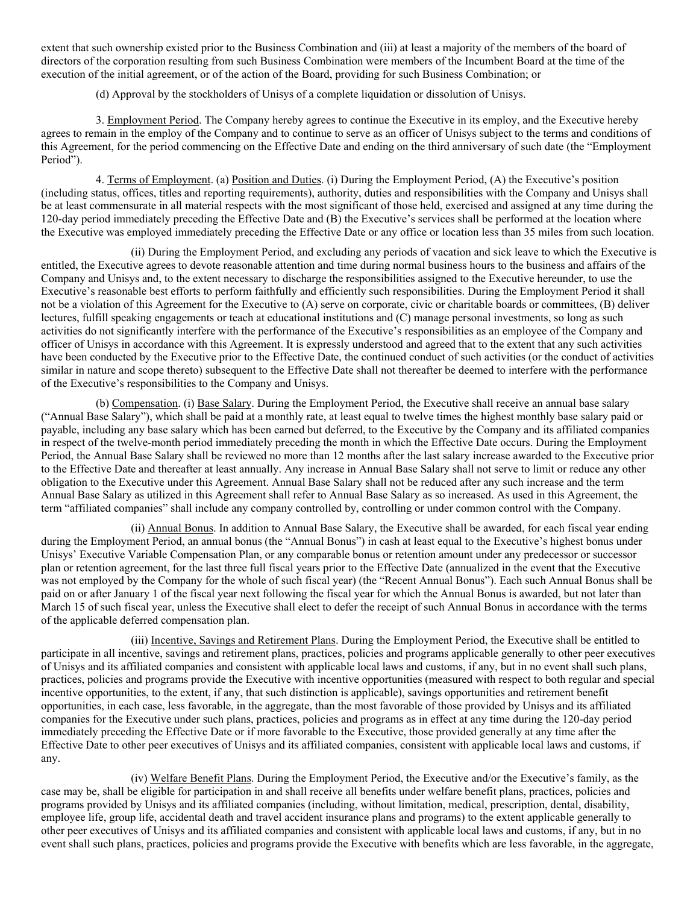extent that such ownership existed prior to the Business Combination and (iii) at least a majority of the members of the board of directors of the corporation resulting from such Business Combination were members of the Incumbent Board at the time of the execution of the initial agreement, or of the action of the Board, providing for such Business Combination; or

(d) Approval by the stockholders of Unisys of a complete liquidation or dissolution of Unisys.

3. Employment Period. The Company hereby agrees to continue the Executive in its employ, and the Executive hereby agrees to remain in the employ of the Company and to continue to serve as an officer of Unisys subject to the terms and conditions of this Agreement, for the period commencing on the Effective Date and ending on the third anniversary of such date (the "Employment Period").

4. Terms of Employment. (a) Position and Duties. (i) During the Employment Period, (A) the Executive's position (including status, offices, titles and reporting requirements), authority, duties and responsibilities with the Company and Unisys shall be at least commensurate in all material respects with the most significant of those held, exercised and assigned at any time during the 120-day period immediately preceding the Effective Date and (B) the Executive's services shall be performed at the location where the Executive was employed immediately preceding the Effective Date or any office or location less than 35 miles from such location.

(ii) During the Employment Period, and excluding any periods of vacation and sick leave to which the Executive is entitled, the Executive agrees to devote reasonable attention and time during normal business hours to the business and affairs of the Company and Unisys and, to the extent necessary to discharge the responsibilities assigned to the Executive hereunder, to use the Executive's reasonable best efforts to perform faithfully and efficiently such responsibilities. During the Employment Period it shall not be a violation of this Agreement for the Executive to (A) serve on corporate, civic or charitable boards or committees, (B) deliver lectures, fulfill speaking engagements or teach at educational institutions and (C) manage personal investments, so long as such activities do not significantly interfere with the performance of the Executive's responsibilities as an employee of the Company and officer of Unisys in accordance with this Agreement. It is expressly understood and agreed that to the extent that any such activities have been conducted by the Executive prior to the Effective Date, the continued conduct of such activities (or the conduct of activities similar in nature and scope thereto) subsequent to the Effective Date shall not thereafter be deemed to interfere with the performance of the Executive's responsibilities to the Company and Unisys.

(b) Compensation. (i) Base Salary. During the Employment Period, the Executive shall receive an annual base salary ("Annual Base Salary"), which shall be paid at a monthly rate, at least equal to twelve times the highest monthly base salary paid or payable, including any base salary which has been earned but deferred, to the Executive by the Company and its affiliated companies in respect of the twelve-month period immediately preceding the month in which the Effective Date occurs. During the Employment Period, the Annual Base Salary shall be reviewed no more than 12 months after the last salary increase awarded to the Executive prior to the Effective Date and thereafter at least annually. Any increase in Annual Base Salary shall not serve to limit or reduce any other obligation to the Executive under this Agreement. Annual Base Salary shall not be reduced after any such increase and the term Annual Base Salary as utilized in this Agreement shall refer to Annual Base Salary as so increased. As used in this Agreement, the term "affiliated companies" shall include any company controlled by, controlling or under common control with the Company.

(ii) Annual Bonus. In addition to Annual Base Salary, the Executive shall be awarded, for each fiscal year ending during the Employment Period, an annual bonus (the "Annual Bonus") in cash at least equal to the Executive's highest bonus under Unisys' Executive Variable Compensation Plan, or any comparable bonus or retention amount under any predecessor or successor plan or retention agreement, for the last three full fiscal years prior to the Effective Date (annualized in the event that the Executive was not employed by the Company for the whole of such fiscal year) (the "Recent Annual Bonus"). Each such Annual Bonus shall be paid on or after January 1 of the fiscal year next following the fiscal year for which the Annual Bonus is awarded, but not later than March 15 of such fiscal year, unless the Executive shall elect to defer the receipt of such Annual Bonus in accordance with the terms of the applicable deferred compensation plan.

(iii) Incentive, Savings and Retirement Plans. During the Employment Period, the Executive shall be entitled to participate in all incentive, savings and retirement plans, practices, policies and programs applicable generally to other peer executives of Unisys and its affiliated companies and consistent with applicable local laws and customs, if any, but in no event shall such plans, practices, policies and programs provide the Executive with incentive opportunities (measured with respect to both regular and special incentive opportunities, to the extent, if any, that such distinction is applicable), savings opportunities and retirement benefit opportunities, in each case, less favorable, in the aggregate, than the most favorable of those provided by Unisys and its affiliated companies for the Executive under such plans, practices, policies and programs as in effect at any time during the 120-day period immediately preceding the Effective Date or if more favorable to the Executive, those provided generally at any time after the Effective Date to other peer executives of Unisys and its affiliated companies, consistent with applicable local laws and customs, if any.

(iv) Welfare Benefit Plans. During the Employment Period, the Executive and/or the Executive's family, as the case may be, shall be eligible for participation in and shall receive all benefits under welfare benefit plans, practices, policies and programs provided by Unisys and its affiliated companies (including, without limitation, medical, prescription, dental, disability, employee life, group life, accidental death and travel accident insurance plans and programs) to the extent applicable generally to other peer executives of Unisys and its affiliated companies and consistent with applicable local laws and customs, if any, but in no event shall such plans, practices, policies and programs provide the Executive with benefits which are less favorable, in the aggregate,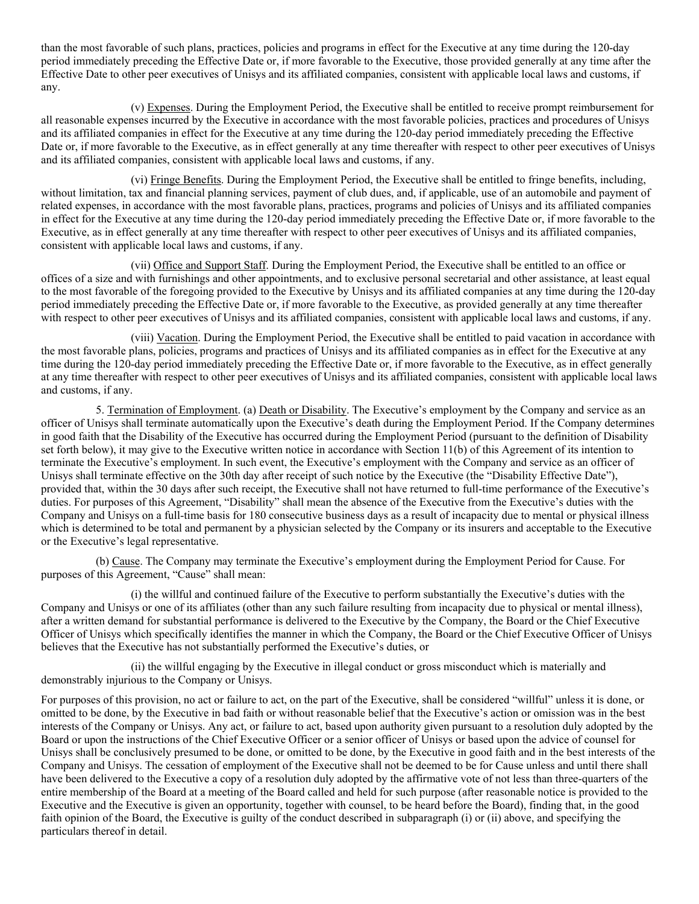than the most favorable of such plans, practices, policies and programs in effect for the Executive at any time during the 120-day period immediately preceding the Effective Date or, if more favorable to the Executive, those provided generally at any time after the Effective Date to other peer executives of Unisys and its affiliated companies, consistent with applicable local laws and customs, if any.

(v) Expenses. During the Employment Period, the Executive shall be entitled to receive prompt reimbursement for all reasonable expenses incurred by the Executive in accordance with the most favorable policies, practices and procedures of Unisys and its affiliated companies in effect for the Executive at any time during the 120-day period immediately preceding the Effective Date or, if more favorable to the Executive, as in effect generally at any time thereafter with respect to other peer executives of Unisys and its affiliated companies, consistent with applicable local laws and customs, if any.

(vi) Fringe Benefits. During the Employment Period, the Executive shall be entitled to fringe benefits, including, without limitation, tax and financial planning services, payment of club dues, and, if applicable, use of an automobile and payment of related expenses, in accordance with the most favorable plans, practices, programs and policies of Unisys and its affiliated companies in effect for the Executive at any time during the 120-day period immediately preceding the Effective Date or, if more favorable to the Executive, as in effect generally at any time thereafter with respect to other peer executives of Unisys and its affiliated companies, consistent with applicable local laws and customs, if any.

(vii) Office and Support Staff. During the Employment Period, the Executive shall be entitled to an office or offices of a size and with furnishings and other appointments, and to exclusive personal secretarial and other assistance, at least equal to the most favorable of the foregoing provided to the Executive by Unisys and its affiliated companies at any time during the 120-day period immediately preceding the Effective Date or, if more favorable to the Executive, as provided generally at any time thereafter with respect to other peer executives of Unisys and its affiliated companies, consistent with applicable local laws and customs, if any.

(viii) Vacation. During the Employment Period, the Executive shall be entitled to paid vacation in accordance with the most favorable plans, policies, programs and practices of Unisys and its affiliated companies as in effect for the Executive at any time during the 120-day period immediately preceding the Effective Date or, if more favorable to the Executive, as in effect generally at any time thereafter with respect to other peer executives of Unisys and its affiliated companies, consistent with applicable local laws and customs, if any.

5. Termination of Employment. (a) Death or Disability. The Executive's employment by the Company and service as an officer of Unisys shall terminate automatically upon the Executive's death during the Employment Period. If the Company determines in good faith that the Disability of the Executive has occurred during the Employment Period (pursuant to the definition of Disability set forth below), it may give to the Executive written notice in accordance with Section 11(b) of this Agreement of its intention to terminate the Executive's employment. In such event, the Executive's employment with the Company and service as an officer of Unisys shall terminate effective on the 30th day after receipt of such notice by the Executive (the "Disability Effective Date"), provided that, within the 30 days after such receipt, the Executive shall not have returned to full-time performance of the Executive's duties. For purposes of this Agreement, "Disability" shall mean the absence of the Executive from the Executive's duties with the Company and Unisys on a full-time basis for 180 consecutive business days as a result of incapacity due to mental or physical illness which is determined to be total and permanent by a physician selected by the Company or its insurers and acceptable to the Executive or the Executive's legal representative.

(b) Cause. The Company may terminate the Executive's employment during the Employment Period for Cause. For purposes of this Agreement, "Cause" shall mean:

(i) the willful and continued failure of the Executive to perform substantially the Executive's duties with the Company and Unisys or one of its affiliates (other than any such failure resulting from incapacity due to physical or mental illness), after a written demand for substantial performance is delivered to the Executive by the Company, the Board or the Chief Executive Officer of Unisys which specifically identifies the manner in which the Company, the Board or the Chief Executive Officer of Unisys believes that the Executive has not substantially performed the Executive's duties, or

(ii) the willful engaging by the Executive in illegal conduct or gross misconduct which is materially and demonstrably injurious to the Company or Unisys.

For purposes of this provision, no act or failure to act, on the part of the Executive, shall be considered "willful" unless it is done, or omitted to be done, by the Executive in bad faith or without reasonable belief that the Executive's action or omission was in the best interests of the Company or Unisys. Any act, or failure to act, based upon authority given pursuant to a resolution duly adopted by the Board or upon the instructions of the Chief Executive Officer or a senior officer of Unisys or based upon the advice of counsel for Unisys shall be conclusively presumed to be done, or omitted to be done, by the Executive in good faith and in the best interests of the Company and Unisys. The cessation of employment of the Executive shall not be deemed to be for Cause unless and until there shall have been delivered to the Executive a copy of a resolution duly adopted by the affirmative vote of not less than three-quarters of the entire membership of the Board at a meeting of the Board called and held for such purpose (after reasonable notice is provided to the Executive and the Executive is given an opportunity, together with counsel, to be heard before the Board), finding that, in the good faith opinion of the Board, the Executive is guilty of the conduct described in subparagraph (i) or (ii) above, and specifying the particulars thereof in detail.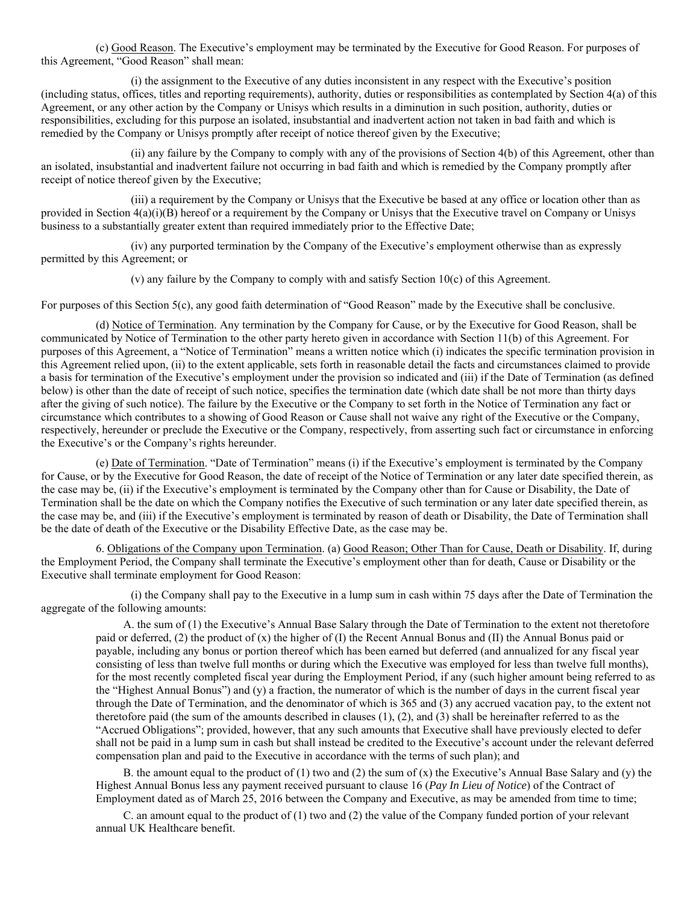(c) Good Reason. The Executive's employment may be terminated by the Executive for Good Reason. For purposes of this Agreement, "Good Reason" shall mean:

(i) the assignment to the Executive of any duties inconsistent in any respect with the Executive's position (including status, offices, titles and reporting requirements), authority, duties or responsibilities as contemplated by Section 4(a) of this Agreement, or any other action by the Company or Unisys which results in a diminution in such position, authority, duties or responsibilities, excluding for this purpose an isolated, insubstantial and inadvertent action not taken in bad faith and which is remedied by the Company or Unisys promptly after receipt of notice thereof given by the Executive;

(ii) any failure by the Company to comply with any of the provisions of Section 4(b) of this Agreement, other than an isolated, insubstantial and inadvertent failure not occurring in bad faith and which is remedied by the Company promptly after receipt of notice thereof given by the Executive;

(iii) a requirement by the Company or Unisys that the Executive be based at any office or location other than as provided in Section 4(a)(i)(B) hereof or a requirement by the Company or Unisys that the Executive travel on Company or Unisys business to a substantially greater extent than required immediately prior to the Effective Date;

(iv) any purported termination by the Company of the Executive's employment otherwise than as expressly permitted by this Agreement; or

(v) any failure by the Company to comply with and satisfy Section 10(c) of this Agreement.

For purposes of this Section 5(c), any good faith determination of "Good Reason" made by the Executive shall be conclusive.

(d) Notice of Termination. Any termination by the Company for Cause, or by the Executive for Good Reason, shall be communicated by Notice of Termination to the other party hereto given in accordance with Section 11(b) of this Agreement. For purposes of this Agreement, a "Notice of Termination" means a written notice which (i) indicates the specific termination provision in this Agreement relied upon, (ii) to the extent applicable, sets forth in reasonable detail the facts and circumstances claimed to provide a basis for termination of the Executive's employment under the provision so indicated and (iii) if the Date of Termination (as defined below) is other than the date of receipt of such notice, specifies the termination date (which date shall be not more than thirty days after the giving of such notice). The failure by the Executive or the Company to set forth in the Notice of Termination any fact or circumstance which contributes to a showing of Good Reason or Cause shall not waive any right of the Executive or the Company, respectively, hereunder or preclude the Executive or the Company, respectively, from asserting such fact or circumstance in enforcing the Executive's or the Company's rights hereunder.

(e) Date of Termination. "Date of Termination" means (i) if the Executive's employment is terminated by the Company for Cause, or by the Executive for Good Reason, the date of receipt of the Notice of Termination or any later date specified therein, as the case may be, (ii) if the Executive's employment is terminated by the Company other than for Cause or Disability, the Date of Termination shall be the date on which the Company notifies the Executive of such termination or any later date specified therein, as the case may be, and (iii) if the Executive's employment is terminated by reason of death or Disability, the Date of Termination shall be the date of death of the Executive or the Disability Effective Date, as the case may be.

6. Obligations of the Company upon Termination. (a) Good Reason; Other Than for Cause, Death or Disability. If, during the Employment Period, the Company shall terminate the Executive's employment other than for death, Cause or Disability or the Executive shall terminate employment for Good Reason:

(i) the Company shall pay to the Executive in a lump sum in cash within 75 days after the Date of Termination the aggregate of the following amounts:

A. the sum of (1) the Executive's Annual Base Salary through the Date of Termination to the extent not theretofore paid or deferred, (2) the product of (x) the higher of (I) the Recent Annual Bonus and (II) the Annual Bonus paid or payable, including any bonus or portion thereof which has been earned but deferred (and annualized for any fiscal year consisting of less than twelve full months or during which the Executive was employed for less than twelve full months), for the most recently completed fiscal year during the Employment Period, if any (such higher amount being referred to as the "Highest Annual Bonus") and (y) a fraction, the numerator of which is the number of days in the current fiscal year through the Date of Termination, and the denominator of which is 365 and (3) any accrued vacation pay, to the extent not theretofore paid (the sum of the amounts described in clauses (1), (2), and (3) shall be hereinafter referred to as the "Accrued Obligations"; provided, however, that any such amounts that Executive shall have previously elected to defer shall not be paid in a lump sum in cash but shall instead be credited to the Executive's account under the relevant deferred compensation plan and paid to the Executive in accordance with the terms of such plan); and

B. the amount equal to the product of  $(1)$  two and  $(2)$  the sum of  $(x)$  the Executive's Annual Base Salary and  $(y)$  the Highest Annual Bonus less any payment received pursuant to clause 16 (*Pay In Lieu of Notice*) of the Contract of Employment dated as of March 25, 2016 between the Company and Executive, as may be amended from time to time;

C. an amount equal to the product of (1) two and (2) the value of the Company funded portion of your relevant annual UK Healthcare benefit.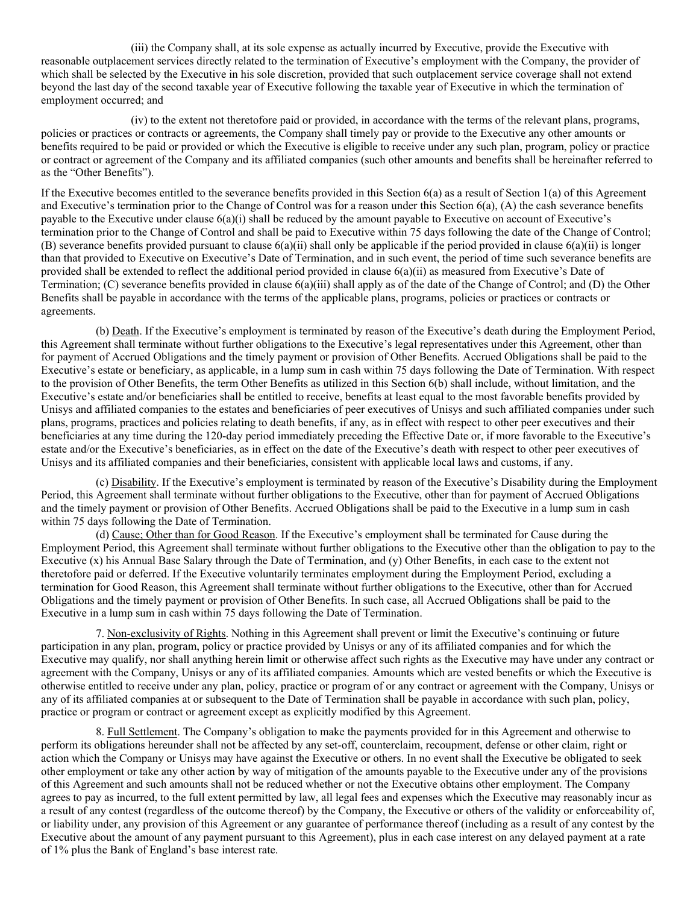(iii) the Company shall, at its sole expense as actually incurred by Executive, provide the Executive with reasonable outplacement services directly related to the termination of Executive's employment with the Company, the provider of which shall be selected by the Executive in his sole discretion, provided that such outplacement service coverage shall not extend beyond the last day of the second taxable year of Executive following the taxable year of Executive in which the termination of employment occurred; and

(iv) to the extent not theretofore paid or provided, in accordance with the terms of the relevant plans, programs, policies or practices or contracts or agreements, the Company shall timely pay or provide to the Executive any other amounts or benefits required to be paid or provided or which the Executive is eligible to receive under any such plan, program, policy or practice or contract or agreement of the Company and its affiliated companies (such other amounts and benefits shall be hereinafter referred to as the "Other Benefits").

If the Executive becomes entitled to the severance benefits provided in this Section  $6(a)$  as a result of Section  $1(a)$  of this Agreement and Executive's termination prior to the Change of Control was for a reason under this Section 6(a), (A) the cash severance benefits payable to the Executive under clause  $6(a)(i)$  shall be reduced by the amount payable to Executive on account of Executive's termination prior to the Change of Control and shall be paid to Executive within 75 days following the date of the Change of Control; (B) severance benefits provided pursuant to clause  $6(a)(ii)$  shall only be applicable if the period provided in clause  $6(a)(ii)$  is longer than that provided to Executive on Executive's Date of Termination, and in such event, the period of time such severance benefits are provided shall be extended to reflect the additional period provided in clause 6(a)(ii) as measured from Executive's Date of Termination; (C) severance benefits provided in clause 6(a)(iii) shall apply as of the date of the Change of Control; and (D) the Other Benefits shall be payable in accordance with the terms of the applicable plans, programs, policies or practices or contracts or agreements.

(b) Death. If the Executive's employment is terminated by reason of the Executive's death during the Employment Period, this Agreement shall terminate without further obligations to the Executive's legal representatives under this Agreement, other than for payment of Accrued Obligations and the timely payment or provision of Other Benefits. Accrued Obligations shall be paid to the Executive's estate or beneficiary, as applicable, in a lump sum in cash within 75 days following the Date of Termination. With respect to the provision of Other Benefits, the term Other Benefits as utilized in this Section 6(b) shall include, without limitation, and the Executive's estate and/or beneficiaries shall be entitled to receive, benefits at least equal to the most favorable benefits provided by Unisys and affiliated companies to the estates and beneficiaries of peer executives of Unisys and such affiliated companies under such plans, programs, practices and policies relating to death benefits, if any, as in effect with respect to other peer executives and their beneficiaries at any time during the 120-day period immediately preceding the Effective Date or, if more favorable to the Executive's estate and/or the Executive's beneficiaries, as in effect on the date of the Executive's death with respect to other peer executives of Unisys and its affiliated companies and their beneficiaries, consistent with applicable local laws and customs, if any.

(c) Disability. If the Executive's employment is terminated by reason of the Executive's Disability during the Employment Period, this Agreement shall terminate without further obligations to the Executive, other than for payment of Accrued Obligations and the timely payment or provision of Other Benefits. Accrued Obligations shall be paid to the Executive in a lump sum in cash within 75 days following the Date of Termination.

(d) Cause; Other than for Good Reason. If the Executive's employment shall be terminated for Cause during the Employment Period, this Agreement shall terminate without further obligations to the Executive other than the obligation to pay to the Executive (x) his Annual Base Salary through the Date of Termination, and (y) Other Benefits, in each case to the extent not theretofore paid or deferred. If the Executive voluntarily terminates employment during the Employment Period, excluding a termination for Good Reason, this Agreement shall terminate without further obligations to the Executive, other than for Accrued Obligations and the timely payment or provision of Other Benefits. In such case, all Accrued Obligations shall be paid to the Executive in a lump sum in cash within 75 days following the Date of Termination.

7. Non-exclusivity of Rights. Nothing in this Agreement shall prevent or limit the Executive's continuing or future participation in any plan, program, policy or practice provided by Unisys or any of its affiliated companies and for which the Executive may qualify, nor shall anything herein limit or otherwise affect such rights as the Executive may have under any contract or agreement with the Company, Unisys or any of its affiliated companies. Amounts which are vested benefits or which the Executive is otherwise entitled to receive under any plan, policy, practice or program of or any contract or agreement with the Company, Unisys or any of its affiliated companies at or subsequent to the Date of Termination shall be payable in accordance with such plan, policy, practice or program or contract or agreement except as explicitly modified by this Agreement.

8. Full Settlement. The Company's obligation to make the payments provided for in this Agreement and otherwise to perform its obligations hereunder shall not be affected by any set-off, counterclaim, recoupment, defense or other claim, right or action which the Company or Unisys may have against the Executive or others. In no event shall the Executive be obligated to seek other employment or take any other action by way of mitigation of the amounts payable to the Executive under any of the provisions of this Agreement and such amounts shall not be reduced whether or not the Executive obtains other employment. The Company agrees to pay as incurred, to the full extent permitted by law, all legal fees and expenses which the Executive may reasonably incur as a result of any contest (regardless of the outcome thereof) by the Company, the Executive or others of the validity or enforceability of, or liability under, any provision of this Agreement or any guarantee of performance thereof (including as a result of any contest by the Executive about the amount of any payment pursuant to this Agreement), plus in each case interest on any delayed payment at a rate of 1% plus the Bank of England's base interest rate.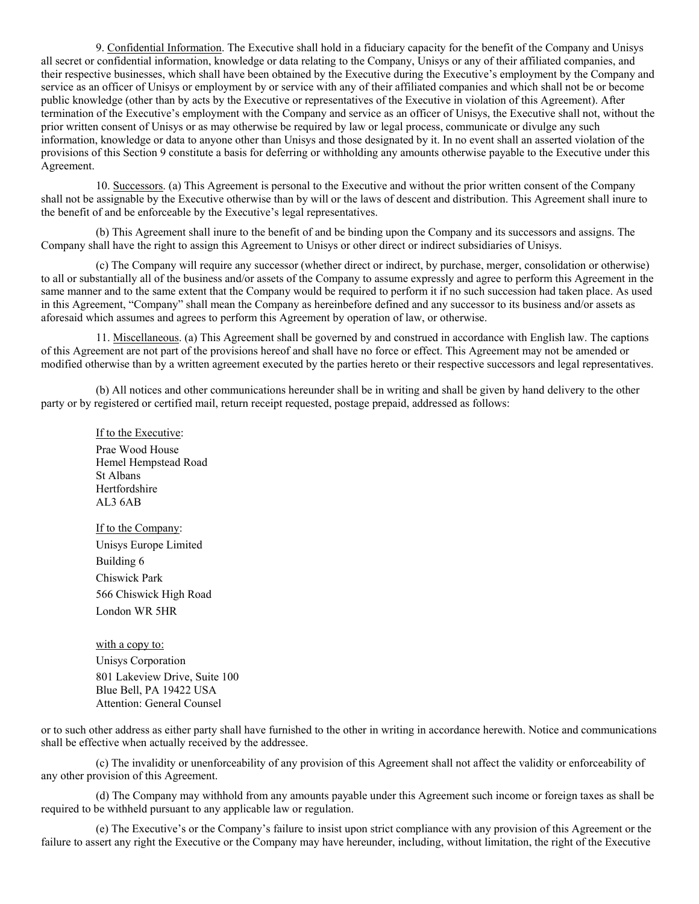9. Confidential Information. The Executive shall hold in a fiduciary capacity for the benefit of the Company and Unisys all secret or confidential information, knowledge or data relating to the Company, Unisys or any of their affiliated companies, and their respective businesses, which shall have been obtained by the Executive during the Executive's employment by the Company and service as an officer of Unisys or employment by or service with any of their affiliated companies and which shall not be or become public knowledge (other than by acts by the Executive or representatives of the Executive in violation of this Agreement). After termination of the Executive's employment with the Company and service as an officer of Unisys, the Executive shall not, without the prior written consent of Unisys or as may otherwise be required by law or legal process, communicate or divulge any such information, knowledge or data to anyone other than Unisys and those designated by it. In no event shall an asserted violation of the provisions of this Section 9 constitute a basis for deferring or withholding any amounts otherwise payable to the Executive under this Agreement.

10. Successors. (a) This Agreement is personal to the Executive and without the prior written consent of the Company shall not be assignable by the Executive otherwise than by will or the laws of descent and distribution. This Agreement shall inure to the benefit of and be enforceable by the Executive's legal representatives.

(b) This Agreement shall inure to the benefit of and be binding upon the Company and its successors and assigns. The Company shall have the right to assign this Agreement to Unisys or other direct or indirect subsidiaries of Unisys.

(c) The Company will require any successor (whether direct or indirect, by purchase, merger, consolidation or otherwise) to all or substantially all of the business and/or assets of the Company to assume expressly and agree to perform this Agreement in the same manner and to the same extent that the Company would be required to perform it if no such succession had taken place. As used in this Agreement, "Company" shall mean the Company as hereinbefore defined and any successor to its business and/or assets as aforesaid which assumes and agrees to perform this Agreement by operation of law, or otherwise.

11. Miscellaneous. (a) This Agreement shall be governed by and construed in accordance with English law. The captions of this Agreement are not part of the provisions hereof and shall have no force or effect. This Agreement may not be amended or modified otherwise than by a written agreement executed by the parties hereto or their respective successors and legal representatives.

(b) All notices and other communications hereunder shall be in writing and shall be given by hand delivery to the other party or by registered or certified mail, return receipt requested, postage prepaid, addressed as follows:

If to the Executive: Prae Wood House Hemel Hempstead Road St Albans Hertfordshire AL3 6AB

If to the Company: Unisys Europe Limited Building 6 Chiswick Park 566 Chiswick High Road London WR 5HR

with a copy to: Unisys Corporation 801 Lakeview Drive, Suite 100 Blue Bell, PA 19422 USA Attention: General Counsel

or to such other address as either party shall have furnished to the other in writing in accordance herewith. Notice and communications shall be effective when actually received by the addressee.

(c) The invalidity or unenforceability of any provision of this Agreement shall not affect the validity or enforceability of any other provision of this Agreement.

(d) The Company may withhold from any amounts payable under this Agreement such income or foreign taxes as shall be required to be withheld pursuant to any applicable law or regulation.

(e) The Executive's or the Company's failure to insist upon strict compliance with any provision of this Agreement or the failure to assert any right the Executive or the Company may have hereunder, including, without limitation, the right of the Executive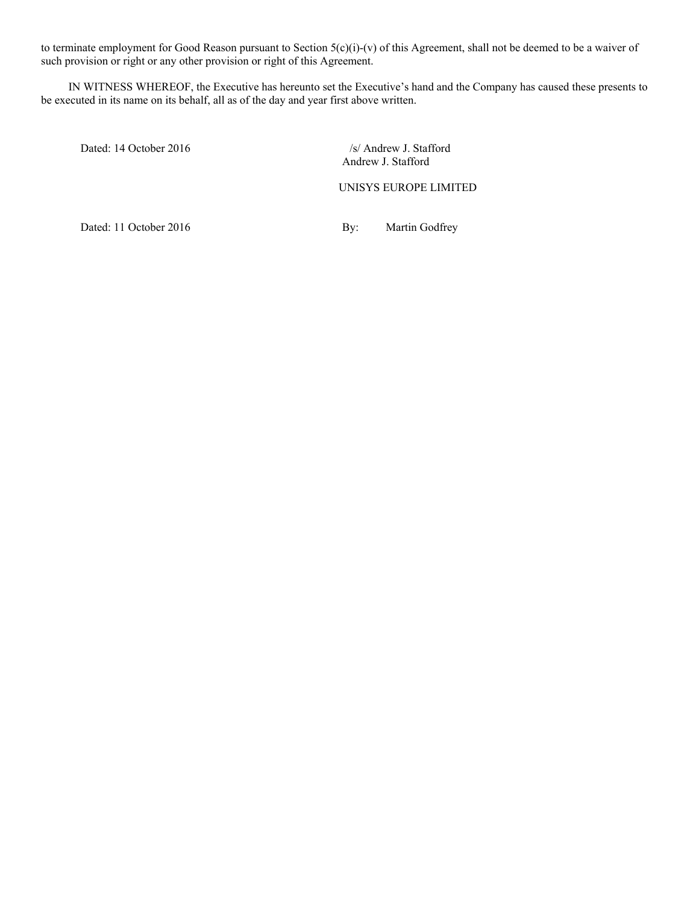to terminate employment for Good Reason pursuant to Section 5(c)(i)-(v) of this Agreement, shall not be deemed to be a waiver of such provision or right or any other provision or right of this Agreement.

IN WITNESS WHEREOF, the Executive has hereunto set the Executive's hand and the Company has caused these presents to be executed in its name on its behalf, all as of the day and year first above written.

Dated: 14 October 2016 /s/ Andrew J. Stafford Andrew J. Stafford

UNISYS EUROPE LIMITED

Dated: 11 October 2016 By: Martin Godfrey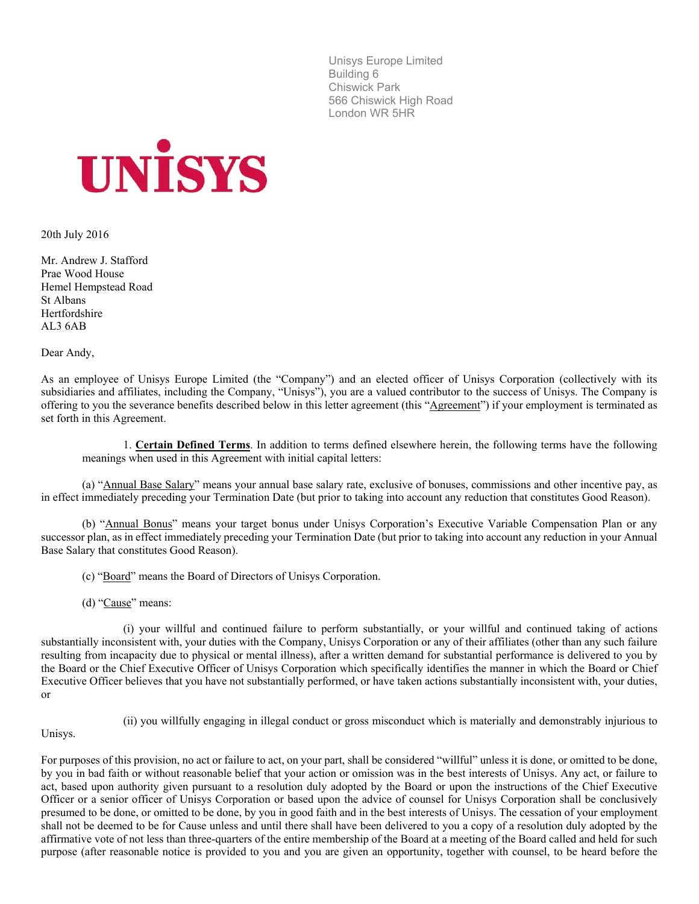Unisys Europe Limited Building 6 Chiswick Park 566 Chiswick High Road London WR 5HR



20th July 2016

Mr. Andrew J. Stafford Prae Wood House Hemel Hempstead Road St Albans Hertfordshire AL3 6AB

Dear Andy,

As an employee of Unisys Europe Limited (the "Company") and an elected officer of Unisys Corporation (collectively with its subsidiaries and affiliates, including the Company, "Unisys"), you are a valued contributor to the success of Unisys. The Company is offering to you the severance benefits described below in this letter agreement (this "Agreement") if your employment is terminated as set forth in this Agreement.

1. **Certain Defined Terms**. In addition to terms defined elsewhere herein, the following terms have the following meanings when used in this Agreement with initial capital letters:

(a) "Annual Base Salary" means your annual base salary rate, exclusive of bonuses, commissions and other incentive pay, as in effect immediately preceding your Termination Date (but prior to taking into account any reduction that constitutes Good Reason).

(b) "Annual Bonus" means your target bonus under Unisys Corporation's Executive Variable Compensation Plan or any successor plan, as in effect immediately preceding your Termination Date (but prior to taking into account any reduction in your Annual Base Salary that constitutes Good Reason).

(c) "Board" means the Board of Directors of Unisys Corporation.

(d) "Cause" means:

(i) your willful and continued failure to perform substantially, or your willful and continued taking of actions substantially inconsistent with, your duties with the Company, Unisys Corporation or any of their affiliates (other than any such failure resulting from incapacity due to physical or mental illness), after a written demand for substantial performance is delivered to you by the Board or the Chief Executive Officer of Unisys Corporation which specifically identifies the manner in which the Board or Chief Executive Officer believes that you have not substantially performed, or have taken actions substantially inconsistent with, your duties, or

Unisys.

(ii) you willfully engaging in illegal conduct or gross misconduct which is materially and demonstrably injurious to

For purposes of this provision, no act or failure to act, on your part, shall be considered "willful" unless it is done, or omitted to be done, by you in bad faith or without reasonable belief that your action or omission was in the best interests of Unisys. Any act, or failure to act, based upon authority given pursuant to a resolution duly adopted by the Board or upon the instructions of the Chief Executive Officer or a senior officer of Unisys Corporation or based upon the advice of counsel for Unisys Corporation shall be conclusively presumed to be done, or omitted to be done, by you in good faith and in the best interests of Unisys. The cessation of your employment shall not be deemed to be for Cause unless and until there shall have been delivered to you a copy of a resolution duly adopted by the affirmative vote of not less than three-quarters of the entire membership of the Board at a meeting of the Board called and held for such purpose (after reasonable notice is provided to you and you are given an opportunity, together with counsel, to be heard before the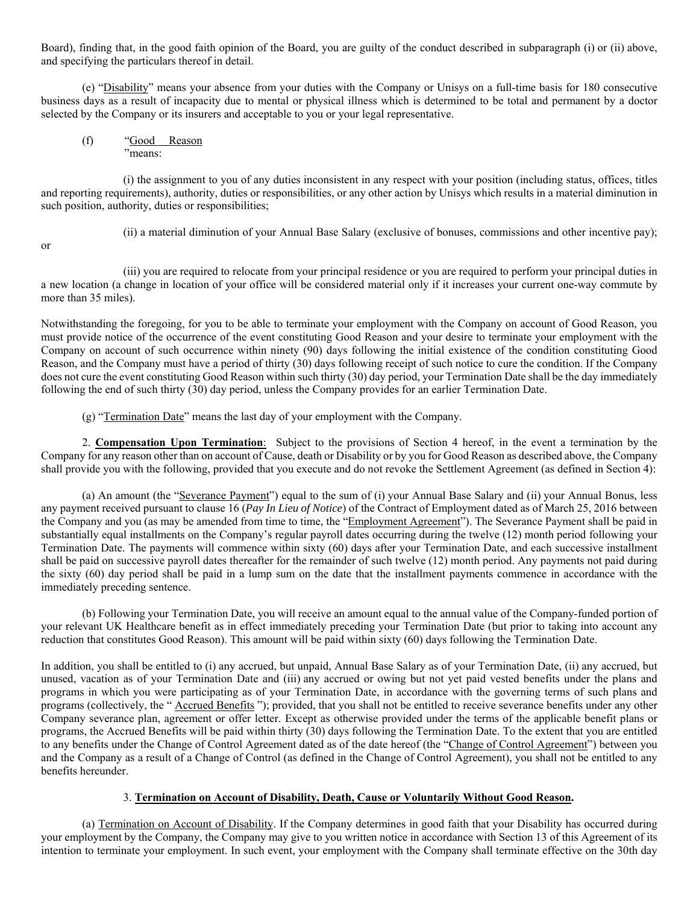Board), finding that, in the good faith opinion of the Board, you are guilty of the conduct described in subparagraph (i) or (ii) above, and specifying the particulars thereof in detail.

(e) "Disability" means your absence from your duties with the Company or Unisys on a full-time basis for 180 consecutive business days as a result of incapacity due to mental or physical illness which is determined to be total and permanent by a doctor selected by the Company or its insurers and acceptable to you or your legal representative.

 (f) "Good Reason "means:

(i) the assignment to you of any duties inconsistent in any respect with your position (including status, offices, titles and reporting requirements), authority, duties or responsibilities, or any other action by Unisys which results in a material diminution in such position, authority, duties or responsibilities;

or

(ii) a material diminution of your Annual Base Salary (exclusive of bonuses, commissions and other incentive pay);

(iii) you are required to relocate from your principal residence or you are required to perform your principal duties in a new location (a change in location of your office will be considered material only if it increases your current one-way commute by more than 35 miles).

Notwithstanding the foregoing, for you to be able to terminate your employment with the Company on account of Good Reason, you must provide notice of the occurrence of the event constituting Good Reason and your desire to terminate your employment with the Company on account of such occurrence within ninety (90) days following the initial existence of the condition constituting Good Reason, and the Company must have a period of thirty (30) days following receipt of such notice to cure the condition. If the Company does not cure the event constituting Good Reason within such thirty (30) day period, your Termination Date shall be the day immediately following the end of such thirty (30) day period, unless the Company provides for an earlier Termination Date.

(g) "Termination Date" means the last day of your employment with the Company.

2. **Compensation Upon Termination**: Subject to the provisions of Section 4 hereof, in the event a termination by the Company for any reason other than on account of Cause, death or Disability or by you for Good Reason as described above, the Company shall provide you with the following, provided that you execute and do not revoke the Settlement Agreement (as defined in Section 4):

(a) An amount (the "Severance Payment") equal to the sum of (i) your Annual Base Salary and (ii) your Annual Bonus, less any payment received pursuant to clause 16 (*Pay In Lieu of Notice*) of the Contract of Employment dated as of March 25, 2016 between the Company and you (as may be amended from time to time, the "Employment Agreement"). The Severance Payment shall be paid in substantially equal installments on the Company's regular payroll dates occurring during the twelve (12) month period following your Termination Date. The payments will commence within sixty (60) days after your Termination Date, and each successive installment shall be paid on successive payroll dates thereafter for the remainder of such twelve (12) month period. Any payments not paid during the sixty (60) day period shall be paid in a lump sum on the date that the installment payments commence in accordance with the immediately preceding sentence.

(b) Following your Termination Date, you will receive an amount equal to the annual value of the Company-funded portion of your relevant UK Healthcare benefit as in effect immediately preceding your Termination Date (but prior to taking into account any reduction that constitutes Good Reason). This amount will be paid within sixty (60) days following the Termination Date.

In addition, you shall be entitled to (i) any accrued, but unpaid, Annual Base Salary as of your Termination Date, (ii) any accrued, but unused, vacation as of your Termination Date and (iii) any accrued or owing but not yet paid vested benefits under the plans and programs in which you were participating as of your Termination Date, in accordance with the governing terms of such plans and programs (collectively, the " Accrued Benefits "); provided, that you shall not be entitled to receive severance benefits under any other Company severance plan, agreement or offer letter. Except as otherwise provided under the terms of the applicable benefit plans or programs, the Accrued Benefits will be paid within thirty (30) days following the Termination Date. To the extent that you are entitled to any benefits under the Change of Control Agreement dated as of the date hereof (the "Change of Control Agreement") between you and the Company as a result of a Change of Control (as defined in the Change of Control Agreement), you shall not be entitled to any benefits hereunder.

### 3. **Termination on Account of Disability, Death, Cause or Voluntarily Without Good Reason.**

(a) Termination on Account of Disability. If the Company determines in good faith that your Disability has occurred during your employment by the Company, the Company may give to you written notice in accordance with Section 13 of this Agreement of its intention to terminate your employment. In such event, your employment with the Company shall terminate effective on the 30th day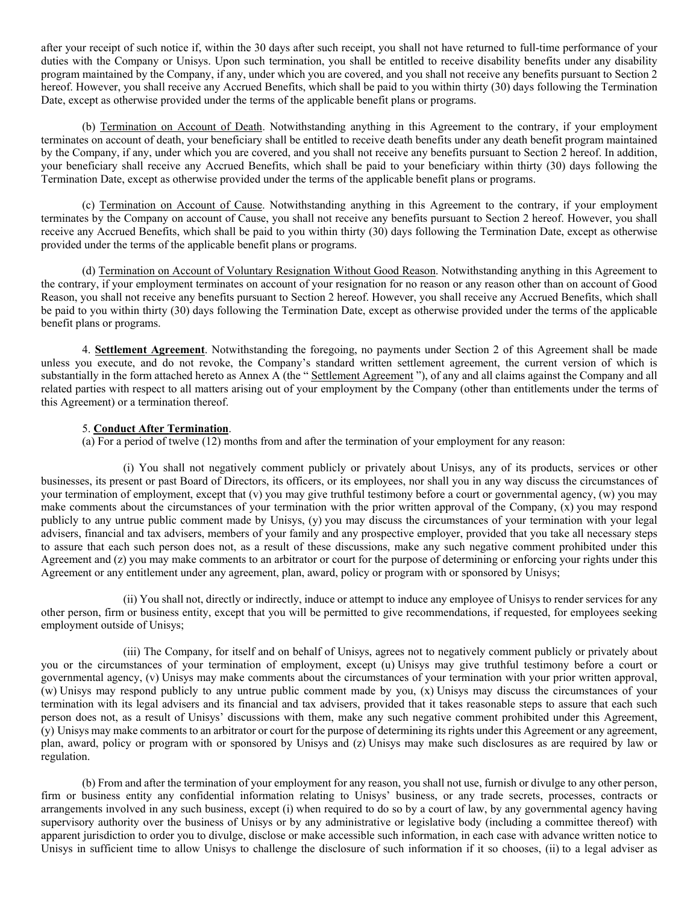after your receipt of such notice if, within the 30 days after such receipt, you shall not have returned to full-time performance of your duties with the Company or Unisys. Upon such termination, you shall be entitled to receive disability benefits under any disability program maintained by the Company, if any, under which you are covered, and you shall not receive any benefits pursuant to Section 2 hereof. However, you shall receive any Accrued Benefits, which shall be paid to you within thirty (30) days following the Termination Date, except as otherwise provided under the terms of the applicable benefit plans or programs.

(b) Termination on Account of Death. Notwithstanding anything in this Agreement to the contrary, if your employment terminates on account of death, your beneficiary shall be entitled to receive death benefits under any death benefit program maintained by the Company, if any, under which you are covered, and you shall not receive any benefits pursuant to Section 2 hereof. In addition, your beneficiary shall receive any Accrued Benefits, which shall be paid to your beneficiary within thirty (30) days following the Termination Date, except as otherwise provided under the terms of the applicable benefit plans or programs.

(c) Termination on Account of Cause. Notwithstanding anything in this Agreement to the contrary, if your employment terminates by the Company on account of Cause, you shall not receive any benefits pursuant to Section 2 hereof. However, you shall receive any Accrued Benefits, which shall be paid to you within thirty (30) days following the Termination Date, except as otherwise provided under the terms of the applicable benefit plans or programs.

(d) Termination on Account of Voluntary Resignation Without Good Reason. Notwithstanding anything in this Agreement to the contrary, if your employment terminates on account of your resignation for no reason or any reason other than on account of Good Reason, you shall not receive any benefits pursuant to Section 2 hereof. However, you shall receive any Accrued Benefits, which shall be paid to you within thirty (30) days following the Termination Date, except as otherwise provided under the terms of the applicable benefit plans or programs.

4. **Settlement Agreement**. Notwithstanding the foregoing, no payments under Section 2 of this Agreement shall be made unless you execute, and do not revoke, the Company's standard written settlement agreement, the current version of which is substantially in the form attached hereto as Annex A (the "Settlement Agreement"), of any and all claims against the Company and all related parties with respect to all matters arising out of your employment by the Company (other than entitlements under the terms of this Agreement) or a termination thereof.

#### 5. **Conduct After Termination**.

(a) For a period of twelve (12) months from and after the termination of your employment for any reason:

(i) You shall not negatively comment publicly or privately about Unisys, any of its products, services or other businesses, its present or past Board of Directors, its officers, or its employees, nor shall you in any way discuss the circumstances of your termination of employment, except that (v) you may give truthful testimony before a court or governmental agency, (w) you may make comments about the circumstances of your termination with the prior written approval of the Company, (x) you may respond publicly to any untrue public comment made by Unisys, (y) you may discuss the circumstances of your termination with your legal advisers, financial and tax advisers, members of your family and any prospective employer, provided that you take all necessary steps to assure that each such person does not, as a result of these discussions, make any such negative comment prohibited under this Agreement and (z) you may make comments to an arbitrator or court for the purpose of determining or enforcing your rights under this Agreement or any entitlement under any agreement, plan, award, policy or program with or sponsored by Unisys;

(ii) You shall not, directly or indirectly, induce or attempt to induce any employee of Unisys to render services for any other person, firm or business entity, except that you will be permitted to give recommendations, if requested, for employees seeking employment outside of Unisys;

(iii) The Company, for itself and on behalf of Unisys, agrees not to negatively comment publicly or privately about you or the circumstances of your termination of employment, except (u) Unisys may give truthful testimony before a court or governmental agency, (v) Unisys may make comments about the circumstances of your termination with your prior written approval, (w) Unisys may respond publicly to any untrue public comment made by you, (x) Unisys may discuss the circumstances of your termination with its legal advisers and its financial and tax advisers, provided that it takes reasonable steps to assure that each such person does not, as a result of Unisys' discussions with them, make any such negative comment prohibited under this Agreement, (y) Unisys may make comments to an arbitrator or court for the purpose of determining its rights under this Agreement or any agreement, plan, award, policy or program with or sponsored by Unisys and (z) Unisys may make such disclosures as are required by law or regulation.

(b) From and after the termination of your employment for any reason, you shall not use, furnish or divulge to any other person, firm or business entity any confidential information relating to Unisys' business, or any trade secrets, processes, contracts or arrangements involved in any such business, except (i) when required to do so by a court of law, by any governmental agency having supervisory authority over the business of Unisys or by any administrative or legislative body (including a committee thereof) with apparent jurisdiction to order you to divulge, disclose or make accessible such information, in each case with advance written notice to Unisys in sufficient time to allow Unisys to challenge the disclosure of such information if it so chooses, (ii) to a legal adviser as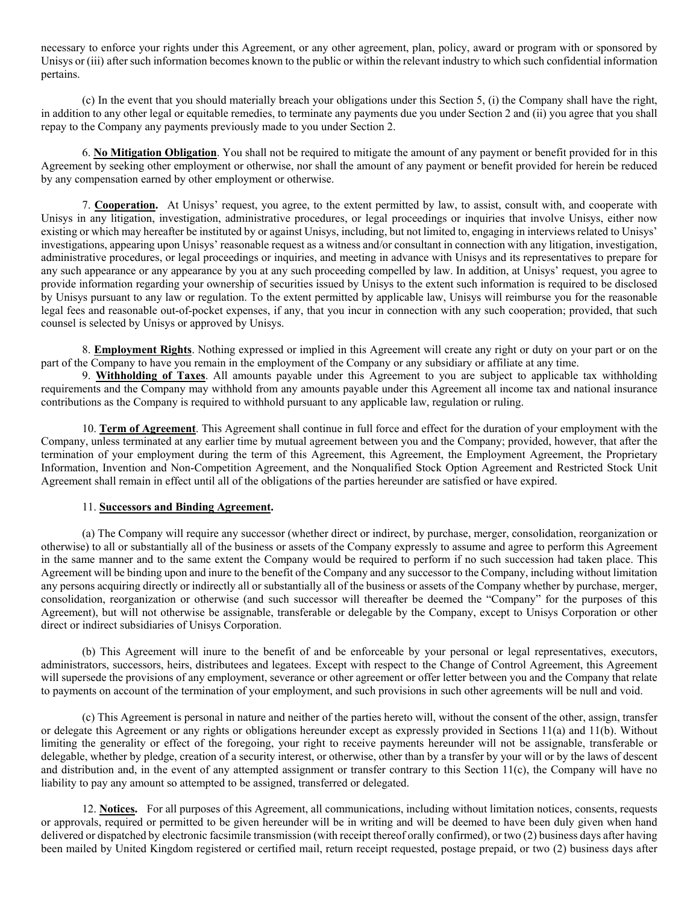necessary to enforce your rights under this Agreement, or any other agreement, plan, policy, award or program with or sponsored by Unisys or (iii) after such information becomes known to the public or within the relevant industry to which such confidential information pertains.

(c) In the event that you should materially breach your obligations under this Section 5, (i) the Company shall have the right, in addition to any other legal or equitable remedies, to terminate any payments due you under Section 2 and (ii) you agree that you shall repay to the Company any payments previously made to you under Section 2.

6. **No Mitigation Obligation**. You shall not be required to mitigate the amount of any payment or benefit provided for in this Agreement by seeking other employment or otherwise, nor shall the amount of any payment or benefit provided for herein be reduced by any compensation earned by other employment or otherwise.

7. **Cooperation.** At Unisys' request, you agree, to the extent permitted by law, to assist, consult with, and cooperate with Unisys in any litigation, investigation, administrative procedures, or legal proceedings or inquiries that involve Unisys, either now existing or which may hereafter be instituted by or against Unisys, including, but not limited to, engaging in interviews related to Unisys' investigations, appearing upon Unisys' reasonable request as a witness and/or consultant in connection with any litigation, investigation, administrative procedures, or legal proceedings or inquiries, and meeting in advance with Unisys and its representatives to prepare for any such appearance or any appearance by you at any such proceeding compelled by law. In addition, at Unisys' request, you agree to provide information regarding your ownership of securities issued by Unisys to the extent such information is required to be disclosed by Unisys pursuant to any law or regulation. To the extent permitted by applicable law, Unisys will reimburse you for the reasonable legal fees and reasonable out-of-pocket expenses, if any, that you incur in connection with any such cooperation; provided, that such counsel is selected by Unisys or approved by Unisys.

8. **Employment Rights**. Nothing expressed or implied in this Agreement will create any right or duty on your part or on the part of the Company to have you remain in the employment of the Company or any subsidiary or affiliate at any time.

9. **Withholding of Taxes**. All amounts payable under this Agreement to you are subject to applicable tax withholding requirements and the Company may withhold from any amounts payable under this Agreement all income tax and national insurance contributions as the Company is required to withhold pursuant to any applicable law, regulation or ruling.

10. **Term of Agreement**. This Agreement shall continue in full force and effect for the duration of your employment with the Company, unless terminated at any earlier time by mutual agreement between you and the Company; provided, however, that after the termination of your employment during the term of this Agreement, this Agreement, the Employment Agreement, the Proprietary Information, Invention and Non-Competition Agreement, and the Nonqualified Stock Option Agreement and Restricted Stock Unit Agreement shall remain in effect until all of the obligations of the parties hereunder are satisfied or have expired.

#### 11. **Successors and Binding Agreement.**

(a) The Company will require any successor (whether direct or indirect, by purchase, merger, consolidation, reorganization or otherwise) to all or substantially all of the business or assets of the Company expressly to assume and agree to perform this Agreement in the same manner and to the same extent the Company would be required to perform if no such succession had taken place. This Agreement will be binding upon and inure to the benefit of the Company and any successor to the Company, including without limitation any persons acquiring directly or indirectly all or substantially all of the business or assets of the Company whether by purchase, merger, consolidation, reorganization or otherwise (and such successor will thereafter be deemed the "Company" for the purposes of this Agreement), but will not otherwise be assignable, transferable or delegable by the Company, except to Unisys Corporation or other direct or indirect subsidiaries of Unisys Corporation.

(b) This Agreement will inure to the benefit of and be enforceable by your personal or legal representatives, executors, administrators, successors, heirs, distributees and legatees. Except with respect to the Change of Control Agreement, this Agreement will supersede the provisions of any employment, severance or other agreement or offer letter between you and the Company that relate to payments on account of the termination of your employment, and such provisions in such other agreements will be null and void.

(c) This Agreement is personal in nature and neither of the parties hereto will, without the consent of the other, assign, transfer or delegate this Agreement or any rights or obligations hereunder except as expressly provided in Sections 11(a) and 11(b). Without limiting the generality or effect of the foregoing, your right to receive payments hereunder will not be assignable, transferable or delegable, whether by pledge, creation of a security interest, or otherwise, other than by a transfer by your will or by the laws of descent and distribution and, in the event of any attempted assignment or transfer contrary to this Section 11(c), the Company will have no liability to pay any amount so attempted to be assigned, transferred or delegated.

12. **Notices.** For all purposes of this Agreement, all communications, including without limitation notices, consents, requests or approvals, required or permitted to be given hereunder will be in writing and will be deemed to have been duly given when hand delivered or dispatched by electronic facsimile transmission (with receipt thereof orally confirmed), or two (2) business days after having been mailed by United Kingdom registered or certified mail, return receipt requested, postage prepaid, or two (2) business days after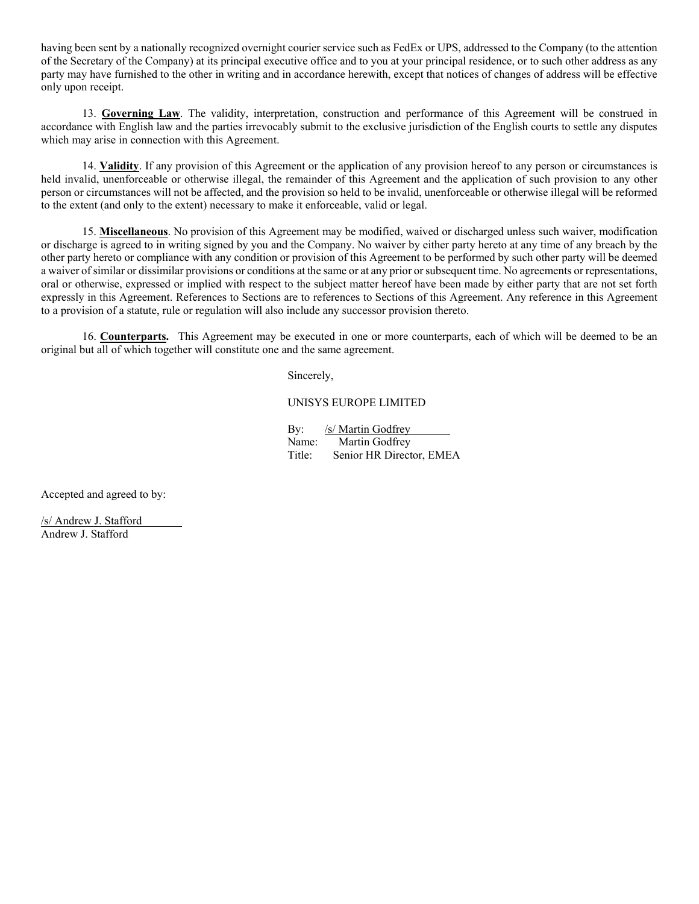having been sent by a nationally recognized overnight courier service such as FedEx or UPS, addressed to the Company (to the attention of the Secretary of the Company) at its principal executive office and to you at your principal residence, or to such other address as any party may have furnished to the other in writing and in accordance herewith, except that notices of changes of address will be effective only upon receipt.

13. **Governing Law**. The validity, interpretation, construction and performance of this Agreement will be construed in accordance with English law and the parties irrevocably submit to the exclusive jurisdiction of the English courts to settle any disputes which may arise in connection with this Agreement.

14. **Validity**. If any provision of this Agreement or the application of any provision hereof to any person or circumstances is held invalid, unenforceable or otherwise illegal, the remainder of this Agreement and the application of such provision to any other person or circumstances will not be affected, and the provision so held to be invalid, unenforceable or otherwise illegal will be reformed to the extent (and only to the extent) necessary to make it enforceable, valid or legal.

15. **Miscellaneous**. No provision of this Agreement may be modified, waived or discharged unless such waiver, modification or discharge is agreed to in writing signed by you and the Company. No waiver by either party hereto at any time of any breach by the other party hereto or compliance with any condition or provision of this Agreement to be performed by such other party will be deemed a waiver of similar or dissimilar provisions or conditions at the same or at any prior or subsequent time. No agreements or representations, oral or otherwise, expressed or implied with respect to the subject matter hereof have been made by either party that are not set forth expressly in this Agreement. References to Sections are to references to Sections of this Agreement. Any reference in this Agreement to a provision of a statute, rule or regulation will also include any successor provision thereto.

16. **Counterparts.** This Agreement may be executed in one or more counterparts, each of which will be deemed to be an original but all of which together will constitute one and the same agreement.

Sincerely,

UNISYS EUROPE LIMITED

By: /s/ Martin Godfrey Name: Martin Godfrey Title: Senior HR Director, EMEA

Accepted and agreed to by:

/s/ Andrew J. Stafford Andrew J. Stafford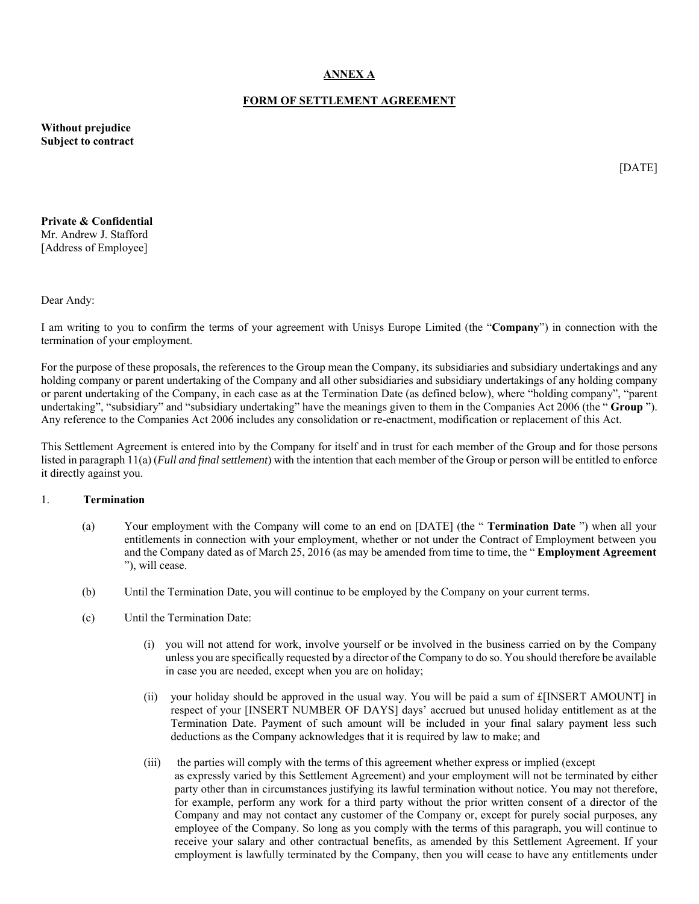# **ANNEX A**

# **FORM OF SETTLEMENT AGREEMENT**

**Without prejudice Subject to contract**

[DATE]

**Private & Confidential** Mr. Andrew J. Stafford [Address of Employee]

Dear Andy:

I am writing to you to confirm the terms of your agreement with Unisys Europe Limited (the "**Company**") in connection with the termination of your employment.

For the purpose of these proposals, the references to the Group mean the Company, its subsidiaries and subsidiary undertakings and any holding company or parent undertaking of the Company and all other subsidiaries and subsidiary undertakings of any holding company or parent undertaking of the Company, in each case as at the Termination Date (as defined below), where "holding company", "parent undertaking", "subsidiary" and "subsidiary undertaking" have the meanings given to them in the Companies Act 2006 (the " **Group** "). Any reference to the Companies Act 2006 includes any consolidation or re-enactment, modification or replacement of this Act.

This Settlement Agreement is entered into by the Company for itself and in trust for each member of the Group and for those persons listed in paragraph 11(a) (*Full and final settlement*) with the intention that each member of the Group or person will be entitled to enforce it directly against you.

## 1. **Termination**

- (a) Your employment with the Company will come to an end on [DATE] (the " **Termination Date** ") when all your entitlements in connection with your employment, whether or not under the Contract of Employment between you and the Company dated as of March 25, 2016 (as may be amended from time to time, the " **Employment Agreement** "), will cease.
- (b) Until the Termination Date, you will continue to be employed by the Company on your current terms.
- (c) Until the Termination Date:
	- (i) you will not attend for work, involve yourself or be involved in the business carried on by the Company unless you are specifically requested by a director of the Company to do so. You should therefore be available in case you are needed, except when you are on holiday;
	- (ii) your holiday should be approved in the usual way. You will be paid a sum of £[INSERT AMOUNT] in respect of your [INSERT NUMBER OF DAYS] days' accrued but unused holiday entitlement as at the Termination Date. Payment of such amount will be included in your final salary payment less such deductions as the Company acknowledges that it is required by law to make; and
	- (iii) the parties will comply with the terms of this agreement whether express or implied (except as expressly varied by this Settlement Agreement) and your employment will not be terminated by either party other than in circumstances justifying its lawful termination without notice. You may not therefore, for example, perform any work for a third party without the prior written consent of a director of the Company and may not contact any customer of the Company or, except for purely social purposes, any employee of the Company. So long as you comply with the terms of this paragraph, you will continue to receive your salary and other contractual benefits, as amended by this Settlement Agreement. If your employment is lawfully terminated by the Company, then you will cease to have any entitlements under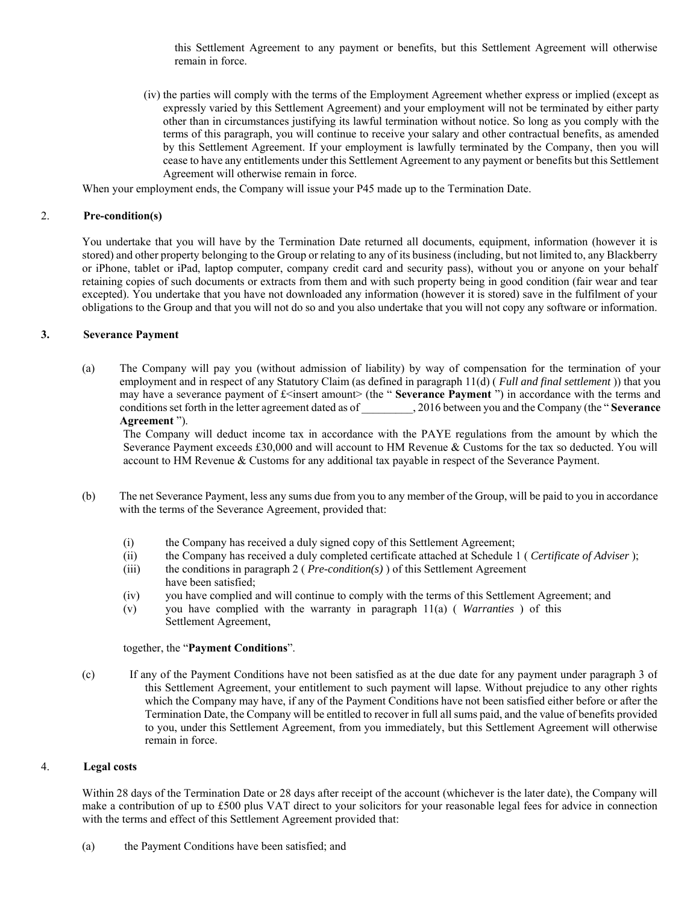this Settlement Agreement to any payment or benefits, but this Settlement Agreement will otherwise remain in force.

(iv) the parties will comply with the terms of the Employment Agreement whether express or implied (except as expressly varied by this Settlement Agreement) and your employment will not be terminated by either party other than in circumstances justifying its lawful termination without notice. So long as you comply with the terms of this paragraph, you will continue to receive your salary and other contractual benefits, as amended by this Settlement Agreement. If your employment is lawfully terminated by the Company, then you will cease to have any entitlements under this Settlement Agreement to any payment or benefits but this Settlement Agreement will otherwise remain in force.

When your employment ends, the Company will issue your P45 made up to the Termination Date.

#### $\overline{2}$ . 2. **Pre-condition(s)**

You undertake that you will have by the Termination Date returned all documents, equipment, information (however it is stored) and other property belonging to the Group or relating to any of its business (including, but not limited to, any Blackberry or iPhone, tablet or iPad, laptop computer, company credit card and security pass), without you or anyone on your behalf retaining copies of such documents or extracts from them and with such property being in good condition (fair wear and tear excepted). You undertake that you have not downloaded any information (however it is stored) save in the fulfilment of your obligations to the Group and that you will not do so and you also undertake that you will not copy any software or information.

# **3. Severance Payment**

(a) The Company will pay you (without admission of liability) by way of compensation for the termination of your employment and in respect of any Statutory Claim (as defined in paragraph 11(d) ( *Full and final settlement* )) that you may have a severance payment of  $f$  insert amount> (the " **Severance Payment** ") in accordance with the terms and conditions set forth in the letter agreement dated as of \_\_\_\_\_\_\_\_\_, 2016 between you and the Company (the " **Severance Agreement** ").

The Company will deduct income tax in accordance with the PAYE regulations from the amount by which the Severance Payment exceeds £30,000 and will account to HM Revenue & Customs for the tax so deducted. You will account to HM Revenue & Customs for any additional tax payable in respect of the Severance Payment.

- (b) The net Severance Payment, less any sums due from you to any member of the Group, will be paid to you in accordance with the terms of the Severance Agreement, provided that:
	-
	- (i) the Company has received a duly signed copy of this Settlement Agreement; (ii) the Company has received a duly completed certificate attached at Schedule 1 ( *Certificate of Adviser* );
	- (iii) the conditions in paragraph 2 ( $Pre-condition(s)$ ) of this Settlement Agreement have been satisfied;
	- (iv) you have complied and will continue to comply with the terms of this Settlement Agreement; and
	- (v) you have complied with the warranty in paragraph 11(a) ( *Warranties* ) of this Settlement Agreement,

# together, the "**Payment Conditions**".

(c) If any of the Payment Conditions have not been satisfied as at the due date for any payment under paragraph 3 of this Settlement Agreement, your entitlement to such payment will lapse. Without prejudice to any other rights which the Company may have, if any of the Payment Conditions have not been satisfied either before or after the Termination Date, the Company will be entitled to recover in full all sums paid, and the value of benefits provided to you, under this Settlement Agreement, from you immediately, but this Settlement Agreement will otherwise remain in force.

# 4. **Legal costs**

Within 28 days of the Termination Date or 28 days after receipt of the account (whichever is the later date), the Company will make a contribution of up to £500 plus VAT direct to your solicitors for your reasonable legal fees for advice in connection with the terms and effect of this Settlement Agreement provided that:

(a) the Payment Conditions have been satisfied; and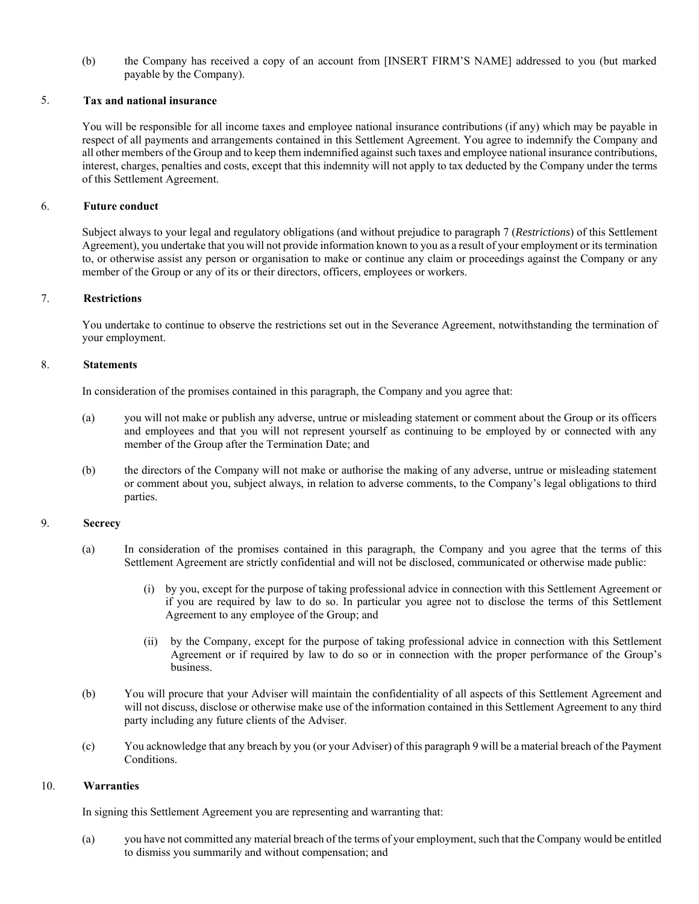(b) the Company has received a copy of an account from [INSERT FIRM'S NAME] addressed to you (but marked payable by the Company).

#### 5. 5. **Tax and national insurance**

You will be responsible for all income taxes and employee national insurance contributions (if any) which may be payable in respect of all payments and arrangements contained in this Settlement Agreement. You agree to indemnify the Company and all other members of the Group and to keep them indemnified against such taxes and employee national insurance contributions, interest, charges, penalties and costs, except that this indemnity will not apply to tax deducted by the Company under the terms of this Settlement Agreement.

#### 6. 6. **Future conduct**

Subject always to your legal and regulatory obligations (and without prejudice to paragraph 7 (*Restrictions*) of this Settlement Agreement), you undertake that you will not provide information known to you as a result of your employment or its termination to, or otherwise assist any person or organisation to make or continue any claim or proceedings against the Company or any member of the Group or any of its or their directors, officers, employees or workers.

### 7. **Restrictions**

You undertake to continue to observe the restrictions set out in the Severance Agreement, notwithstanding the termination of your employment.

### 8. **Statements**

In consideration of the promises contained in this paragraph, the Company and you agree that:

- (a) you will not make or publish any adverse, untrue or misleading statement or comment about the Group or its officers and employees and that you will not represent yourself as continuing to be employed by or connected with any member of the Group after the Termination Date; and
- (b) the directors of the Company will not make or authorise the making of any adverse, untrue or misleading statement or comment about you, subject always, in relation to adverse comments, to the Company's legal obligations to third parties.

# 9. **Secrecy**

- (a) In consideration of the promises contained in this paragraph, the Company and you agree that the terms of this Settlement Agreement are strictly confidential and will not be disclosed, communicated or otherwise made public:
	- (i) by you, except for the purpose of taking professional advice in connection with this Settlement Agreement or if you are required by law to do so. In particular you agree not to disclose the terms of this Settlement Agreement to any employee of the Group; and
	- (ii) by the Company, except for the purpose of taking professional advice in connection with this Settlement Agreement or if required by law to do so or in connection with the proper performance of the Group's business.
- (b) You will procure that your Adviser will maintain the confidentiality of all aspects of this Settlement Agreement and will not discuss, disclose or otherwise make use of the information contained in this Settlement Agreement to any third party including any future clients of the Adviser.
- (c) You acknowledge that any breach by you (or your Adviser) of this paragraph 9 will be a material breach of the Payment Conditions.

## 10. **Warranties**

In signing this Settlement Agreement you are representing and warranting that:

(a) you have not committed any material breach of the terms of your employment, such that the Company would be entitled to dismiss you summarily and without compensation; and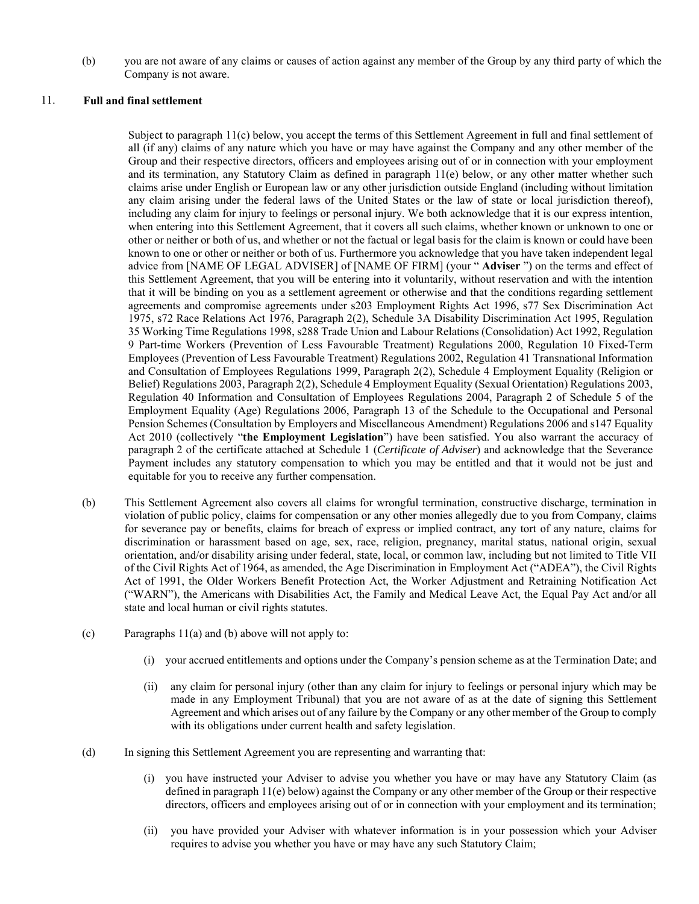(b) you are not aware of any claims or causes of action against any member of the Group by any third party of which the Company is not aware.

#### 11. 11. **Full and final settlement**

Subject to paragraph 11(c) below, you accept the terms of this Settlement Agreement in full and final settlement of all (if any) claims of any nature which you have or may have against the Company and any other member of the Group and their respective directors, officers and employees arising out of or in connection with your employment and its termination, any Statutory Claim as defined in paragraph 11(e) below, or any other matter whether such claims arise under English or European law or any other jurisdiction outside England (including without limitation any claim arising under the federal laws of the United States or the law of state or local jurisdiction thereof), including any claim for injury to feelings or personal injury. We both acknowledge that it is our express intention, when entering into this Settlement Agreement, that it covers all such claims, whether known or unknown to one or other or neither or both of us, and whether or not the factual or legal basis for the claim is known or could have been known to one or other or neither or both of us. Furthermore you acknowledge that you have taken independent legal advice from [NAME OF LEGAL ADVISER] of [NAME OF FIRM] (your " **Adviser** ") on the terms and effect of this Settlement Agreement, that you will be entering into it voluntarily, without reservation and with the intention that it will be binding on you as a settlement agreement or otherwise and that the conditions regarding settlement agreements and compromise agreements under s203 Employment Rights Act 1996, s77 Sex Discrimination Act 1975, s72 Race Relations Act 1976, Paragraph 2(2), Schedule 3A Disability Discrimination Act 1995, Regulation 35 Working Time Regulations 1998, s288 Trade Union and Labour Relations (Consolidation) Act 1992, Regulation 9 Part-time Workers (Prevention of Less Favourable Treatment) Regulations 2000, Regulation 10 Fixed-Term Employees (Prevention of Less Favourable Treatment) Regulations 2002, Regulation 41 Transnational Information and Consultation of Employees Regulations 1999, Paragraph 2(2), Schedule 4 Employment Equality (Religion or Belief) Regulations 2003, Paragraph 2(2), Schedule 4 Employment Equality (Sexual Orientation) Regulations 2003, Regulation 40 Information and Consultation of Employees Regulations 2004, Paragraph 2 of Schedule 5 of the Employment Equality (Age) Regulations 2006, Paragraph 13 of the Schedule to the Occupational and Personal Pension Schemes (Consultation by Employers and Miscellaneous Amendment) Regulations 2006 and s147 Equality Act 2010 (collectively "**the Employment Legislation**") have been satisfied. You also warrant the accuracy of paragraph 2 of the certificate attached at Schedule 1 (*Certificate of Adviser*) and acknowledge that the Severance Payment includes any statutory compensation to which you may be entitled and that it would not be just and equitable for you to receive any further compensation.

- (b) This Settlement Agreement also covers all claims for wrongful termination, constructive discharge, termination in violation of public policy, claims for compensation or any other monies allegedly due to you from Company, claims for severance pay or benefits, claims for breach of express or implied contract, any tort of any nature, claims for discrimination or harassment based on age, sex, race, religion, pregnancy, marital status, national origin, sexual orientation, and/or disability arising under federal, state, local, or common law, including but not limited to Title VII of the Civil Rights Act of 1964, as amended, the Age Discrimination in Employment Act ("ADEA"), the Civil Rights Act of 1991, the Older Workers Benefit Protection Act, the Worker Adjustment and Retraining Notification Act ("WARN"), the Americans with Disabilities Act, the Family and Medical Leave Act, the Equal Pay Act and/or all state and local human or civil rights statutes.
- (c) Paragraphs 11(a) and (b) above will not apply to:
	- (i) your accrued entitlements and options under the Company's pension scheme as at the Termination Date; and
	- (ii) any claim for personal injury (other than any claim for injury to feelings or personal injury which may be made in any Employment Tribunal) that you are not aware of as at the date of signing this Settlement Agreement and which arises out of any failure by the Company or any other member of the Group to comply with its obligations under current health and safety legislation.
- (d) In signing this Settlement Agreement you are representing and warranting that:
	- (i) you have instructed your Adviser to advise you whether you have or may have any Statutory Claim (as defined in paragraph 11(e) below) against the Company or any other member of the Group or their respective directors, officers and employees arising out of or in connection with your employment and its termination;
	- (ii) you have provided your Adviser with whatever information is in your possession which your Adviser requires to advise you whether you have or may have any such Statutory Claim;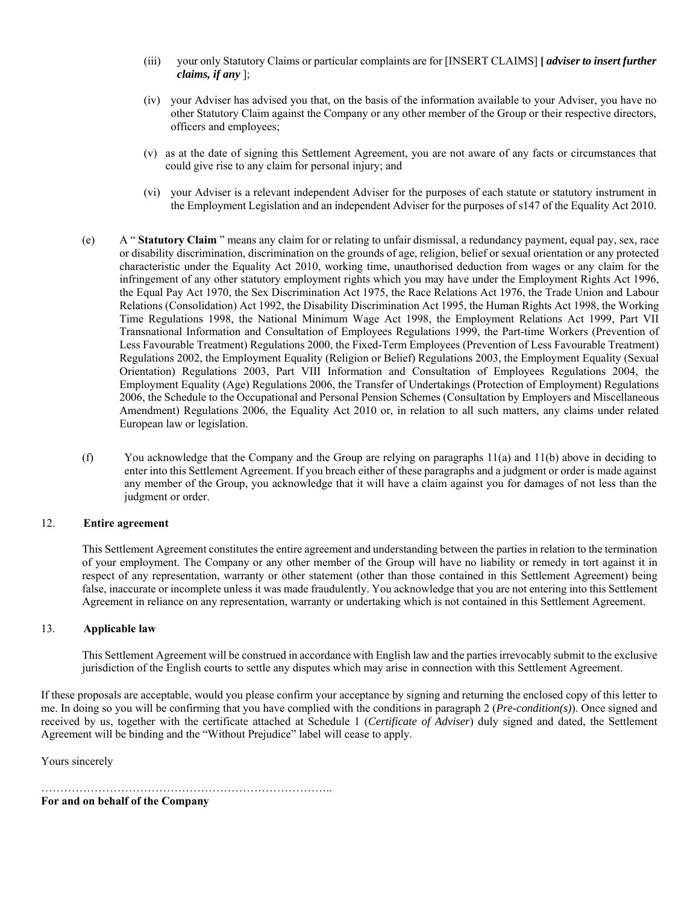- (iii) your only Statutory Claims or particular complaints are for [INSERT CLAIMS] **[** *adviser to insert further claims, if any* ];
- (iv) your Adviser has advised you that, on the basis of the information available to your Adviser, you have no other Statutory Claim against the Company or any other member of the Group or their respective directors, officers and employees;
- (v) as at the date of signing this Settlement Agreement, you are not aware of any facts or circumstances that could give rise to any claim for personal injury; and
- (vi) your Adviser is a relevant independent Adviser for the purposes of each statute or statutory instrument in the Employment Legislation and an independent Adviser for the purposes of s147 of the Equality Act 2010.
- (e) A " **Statutory Claim** " means any claim for or relating to unfair dismissal, a redundancy payment, equal pay, sex, race or disability discrimination, discrimination on the grounds of age, religion, belief or sexual orientation or any protected characteristic under the Equality Act 2010, working time, unauthorised deduction from wages or any claim for the infringement of any other statutory employment rights which you may have under the Employment Rights Act 1996, the Equal Pay Act 1970, the Sex Discrimination Act 1975, the Race Relations Act 1976, the Trade Union and Labour Relations (Consolidation) Act 1992, the Disability Discrimination Act 1995, the Human Rights Act 1998, the Working Time Regulations 1998, the National Minimum Wage Act 1998, the Employment Relations Act 1999, Part VII Transnational Information and Consultation of Employees Regulations 1999, the Part-time Workers (Prevention of Less Favourable Treatment) Regulations 2000, the Fixed-Term Employees (Prevention of Less Favourable Treatment) Regulations 2002, the Employment Equality (Religion or Belief) Regulations 2003, the Employment Equality (Sexual Orientation) Regulations 2003, Part VIII Information and Consultation of Employees Regulations 2004, the Employment Equality (Age) Regulations 2006, the Transfer of Undertakings (Protection of Employment) Regulations 2006, the Schedule to the Occupational and Personal Pension Schemes (Consultation by Employers and Miscellaneous Amendment) Regulations 2006, the Equality Act 2010 or, in relation to all such matters, any claims under related European law or legislation.
- (f) You acknowledge that the Company and the Group are relying on paragraphs 11(a) and 11(b) above in deciding to enter into this Settlement Agreement. If you breach either of these paragraphs and a judgment or order is made against any member of the Group, you acknowledge that it will have a claim against you for damages of not less than the judgment or order.

## 12. **Entire agreement**

This Settlement Agreement constitutes the entire agreement and understanding between the parties in relation to the termination of your employment. The Company or any other member of the Group will have no liability or remedy in tort against it in respect of any representation, warranty or other statement (other than those contained in this Settlement Agreement) being false, inaccurate or incomplete unless it was made fraudulently. You acknowledge that you are not entering into this Settlement Agreement in reliance on any representation, warranty or undertaking which is not contained in this Settlement Agreement.

#### 13. **Applicable law**

This Settlement Agreement will be construed in accordance with English law and the parties irrevocably submit to the exclusive jurisdiction of the English courts to settle any disputes which may arise in connection with this Settlement Agreement.

If these proposals are acceptable, would you please confirm your acceptance by signing and returning the enclosed copy of this letter to me. In doing so you will be confirming that you have complied with the conditions in paragraph 2 (*Pre-condition(s)*). Once signed and received by us, together with the certificate attached at Schedule 1 (*Certificate of Adviser*) duly signed and dated, the Settlement Agreement will be binding and the "Without Prejudice" label will cease to apply.

Yours sincerely

………………………………………………………………….. **For and on behalf of the Company**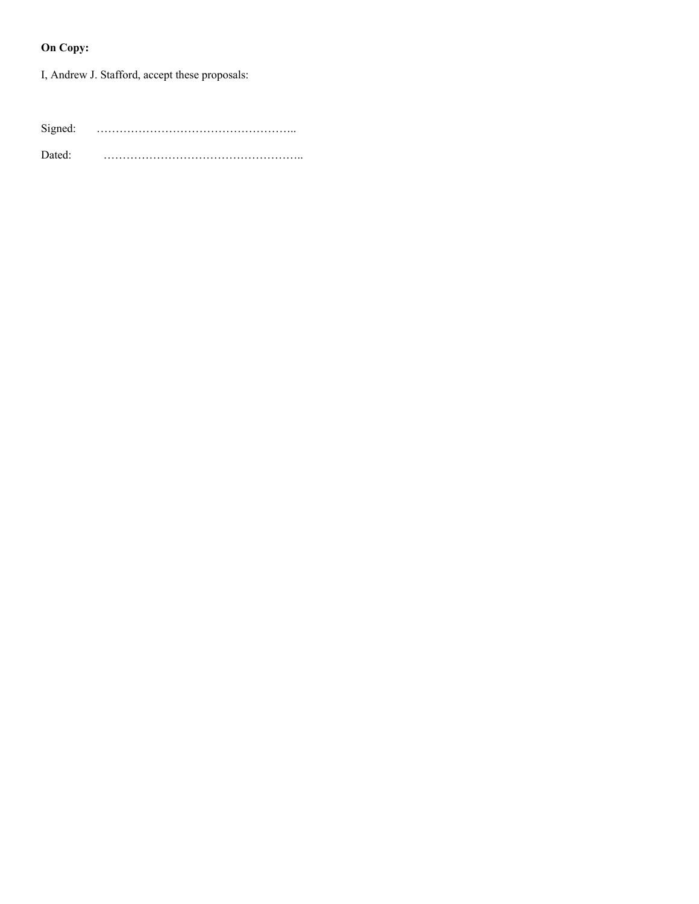# **On Copy:**

I, Andrew J. Stafford, accept these proposals:

| Signed: |  |
|---------|--|
| Dated:  |  |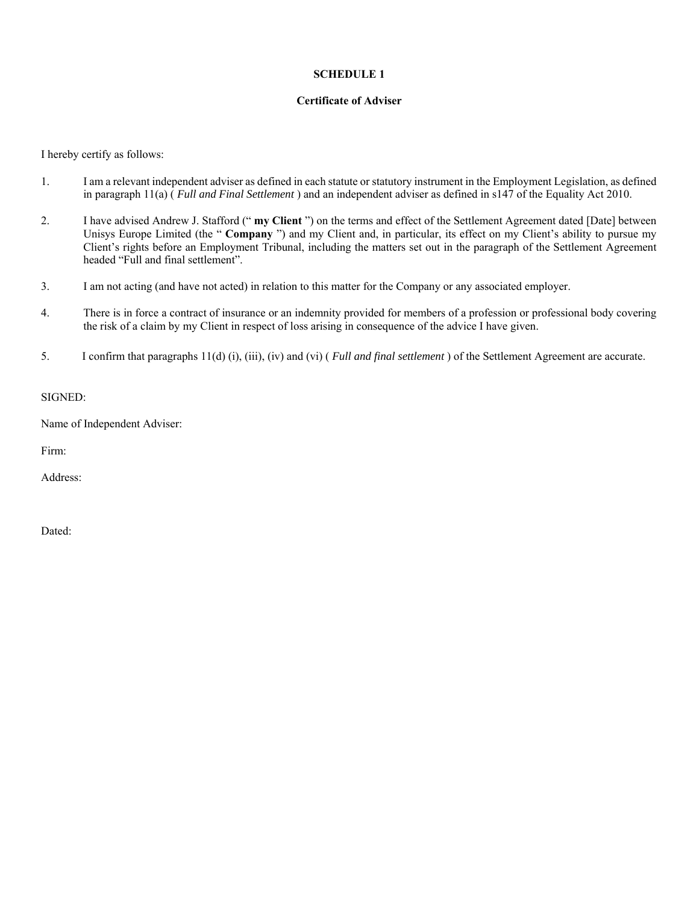## **SCHEDULE 1**

## **Certificate of Adviser**

I hereby certify as follows:

- $1.$ 1. I am a relevant independent adviser as defined in each statute or statutory instrument in the Employment Legislation, as defined in paragraph 11(a) ( *Full and Final Settlement* ) and an independent adviser as defined in s147 of the Equality Act 2010.
- $\overline{2}$ . 2. I have advised Andrew J. Stafford (" **my Client** ") on the terms and effect of the Settlement Agreement dated [Date] between Unisys Europe Limited (the " **Company** ") and my Client and, in particular, its effect on my Client's ability to pursue my Client's rights before an Employment Tribunal, including the matters set out in the paragraph of the Settlement Agreement headed "Full and final settlement".
- $3.$ I am not acting (and have not acted) in relation to this matter for the Company or any associated employer.
- 4. There is in force a contract of insurance or an indemnity provided for members of a profession or professional body covering the risk of a claim by my Client in respect of loss arising in consequence of the advice I have given.
- 5. I confirm that paragraphs 11(d) (i), (iii), (iv) and (vi) ( *Full and final settlement* ) of the Settlement Agreement are accurate.

SIGNED:

Name of Independent Adviser:

Firm:

Address:

Dated: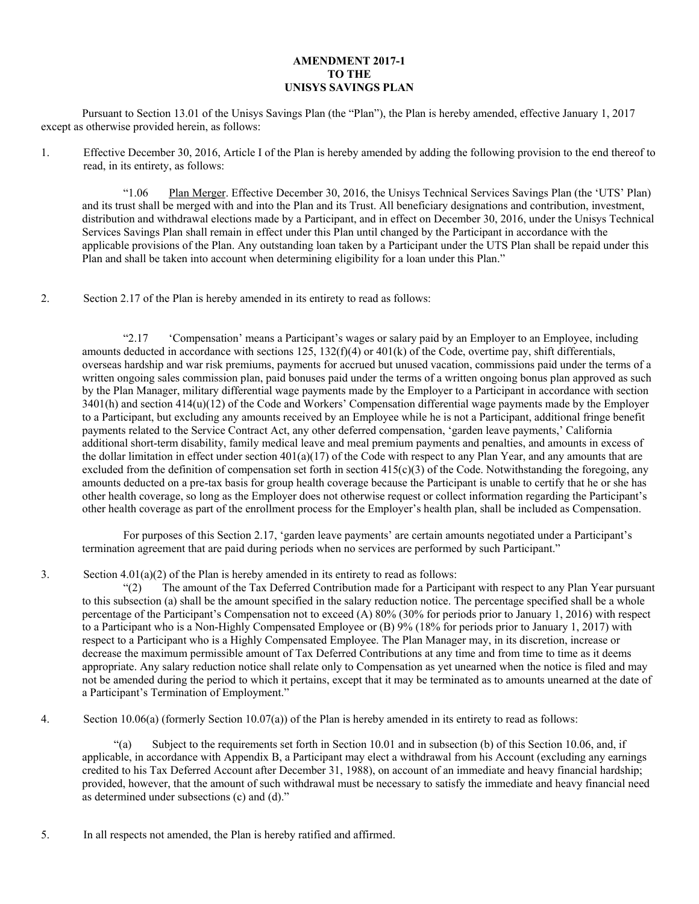### **AMENDMENT 2017-1 TO THE UNISYS SAVINGS PLAN**

Pursuant to Section 13.01 of the Unisys Savings Plan (the "Plan"), the Plan is hereby amended, effective January 1, 2017 except as otherwise provided herein, as follows:

1. Effective December 30, 2016, Article I of the Plan is hereby amended by adding the following provision to the end thereof to read, in its entirety, as follows:

"1.06 Plan Merger. Effective December 30, 2016, the Unisys Technical Services Savings Plan (the 'UTS' Plan) and its trust shall be merged with and into the Plan and its Trust. All beneficiary designations and contribution, investment, distribution and withdrawal elections made by a Participant, and in effect on December 30, 2016, under the Unisys Technical Services Savings Plan shall remain in effect under this Plan until changed by the Participant in accordance with the applicable provisions of the Plan. Any outstanding loan taken by a Participant under the UTS Plan shall be repaid under this Plan and shall be taken into account when determining eligibility for a loan under this Plan."

2. Section 2.17 of the Plan is hereby amended in its entirety to read as follows:

"2.17 'Compensation' means a Participant's wages or salary paid by an Employer to an Employee, including amounts deducted in accordance with sections  $125$ ,  $132(f)(4)$  or  $401(k)$  of the Code, overtime pay, shift differentials, overseas hardship and war risk premiums, payments for accrued but unused vacation, commissions paid under the terms of a written ongoing sales commission plan, paid bonuses paid under the terms of a written ongoing bonus plan approved as such by the Plan Manager, military differential wage payments made by the Employer to a Participant in accordance with section 3401(h) and section 414(u)(12) of the Code and Workers' Compensation differential wage payments made by the Employer to a Participant, but excluding any amounts received by an Employee while he is not a Participant, additional fringe benefit payments related to the Service Contract Act, any other deferred compensation, 'garden leave payments,' California additional short-term disability, family medical leave and meal premium payments and penalties, and amounts in excess of the dollar limitation in effect under section  $401(a)(17)$  of the Code with respect to any Plan Year, and any amounts that are excluded from the definition of compensation set forth in section  $415(c)(3)$  of the Code. Notwithstanding the foregoing, any amounts deducted on a pre-tax basis for group health coverage because the Participant is unable to certify that he or she has other health coverage, so long as the Employer does not otherwise request or collect information regarding the Participant's other health coverage as part of the enrollment process for the Employer's health plan, shall be included as Compensation.

For purposes of this Section 2.17, 'garden leave payments' are certain amounts negotiated under a Participant's termination agreement that are paid during periods when no services are performed by such Participant."

3. Section  $4.01(a)(2)$  of the Plan is hereby amended in its entirety to read as follows:

"(2) The amount of the Tax Deferred Contribution made for a Participant with respect to any Plan Year pursuant to this subsection (a) shall be the amount specified in the salary reduction notice. The percentage specified shall be a whole percentage of the Participant's Compensation not to exceed (A) 80% (30% for periods prior to January 1, 2016) with respect to a Participant who is a Non-Highly Compensated Employee or (B) 9% (18% for periods prior to January 1, 2017) with respect to a Participant who is a Highly Compensated Employee. The Plan Manager may, in its discretion, increase or decrease the maximum permissible amount of Tax Deferred Contributions at any time and from time to time as it deems appropriate. Any salary reduction notice shall relate only to Compensation as yet unearned when the notice is filed and may not be amended during the period to which it pertains, except that it may be terminated as to amounts unearned at the date of a Participant's Termination of Employment."

4. Section 10.06(a) (formerly Section 10.07(a)) of the Plan is hereby amended in its entirety to read as follows:

"(a) Subject to the requirements set forth in Section 10.01 and in subsection (b) of this Section 10.06, and, if applicable, in accordance with Appendix B, a Participant may elect a withdrawal from his Account (excluding any earnings credited to his Tax Deferred Account after December 31, 1988), on account of an immediate and heavy financial hardship; provided, however, that the amount of such withdrawal must be necessary to satisfy the immediate and heavy financial need as determined under subsections (c) and (d)."

5. In all respects not amended, the Plan is hereby ratified and affirmed.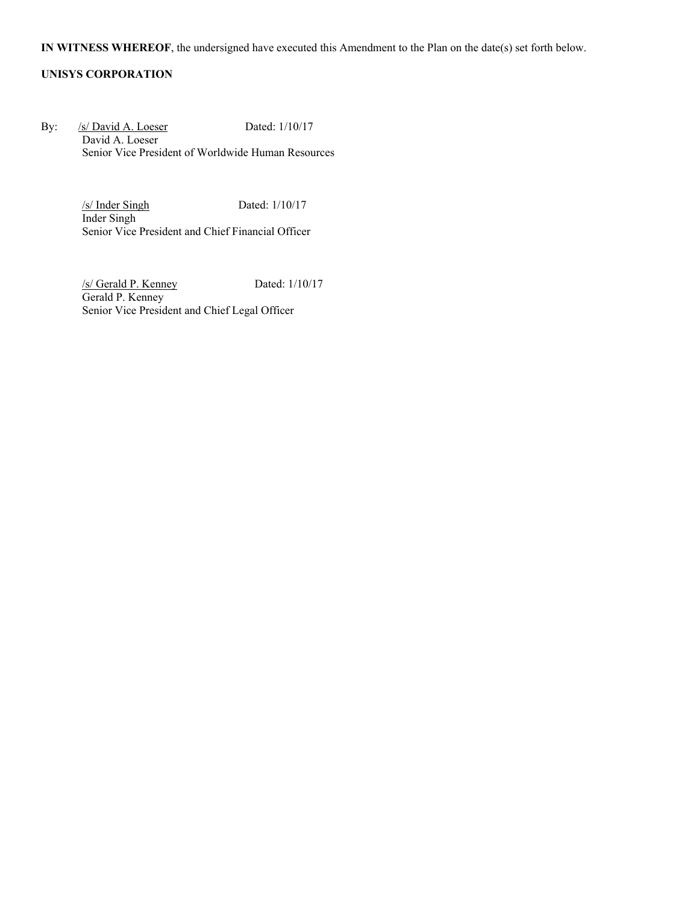**IN WITNESS WHEREOF**, the undersigned have executed this Amendment to the Plan on the date(s) set forth below.

# **UNISYS CORPORATION**

By: /s/ David A. Loeser Dated: 1/10/17 David A. Loeser Senior Vice President of Worldwide Human Resources

> /s/ Inder Singh Dated: 1/10/17 Inder Singh Senior Vice President and Chief Financial Officer

/s/ Gerald P. Kenney Dated: 1/10/17 Gerald P. Kenney Senior Vice President and Chief Legal Officer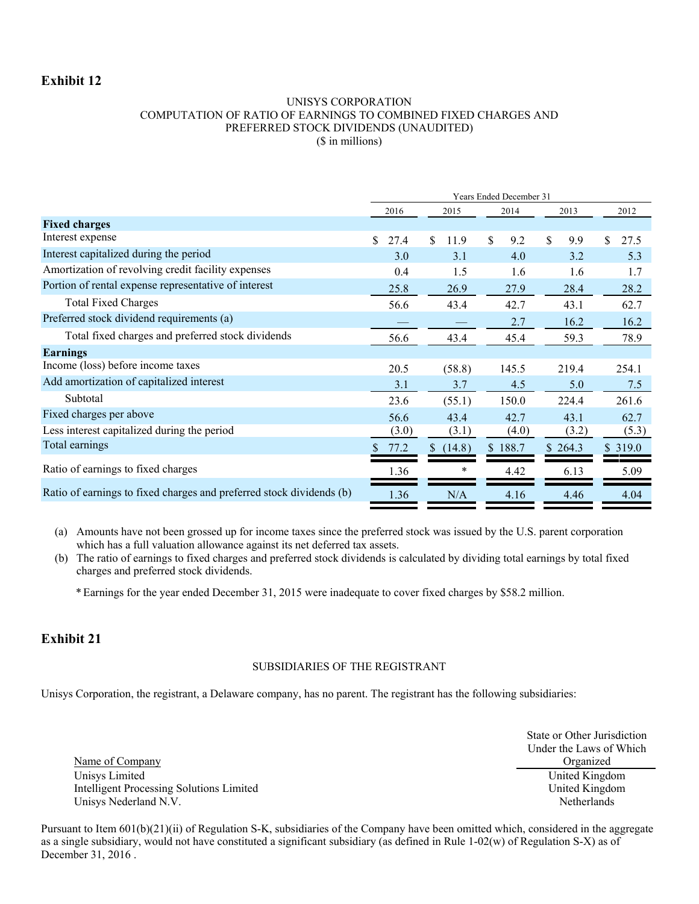# **Exhibit 12**

### UNISYS CORPORATION COMPUTATION OF RATIO OF EARNINGS TO COMBINED FIXED CHARGES AND PREFERRED STOCK DIVIDENDS (UNAUDITED) (\$ in millions)

|                                                                      | Years Ended December 31 |            |           |           |            |
|----------------------------------------------------------------------|-------------------------|------------|-----------|-----------|------------|
|                                                                      | 2016                    | 2015       | 2014      | 2013      | 2012       |
| <b>Fixed charges</b>                                                 |                         |            |           |           |            |
| Interest expense                                                     | $\mathcal{S}$<br>27.4   | \$<br>11.9 | \$<br>9.2 | \$<br>9.9 | \$<br>27.5 |
| Interest capitalized during the period                               | 3.0                     | 3.1        | 4.0       | 3.2       | 5.3        |
| Amortization of revolving credit facility expenses                   | 0.4                     | 1.5        | 1.6       | 1.6       | 1.7        |
| Portion of rental expense representative of interest                 | 25.8                    | 26.9       | 27.9      | 28.4      | 28.2       |
| <b>Total Fixed Charges</b>                                           | 56.6                    | 43.4       | 42.7      | 43.1      | 62.7       |
| Preferred stock dividend requirements (a)                            |                         |            | 2.7       | 16.2      | 16.2       |
| Total fixed charges and preferred stock dividends                    | 56.6                    | 43.4       | 45.4      | 59.3      | 78.9       |
| <b>Earnings</b>                                                      |                         |            |           |           |            |
| Income (loss) before income taxes                                    | 20.5                    | (58.8)     | 145.5     | 219.4     | 254.1      |
| Add amortization of capitalized interest                             | 3.1                     | 3.7        | 4.5       | 5.0       | 7.5        |
| Subtotal                                                             | 23.6                    | (55.1)     | 150.0     | 224.4     | 261.6      |
| Fixed charges per above                                              | 56.6                    | 43.4       | 42.7      | 43.1      | 62.7       |
| Less interest capitalized during the period                          | (3.0)                   | (3.1)      | (4.0)     | (3.2)     | (5.3)      |
| Total earnings                                                       | 77.2                    | (14.8)     | 188.7     | \$264.3   | \$319.0    |
| Ratio of earnings to fixed charges                                   | 1.36                    | ∗          | 4.42      | 6.13      | 5.09       |
| Ratio of earnings to fixed charges and preferred stock dividends (b) | 1.36                    | N/A        | 4.16      | 4.46      | 4.04       |

(a) Amounts have not been grossed up for income taxes since the preferred stock was issued by the U.S. parent corporation

which has a full valuation allowance against its net deferred tax assets.<br>
(b) The ratio of earnings to fixed charges and preferred stock dividends is calculated by dividing total earnings by total fixed charges and preferred stock dividends.

\* Earnings for the year ended December 31, 2015 were inadequate to cover fixed charges by \$58.2 million.

# **Exhibit 21**

#### SUBSIDIARIES OF THE REGISTRANT

Unisys Corporation, the registrant, a Delaware company, has no parent. The registrant has the following subsidiaries:

|                                                 | State or Other Jurisdiction<br>Under the Laws of Which |
|-------------------------------------------------|--------------------------------------------------------|
| Name of Company                                 | Organized                                              |
| Unisys Limited                                  | United Kingdom                                         |
| <b>Intelligent Processing Solutions Limited</b> | United Kingdom                                         |
| Unisys Nederland N.V.                           | <b>Netherlands</b>                                     |

Pursuant to Item 601(b)(21)(ii) of Regulation S-K, subsidiaries of the Company have been omitted which, considered in the aggregate as a single subsidiary, would not have constituted a significant subsidiary (as defined in Rule 1-02(w) of Regulation S-X) as of December 31, 2016 .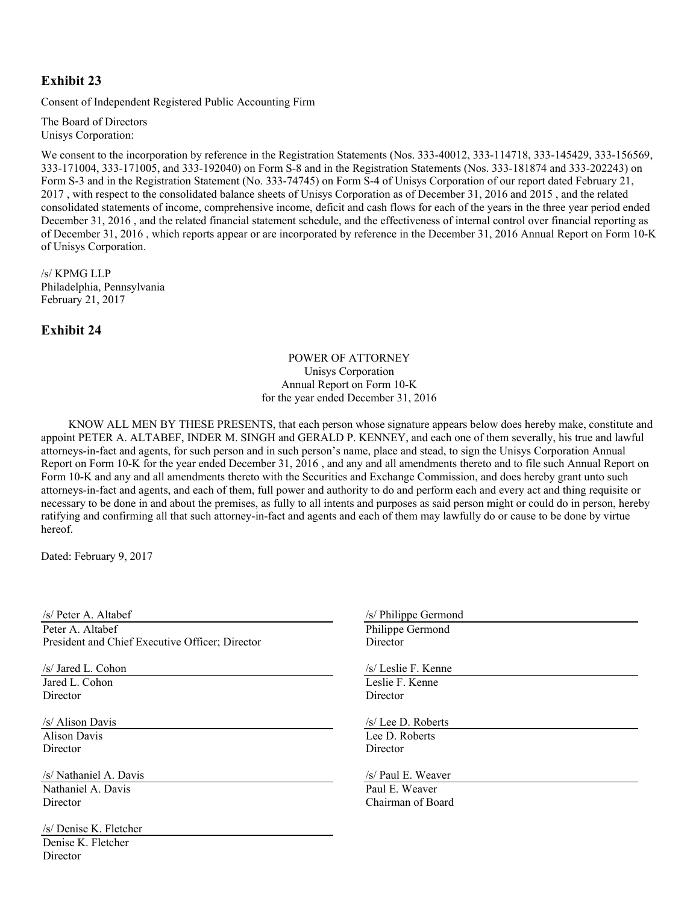# **Exhibit 23**

Consent of Independent Registered Public Accounting Firm

The Board of Directors Unisys Corporation:

We consent to the incorporation by reference in the Registration Statements (Nos. 333-40012, 333-114718, 333-145429, 333-156569, 333-171004, 333-171005, and 333-192040) on Form S-8 and in the Registration Statements (Nos. 333-181874 and 333-202243) on Form S-3 and in the Registration Statement (No. 333-74745) on Form S-4 of Unisys Corporation of our report dated February 21, 2017 , with respect to the consolidated balance sheets of Unisys Corporation as of December 31, 2016 and 2015 , and the related consolidated statements of income, comprehensive income, deficit and cash flows for each of the years in the three year period ended December 31, 2016 , and the related financial statement schedule, and the effectiveness of internal control over financial reporting as of December 31, 2016 , which reports appear or are incorporated by reference in the December 31, 2016 Annual Report on Form 10-K of Unisys Corporation.

/s/ KPMG LLP Philadelphia, Pennsylvania February 21, 2017

# **Exhibit 24**

# POWER OF ATTORNEY Unisys Corporation Annual Report on Form 10-K for the year ended December 31, 2016

KNOW ALL MEN BY THESE PRESENTS, that each person whose signature appears below does hereby make, constitute and appoint PETER A. ALTABEF, INDER M. SINGH and GERALD P. KENNEY, and each one of them severally, his true and lawful attorneys-in-fact and agents, for such person and in such person's name, place and stead, to sign the Unisys Corporation Annual Report on Form 10-K for the year ended December 31, 2016 , and any and all amendments thereto and to file such Annual Report on Form 10-K and any and all amendments thereto with the Securities and Exchange Commission, and does hereby grant unto such attorneys-in-fact and agents, and each of them, full power and authority to do and perform each and every act and thing requisite or necessary to be done in and about the premises, as fully to all intents and purposes as said person might or could do in person, hereby ratifying and confirming all that such attorney-in-fact and agents and each of them may lawfully do or cause to be done by virtue hereof.

Dated: February 9, 2017

Denise K. Fletcher

Director

/s/ Peter A. Altabef /s/ Philippe Germond Peter A. Altabef Philippe Germond President and Chief Executive Officer; Director Director Director /s/ Jared L. Cohon /s/ Leslie F. Kenne Jared L. Cohon Leslie F. Kenne Director Director /s/ Alison Davis /s/ Lee D. Roberts Alison Davis Lee D. Roberts Director Director /s/ Nathaniel A. Davis /s/ Paul E. Weaver Nathaniel A. Davis **Paul E. Weaver** Director Chairman of Board /s/ Denise K. Fletcher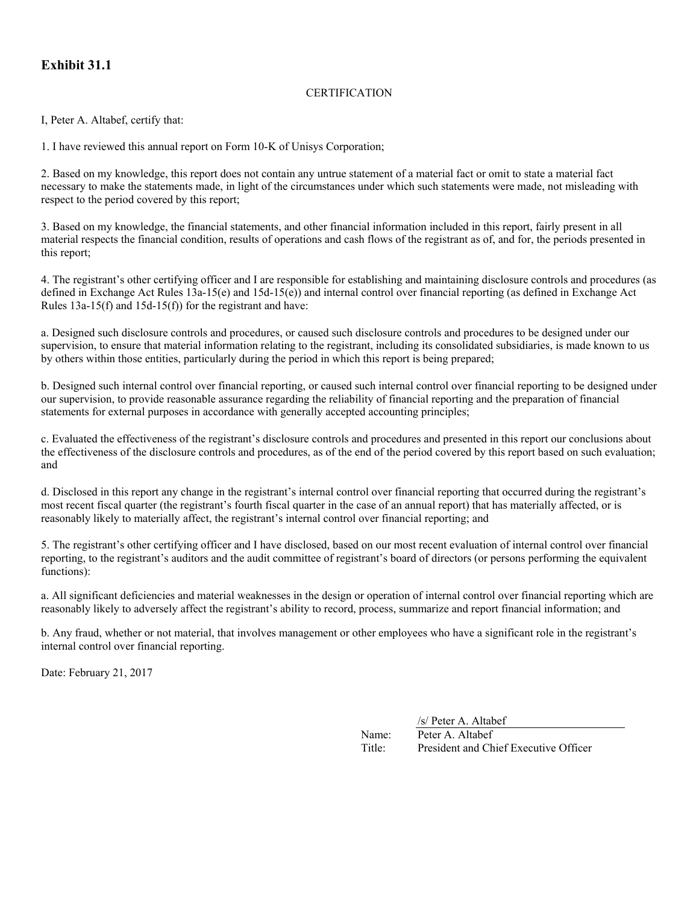# **Exhibit 31.1**

### **CERTIFICATION**

I, Peter A. Altabef, certify that:

1. I have reviewed this annual report on Form 10-K of Unisys Corporation;

2. Based on my knowledge, this report does not contain any untrue statement of a material fact or omit to state a material fact necessary to make the statements made, in light of the circumstances under which such statements were made, not misleading with respect to the period covered by this report;

3. Based on my knowledge, the financial statements, and other financial information included in this report, fairly present in all material respects the financial condition, results of operations and cash flows of the registrant as of, and for, the periods presented in this report;

4. The registrant's other certifying officer and I are responsible for establishing and maintaining disclosure controls and procedures (as defined in Exchange Act Rules 13a-15(e) and 15d-15(e)) and internal control over financial reporting (as defined in Exchange Act Rules 13a-15(f) and 15d-15(f)) for the registrant and have:

a. Designed such disclosure controls and procedures, or caused such disclosure controls and procedures to be designed under our supervision, to ensure that material information relating to the registrant, including its consolidated subsidiaries, is made known to us by others within those entities, particularly during the period in which this report is being prepared;

b. Designed such internal control over financial reporting, or caused such internal control over financial reporting to be designed under our supervision, to provide reasonable assurance regarding the reliability of financial reporting and the preparation of financial statements for external purposes in accordance with generally accepted accounting principles;

c. Evaluated the effectiveness of the registrant's disclosure controls and procedures and presented in this report our conclusions about the effectiveness of the disclosure controls and procedures, as of the end of the period covered by this report based on such evaluation; and

d. Disclosed in this report any change in the registrant's internal control over financial reporting that occurred during the registrant's most recent fiscal quarter (the registrant's fourth fiscal quarter in the case of an annual report) that has materially affected, or is reasonably likely to materially affect, the registrant's internal control over financial reporting; and

5. The registrant's other certifying officer and I have disclosed, based on our most recent evaluation of internal control over financial reporting, to the registrant's auditors and the audit committee of registrant's board of directors (or persons performing the equivalent functions):

a. All significant deficiencies and material weaknesses in the design or operation of internal control over financial reporting which are reasonably likely to adversely affect the registrant's ability to record, process, summarize and report financial information; and

b. Any fraud, whether or not material, that involves management or other employees who have a significant role in the registrant's internal control over financial reporting.

Date: February 21, 2017

/s/ Peter A. Altabef

Name: Peter A. Altabef Title: President and Chief Executive Officer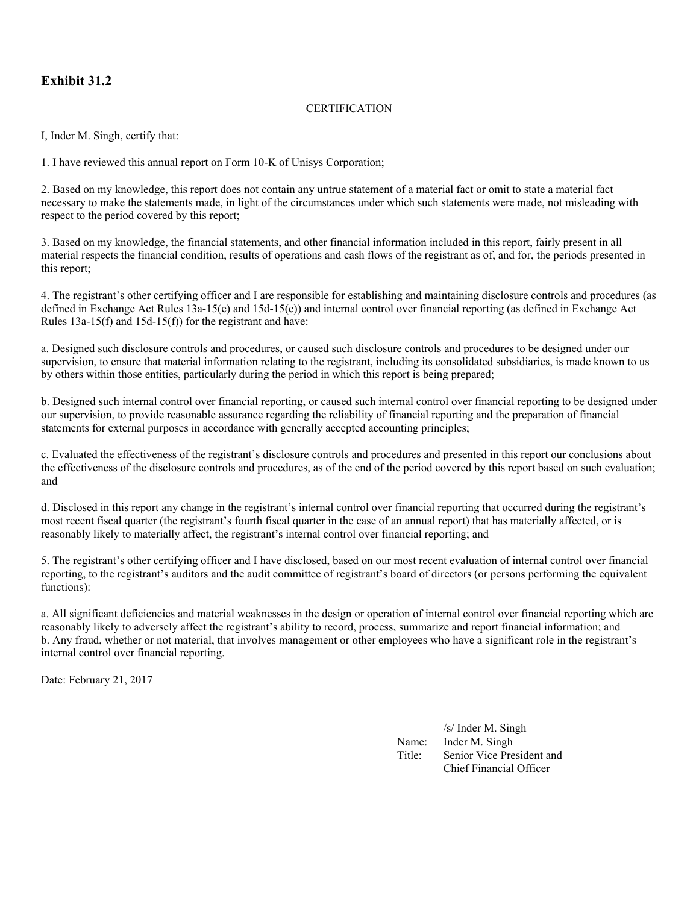# **Exhibit 31.2**

## **CERTIFICATION**

I, Inder M. Singh, certify that:

1. I have reviewed this annual report on Form 10-K of Unisys Corporation;

2. Based on my knowledge, this report does not contain any untrue statement of a material fact or omit to state a material fact necessary to make the statements made, in light of the circumstances under which such statements were made, not misleading with respect to the period covered by this report;

3. Based on my knowledge, the financial statements, and other financial information included in this report, fairly present in all material respects the financial condition, results of operations and cash flows of the registrant as of, and for, the periods presented in this report;

4. The registrant's other certifying officer and I are responsible for establishing and maintaining disclosure controls and procedures (as defined in Exchange Act Rules 13a-15(e) and 15d-15(e)) and internal control over financial reporting (as defined in Exchange Act Rules 13a-15(f) and 15d-15(f)) for the registrant and have:

a. Designed such disclosure controls and procedures, or caused such disclosure controls and procedures to be designed under our supervision, to ensure that material information relating to the registrant, including its consolidated subsidiaries, is made known to us by others within those entities, particularly during the period in which this report is being prepared;

b. Designed such internal control over financial reporting, or caused such internal control over financial reporting to be designed under our supervision, to provide reasonable assurance regarding the reliability of financial reporting and the preparation of financial statements for external purposes in accordance with generally accepted accounting principles;

c. Evaluated the effectiveness of the registrant's disclosure controls and procedures and presented in this report our conclusions about the effectiveness of the disclosure controls and procedures, as of the end of the period covered by this report based on such evaluation; and

d. Disclosed in this report any change in the registrant's internal control over financial reporting that occurred during the registrant's most recent fiscal quarter (the registrant's fourth fiscal quarter in the case of an annual report) that has materially affected, or is reasonably likely to materially affect, the registrant's internal control over financial reporting; and

5. The registrant's other certifying officer and I have disclosed, based on our most recent evaluation of internal control over financial reporting, to the registrant's auditors and the audit committee of registrant's board of directors (or persons performing the equivalent functions):

a. All significant deficiencies and material weaknesses in the design or operation of internal control over financial reporting which are reasonably likely to adversely affect the registrant's ability to record, process, summarize and report financial information; and b. Any fraud, whether or not material, that involves management or other employees who have a significant role in the registrant's internal control over financial reporting.

Date: February 21, 2017

/s/ Inder M. Singh Name: Inder M. Singh Title: Senior Vice President and Chief Financial Officer